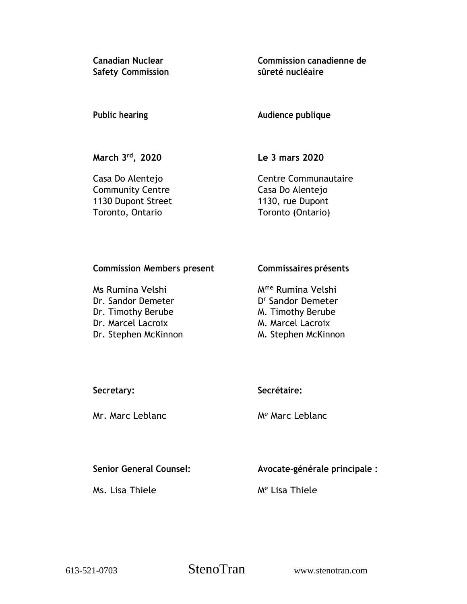**Safety Commission sûreté nucléaire**

**Canadian Nuclear Commission canadienne de**

**Public hearing Audience publique**

**March 3 rd**

**, 2020 Le 3 mars 2020**

Community Centre Casa Do Alentejo 1130 Dupont Street 1130, rue Dupont Toronto, Ontario Toronto (Ontario)

Casa Do Alentejo **Centre Communautaire** 

## **Commission Members present Commissaires présents**

Ms Rumina Velshi Mme Rumina Velshi Dr. Sandor Demeter Dr. Timothy Berube M. Timothy Berube Dr. Marcel Lacroix M. Marcel Lacroix Dr. Stephen McKinnon M. Stephen McKinnon

D<sup>r</sup> Sandor Demeter

Mr. Marc Leblanc Me Marc Leblanc

# **Secretary: Secrétaire:**

**Senior General Counsel: Avocate-générale principale :**

Ms. Lisa Thiele Me Lisa Thiele

613-521-0703 StenoTran www.stenotran.com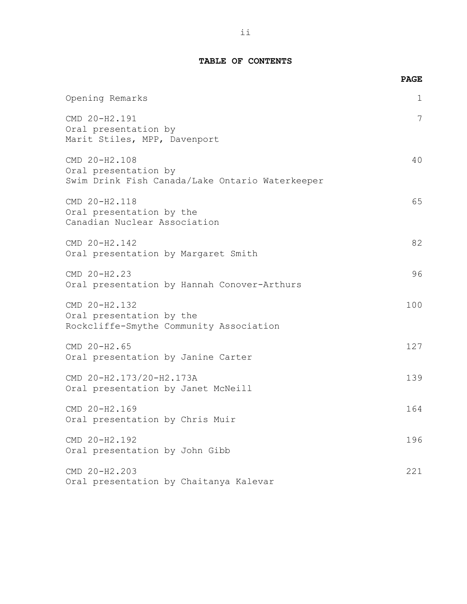### **TABLE OF CONTENTS**

|                                                                                          | <b>PAGE</b> |
|------------------------------------------------------------------------------------------|-------------|
| Opening Remarks                                                                          | 1           |
| CMD 20-H2.191<br>Oral presentation by<br>Marit Stiles, MPP, Davenport                    | 7           |
| CMD 20-H2.108<br>Oral presentation by<br>Swim Drink Fish Canada/Lake Ontario Waterkeeper | 40          |
| CMD 20-H2.118<br>Oral presentation by the<br>Canadian Nuclear Association                | 65          |
| CMD 20-H2.142<br>Oral presentation by Margaret Smith                                     | 82          |
| CMD 20-H2.23<br>Oral presentation by Hannah Conover-Arthurs                              | 96          |
| CMD 20-H2.132<br>Oral presentation by the<br>Rockcliffe-Smythe Community Association     | 100         |
| CMD 20-H2.65<br>Oral presentation by Janine Carter                                       | 127         |
| CMD 20-H2.173/20-H2.173A<br>Oral presentation by Janet McNeill                           | 139         |
| CMD 20-H2.169<br>Oral presentation by Chris Muir                                         | 164         |
| CMD 20-H2.192<br>Oral presentation by John Gibb                                          | 196         |
| CMD 20-H2.203<br>Oral presentation by Chaitanya Kalevar                                  | 221         |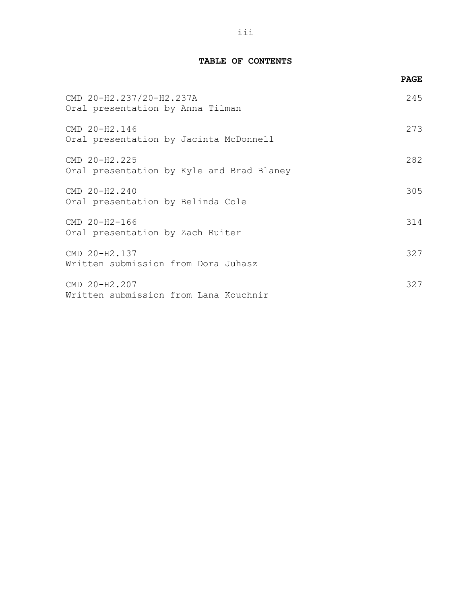## **TABLE OF CONTENTS**

|                                                              | <b>PAGE</b> |
|--------------------------------------------------------------|-------------|
| CMD 20-H2.237/20-H2.237A<br>Oral presentation by Anna Tilman | 245         |
| CMD 20-H2.146<br>Oral presentation by Jacinta McDonnell      | 273         |
| CMD 20-H2.225<br>Oral presentation by Kyle and Brad Blaney   | 282         |
| CMD 20-H2.240<br>Oral presentation by Belinda Cole           | 305         |
| CMD 20-H2-166<br>Oral presentation by Zach Ruiter            | 314         |
| CMD 20-H2.137<br>Written submission from Dora Juhasz         | 327         |
| CMD 20-H2.207<br>Written submission from Lana Kouchnir       | 327         |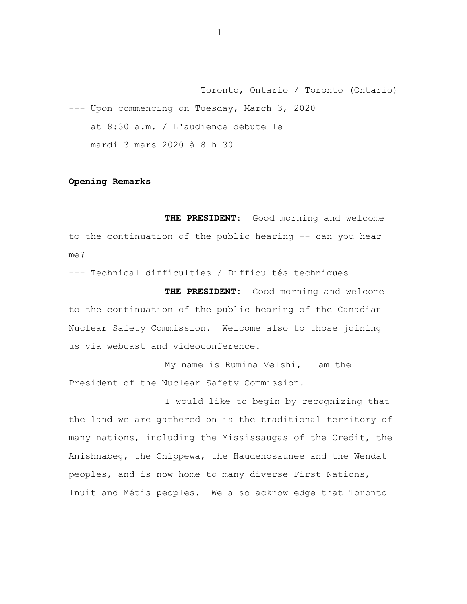Toronto, Ontario / Toronto (Ontario) --- Upon commencing on Tuesday, March 3, 2020 at 8:30 a.m. / L'audience débute le mardi 3 mars 2020 à 8 h 30

### **Opening Remarks**

**THE PRESIDENT:** Good morning and welcome to the continuation of the public hearing -- can you hear me?

--- Technical difficulties / Difficultés techniques

**THE PRESIDENT:** Good morning and welcome to the continuation of the public hearing of the Canadian Nuclear Safety Commission. Welcome also to those joining us via webcast and videoconference.

My name is Rumina Velshi, I am the President of the Nuclear Safety Commission.

I would like to begin by recognizing that the land we are gathered on is the traditional territory of many nations, including the Mississaugas of the Credit, the Anishnabeg, the Chippewa, the Haudenosaunee and the Wendat peoples, and is now home to many diverse First Nations, Inuit and Métis peoples. We also acknowledge that Toronto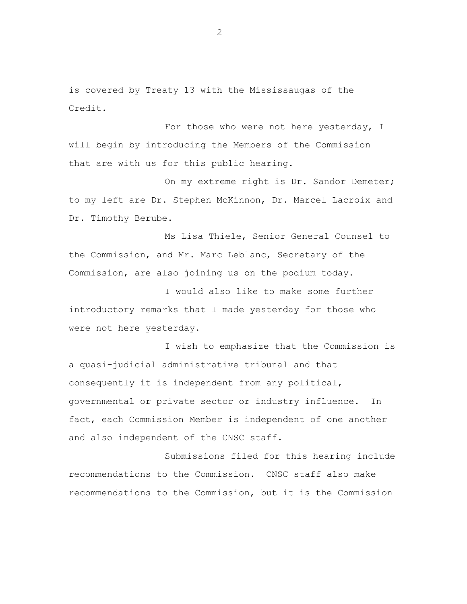is covered by Treaty 13 with the Mississaugas of the Credit.

For those who were not here yesterday, I will begin by introducing the Members of the Commission that are with us for this public hearing.

On my extreme right is Dr. Sandor Demeter; to my left are Dr. Stephen McKinnon, Dr. Marcel Lacroix and Dr. Timothy Berube.

Ms Lisa Thiele, Senior General Counsel to the Commission, and Mr. Marc Leblanc, Secretary of the Commission, are also joining us on the podium today.

I would also like to make some further introductory remarks that I made yesterday for those who were not here yesterday.

I wish to emphasize that the Commission is a quasi-judicial administrative tribunal and that consequently it is independent from any political, governmental or private sector or industry influence. In fact, each Commission Member is independent of one another and also independent of the CNSC staff.

Submissions filed for this hearing include recommendations to the Commission. CNSC staff also make recommendations to the Commission, but it is the Commission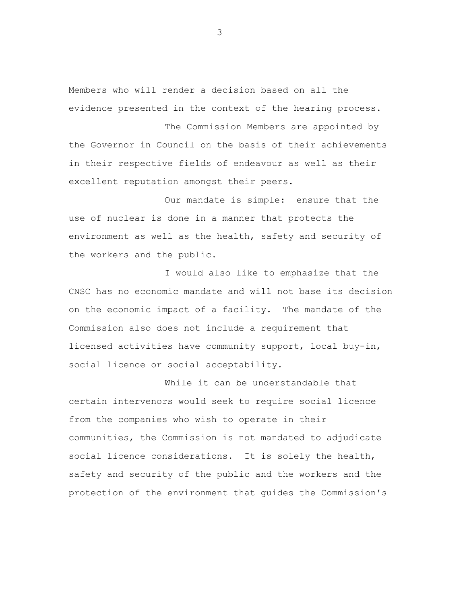Members who will render a decision based on all the evidence presented in the context of the hearing process.

The Commission Members are appointed by the Governor in Council on the basis of their achievements in their respective fields of endeavour as well as their excellent reputation amongst their peers.

Our mandate is simple: ensure that the use of nuclear is done in a manner that protects the environment as well as the health, safety and security of the workers and the public.

I would also like to emphasize that the CNSC has no economic mandate and will not base its decision on the economic impact of a facility. The mandate of the Commission also does not include a requirement that licensed activities have community support, local buy-in, social licence or social acceptability.

While it can be understandable that certain intervenors would seek to require social licence from the companies who wish to operate in their communities, the Commission is not mandated to adjudicate social licence considerations. It is solely the health, safety and security of the public and the workers and the protection of the environment that guides the Commission's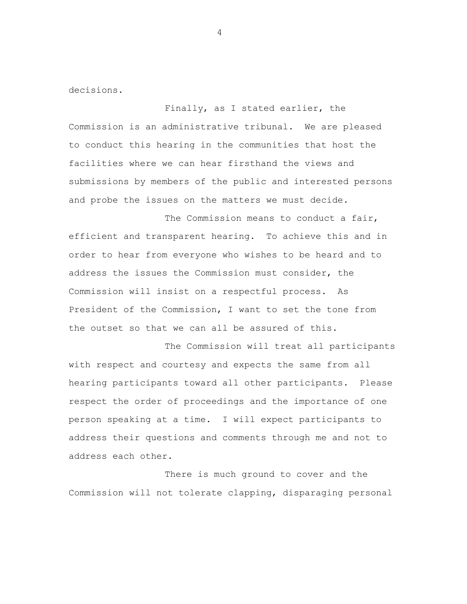decisions.

Finally, as I stated earlier, the Commission is an administrative tribunal. We are pleased to conduct this hearing in the communities that host the facilities where we can hear firsthand the views and submissions by members of the public and interested persons and probe the issues on the matters we must decide.

The Commission means to conduct a fair, efficient and transparent hearing. To achieve this and in order to hear from everyone who wishes to be heard and to address the issues the Commission must consider, the Commission will insist on a respectful process. As President of the Commission, I want to set the tone from the outset so that we can all be assured of this.

The Commission will treat all participants with respect and courtesy and expects the same from all hearing participants toward all other participants. Please respect the order of proceedings and the importance of one person speaking at a time. I will expect participants to address their questions and comments through me and not to address each other.

There is much ground to cover and the Commission will not tolerate clapping, disparaging personal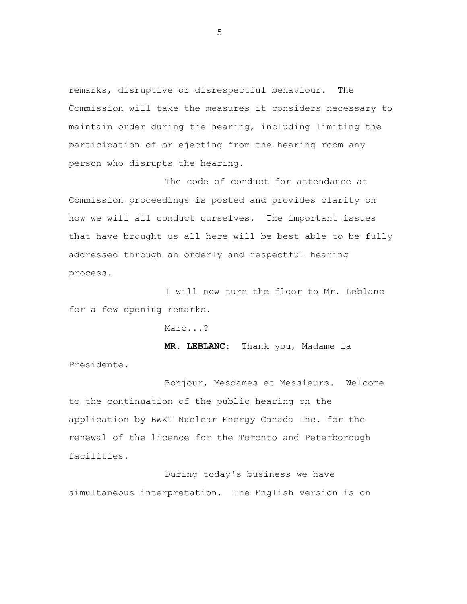remarks, disruptive or disrespectful behaviour. The Commission will take the measures it considers necessary to maintain order during the hearing, including limiting the participation of or ejecting from the hearing room any person who disrupts the hearing.

The code of conduct for attendance at Commission proceedings is posted and provides clarity on how we will all conduct ourselves. The important issues that have brought us all here will be best able to be fully addressed through an orderly and respectful hearing process.

I will now turn the floor to Mr. Leblanc for a few opening remarks.

Marc...?

**MR. LEBLANC:** Thank you, Madame la Présidente.

Bonjour, Mesdames et Messieurs. Welcome to the continuation of the public hearing on the application by BWXT Nuclear Energy Canada Inc. for the renewal of the licence for the Toronto and Peterborough facilities.

During today's business we have simultaneous interpretation. The English version is on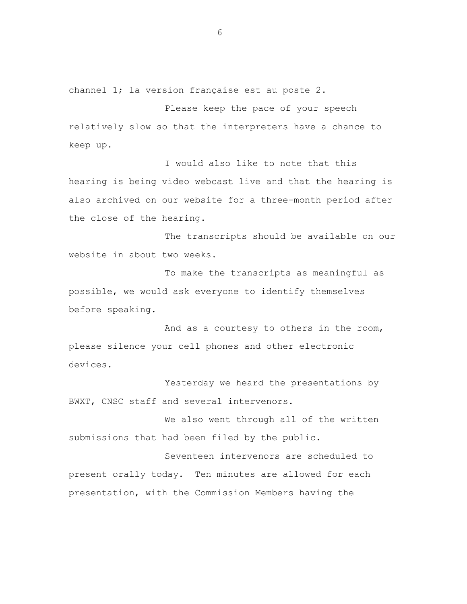channel 1; la version française est au poste 2.

Please keep the pace of your speech relatively slow so that the interpreters have a chance to keep up.

I would also like to note that this hearing is being video webcast live and that the hearing is also archived on our website for a three-month period after the close of the hearing.

The transcripts should be available on our website in about two weeks.

To make the transcripts as meaningful as possible, we would ask everyone to identify themselves before speaking.

And as a courtesy to others in the room, please silence your cell phones and other electronic devices.

Yesterday we heard the presentations by BWXT, CNSC staff and several intervenors.

We also went through all of the written submissions that had been filed by the public.

Seventeen intervenors are scheduled to present orally today. Ten minutes are allowed for each presentation, with the Commission Members having the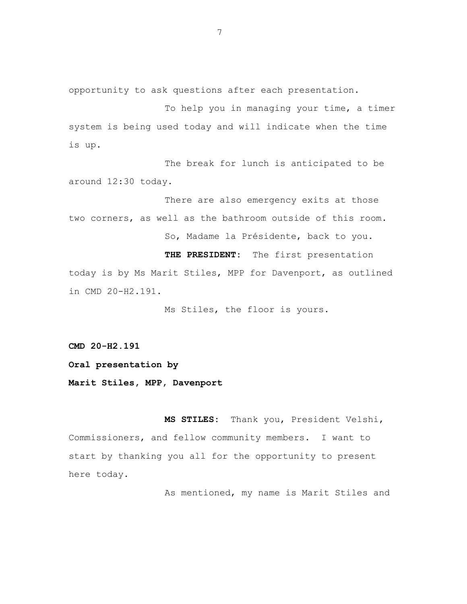opportunity to ask questions after each presentation.

To help you in managing your time, a timer system is being used today and will indicate when the time is up.

The break for lunch is anticipated to be around 12:30 today.

There are also emergency exits at those two corners, as well as the bathroom outside of this room. So, Madame la Présidente, back to you.

**THE PRESIDENT:** The first presentation today is by Ms Marit Stiles, MPP for Davenport, as outlined in CMD 20-H2.191.

Ms Stiles, the floor is yours.

**CMD 20-H2.191**

**Oral presentation by**

**Marit Stiles, MPP, Davenport**

**MS STILES:** Thank you, President Velshi, Commissioners, and fellow community members. I want to start by thanking you all for the opportunity to present here today.

As mentioned, my name is Marit Stiles and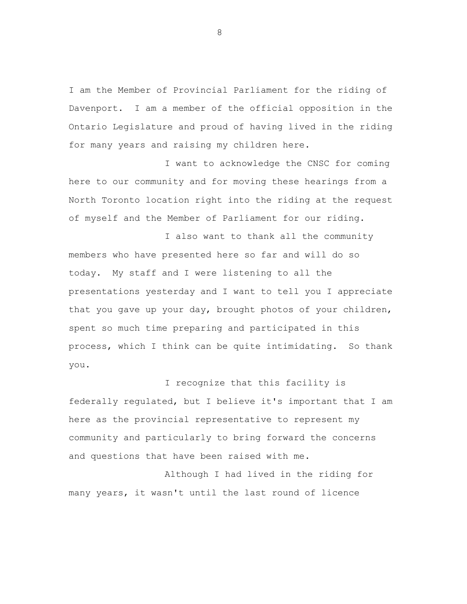I am the Member of Provincial Parliament for the riding of Davenport. I am a member of the official opposition in the Ontario Legislature and proud of having lived in the riding for many years and raising my children here.

I want to acknowledge the CNSC for coming here to our community and for moving these hearings from a North Toronto location right into the riding at the request of myself and the Member of Parliament for our riding.

I also want to thank all the community members who have presented here so far and will do so today. My staff and I were listening to all the presentations yesterday and I want to tell you I appreciate that you gave up your day, brought photos of your children, spent so much time preparing and participated in this process, which I think can be quite intimidating. So thank you.

I recognize that this facility is federally regulated, but I believe it's important that I am here as the provincial representative to represent my community and particularly to bring forward the concerns and questions that have been raised with me.

Although I had lived in the riding for many years, it wasn't until the last round of licence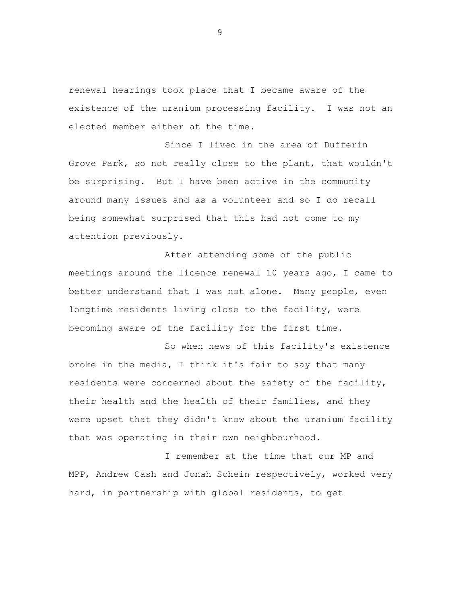renewal hearings took place that I became aware of the existence of the uranium processing facility. I was not an elected member either at the time.

Since I lived in the area of Dufferin Grove Park, so not really close to the plant, that wouldn't be surprising. But I have been active in the community around many issues and as a volunteer and so I do recall being somewhat surprised that this had not come to my attention previously.

After attending some of the public meetings around the licence renewal 10 years ago, I came to better understand that I was not alone. Many people, even longtime residents living close to the facility, were becoming aware of the facility for the first time.

So when news of this facility's existence broke in the media, I think it's fair to say that many residents were concerned about the safety of the facility, their health and the health of their families, and they were upset that they didn't know about the uranium facility that was operating in their own neighbourhood.

I remember at the time that our MP and MPP, Andrew Cash and Jonah Schein respectively, worked very hard, in partnership with global residents, to get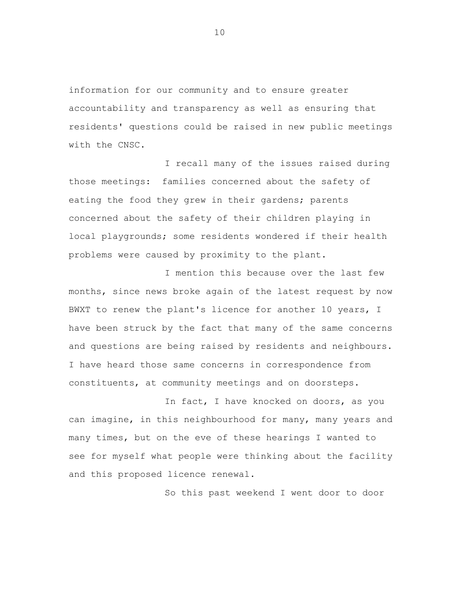information for our community and to ensure greater accountability and transparency as well as ensuring that residents' questions could be raised in new public meetings with the CNSC.

I recall many of the issues raised during those meetings: families concerned about the safety of eating the food they grew in their gardens; parents concerned about the safety of their children playing in local playgrounds; some residents wondered if their health problems were caused by proximity to the plant.

I mention this because over the last few months, since news broke again of the latest request by now BWXT to renew the plant's licence for another 10 years, I have been struck by the fact that many of the same concerns and questions are being raised by residents and neighbours. I have heard those same concerns in correspondence from constituents, at community meetings and on doorsteps.

In fact, I have knocked on doors, as you can imagine, in this neighbourhood for many, many years and many times, but on the eve of these hearings I wanted to see for myself what people were thinking about the facility and this proposed licence renewal.

So this past weekend I went door to door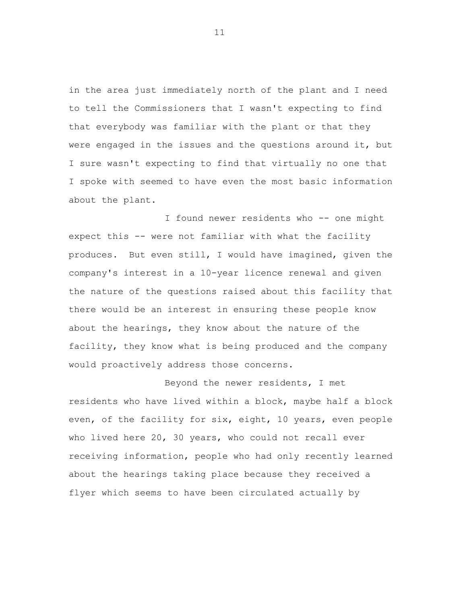in the area just immediately north of the plant and I need to tell the Commissioners that I wasn't expecting to find that everybody was familiar with the plant or that they were engaged in the issues and the questions around it, but I sure wasn't expecting to find that virtually no one that I spoke with seemed to have even the most basic information about the plant.

I found newer residents who -- one might expect this -- were not familiar with what the facility produces. But even still, I would have imagined, given the company's interest in a 10-year licence renewal and given the nature of the questions raised about this facility that there would be an interest in ensuring these people know about the hearings, they know about the nature of the facility, they know what is being produced and the company would proactively address those concerns.

Beyond the newer residents, I met residents who have lived within a block, maybe half a block even, of the facility for six, eight, 10 years, even people who lived here 20, 30 years, who could not recall ever receiving information, people who had only recently learned about the hearings taking place because they received a flyer which seems to have been circulated actually by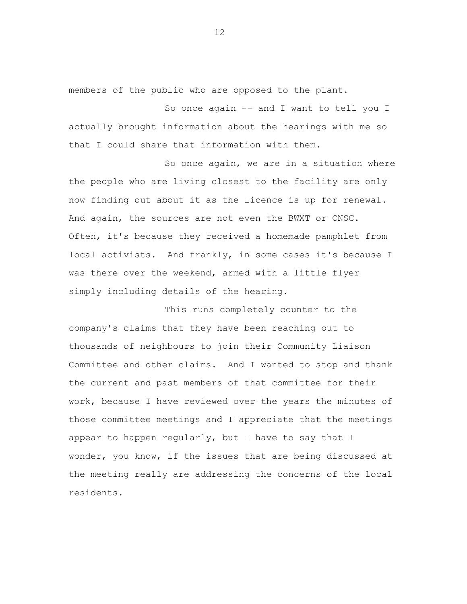members of the public who are opposed to the plant.

So once again -- and I want to tell you I actually brought information about the hearings with me so that I could share that information with them.

So once again, we are in a situation where the people who are living closest to the facility are only now finding out about it as the licence is up for renewal. And again, the sources are not even the BWXT or CNSC. Often, it's because they received a homemade pamphlet from local activists. And frankly, in some cases it's because I was there over the weekend, armed with a little flyer simply including details of the hearing.

This runs completely counter to the company's claims that they have been reaching out to thousands of neighbours to join their Community Liaison Committee and other claims. And I wanted to stop and thank the current and past members of that committee for their work, because I have reviewed over the years the minutes of those committee meetings and I appreciate that the meetings appear to happen regularly, but I have to say that I wonder, you know, if the issues that are being discussed at the meeting really are addressing the concerns of the local residents.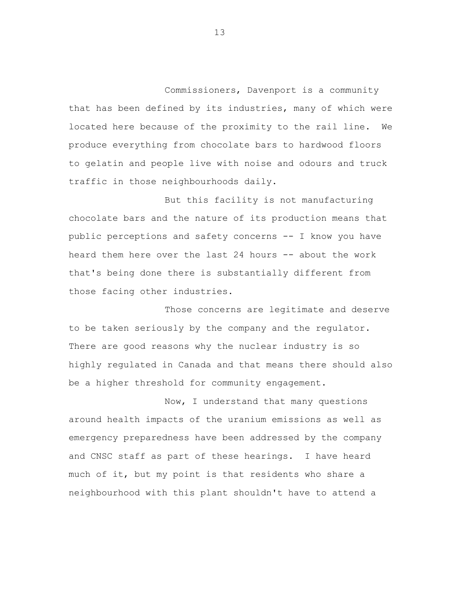Commissioners, Davenport is a community that has been defined by its industries, many of which were located here because of the proximity to the rail line. We produce everything from chocolate bars to hardwood floors to gelatin and people live with noise and odours and truck traffic in those neighbourhoods daily.

But this facility is not manufacturing chocolate bars and the nature of its production means that public perceptions and safety concerns -- I know you have heard them here over the last 24 hours -- about the work that's being done there is substantially different from those facing other industries.

Those concerns are legitimate and deserve to be taken seriously by the company and the regulator. There are good reasons why the nuclear industry is so highly regulated in Canada and that means there should also be a higher threshold for community engagement.

Now, I understand that many questions around health impacts of the uranium emissions as well as emergency preparedness have been addressed by the company and CNSC staff as part of these hearings. I have heard much of it, but my point is that residents who share a neighbourhood with this plant shouldn't have to attend a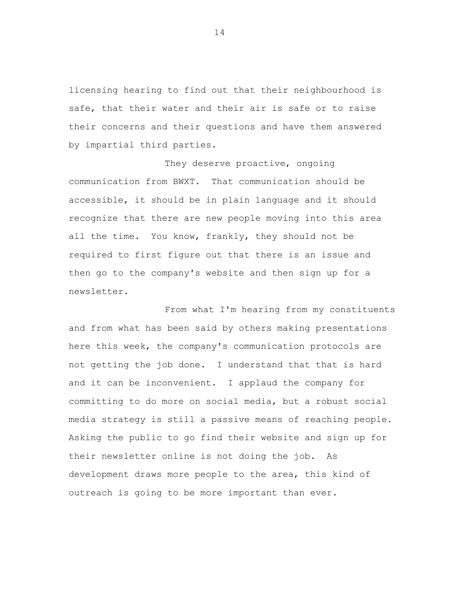licensing hearing to find out that their neighbourhood is safe, that their water and their air is safe or to raise their concerns and their questions and have them answered by impartial third parties.

They deserve proactive, ongoing communication from BWXT. That communication should be accessible, it should be in plain language and it should recognize that there are new people moving into this area all the time. You know, frankly, they should not be required to first figure out that there is an issue and then go to the company's website and then sign up for a newsletter.

From what I'm hearing from my constituents and from what has been said by others making presentations here this week, the company's communication protocols are not getting the job done. I understand that that is hard and it can be inconvenient. I applaud the company for committing to do more on social media, but a robust social media strategy is still a passive means of reaching people. Asking the public to go find their website and sign up for their newsletter online is not doing the job. As development draws more people to the area, this kind of outreach is going to be more important than ever.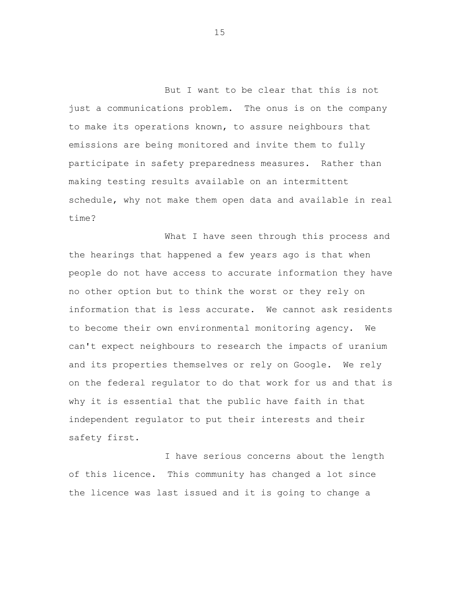But I want to be clear that this is not just a communications problem. The onus is on the company to make its operations known, to assure neighbours that emissions are being monitored and invite them to fully participate in safety preparedness measures. Rather than making testing results available on an intermittent schedule, why not make them open data and available in real time?

What I have seen through this process and the hearings that happened a few years ago is that when people do not have access to accurate information they have no other option but to think the worst or they rely on information that is less accurate. We cannot ask residents to become their own environmental monitoring agency. We can't expect neighbours to research the impacts of uranium and its properties themselves or rely on Google. We rely on the federal regulator to do that work for us and that is why it is essential that the public have faith in that independent regulator to put their interests and their safety first.

I have serious concerns about the length of this licence. This community has changed a lot since the licence was last issued and it is going to change a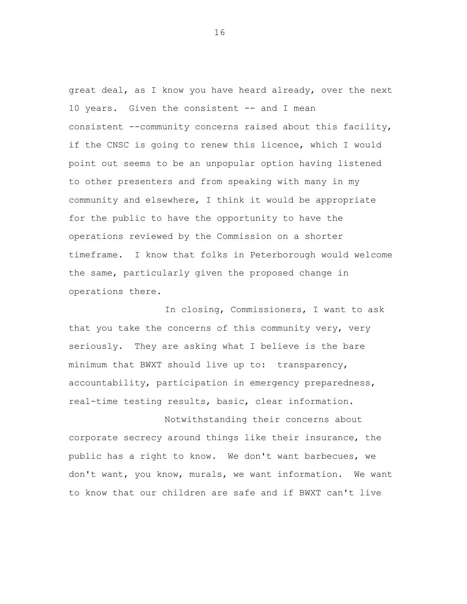great deal, as I know you have heard already, over the next 10 years. Given the consistent -- and I mean consistent --community concerns raised about this facility, if the CNSC is going to renew this licence, which I would point out seems to be an unpopular option having listened to other presenters and from speaking with many in my community and elsewhere, I think it would be appropriate for the public to have the opportunity to have the operations reviewed by the Commission on a shorter timeframe. I know that folks in Peterborough would welcome the same, particularly given the proposed change in operations there.

In closing, Commissioners, I want to ask that you take the concerns of this community very, very seriously. They are asking what I believe is the bare minimum that BWXT should live up to: transparency, accountability, participation in emergency preparedness, real-time testing results, basic, clear information.

Notwithstanding their concerns about corporate secrecy around things like their insurance, the public has a right to know. We don't want barbecues, we don't want, you know, murals, we want information. We want to know that our children are safe and if BWXT can't live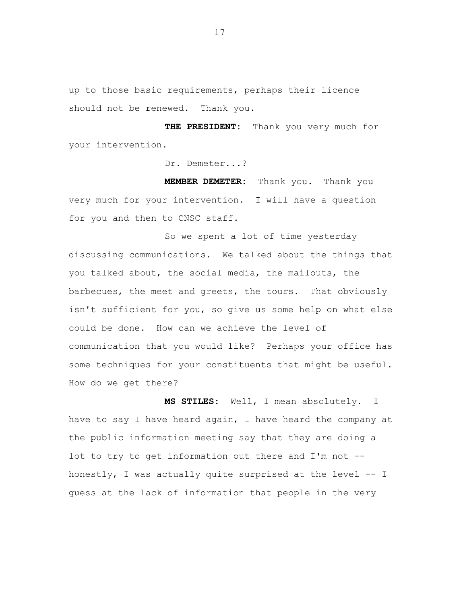up to those basic requirements, perhaps their licence should not be renewed. Thank you.

**THE PRESIDENT:** Thank you very much for your intervention.

Dr. Demeter...?

**MEMBER DEMETER:** Thank you. Thank you very much for your intervention. I will have a question for you and then to CNSC staff.

So we spent a lot of time yesterday discussing communications. We talked about the things that you talked about, the social media, the mailouts, the barbecues, the meet and greets, the tours. That obviously isn't sufficient for you, so give us some help on what else could be done. How can we achieve the level of communication that you would like? Perhaps your office has some techniques for your constituents that might be useful. How do we get there?

**MS STILES:** Well, I mean absolutely. I have to say I have heard again, I have heard the company at the public information meeting say that they are doing a lot to try to get information out there and I'm not - honestly, I was actually quite surprised at the level -- I guess at the lack of information that people in the very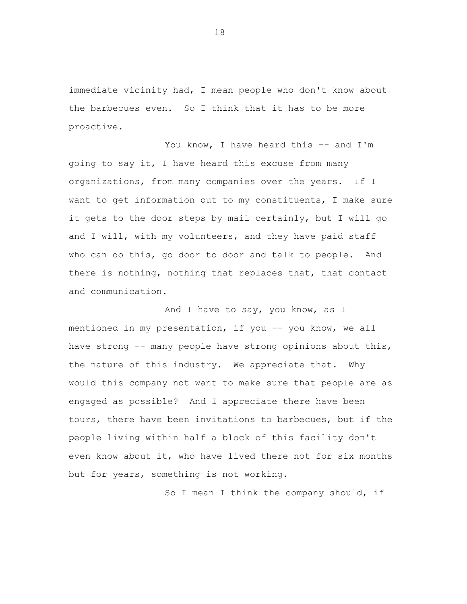immediate vicinity had, I mean people who don't know about the barbecues even. So I think that it has to be more proactive.

You know, I have heard this -- and I'm going to say it, I have heard this excuse from many organizations, from many companies over the years. If I want to get information out to my constituents, I make sure it gets to the door steps by mail certainly, but I will go and I will, with my volunteers, and they have paid staff who can do this, go door to door and talk to people. And there is nothing, nothing that replaces that, that contact and communication.

And I have to say, you know, as I mentioned in my presentation, if you -- you know, we all have strong -- many people have strong opinions about this, the nature of this industry. We appreciate that. Why would this company not want to make sure that people are as engaged as possible? And I appreciate there have been tours, there have been invitations to barbecues, but if the people living within half a block of this facility don't even know about it, who have lived there not for six months but for years, something is not working.

So I mean I think the company should, if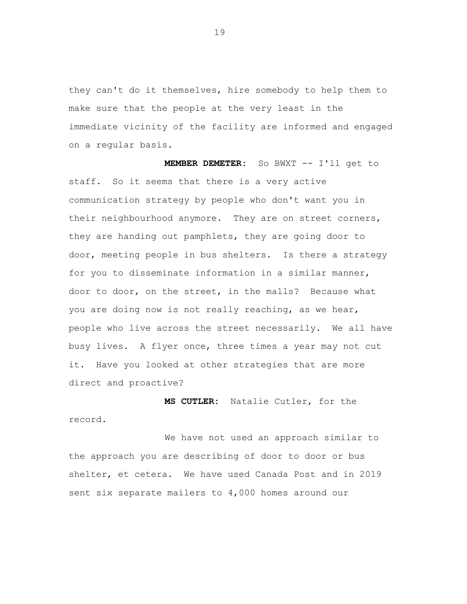they can't do it themselves, hire somebody to help them to make sure that the people at the very least in the immediate vicinity of the facility are informed and engaged on a regular basis.

**MEMBER DEMETER:** So BWXT -- I'll get to staff. So it seems that there is a very active communication strategy by people who don't want you in their neighbourhood anymore. They are on street corners, they are handing out pamphlets, they are going door to door, meeting people in bus shelters. Is there a strategy for you to disseminate information in a similar manner, door to door, on the street, in the malls? Because what you are doing now is not really reaching, as we hear, people who live across the street necessarily. We all have busy lives. A flyer once, three times a year may not cut it. Have you looked at other strategies that are more direct and proactive?

**MS CUTLER:** Natalie Cutler, for the record.

We have not used an approach similar to the approach you are describing of door to door or bus shelter, et cetera. We have used Canada Post and in 2019 sent six separate mailers to 4,000 homes around our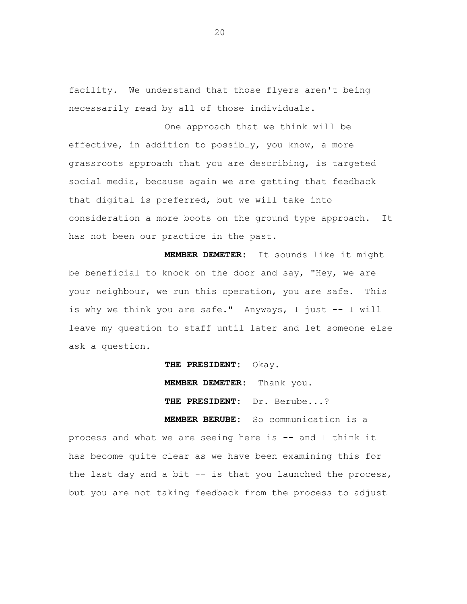facility. We understand that those flyers aren't being necessarily read by all of those individuals.

One approach that we think will be effective, in addition to possibly, you know, a more grassroots approach that you are describing, is targeted social media, because again we are getting that feedback that digital is preferred, but we will take into consideration a more boots on the ground type approach. It has not been our practice in the past.

**MEMBER DEMETER:** It sounds like it might be beneficial to knock on the door and say, "Hey, we are your neighbour, we run this operation, you are safe. This is why we think you are safe." Anyways, I just -- I will leave my question to staff until later and let someone else ask a question.

**THE PRESIDENT:** Okay.

**MEMBER DEMETER:** Thank you.

**THE PRESIDENT:** Dr. Berube...?

**MEMBER BERUBE:** So communication is a

process and what we are seeing here is -- and I think it has become quite clear as we have been examining this for the last day and a bit -- is that you launched the process, but you are not taking feedback from the process to adjust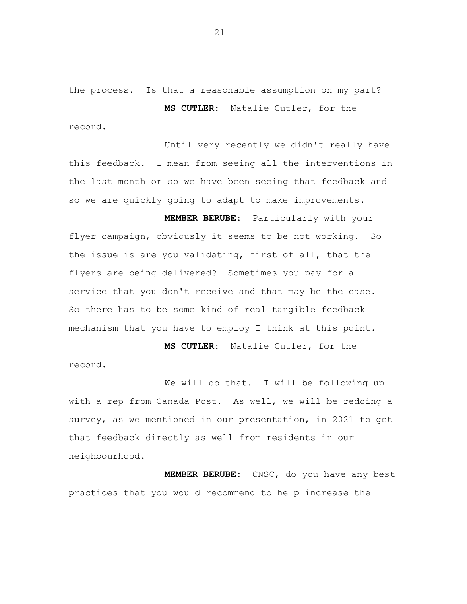the process. Is that a reasonable assumption on my part?

**MS CUTLER:** Natalie Cutler, for the record.

Until very recently we didn't really have this feedback. I mean from seeing all the interventions in the last month or so we have been seeing that feedback and so we are quickly going to adapt to make improvements.

**MEMBER BERUBE:** Particularly with your flyer campaign, obviously it seems to be not working. So the issue is are you validating, first of all, that the flyers are being delivered? Sometimes you pay for a service that you don't receive and that may be the case. So there has to be some kind of real tangible feedback mechanism that you have to employ I think at this point.

**MS CUTLER:** Natalie Cutler, for the record.

We will do that. I will be following up with a rep from Canada Post. As well, we will be redoing a survey, as we mentioned in our presentation, in 2021 to get that feedback directly as well from residents in our neighbourhood.

**MEMBER BERUBE:** CNSC, do you have any best practices that you would recommend to help increase the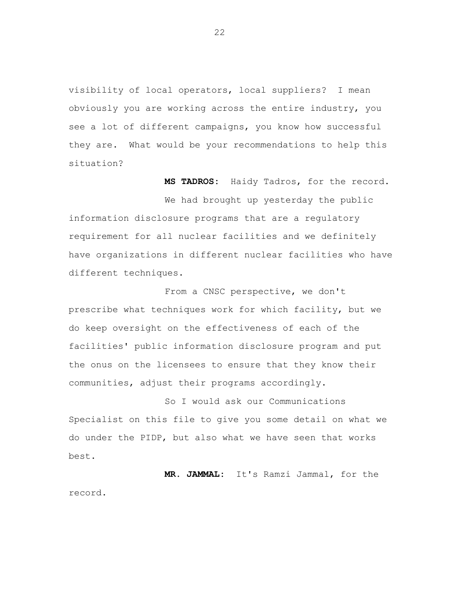visibility of local operators, local suppliers? I mean obviously you are working across the entire industry, you see a lot of different campaigns, you know how successful they are. What would be your recommendations to help this situation?

**MS TADROS:** Haidy Tadros, for the record.

We had brought up yesterday the public information disclosure programs that are a regulatory requirement for all nuclear facilities and we definitely have organizations in different nuclear facilities who have different techniques.

From a CNSC perspective, we don't prescribe what techniques work for which facility, but we do keep oversight on the effectiveness of each of the facilities' public information disclosure program and put the onus on the licensees to ensure that they know their communities, adjust their programs accordingly.

So I would ask our Communications Specialist on this file to give you some detail on what we do under the PIDP, but also what we have seen that works best.

**MR. JAMMAL:** It's Ramzi Jammal, for the record.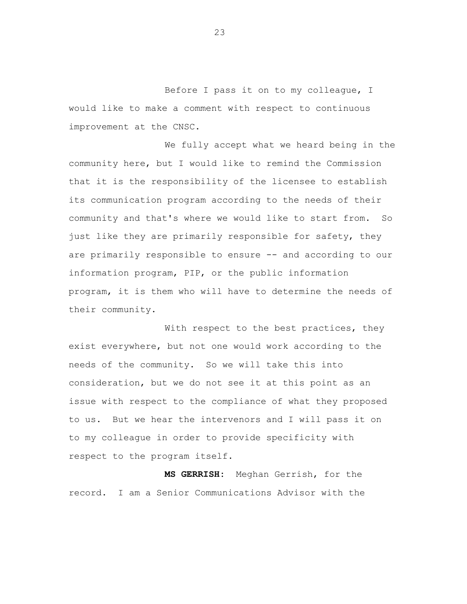Before I pass it on to my colleague, I would like to make a comment with respect to continuous improvement at the CNSC.

We fully accept what we heard being in the community here, but I would like to remind the Commission that it is the responsibility of the licensee to establish its communication program according to the needs of their community and that's where we would like to start from. So just like they are primarily responsible for safety, they are primarily responsible to ensure -- and according to our information program, PIP, or the public information program, it is them who will have to determine the needs of their community.

With respect to the best practices, they exist everywhere, but not one would work according to the needs of the community. So we will take this into consideration, but we do not see it at this point as an issue with respect to the compliance of what they proposed to us. But we hear the intervenors and I will pass it on to my colleague in order to provide specificity with respect to the program itself.

**MS GERRISH:** Meghan Gerrish, for the record. I am a Senior Communications Advisor with the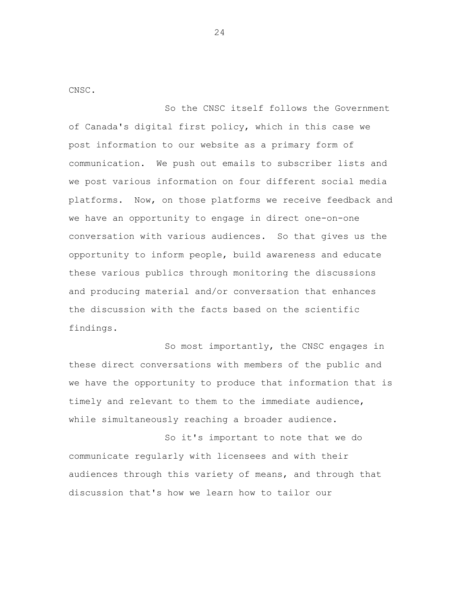CNSC.

So the CNSC itself follows the Government of Canada's digital first policy, which in this case we post information to our website as a primary form of communication. We push out emails to subscriber lists and we post various information on four different social media platforms. Now, on those platforms we receive feedback and we have an opportunity to engage in direct one-on-one conversation with various audiences. So that gives us the opportunity to inform people, build awareness and educate these various publics through monitoring the discussions and producing material and/or conversation that enhances the discussion with the facts based on the scientific findings.

So most importantly, the CNSC engages in these direct conversations with members of the public and we have the opportunity to produce that information that is timely and relevant to them to the immediate audience, while simultaneously reaching a broader audience.

So it's important to note that we do communicate regularly with licensees and with their audiences through this variety of means, and through that discussion that's how we learn how to tailor our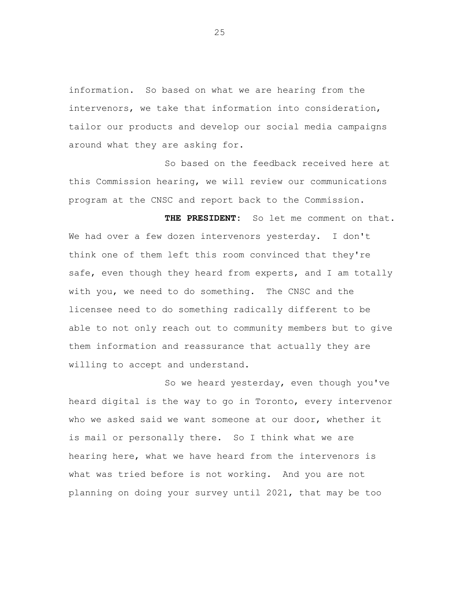information. So based on what we are hearing from the intervenors, we take that information into consideration, tailor our products and develop our social media campaigns around what they are asking for.

So based on the feedback received here at this Commission hearing, we will review our communications program at the CNSC and report back to the Commission.

**THE PRESIDENT:** So let me comment on that. We had over a few dozen intervenors yesterday. I don't think one of them left this room convinced that they're safe, even though they heard from experts, and I am totally with you, we need to do something. The CNSC and the licensee need to do something radically different to be able to not only reach out to community members but to give them information and reassurance that actually they are willing to accept and understand.

So we heard yesterday, even though you've heard digital is the way to go in Toronto, every intervenor who we asked said we want someone at our door, whether it is mail or personally there. So I think what we are hearing here, what we have heard from the intervenors is what was tried before is not working. And you are not planning on doing your survey until 2021, that may be too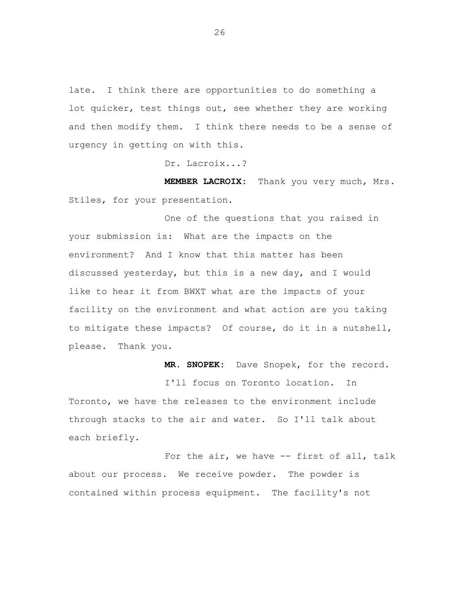late. I think there are opportunities to do something a lot quicker, test things out, see whether they are working and then modify them. I think there needs to be a sense of urgency in getting on with this.

Dr. Lacroix...?

**MEMBER LACROIX:** Thank you very much, Mrs. Stiles, for your presentation.

One of the questions that you raised in your submission is: What are the impacts on the environment? And I know that this matter has been discussed yesterday, but this is a new day, and I would like to hear it from BWXT what are the impacts of your facility on the environment and what action are you taking to mitigate these impacts? Of course, do it in a nutshell, please. Thank you.

**MR. SNOPEK:** Dave Snopek, for the record.

I'll focus on Toronto location. In Toronto, we have the releases to the environment include through stacks to the air and water. So I'll talk about each briefly.

For the air, we have -- first of all, talk about our process. We receive powder. The powder is contained within process equipment. The facility's not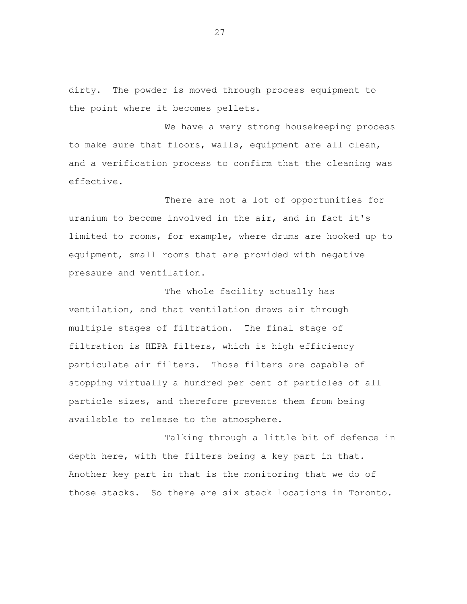dirty. The powder is moved through process equipment to the point where it becomes pellets.

We have a very strong housekeeping process to make sure that floors, walls, equipment are all clean, and a verification process to confirm that the cleaning was effective.

There are not a lot of opportunities for uranium to become involved in the air, and in fact it's limited to rooms, for example, where drums are hooked up to equipment, small rooms that are provided with negative pressure and ventilation.

The whole facility actually has ventilation, and that ventilation draws air through multiple stages of filtration. The final stage of filtration is HEPA filters, which is high efficiency particulate air filters. Those filters are capable of stopping virtually a hundred per cent of particles of all particle sizes, and therefore prevents them from being available to release to the atmosphere.

Talking through a little bit of defence in depth here, with the filters being a key part in that. Another key part in that is the monitoring that we do of those stacks. So there are six stack locations in Toronto.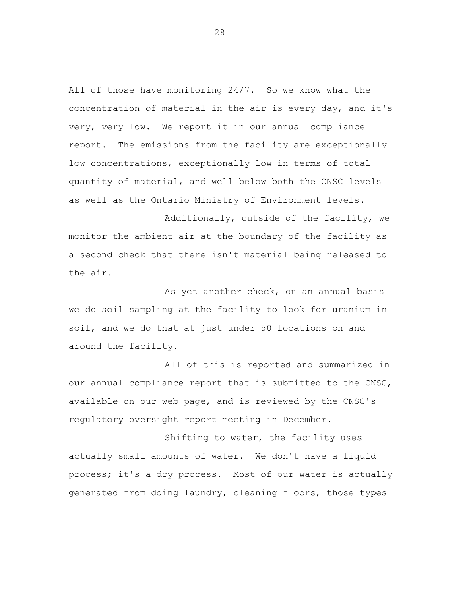All of those have monitoring 24/7. So we know what the concentration of material in the air is every day, and it's very, very low. We report it in our annual compliance report. The emissions from the facility are exceptionally low concentrations, exceptionally low in terms of total quantity of material, and well below both the CNSC levels as well as the Ontario Ministry of Environment levels.

Additionally, outside of the facility, we monitor the ambient air at the boundary of the facility as a second check that there isn't material being released to the air.

As yet another check, on an annual basis we do soil sampling at the facility to look for uranium in soil, and we do that at just under 50 locations on and around the facility.

All of this is reported and summarized in our annual compliance report that is submitted to the CNSC, available on our web page, and is reviewed by the CNSC's regulatory oversight report meeting in December.

Shifting to water, the facility uses actually small amounts of water. We don't have a liquid process; it's a dry process. Most of our water is actually generated from doing laundry, cleaning floors, those types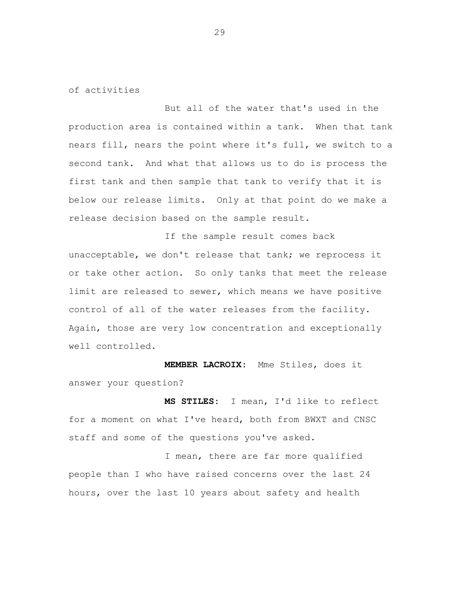of activities

But all of the water that's used in the production area is contained within a tank. When that tank nears fill, nears the point where it's full, we switch to a second tank. And what that allows us to do is process the first tank and then sample that tank to verify that it is below our release limits. Only at that point do we make a release decision based on the sample result.

If the sample result comes back unacceptable, we don't release that tank; we reprocess it or take other action. So only tanks that meet the release limit are released to sewer, which means we have positive control of all of the water releases from the facility. Again, those are very low concentration and exceptionally well controlled.

**MEMBER LACROIX:** Mme Stiles, does it answer your question?

**MS STILES:** I mean, I'd like to reflect for a moment on what I've heard, both from BWXT and CNSC staff and some of the questions you've asked.

I mean, there are far more qualified people than I who have raised concerns over the last 24 hours, over the last 10 years about safety and health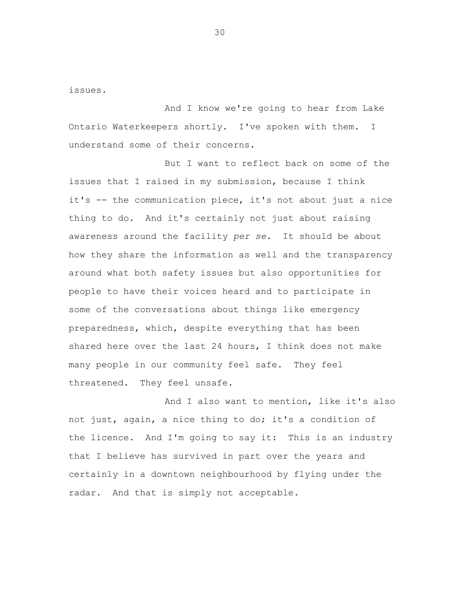issues.

And I know we're going to hear from Lake Ontario Waterkeepers shortly. I've spoken with them. I understand some of their concerns.

But I want to reflect back on some of the issues that I raised in my submission, because I think it's -- the communication piece, it's not about just a nice thing to do. And it's certainly not just about raising awareness around the facility *per se*. It should be about how they share the information as well and the transparency around what both safety issues but also opportunities for people to have their voices heard and to participate in some of the conversations about things like emergency preparedness, which, despite everything that has been shared here over the last 24 hours, I think does not make many people in our community feel safe. They feel threatened. They feel unsafe.

And I also want to mention, like it's also not just, again, a nice thing to do; it's a condition of the licence. And I'm going to say it: This is an industry that I believe has survived in part over the years and certainly in a downtown neighbourhood by flying under the radar. And that is simply not acceptable.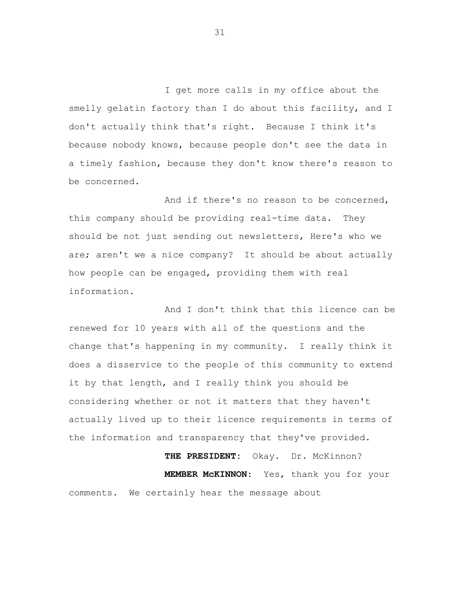I get more calls in my office about the smelly gelatin factory than I do about this facility, and I don't actually think that's right. Because I think it's because nobody knows, because people don't see the data in a timely fashion, because they don't know there's reason to be concerned.

And if there's no reason to be concerned, this company should be providing real-time data. They should be not just sending out newsletters, Here's who we are; aren't we a nice company? It should be about actually how people can be engaged, providing them with real information.

And I don't think that this licence can be renewed for 10 years with all of the questions and the change that's happening in my community. I really think it does a disservice to the people of this community to extend it by that length, and I really think you should be considering whether or not it matters that they haven't actually lived up to their licence requirements in terms of the information and transparency that they've provided.

THE PRESIDENT: Okay. Dr. McKinnon? **MEMBER McKINNON:** Yes, thank you for your comments. We certainly hear the message about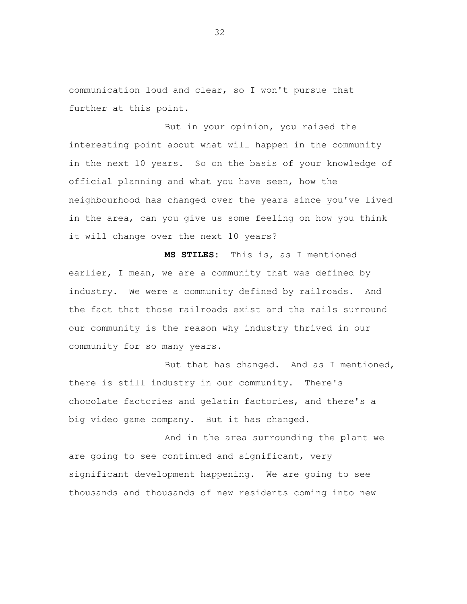communication loud and clear, so I won't pursue that further at this point.

But in your opinion, you raised the interesting point about what will happen in the community in the next 10 years. So on the basis of your knowledge of official planning and what you have seen, how the neighbourhood has changed over the years since you've lived in the area, can you give us some feeling on how you think it will change over the next 10 years?

**MS STILES:** This is, as I mentioned earlier, I mean, we are a community that was defined by industry. We were a community defined by railroads. And the fact that those railroads exist and the rails surround our community is the reason why industry thrived in our community for so many years.

But that has changed. And as I mentioned, there is still industry in our community. There's chocolate factories and gelatin factories, and there's a big video game company. But it has changed.

And in the area surrounding the plant we are going to see continued and significant, very significant development happening. We are going to see thousands and thousands of new residents coming into new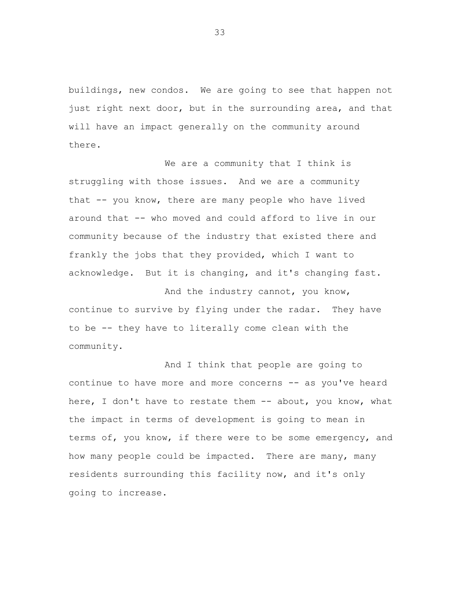buildings, new condos. We are going to see that happen not just right next door, but in the surrounding area, and that will have an impact generally on the community around there.

We are a community that I think is struggling with those issues. And we are a community that -- you know, there are many people who have lived around that -- who moved and could afford to live in our community because of the industry that existed there and frankly the jobs that they provided, which I want to acknowledge. But it is changing, and it's changing fast.

And the industry cannot, you know, continue to survive by flying under the radar. They have to be -- they have to literally come clean with the community.

And I think that people are going to continue to have more and more concerns -- as you've heard here, I don't have to restate them -- about, you know, what the impact in terms of development is going to mean in terms of, you know, if there were to be some emergency, and how many people could be impacted. There are many, many residents surrounding this facility now, and it's only going to increase.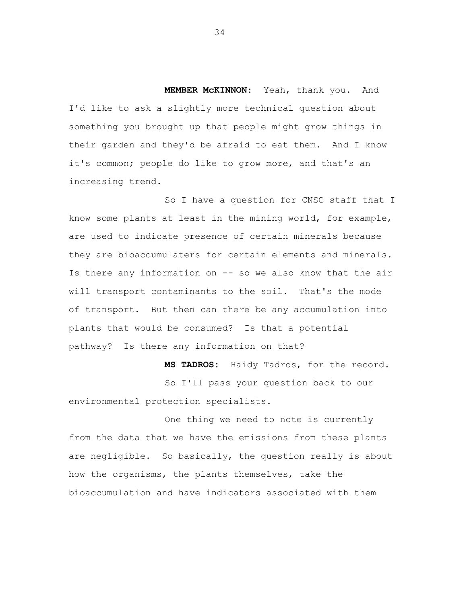**MEMBER McKINNON:** Yeah, thank you. And I'd like to ask a slightly more technical question about something you brought up that people might grow things in their garden and they'd be afraid to eat them. And I know it's common; people do like to grow more, and that's an increasing trend.

So I have a question for CNSC staff that I know some plants at least in the mining world, for example, are used to indicate presence of certain minerals because they are bioaccumulaters for certain elements and minerals. Is there any information on -- so we also know that the air will transport contaminants to the soil. That's the mode of transport. But then can there be any accumulation into plants that would be consumed? Is that a potential pathway? Is there any information on that?

**MS TADROS:** Haidy Tadros, for the record. So I'll pass your question back to our environmental protection specialists.

One thing we need to note is currently from the data that we have the emissions from these plants are negligible. So basically, the question really is about how the organisms, the plants themselves, take the bioaccumulation and have indicators associated with them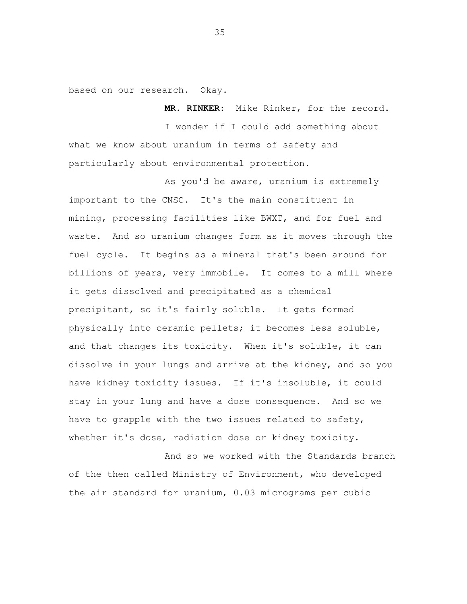based on our research. Okay.

**MR. RINKER:** Mike Rinker, for the record. I wonder if I could add something about what we know about uranium in terms of safety and particularly about environmental protection.

As you'd be aware, uranium is extremely important to the CNSC. It's the main constituent in mining, processing facilities like BWXT, and for fuel and waste. And so uranium changes form as it moves through the fuel cycle. It begins as a mineral that's been around for billions of years, very immobile. It comes to a mill where it gets dissolved and precipitated as a chemical precipitant, so it's fairly soluble. It gets formed physically into ceramic pellets; it becomes less soluble, and that changes its toxicity. When it's soluble, it can dissolve in your lungs and arrive at the kidney, and so you have kidney toxicity issues. If it's insoluble, it could stay in your lung and have a dose consequence. And so we have to grapple with the two issues related to safety, whether it's dose, radiation dose or kidney toxicity.

And so we worked with the Standards branch of the then called Ministry of Environment, who developed the air standard for uranium, 0.03 micrograms per cubic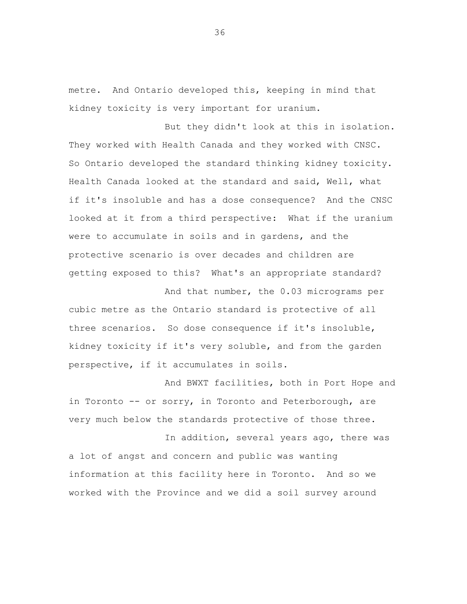metre. And Ontario developed this, keeping in mind that kidney toxicity is very important for uranium.

But they didn't look at this in isolation. They worked with Health Canada and they worked with CNSC. So Ontario developed the standard thinking kidney toxicity. Health Canada looked at the standard and said, Well, what if it's insoluble and has a dose consequence? And the CNSC looked at it from a third perspective: What if the uranium were to accumulate in soils and in gardens, and the protective scenario is over decades and children are getting exposed to this? What's an appropriate standard?

And that number, the 0.03 micrograms per cubic metre as the Ontario standard is protective of all three scenarios. So dose consequence if it's insoluble, kidney toxicity if it's very soluble, and from the garden perspective, if it accumulates in soils.

And BWXT facilities, both in Port Hope and in Toronto -- or sorry, in Toronto and Peterborough, are very much below the standards protective of those three.

In addition, several years ago, there was a lot of angst and concern and public was wanting information at this facility here in Toronto. And so we worked with the Province and we did a soil survey around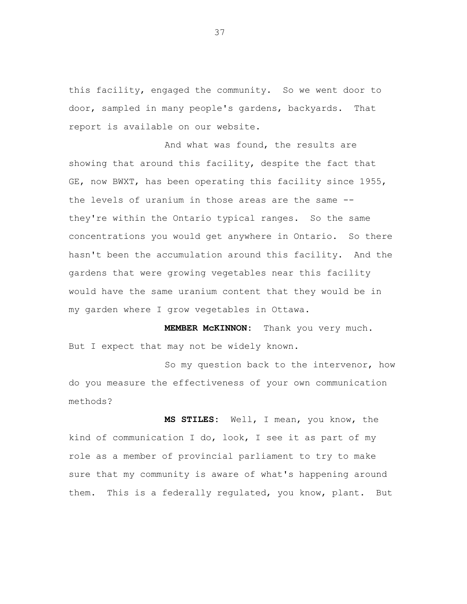this facility, engaged the community. So we went door to door, sampled in many people's gardens, backyards. That report is available on our website.

And what was found, the results are showing that around this facility, despite the fact that GE, now BWXT, has been operating this facility since 1955, the levels of uranium in those areas are the same - they're within the Ontario typical ranges. So the same concentrations you would get anywhere in Ontario. So there hasn't been the accumulation around this facility. And the gardens that were growing vegetables near this facility would have the same uranium content that they would be in my garden where I grow vegetables in Ottawa.

**MEMBER McKINNON:** Thank you very much. But I expect that may not be widely known.

So my question back to the intervenor, how do you measure the effectiveness of your own communication methods?

**MS STILES:** Well, I mean, you know, the kind of communication I do, look, I see it as part of my role as a member of provincial parliament to try to make sure that my community is aware of what's happening around them. This is a federally regulated, you know, plant. But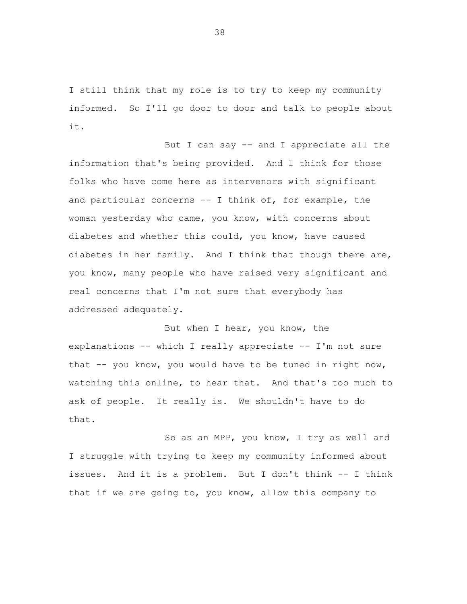I still think that my role is to try to keep my community informed. So I'll go door to door and talk to people about it.

But I can say -- and I appreciate all the information that's being provided. And I think for those folks who have come here as intervenors with significant and particular concerns -- I think of, for example, the woman yesterday who came, you know, with concerns about diabetes and whether this could, you know, have caused diabetes in her family. And I think that though there are, you know, many people who have raised very significant and real concerns that I'm not sure that everybody has addressed adequately.

But when I hear, you know, the explanations -- which I really appreciate -- I'm not sure that  $-$  you know, you would have to be tuned in right now, watching this online, to hear that. And that's too much to ask of people. It really is. We shouldn't have to do that.

So as an MPP, you know, I try as well and I struggle with trying to keep my community informed about issues. And it is a problem. But I don't think -- I think that if we are going to, you know, allow this company to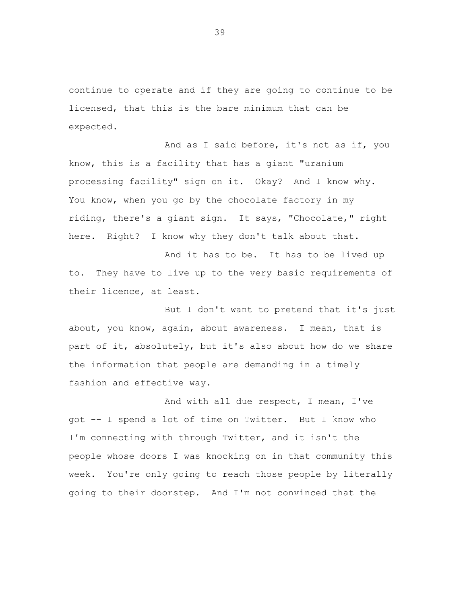continue to operate and if they are going to continue to be licensed, that this is the bare minimum that can be expected.

And as I said before, it's not as if, you know, this is a facility that has a giant "uranium processing facility" sign on it. Okay? And I know why. You know, when you go by the chocolate factory in my riding, there's a giant sign. It says, "Chocolate," right here. Right? I know why they don't talk about that.

And it has to be. It has to be lived up to. They have to live up to the very basic requirements of their licence, at least.

But I don't want to pretend that it's just about, you know, again, about awareness. I mean, that is part of it, absolutely, but it's also about how do we share the information that people are demanding in a timely fashion and effective way.

And with all due respect, I mean, I've got -- I spend a lot of time on Twitter. But I know who I'm connecting with through Twitter, and it isn't the people whose doors I was knocking on in that community this week. You're only going to reach those people by literally going to their doorstep. And I'm not convinced that the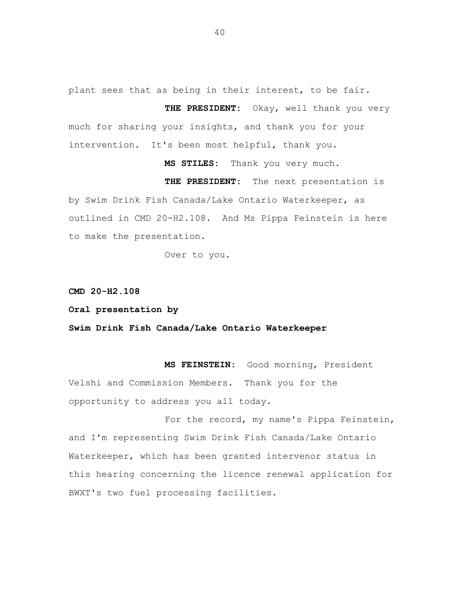plant sees that as being in their interest, to be fair.

**THE PRESIDENT:** Okay, well thank you very much for sharing your insights, and thank you for your intervention. It's been most helpful, thank you.

**MS STILES:** Thank you very much. **THE PRESIDENT:** The next presentation is by Swim Drink Fish Canada/Lake Ontario Waterkeeper, as outlined in CMD 20-H2.108. And Ms Pippa Feinstein is here to make the presentation.

**CMD 20-H2.108**

**Oral presentation by**

**Swim Drink Fish Canada/Lake Ontario Waterkeeper**

Over to you.

**MS FEINSTEIN:** Good morning, President Velshi and Commission Members. Thank you for the opportunity to address you all today.

For the record, my name's Pippa Feinstein, and I'm representing Swim Drink Fish Canada/Lake Ontario Waterkeeper, which has been granted intervenor status in this hearing concerning the licence renewal application for BWXT's two fuel processing facilities.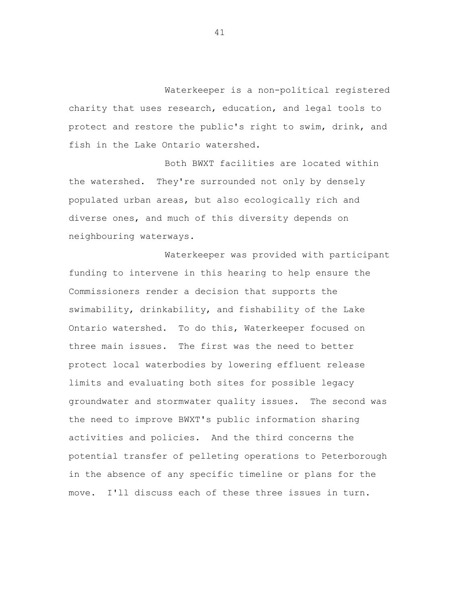Waterkeeper is a non-political registered charity that uses research, education, and legal tools to protect and restore the public's right to swim, drink, and fish in the Lake Ontario watershed.

Both BWXT facilities are located within the watershed. They're surrounded not only by densely populated urban areas, but also ecologically rich and diverse ones, and much of this diversity depends on neighbouring waterways.

Waterkeeper was provided with participant funding to intervene in this hearing to help ensure the Commissioners render a decision that supports the swimability, drinkability, and fishability of the Lake Ontario watershed. To do this, Waterkeeper focused on three main issues. The first was the need to better protect local waterbodies by lowering effluent release limits and evaluating both sites for possible legacy groundwater and stormwater quality issues. The second was the need to improve BWXT's public information sharing activities and policies. And the third concerns the potential transfer of pelleting operations to Peterborough in the absence of any specific timeline or plans for the move. I'll discuss each of these three issues in turn.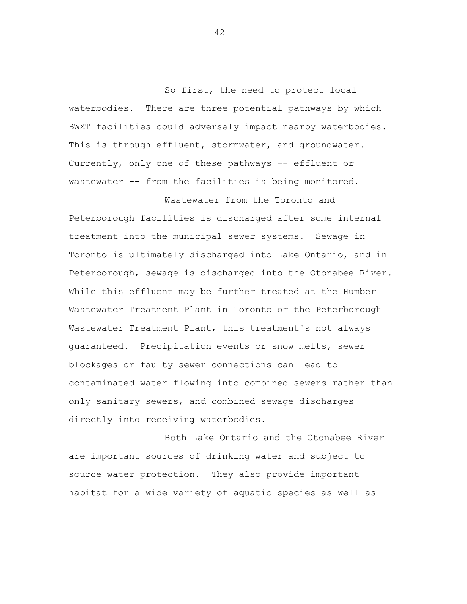So first, the need to protect local waterbodies. There are three potential pathways by which BWXT facilities could adversely impact nearby waterbodies. This is through effluent, stormwater, and groundwater. Currently, only one of these pathways -- effluent or wastewater -- from the facilities is being monitored.

Wastewater from the Toronto and

Peterborough facilities is discharged after some internal treatment into the municipal sewer systems. Sewage in Toronto is ultimately discharged into Lake Ontario, and in Peterborough, sewage is discharged into the Otonabee River. While this effluent may be further treated at the Humber Wastewater Treatment Plant in Toronto or the Peterborough Wastewater Treatment Plant, this treatment's not always guaranteed. Precipitation events or snow melts, sewer blockages or faulty sewer connections can lead to contaminated water flowing into combined sewers rather than only sanitary sewers, and combined sewage discharges directly into receiving waterbodies.

Both Lake Ontario and the Otonabee River are important sources of drinking water and subject to source water protection. They also provide important habitat for a wide variety of aquatic species as well as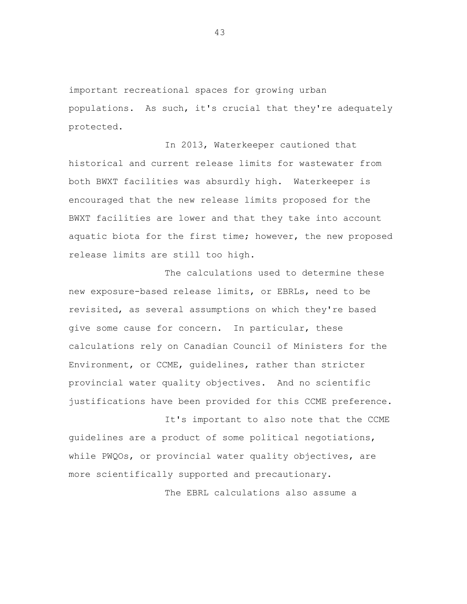important recreational spaces for growing urban populations. As such, it's crucial that they're adequately protected.

In 2013, Waterkeeper cautioned that historical and current release limits for wastewater from both BWXT facilities was absurdly high. Waterkeeper is encouraged that the new release limits proposed for the BWXT facilities are lower and that they take into account aquatic biota for the first time; however, the new proposed release limits are still too high.

The calculations used to determine these new exposure-based release limits, or EBRLs, need to be revisited, as several assumptions on which they're based give some cause for concern. In particular, these calculations rely on Canadian Council of Ministers for the Environment, or CCME, guidelines, rather than stricter provincial water quality objectives. And no scientific justifications have been provided for this CCME preference.

It's important to also note that the CCME guidelines are a product of some political negotiations, while PWQOs, or provincial water quality objectives, are more scientifically supported and precautionary.

The EBRL calculations also assume a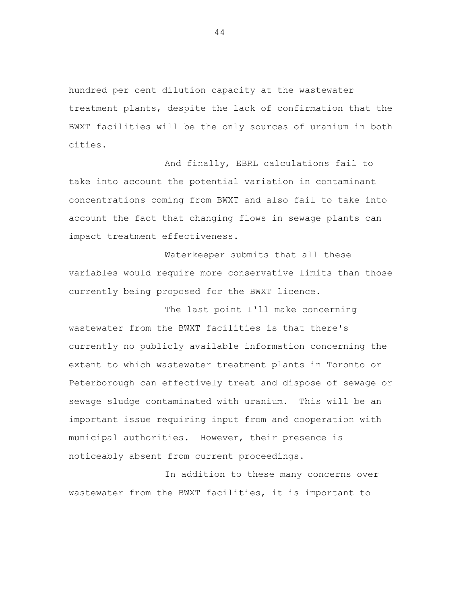hundred per cent dilution capacity at the wastewater treatment plants, despite the lack of confirmation that the BWXT facilities will be the only sources of uranium in both cities.

And finally, EBRL calculations fail to take into account the potential variation in contaminant concentrations coming from BWXT and also fail to take into account the fact that changing flows in sewage plants can impact treatment effectiveness.

Waterkeeper submits that all these variables would require more conservative limits than those currently being proposed for the BWXT licence.

The last point I'll make concerning wastewater from the BWXT facilities is that there's currently no publicly available information concerning the extent to which wastewater treatment plants in Toronto or Peterborough can effectively treat and dispose of sewage or sewage sludge contaminated with uranium. This will be an important issue requiring input from and cooperation with municipal authorities. However, their presence is noticeably absent from current proceedings.

In addition to these many concerns over wastewater from the BWXT facilities, it is important to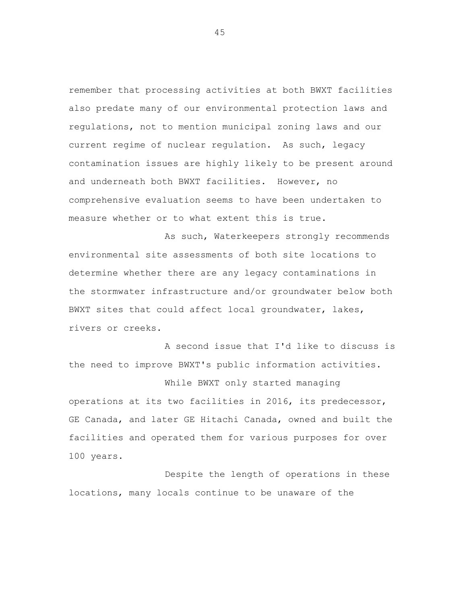remember that processing activities at both BWXT facilities also predate many of our environmental protection laws and regulations, not to mention municipal zoning laws and our current regime of nuclear regulation. As such, legacy contamination issues are highly likely to be present around and underneath both BWXT facilities. However, no comprehensive evaluation seems to have been undertaken to measure whether or to what extent this is true.

As such, Waterkeepers strongly recommends environmental site assessments of both site locations to determine whether there are any legacy contaminations in the stormwater infrastructure and/or groundwater below both BWXT sites that could affect local groundwater, lakes, rivers or creeks.

A second issue that I'd like to discuss is the need to improve BWXT's public information activities. While BWXT only started managing

operations at its two facilities in 2016, its predecessor, GE Canada, and later GE Hitachi Canada, owned and built the facilities and operated them for various purposes for over 100 years.

Despite the length of operations in these locations, many locals continue to be unaware of the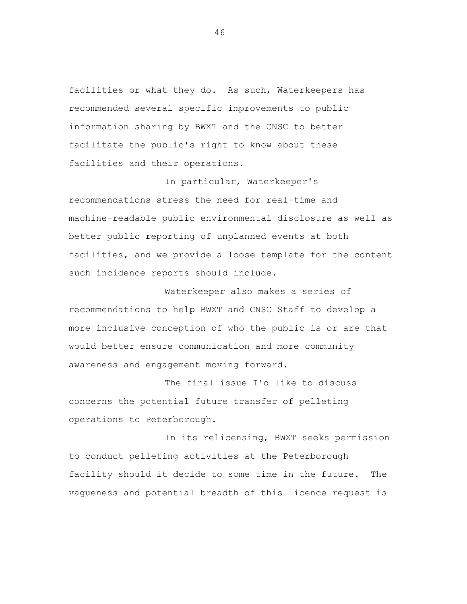facilities or what they do. As such, Waterkeepers has recommended several specific improvements to public information sharing by BWXT and the CNSC to better facilitate the public's right to know about these facilities and their operations.

In particular, Waterkeeper's recommendations stress the need for real-time and machine-readable public environmental disclosure as well as better public reporting of unplanned events at both facilities, and we provide a loose template for the content such incidence reports should include.

Waterkeeper also makes a series of recommendations to help BWXT and CNSC Staff to develop a more inclusive conception of who the public is or are that would better ensure communication and more community awareness and engagement moving forward.

The final issue I'd like to discuss concerns the potential future transfer of pelleting operations to Peterborough.

In its relicensing, BWXT seeks permission to conduct pelleting activities at the Peterborough facility should it decide to some time in the future. The vagueness and potential breadth of this licence request is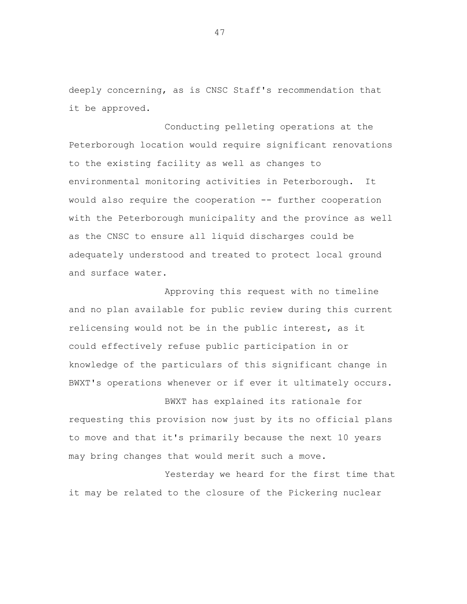deeply concerning, as is CNSC Staff's recommendation that it be approved.

Conducting pelleting operations at the Peterborough location would require significant renovations to the existing facility as well as changes to environmental monitoring activities in Peterborough. It would also require the cooperation -- further cooperation with the Peterborough municipality and the province as well as the CNSC to ensure all liquid discharges could be adequately understood and treated to protect local ground and surface water.

Approving this request with no timeline and no plan available for public review during this current relicensing would not be in the public interest, as it could effectively refuse public participation in or knowledge of the particulars of this significant change in BWXT's operations whenever or if ever it ultimately occurs.

BWXT has explained its rationale for requesting this provision now just by its no official plans to move and that it's primarily because the next 10 years may bring changes that would merit such a move.

Yesterday we heard for the first time that it may be related to the closure of the Pickering nuclear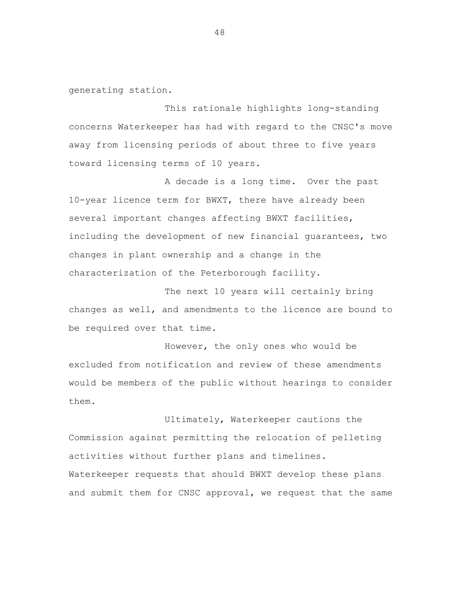generating station.

This rationale highlights long-standing concerns Waterkeeper has had with regard to the CNSC's move away from licensing periods of about three to five years toward licensing terms of 10 years.

A decade is a long time. Over the past 10-year licence term for BWXT, there have already been several important changes affecting BWXT facilities, including the development of new financial guarantees, two changes in plant ownership and a change in the characterization of the Peterborough facility.

The next 10 years will certainly bring changes as well, and amendments to the licence are bound to be required over that time.

However, the only ones who would be excluded from notification and review of these amendments would be members of the public without hearings to consider them.

Ultimately, Waterkeeper cautions the Commission against permitting the relocation of pelleting activities without further plans and timelines. Waterkeeper requests that should BWXT develop these plans and submit them for CNSC approval, we request that the same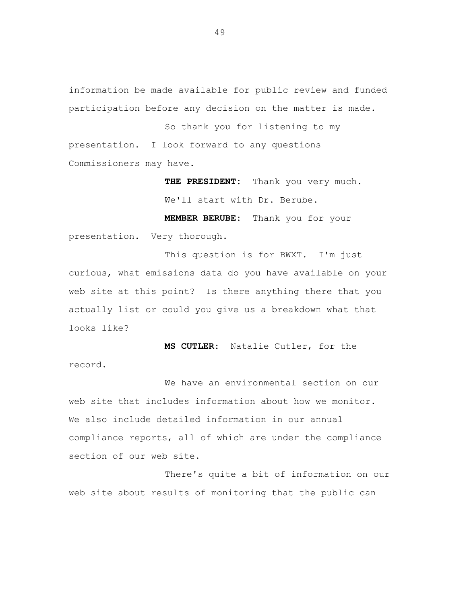information be made available for public review and funded participation before any decision on the matter is made.

So thank you for listening to my presentation. I look forward to any questions Commissioners may have.

> **THE PRESIDENT:** Thank you very much. We'll start with Dr. Berube.

**MEMBER BERUBE:** Thank you for your presentation. Very thorough.

This question is for BWXT. I'm just curious, what emissions data do you have available on your web site at this point? Is there anything there that you actually list or could you give us a breakdown what that looks like?

**MS CUTLER:** Natalie Cutler, for the record.

We have an environmental section on our web site that includes information about how we monitor. We also include detailed information in our annual compliance reports, all of which are under the compliance section of our web site.

There's quite a bit of information on our web site about results of monitoring that the public can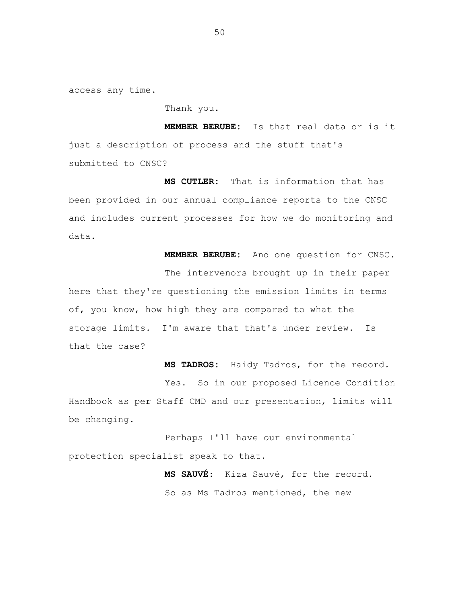access any time.

Thank you.

**MEMBER BERUBE:** Is that real data or is it just a description of process and the stuff that's submitted to CNSC?

**MS CUTLER:** That is information that has been provided in our annual compliance reports to the CNSC and includes current processes for how we do monitoring and data.

**MEMBER BERUBE:** And one question for CNSC.

The intervenors brought up in their paper here that they're questioning the emission limits in terms of, you know, how high they are compared to what the storage limits. I'm aware that that's under review. Is that the case?

**MS TADROS:** Haidy Tadros, for the record. Yes. So in our proposed Licence Condition Handbook as per Staff CMD and our presentation, limits will be changing.

Perhaps I'll have our environmental protection specialist speak to that.

> **MS SAUVÉ:** Kiza Sauvé, for the record. So as Ms Tadros mentioned, the new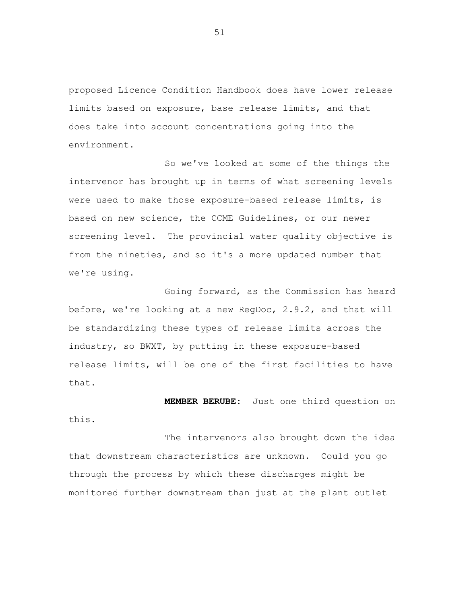proposed Licence Condition Handbook does have lower release limits based on exposure, base release limits, and that does take into account concentrations going into the environment.

So we've looked at some of the things the intervenor has brought up in terms of what screening levels were used to make those exposure-based release limits, is based on new science, the CCME Guidelines, or our newer screening level. The provincial water quality objective is from the nineties, and so it's a more updated number that we're using.

Going forward, as the Commission has heard before, we're looking at a new RegDoc, 2.9.2, and that will be standardizing these types of release limits across the industry, so BWXT, by putting in these exposure-based release limits, will be one of the first facilities to have that.

**MEMBER BERUBE:** Just one third question on this.

The intervenors also brought down the idea that downstream characteristics are unknown. Could you go through the process by which these discharges might be monitored further downstream than just at the plant outlet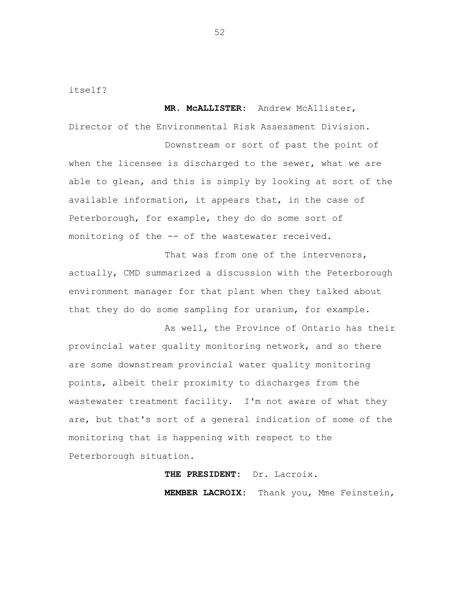itself?

**MR. McALLISTER:** Andrew McAllister, Director of the Environmental Risk Assessment Division.

Downstream or sort of past the point of when the licensee is discharged to the sewer, what we are able to glean, and this is simply by looking at sort of the available information, it appears that, in the case of Peterborough, for example, they do do some sort of monitoring of the -- of the wastewater received.

That was from one of the intervenors, actually, CMD summarized a discussion with the Peterborough environment manager for that plant when they talked about that they do do some sampling for uranium, for example.

As well, the Province of Ontario has their provincial water quality monitoring network, and so there are some downstream provincial water quality monitoring points, albeit their proximity to discharges from the wastewater treatment facility. I'm not aware of what they are, but that's sort of a general indication of some of the monitoring that is happening with respect to the Peterborough situation.

**THE PRESIDENT:** Dr. Lacroix.

**MEMBER LACROIX:** Thank you, Mme Feinstein,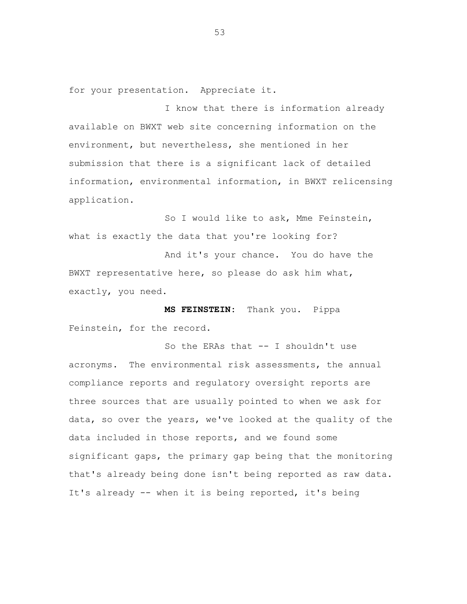for your presentation. Appreciate it.

I know that there is information already available on BWXT web site concerning information on the environment, but nevertheless, she mentioned in her submission that there is a significant lack of detailed information, environmental information, in BWXT relicensing application.

So I would like to ask, Mme Feinstein, what is exactly the data that you're looking for?

And it's your chance. You do have the BWXT representative here, so please do ask him what, exactly, you need.

**MS FEINSTEIN:** Thank you. Pippa Feinstein, for the record.

So the ERAs that -- I shouldn't use acronyms. The environmental risk assessments, the annual compliance reports and regulatory oversight reports are three sources that are usually pointed to when we ask for data, so over the years, we've looked at the quality of the data included in those reports, and we found some significant gaps, the primary gap being that the monitoring that's already being done isn't being reported as raw data. It's already -- when it is being reported, it's being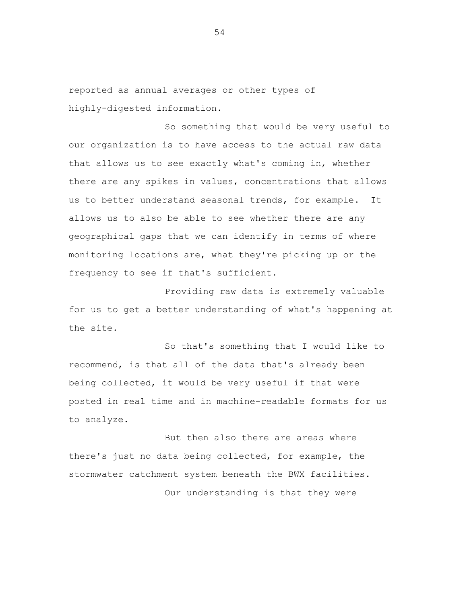reported as annual averages or other types of highly-digested information.

So something that would be very useful to our organization is to have access to the actual raw data that allows us to see exactly what's coming in, whether there are any spikes in values, concentrations that allows us to better understand seasonal trends, for example. It allows us to also be able to see whether there are any geographical gaps that we can identify in terms of where monitoring locations are, what they're picking up or the frequency to see if that's sufficient.

Providing raw data is extremely valuable for us to get a better understanding of what's happening at the site.

So that's something that I would like to recommend, is that all of the data that's already been being collected, it would be very useful if that were posted in real time and in machine-readable formats for us to analyze.

But then also there are areas where there's just no data being collected, for example, the stormwater catchment system beneath the BWX facilities. Our understanding is that they were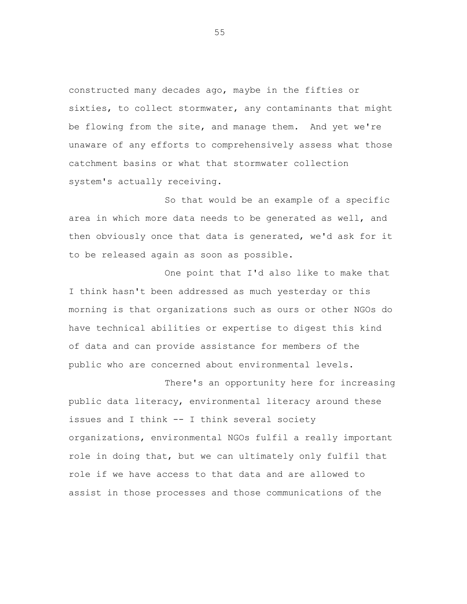constructed many decades ago, maybe in the fifties or sixties, to collect stormwater, any contaminants that might be flowing from the site, and manage them. And yet we're unaware of any efforts to comprehensively assess what those catchment basins or what that stormwater collection system's actually receiving.

So that would be an example of a specific area in which more data needs to be generated as well, and then obviously once that data is generated, we'd ask for it to be released again as soon as possible.

One point that I'd also like to make that I think hasn't been addressed as much yesterday or this morning is that organizations such as ours or other NGOs do have technical abilities or expertise to digest this kind of data and can provide assistance for members of the public who are concerned about environmental levels.

There's an opportunity here for increasing public data literacy, environmental literacy around these issues and I think -- I think several society organizations, environmental NGOs fulfil a really important role in doing that, but we can ultimately only fulfil that role if we have access to that data and are allowed to assist in those processes and those communications of the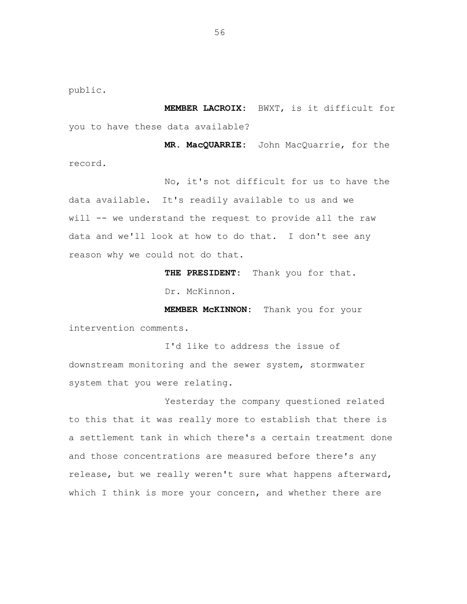public.

**MEMBER LACROIX:** BWXT, is it difficult for you to have these data available?

**MR. MacQUARRIE:** John MacQuarrie, for the record.

No, it's not difficult for us to have the data available. It's readily available to us and we will -- we understand the request to provide all the raw data and we'll look at how to do that. I don't see any reason why we could not do that.

**THE PRESIDENT:** Thank you for that.

Dr. McKinnon.

**MEMBER McKINNON:** Thank you for your intervention comments.

I'd like to address the issue of downstream monitoring and the sewer system, stormwater system that you were relating.

Yesterday the company questioned related to this that it was really more to establish that there is a settlement tank in which there's a certain treatment done and those concentrations are measured before there's any release, but we really weren't sure what happens afterward, which I think is more your concern, and whether there are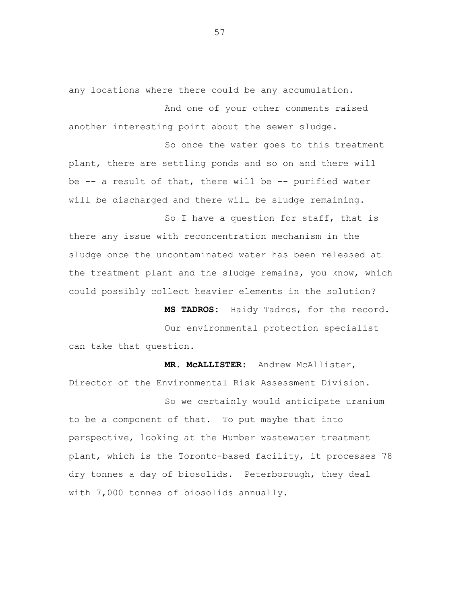any locations where there could be any accumulation.

And one of your other comments raised another interesting point about the sewer sludge.

So once the water goes to this treatment plant, there are settling ponds and so on and there will be -- a result of that, there will be -- purified water will be discharged and there will be sludge remaining.

So I have a question for staff, that is there any issue with reconcentration mechanism in the sludge once the uncontaminated water has been released at the treatment plant and the sludge remains, you know, which could possibly collect heavier elements in the solution?

**MS TADROS:** Haidy Tadros, for the record.

Our environmental protection specialist can take that question.

**MR. McALLISTER:** Andrew McAllister, Director of the Environmental Risk Assessment Division.

So we certainly would anticipate uranium to be a component of that. To put maybe that into perspective, looking at the Humber wastewater treatment plant, which is the Toronto-based facility, it processes 78 dry tonnes a day of biosolids. Peterborough, they deal with 7,000 tonnes of biosolids annually.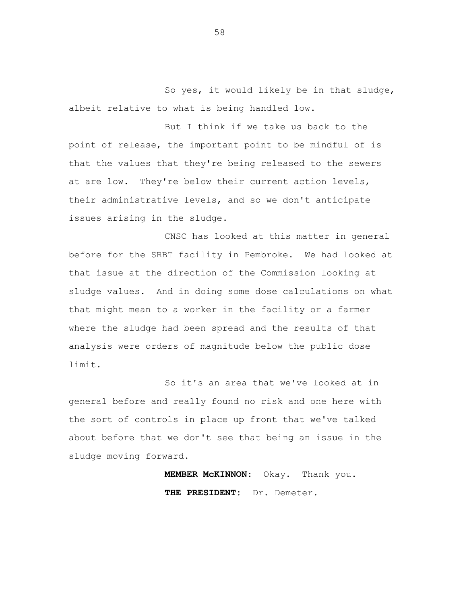So yes, it would likely be in that sludge, albeit relative to what is being handled low.

But I think if we take us back to the point of release, the important point to be mindful of is that the values that they're being released to the sewers at are low. They're below their current action levels, their administrative levels, and so we don't anticipate issues arising in the sludge.

CNSC has looked at this matter in general before for the SRBT facility in Pembroke. We had looked at that issue at the direction of the Commission looking at sludge values. And in doing some dose calculations on what that might mean to a worker in the facility or a farmer where the sludge had been spread and the results of that analysis were orders of magnitude below the public dose limit.

So it's an area that we've looked at in general before and really found no risk and one here with the sort of controls in place up front that we've talked about before that we don't see that being an issue in the sludge moving forward.

> **MEMBER McKINNON:** Okay. Thank you. **THE PRESIDENT:** Dr. Demeter.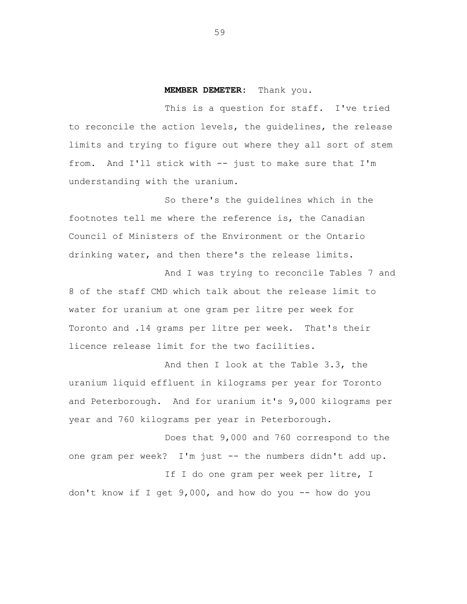## **MEMBER DEMETER:** Thank you.

This is a question for staff. I've tried to reconcile the action levels, the guidelines, the release limits and trying to figure out where they all sort of stem from. And I'll stick with -- just to make sure that I'm understanding with the uranium.

So there's the guidelines which in the footnotes tell me where the reference is, the Canadian Council of Ministers of the Environment or the Ontario drinking water, and then there's the release limits.

And I was trying to reconcile Tables 7 and 8 of the staff CMD which talk about the release limit to water for uranium at one gram per litre per week for Toronto and .14 grams per litre per week. That's their licence release limit for the two facilities.

And then I look at the Table 3.3, the uranium liquid effluent in kilograms per year for Toronto and Peterborough. And for uranium it's 9,000 kilograms per year and 760 kilograms per year in Peterborough.

Does that 9,000 and 760 correspond to the one gram per week? I'm just -- the numbers didn't add up.

If I do one gram per week per litre, I don't know if I get 9,000, and how do you -- how do you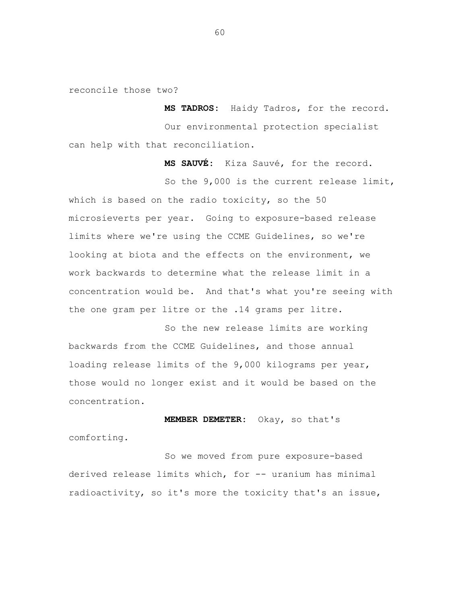reconcile those two?

**MS TADROS:** Haidy Tadros, for the record. Our environmental protection specialist can help with that reconciliation.

**MS SAUVÉ:** Kiza Sauvé, for the record.

So the 9,000 is the current release limit, which is based on the radio toxicity, so the 50 microsieverts per year. Going to exposure-based release limits where we're using the CCME Guidelines, so we're looking at biota and the effects on the environment, we work backwards to determine what the release limit in a concentration would be. And that's what you're seeing with the one gram per litre or the .14 grams per litre.

So the new release limits are working backwards from the CCME Guidelines, and those annual loading release limits of the 9,000 kilograms per year, those would no longer exist and it would be based on the concentration.

**MEMBER DEMETER:** Okay, so that's comforting.

So we moved from pure exposure-based derived release limits which, for -- uranium has minimal radioactivity, so it's more the toxicity that's an issue,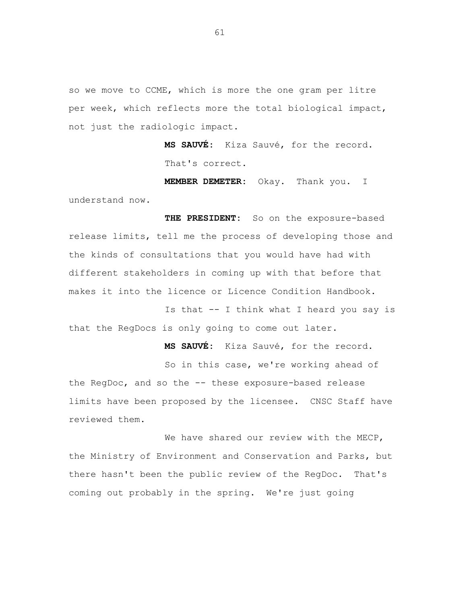so we move to CCME, which is more the one gram per litre per week, which reflects more the total biological impact, not just the radiologic impact.

> **MS SAUVÉ:** Kiza Sauvé, for the record. That's correct.

**MEMBER DEMETER:** Okay. Thank you. I understand now.

**THE PRESIDENT:** So on the exposure-based release limits, tell me the process of developing those and the kinds of consultations that you would have had with different stakeholders in coming up with that before that makes it into the licence or Licence Condition Handbook.

Is that -- I think what I heard you say is that the RegDocs is only going to come out later.

**MS SAUVÉ:** Kiza Sauvé, for the record.

So in this case, we're working ahead of the RegDoc, and so the -- these exposure-based release limits have been proposed by the licensee. CNSC Staff have reviewed them.

We have shared our review with the MECP, the Ministry of Environment and Conservation and Parks, but there hasn't been the public review of the RegDoc. That's coming out probably in the spring. We're just going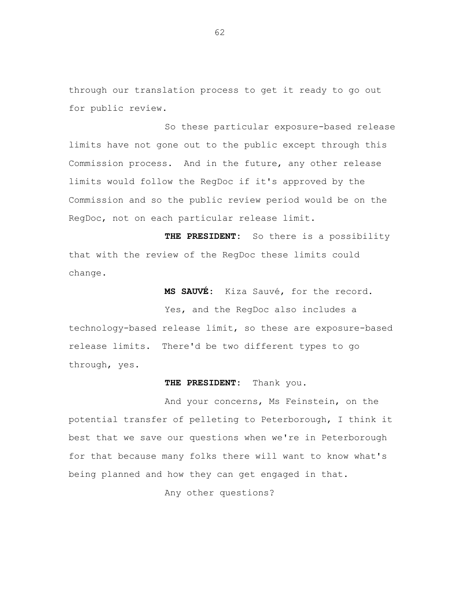through our translation process to get it ready to go out for public review.

So these particular exposure-based release limits have not gone out to the public except through this Commission process. And in the future, any other release limits would follow the RegDoc if it's approved by the Commission and so the public review period would be on the RegDoc, not on each particular release limit.

**THE PRESIDENT:** So there is a possibility that with the review of the RegDoc these limits could change.

**MS SAUVÉ:** Kiza Sauvé, for the record.

Yes, and the RegDoc also includes a technology-based release limit, so these are exposure-based release limits. There'd be two different types to go through, yes.

## **THE PRESIDENT:** Thank you.

And your concerns, Ms Feinstein, on the potential transfer of pelleting to Peterborough, I think it best that we save our questions when we're in Peterborough for that because many folks there will want to know what's being planned and how they can get engaged in that.

Any other questions?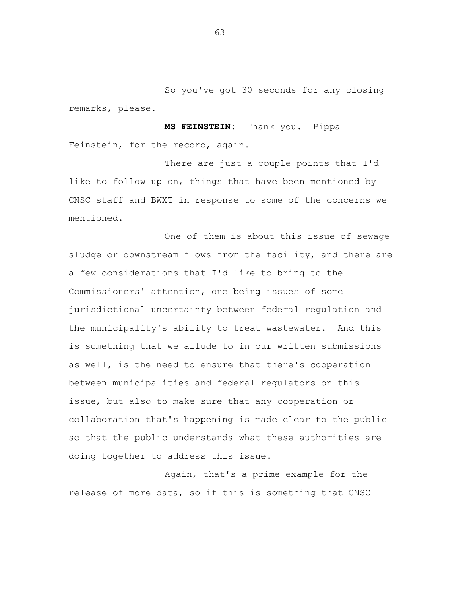So you've got 30 seconds for any closing remarks, please.

**MS FEINSTEIN:** Thank you. Pippa Feinstein, for the record, again.

There are just a couple points that I'd like to follow up on, things that have been mentioned by CNSC staff and BWXT in response to some of the concerns we mentioned.

One of them is about this issue of sewage sludge or downstream flows from the facility, and there are a few considerations that I'd like to bring to the Commissioners' attention, one being issues of some jurisdictional uncertainty between federal regulation and the municipality's ability to treat wastewater. And this is something that we allude to in our written submissions as well, is the need to ensure that there's cooperation between municipalities and federal regulators on this issue, but also to make sure that any cooperation or collaboration that's happening is made clear to the public so that the public understands what these authorities are doing together to address this issue.

Again, that's a prime example for the release of more data, so if this is something that CNSC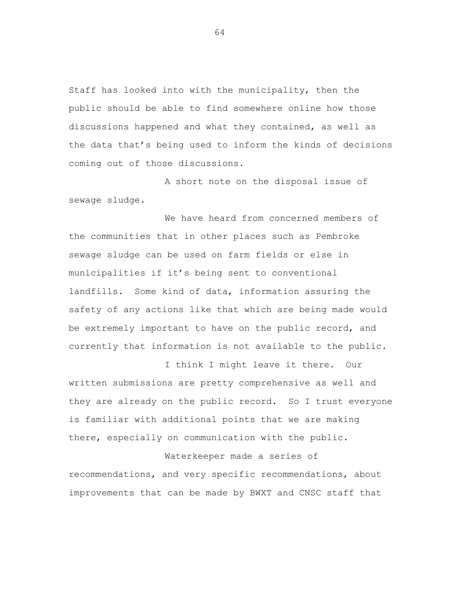Staff has looked into with the municipality, then the public should be able to find somewhere online how those discussions happened and what they contained, as well as the data that's being used to inform the kinds of decisions coming out of those discussions.

A short note on the disposal issue of sewage sludge.

We have heard from concerned members of the communities that in other places such as Pembroke sewage sludge can be used on farm fields or else in municipalities if it's being sent to conventional landfills. Some kind of data, information assuring the safety of any actions like that which are being made would be extremely important to have on the public record, and currently that information is not available to the public.

I think I might leave it there. Our written submissions are pretty comprehensive as well and they are already on the public record. So I trust everyone is familiar with additional points that we are making there, especially on communication with the public.

Waterkeeper made a series of recommendations, and very specific recommendations, about improvements that can be made by BWXT and CNSC staff that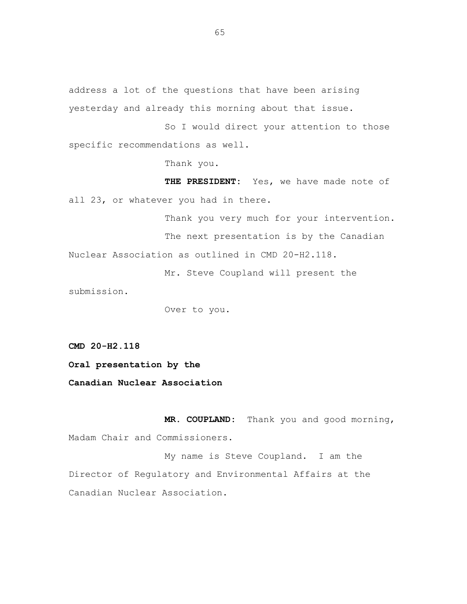address a lot of the questions that have been arising yesterday and already this morning about that issue.

So I would direct your attention to those specific recommendations as well.

Thank you.

**THE PRESIDENT:** Yes, we have made note of all 23, or whatever you had in there.

Thank you very much for your intervention. The next presentation is by the Canadian Nuclear Association as outlined in CMD 20-H2.118.

Mr. Steve Coupland will present the

submission.

Over to you.

**CMD 20-H2.118**

**Oral presentation by the**

**Canadian Nuclear Association**

**MR. COUPLAND:** Thank you and good morning, Madam Chair and Commissioners.

My name is Steve Coupland. I am the Director of Regulatory and Environmental Affairs at the Canadian Nuclear Association.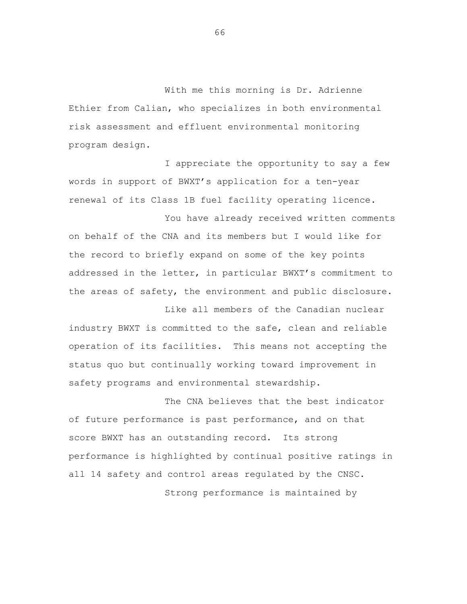With me this morning is Dr. Adrienne Ethier from Calian, who specializes in both environmental risk assessment and effluent environmental monitoring program design.

I appreciate the opportunity to say a few words in support of BWXT's application for a ten-year renewal of its Class 1B fuel facility operating licence.

You have already received written comments on behalf of the CNA and its members but I would like for the record to briefly expand on some of the key points addressed in the letter, in particular BWXT's commitment to the areas of safety, the environment and public disclosure.

Like all members of the Canadian nuclear industry BWXT is committed to the safe, clean and reliable operation of its facilities. This means not accepting the status quo but continually working toward improvement in safety programs and environmental stewardship.

The CNA believes that the best indicator of future performance is past performance, and on that score BWXT has an outstanding record. Its strong performance is highlighted by continual positive ratings in all 14 safety and control areas regulated by the CNSC. Strong performance is maintained by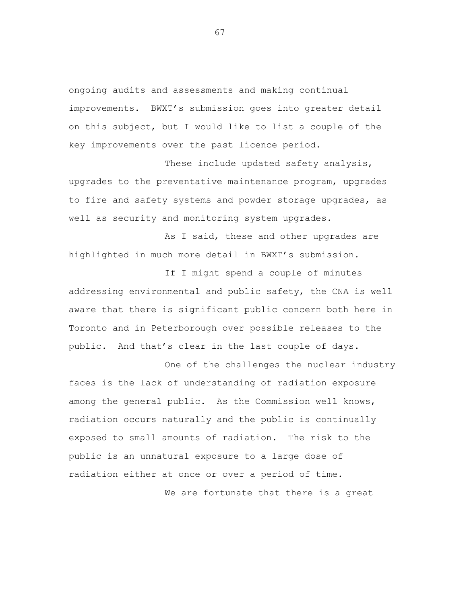ongoing audits and assessments and making continual improvements. BWXT's submission goes into greater detail on this subject, but I would like to list a couple of the key improvements over the past licence period.

These include updated safety analysis, upgrades to the preventative maintenance program, upgrades to fire and safety systems and powder storage upgrades, as well as security and monitoring system upgrades.

As I said, these and other upgrades are highlighted in much more detail in BWXT's submission.

If I might spend a couple of minutes addressing environmental and public safety, the CNA is well aware that there is significant public concern both here in Toronto and in Peterborough over possible releases to the public. And that's clear in the last couple of days.

One of the challenges the nuclear industry faces is the lack of understanding of radiation exposure among the general public. As the Commission well knows, radiation occurs naturally and the public is continually exposed to small amounts of radiation. The risk to the public is an unnatural exposure to a large dose of radiation either at once or over a period of time.

We are fortunate that there is a great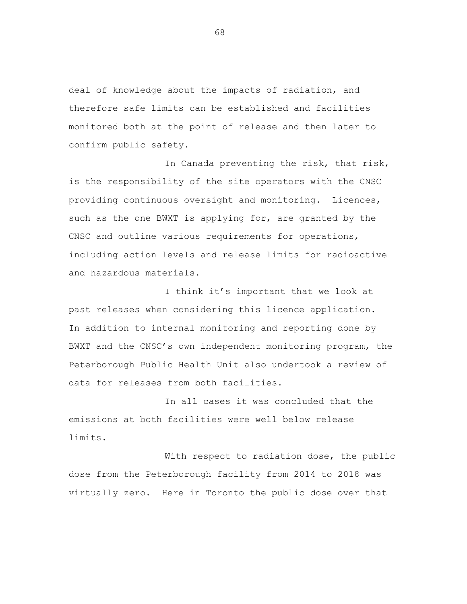deal of knowledge about the impacts of radiation, and therefore safe limits can be established and facilities monitored both at the point of release and then later to confirm public safety.

In Canada preventing the risk, that risk, is the responsibility of the site operators with the CNSC providing continuous oversight and monitoring. Licences, such as the one BWXT is applying for, are granted by the CNSC and outline various requirements for operations, including action levels and release limits for radioactive and hazardous materials.

I think it's important that we look at past releases when considering this licence application. In addition to internal monitoring and reporting done by BWXT and the CNSC's own independent monitoring program, the Peterborough Public Health Unit also undertook a review of data for releases from both facilities.

In all cases it was concluded that the emissions at both facilities were well below release limits.

With respect to radiation dose, the public dose from the Peterborough facility from 2014 to 2018 was virtually zero. Here in Toronto the public dose over that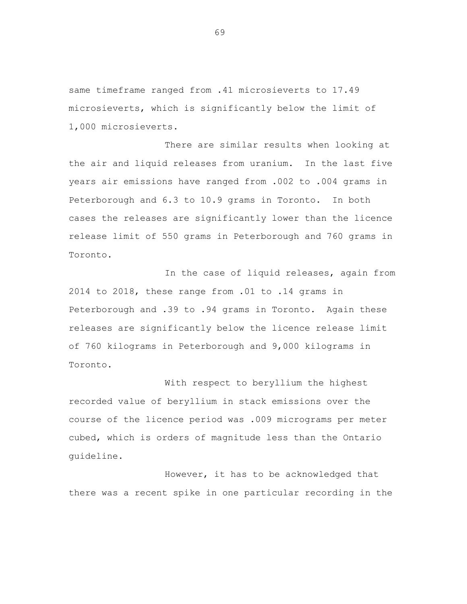same timeframe ranged from .41 microsieverts to 17.49 microsieverts, which is significantly below the limit of 1,000 microsieverts.

There are similar results when looking at the air and liquid releases from uranium. In the last five years air emissions have ranged from .002 to .004 grams in Peterborough and 6.3 to 10.9 grams in Toronto. In both cases the releases are significantly lower than the licence release limit of 550 grams in Peterborough and 760 grams in Toronto.

In the case of liquid releases, again from 2014 to 2018, these range from .01 to .14 grams in Peterborough and .39 to .94 grams in Toronto. Again these releases are significantly below the licence release limit of 760 kilograms in Peterborough and 9,000 kilograms in Toronto.

With respect to beryllium the highest recorded value of beryllium in stack emissions over the course of the licence period was .009 micrograms per meter cubed, which is orders of magnitude less than the Ontario guideline.

However, it has to be acknowledged that there was a recent spike in one particular recording in the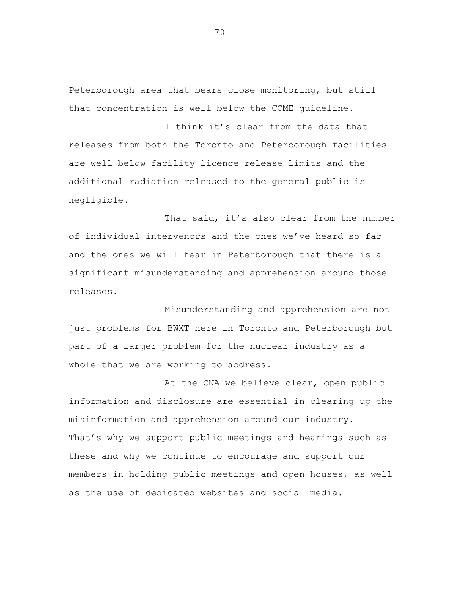Peterborough area that bears close monitoring, but still that concentration is well below the CCME guideline.

I think it's clear from the data that releases from both the Toronto and Peterborough facilities are well below facility licence release limits and the additional radiation released to the general public is negligible.

That said, it's also clear from the number of individual intervenors and the ones we've heard so far and the ones we will hear in Peterborough that there is a significant misunderstanding and apprehension around those releases.

Misunderstanding and apprehension are not just problems for BWXT here in Toronto and Peterborough but part of a larger problem for the nuclear industry as a whole that we are working to address.

At the CNA we believe clear, open public information and disclosure are essential in clearing up the misinformation and apprehension around our industry. That's why we support public meetings and hearings such as these and why we continue to encourage and support our members in holding public meetings and open houses, as well as the use of dedicated websites and social media.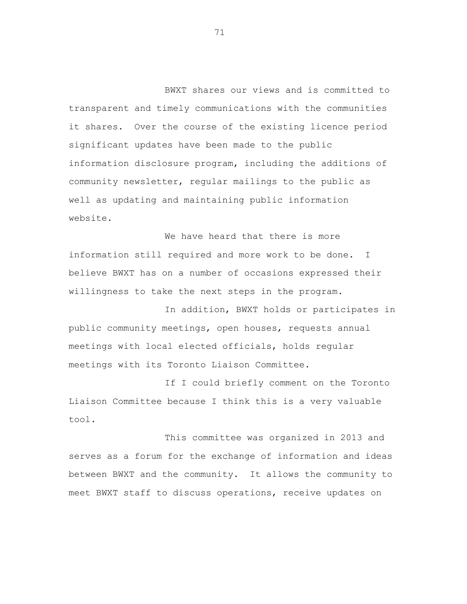BWXT shares our views and is committed to transparent and timely communications with the communities it shares. Over the course of the existing licence period significant updates have been made to the public information disclosure program, including the additions of community newsletter, regular mailings to the public as well as updating and maintaining public information website.

We have heard that there is more information still required and more work to be done. I believe BWXT has on a number of occasions expressed their willingness to take the next steps in the program.

In addition, BWXT holds or participates in public community meetings, open houses, requests annual meetings with local elected officials, holds regular meetings with its Toronto Liaison Committee.

If I could briefly comment on the Toronto Liaison Committee because I think this is a very valuable tool.

This committee was organized in 2013 and serves as a forum for the exchange of information and ideas between BWXT and the community. It allows the community to meet BWXT staff to discuss operations, receive updates on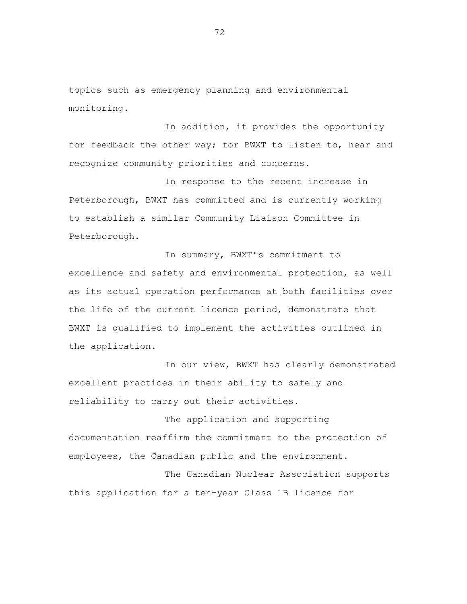topics such as emergency planning and environmental monitoring.

In addition, it provides the opportunity for feedback the other way; for BWXT to listen to, hear and recognize community priorities and concerns.

In response to the recent increase in Peterborough, BWXT has committed and is currently working to establish a similar Community Liaison Committee in Peterborough.

In summary, BWXT's commitment to excellence and safety and environmental protection, as well as its actual operation performance at both facilities over the life of the current licence period, demonstrate that BWXT is qualified to implement the activities outlined in the application.

In our view, BWXT has clearly demonstrated excellent practices in their ability to safely and reliability to carry out their activities.

The application and supporting documentation reaffirm the commitment to the protection of employees, the Canadian public and the environment.

The Canadian Nuclear Association supports this application for a ten-year Class 1B licence for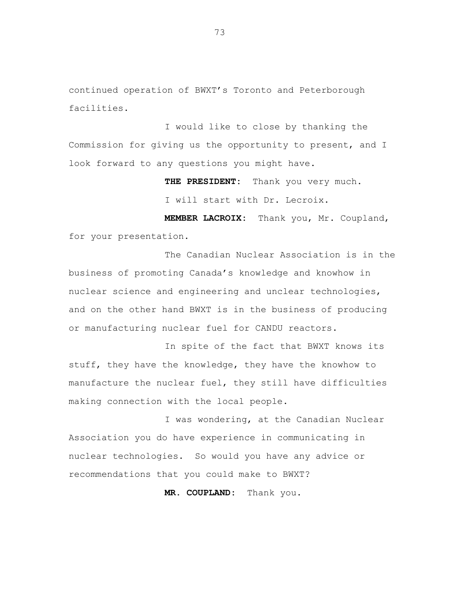continued operation of BWXT's Toronto and Peterborough facilities.

I would like to close by thanking the Commission for giving us the opportunity to present, and I look forward to any questions you might have.

> **THE PRESIDENT:** Thank you very much. I will start with Dr. Lecroix.

**MEMBER LACROIX:** Thank you, Mr. Coupland, for your presentation.

The Canadian Nuclear Association is in the business of promoting Canada's knowledge and knowhow in nuclear science and engineering and unclear technologies, and on the other hand BWXT is in the business of producing or manufacturing nuclear fuel for CANDU reactors.

In spite of the fact that BWXT knows its stuff, they have the knowledge, they have the knowhow to manufacture the nuclear fuel, they still have difficulties making connection with the local people.

I was wondering, at the Canadian Nuclear Association you do have experience in communicating in nuclear technologies. So would you have any advice or recommendations that you could make to BWXT?

**MR. COUPLAND:** Thank you.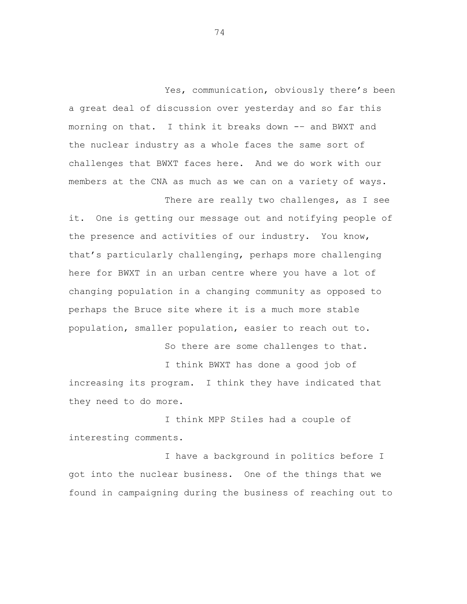Yes, communication, obviously there's been a great deal of discussion over yesterday and so far this morning on that. I think it breaks down -– and BWXT and the nuclear industry as a whole faces the same sort of challenges that BWXT faces here. And we do work with our members at the CNA as much as we can on a variety of ways.

it. One is getting our message out and notifying people of the presence and activities of our industry. You know, that's particularly challenging, perhaps more challenging here for BWXT in an urban centre where you have a lot of changing population in a changing community as opposed to perhaps the Bruce site where it is a much more stable population, smaller population, easier to reach out to.

So there are some challenges to that.

There are really two challenges, as I see

I think BWXT has done a good job of increasing its program. I think they have indicated that they need to do more.

I think MPP Stiles had a couple of interesting comments.

I have a background in politics before I got into the nuclear business. One of the things that we found in campaigning during the business of reaching out to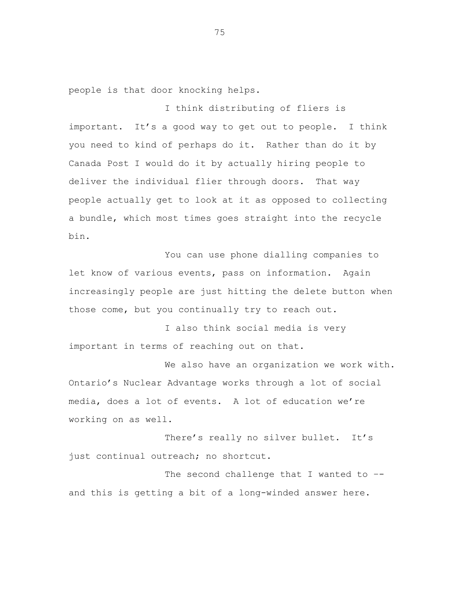people is that door knocking helps.

I think distributing of fliers is important. It's a good way to get out to people. I think you need to kind of perhaps do it. Rather than do it by Canada Post I would do it by actually hiring people to deliver the individual flier through doors. That way people actually get to look at it as opposed to collecting a bundle, which most times goes straight into the recycle bin.

You can use phone dialling companies to let know of various events, pass on information. Again increasingly people are just hitting the delete button when those come, but you continually try to reach out.

I also think social media is very important in terms of reaching out on that.

We also have an organization we work with. Ontario's Nuclear Advantage works through a lot of social media, does a lot of events. A lot of education we're working on as well.

There's really no silver bullet. It's just continual outreach; no shortcut.

The second challenge that I wanted to -and this is getting a bit of a long-winded answer here.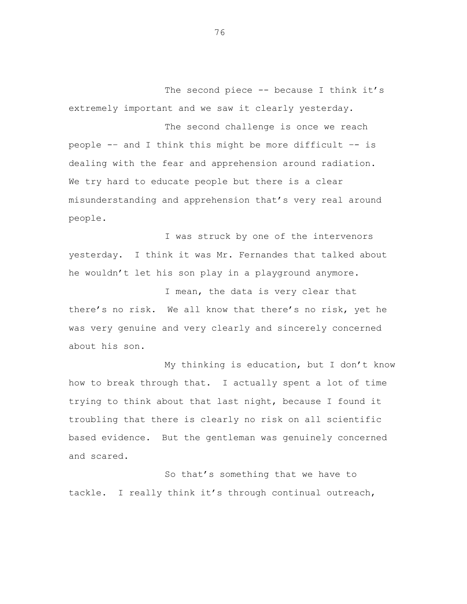The second piece -- because I think it's extremely important and we saw it clearly yesterday.

The second challenge is once we reach people -– and I think this might be more difficult –- is dealing with the fear and apprehension around radiation. We try hard to educate people but there is a clear misunderstanding and apprehension that's very real around people.

I was struck by one of the intervenors yesterday. I think it was Mr. Fernandes that talked about he wouldn't let his son play in a playground anymore.

I mean, the data is very clear that there's no risk. We all know that there's no risk, yet he was very genuine and very clearly and sincerely concerned about his son.

My thinking is education, but I don't know how to break through that. I actually spent a lot of time trying to think about that last night, because I found it troubling that there is clearly no risk on all scientific based evidence. But the gentleman was genuinely concerned and scared.

So that's something that we have to tackle. I really think it's through continual outreach,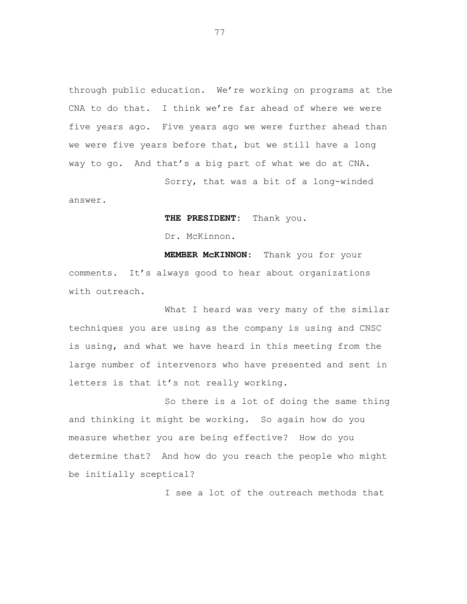through public education. We're working on programs at the CNA to do that. I think we're far ahead of where we were five years ago. Five years ago we were further ahead than we were five years before that, but we still have a long way to go. And that's a big part of what we do at CNA.

Sorry, that was a bit of a long-winded

answer.

**THE PRESIDENT:** Thank you.

Dr. McKinnon.

**MEMBER McKINNON:** Thank you for your comments. It's always good to hear about organizations with outreach.

What I heard was very many of the similar techniques you are using as the company is using and CNSC is using, and what we have heard in this meeting from the large number of intervenors who have presented and sent in letters is that it's not really working.

So there is a lot of doing the same thing and thinking it might be working. So again how do you measure whether you are being effective? How do you determine that? And how do you reach the people who might be initially sceptical?

I see a lot of the outreach methods that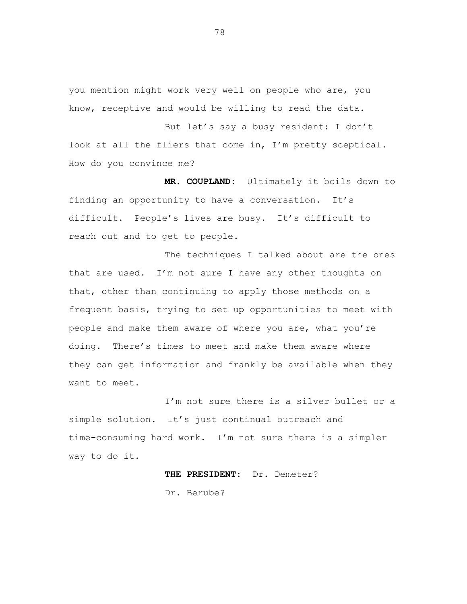you mention might work very well on people who are, you know, receptive and would be willing to read the data.

But let's say a busy resident: I don't look at all the fliers that come in, I'm pretty sceptical. How do you convince me?

**MR. COUPLAND:** Ultimately it boils down to finding an opportunity to have a conversation. It's difficult. People's lives are busy. It's difficult to reach out and to get to people.

The techniques I talked about are the ones that are used. I'm not sure I have any other thoughts on that, other than continuing to apply those methods on a frequent basis, trying to set up opportunities to meet with people and make them aware of where you are, what you're doing. There's times to meet and make them aware where they can get information and frankly be available when they want to meet.

I'm not sure there is a silver bullet or a simple solution. It's just continual outreach and time-consuming hard work. I'm not sure there is a simpler way to do it.

**THE PRESIDENT:** Dr. Demeter?

Dr. Berube?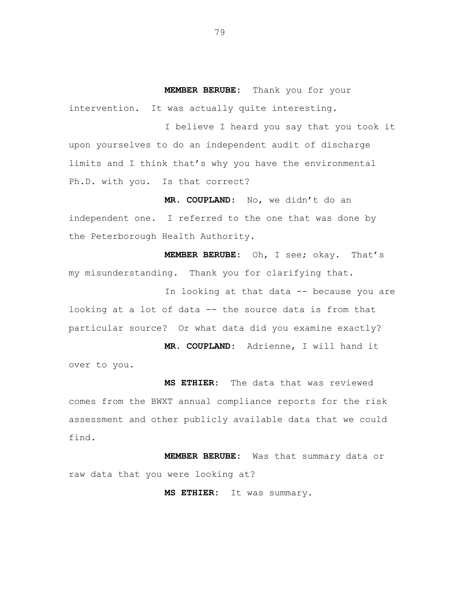**MEMBER BERUBE:** Thank you for your intervention. It was actually quite interesting.

I believe I heard you say that you took it upon yourselves to do an independent audit of discharge limits and I think that's why you have the environmental Ph.D. with you. Is that correct?

**MR. COUPLAND:** No, we didn't do an independent one. I referred to the one that was done by the Peterborough Health Authority.

**MEMBER BERUBE:** Oh, I see; okay. That's my misunderstanding. Thank you for clarifying that.

In looking at that data -- because you are looking at a lot of data -- the source data is from that particular source? Or what data did you examine exactly?

**MR. COUPLAND:** Adrienne, I will hand it over to you.

**MS ETHIER:** The data that was reviewed comes from the BWXT annual compliance reports for the risk assessment and other publicly available data that we could find.

**MEMBER BERUBE:** Was that summary data or raw data that you were looking at?

**MS ETHIER:** It was summary.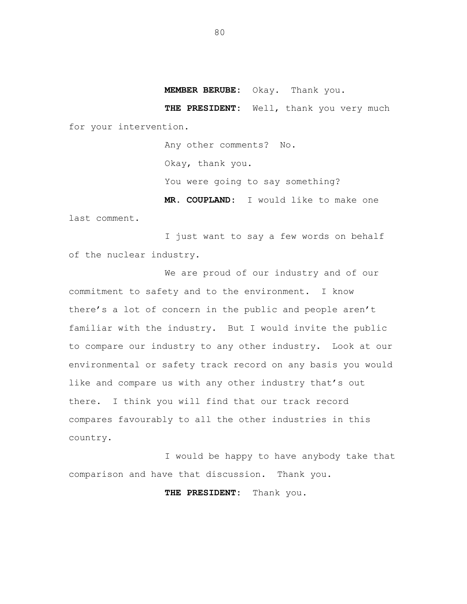**MEMBER BERUBE:** Okay. Thank you.

**THE PRESIDENT:** Well, thank you very much for your intervention.

> Any other comments? No. Okay, thank you. You were going to say something? **MR. COUPLAND:** I would like to make one

last comment.

I just want to say a few words on behalf of the nuclear industry.

We are proud of our industry and of our commitment to safety and to the environment. I know there's a lot of concern in the public and people aren't familiar with the industry. But I would invite the public to compare our industry to any other industry. Look at our environmental or safety track record on any basis you would like and compare us with any other industry that's out there. I think you will find that our track record compares favourably to all the other industries in this country.

I would be happy to have anybody take that comparison and have that discussion. Thank you.

**THE PRESIDENT:** Thank you.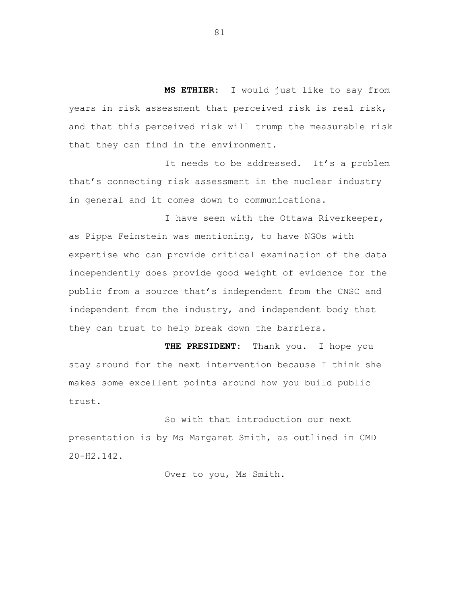**MS ETHIER:** I would just like to say from years in risk assessment that perceived risk is real risk, and that this perceived risk will trump the measurable risk that they can find in the environment.

It needs to be addressed. It's a problem that's connecting risk assessment in the nuclear industry in general and it comes down to communications.

I have seen with the Ottawa Riverkeeper, as Pippa Feinstein was mentioning, to have NGOs with expertise who can provide critical examination of the data independently does provide good weight of evidence for the public from a source that's independent from the CNSC and independent from the industry, and independent body that they can trust to help break down the barriers.

**THE PRESIDENT:** Thank you. I hope you stay around for the next intervention because I think she makes some excellent points around how you build public trust.

So with that introduction our next presentation is by Ms Margaret Smith, as outlined in CMD 20-H2.142.

Over to you, Ms Smith.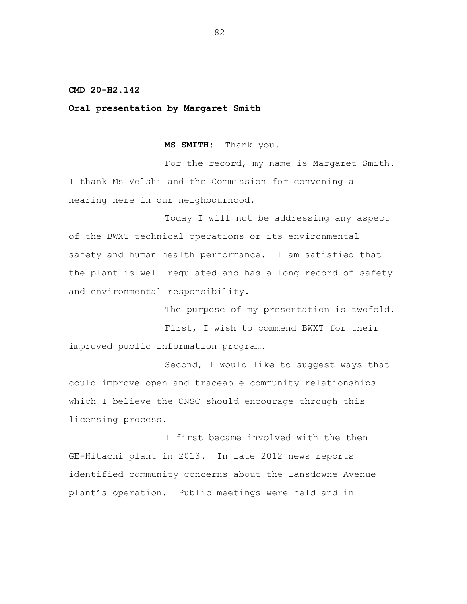**CMD 20-H2.142**

**Oral presentation by Margaret Smith**

**MS SMITH:** Thank you.

For the record, my name is Margaret Smith. I thank Ms Velshi and the Commission for convening a hearing here in our neighbourhood.

Today I will not be addressing any aspect of the BWXT technical operations or its environmental safety and human health performance. I am satisfied that the plant is well regulated and has a long record of safety and environmental responsibility.

The purpose of my presentation is twofold. First, I wish to commend BWXT for their improved public information program.

Second, I would like to suggest ways that could improve open and traceable community relationships which I believe the CNSC should encourage through this licensing process.

I first became involved with the then GE-Hitachi plant in 2013. In late 2012 news reports identified community concerns about the Lansdowne Avenue plant's operation. Public meetings were held and in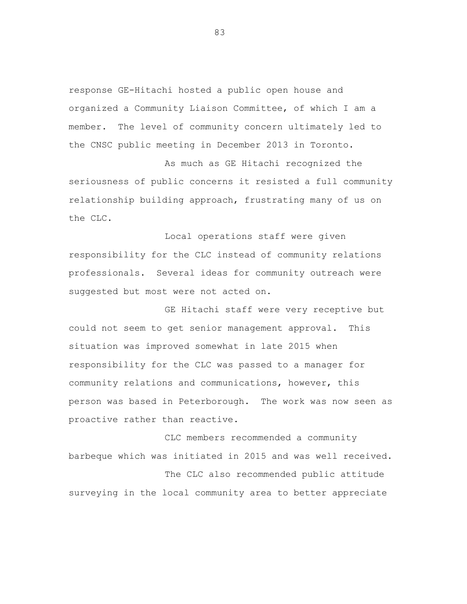response GE-Hitachi hosted a public open house and organized a Community Liaison Committee, of which I am a member. The level of community concern ultimately led to the CNSC public meeting in December 2013 in Toronto.

As much as GE Hitachi recognized the seriousness of public concerns it resisted a full community relationship building approach, frustrating many of us on the CLC.

Local operations staff were given responsibility for the CLC instead of community relations professionals. Several ideas for community outreach were suggested but most were not acted on.

GE Hitachi staff were very receptive but could not seem to get senior management approval. This situation was improved somewhat in late 2015 when responsibility for the CLC was passed to a manager for community relations and communications, however, this person was based in Peterborough. The work was now seen as proactive rather than reactive.

CLC members recommended a community barbeque which was initiated in 2015 and was well received. The CLC also recommended public attitude surveying in the local community area to better appreciate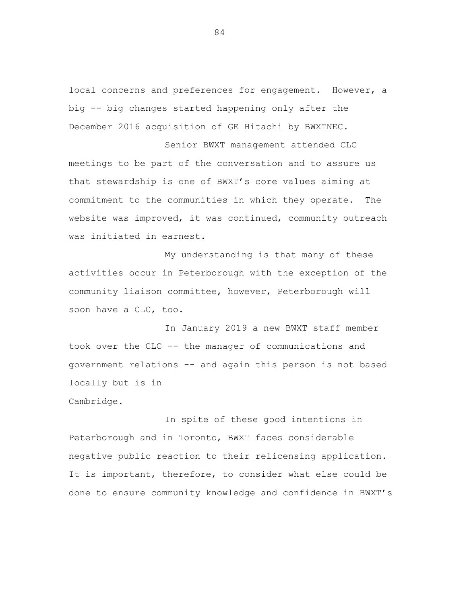local concerns and preferences for engagement. However, a big -- big changes started happening only after the December 2016 acquisition of GE Hitachi by BWXTNEC.

Senior BWXT management attended CLC meetings to be part of the conversation and to assure us that stewardship is one of BWXT's core values aiming at commitment to the communities in which they operate. The website was improved, it was continued, community outreach was initiated in earnest.

My understanding is that many of these activities occur in Peterborough with the exception of the community liaison committee, however, Peterborough will soon have a CLC, too.

In January 2019 a new BWXT staff member took over the CLC -- the manager of communications and government relations -- and again this person is not based locally but is in

Cambridge.

In spite of these good intentions in Peterborough and in Toronto, BWXT faces considerable negative public reaction to their relicensing application. It is important, therefore, to consider what else could be done to ensure community knowledge and confidence in BWXT's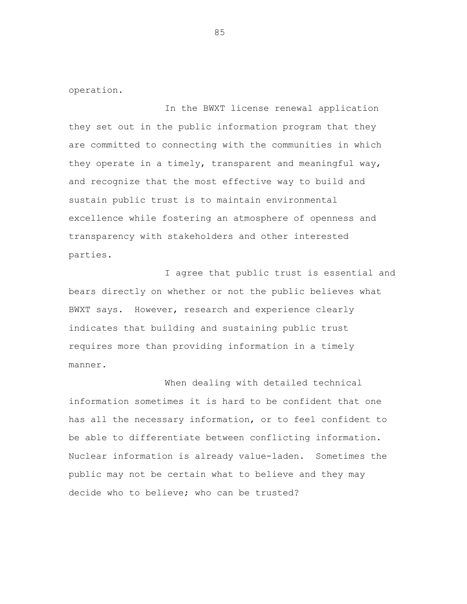operation.

In the BWXT license renewal application they set out in the public information program that they are committed to connecting with the communities in which they operate in a timely, transparent and meaningful way, and recognize that the most effective way to build and sustain public trust is to maintain environmental excellence while fostering an atmosphere of openness and transparency with stakeholders and other interested parties.

I agree that public trust is essential and bears directly on whether or not the public believes what BWXT says. However, research and experience clearly indicates that building and sustaining public trust requires more than providing information in a timely manner.

When dealing with detailed technical information sometimes it is hard to be confident that one has all the necessary information, or to feel confident to be able to differentiate between conflicting information. Nuclear information is already value-laden. Sometimes the public may not be certain what to believe and they may decide who to believe; who can be trusted?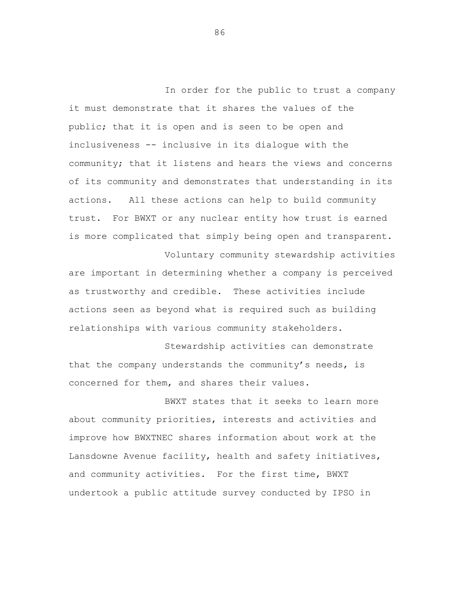In order for the public to trust a company it must demonstrate that it shares the values of the public; that it is open and is seen to be open and inclusiveness -- inclusive in its dialogue with the community; that it listens and hears the views and concerns of its community and demonstrates that understanding in its actions. All these actions can help to build community trust. For BWXT or any nuclear entity how trust is earned is more complicated that simply being open and transparent.

are important in determining whether a company is perceived as trustworthy and credible. These activities include actions seen as beyond what is required such as building relationships with various community stakeholders.

Voluntary community stewardship activities

Stewardship activities can demonstrate that the company understands the community's needs, is concerned for them, and shares their values.

BWXT states that it seeks to learn more about community priorities, interests and activities and improve how BWXTNEC shares information about work at the Lansdowne Avenue facility, health and safety initiatives, and community activities. For the first time, BWXT undertook a public attitude survey conducted by IPSO in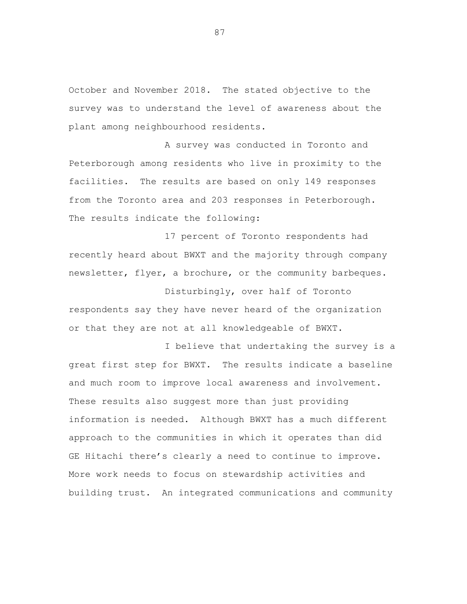October and November 2018. The stated objective to the survey was to understand the level of awareness about the plant among neighbourhood residents.

A survey was conducted in Toronto and Peterborough among residents who live in proximity to the facilities. The results are based on only 149 responses from the Toronto area and 203 responses in Peterborough. The results indicate the following:

17 percent of Toronto respondents had recently heard about BWXT and the majority through company newsletter, flyer, a brochure, or the community barbeques.

Disturbingly, over half of Toronto respondents say they have never heard of the organization or that they are not at all knowledgeable of BWXT.

I believe that undertaking the survey is a great first step for BWXT. The results indicate a baseline and much room to improve local awareness and involvement. These results also suggest more than just providing information is needed. Although BWXT has a much different approach to the communities in which it operates than did GE Hitachi there's clearly a need to continue to improve. More work needs to focus on stewardship activities and building trust. An integrated communications and community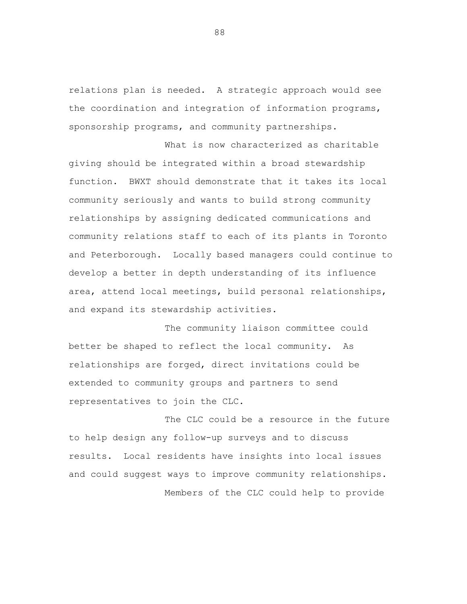relations plan is needed. A strategic approach would see the coordination and integration of information programs, sponsorship programs, and community partnerships.

What is now characterized as charitable giving should be integrated within a broad stewardship function. BWXT should demonstrate that it takes its local community seriously and wants to build strong community relationships by assigning dedicated communications and community relations staff to each of its plants in Toronto and Peterborough. Locally based managers could continue to develop a better in depth understanding of its influence area, attend local meetings, build personal relationships, and expand its stewardship activities.

The community liaison committee could better be shaped to reflect the local community. As relationships are forged, direct invitations could be extended to community groups and partners to send representatives to join the CLC.

The CLC could be a resource in the future to help design any follow-up surveys and to discuss results. Local residents have insights into local issues and could suggest ways to improve community relationships. Members of the CLC could help to provide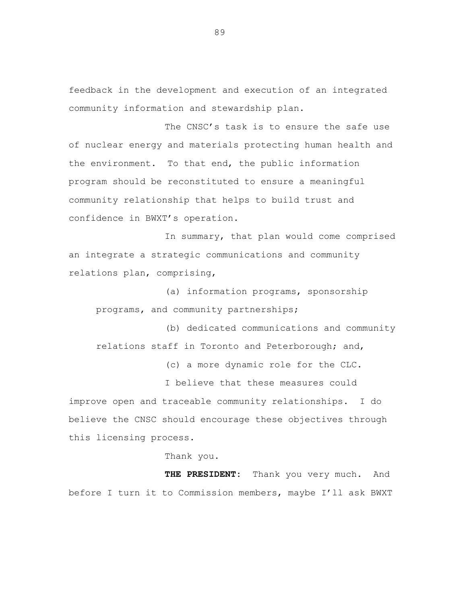feedback in the development and execution of an integrated community information and stewardship plan.

The CNSC's task is to ensure the safe use of nuclear energy and materials protecting human health and the environment. To that end, the public information program should be reconstituted to ensure a meaningful community relationship that helps to build trust and confidence in BWXT's operation.

In summary, that plan would come comprised an integrate a strategic communications and community relations plan, comprising,

(a) information programs, sponsorship programs, and community partnerships;

(b) dedicated communications and community relations staff in Toronto and Peterborough; and,

(c) a more dynamic role for the CLC.

I believe that these measures could improve open and traceable community relationships. I do believe the CNSC should encourage these objectives through this licensing process.

Thank you.

**THE PRESIDENT:** Thank you very much. And before I turn it to Commission members, maybe I'll ask BWXT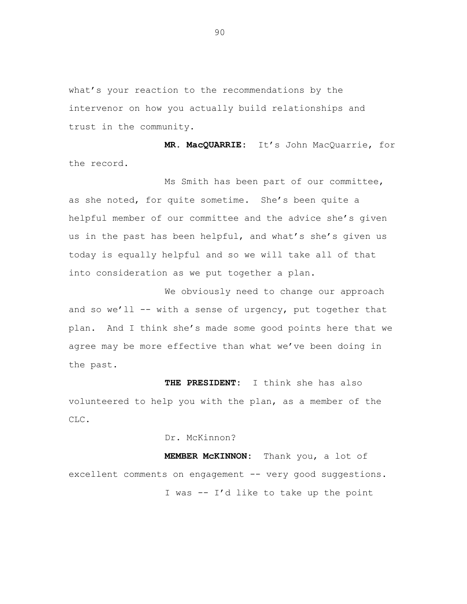what's your reaction to the recommendations by the intervenor on how you actually build relationships and trust in the community.

**MR. MacQUARRIE:** It's John MacQuarrie, for the record.

Ms Smith has been part of our committee, as she noted, for quite sometime. She's been quite a helpful member of our committee and the advice she's given us in the past has been helpful, and what's she's given us today is equally helpful and so we will take all of that into consideration as we put together a plan.

We obviously need to change our approach and so we'll -- with a sense of urgency, put together that plan. And I think she's made some good points here that we agree may be more effective than what we've been doing in the past.

**THE PRESIDENT:** I think she has also volunteered to help you with the plan, as a member of the CLC.

Dr. McKinnon?

**MEMBER McKINNON:** Thank you, a lot of excellent comments on engagement -- very good suggestions. I was -- I'd like to take up the point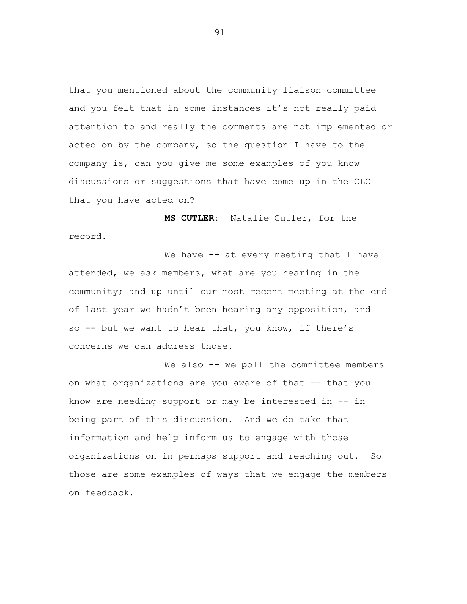that you mentioned about the community liaison committee and you felt that in some instances it's not really paid attention to and really the comments are not implemented or acted on by the company, so the question I have to the company is, can you give me some examples of you know discussions or suggestions that have come up in the CLC that you have acted on?

**MS CUTLER:** Natalie Cutler, for the record.

We have -- at every meeting that I have attended, we ask members, what are you hearing in the community; and up until our most recent meeting at the end of last year we hadn't been hearing any opposition, and so -- but we want to hear that, you know, if there's concerns we can address those.

We also -- we poll the committee members on what organizations are you aware of that -- that you know are needing support or may be interested in -- in being part of this discussion. And we do take that information and help inform us to engage with those organizations on in perhaps support and reaching out. So those are some examples of ways that we engage the members on feedback.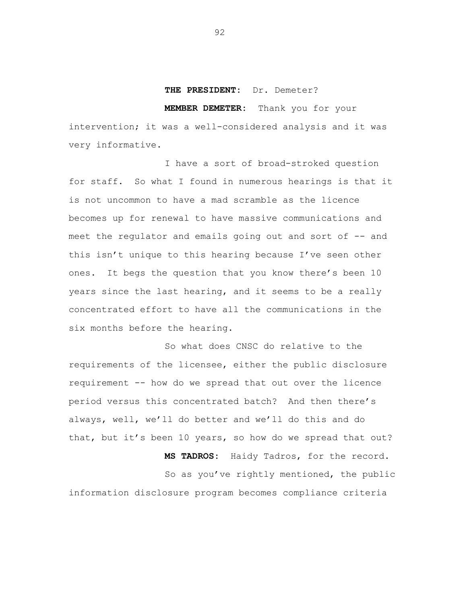## **THE PRESIDENT:** Dr. Demeter?

**MEMBER DEMETER:** Thank you for your

intervention; it was a well-considered analysis and it was very informative.

I have a sort of broad-stroked question for staff. So what I found in numerous hearings is that it is not uncommon to have a mad scramble as the licence becomes up for renewal to have massive communications and meet the regulator and emails going out and sort of -- and this isn't unique to this hearing because I've seen other ones. It begs the question that you know there's been 10 years since the last hearing, and it seems to be a really concentrated effort to have all the communications in the six months before the hearing.

So what does CNSC do relative to the requirements of the licensee, either the public disclosure requirement -- how do we spread that out over the licence period versus this concentrated batch? And then there's always, well, we'll do better and we'll do this and do that, but it's been 10 years, so how do we spread that out? **MS TADROS:** Haidy Tadros, for the record. So as you've rightly mentioned, the public

information disclosure program becomes compliance criteria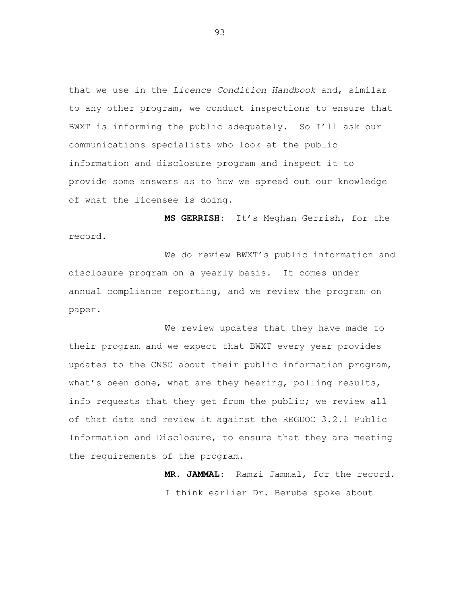that we use in the *Licence Condition Handbook* and, similar to any other program, we conduct inspections to ensure that BWXT is informing the public adequately. So I'll ask our communications specialists who look at the public information and disclosure program and inspect it to provide some answers as to how we spread out our knowledge of what the licensee is doing.

**MS GERRISH:** It's Meghan Gerrish, for the record.

We do review BWXT's public information and disclosure program on a yearly basis. It comes under annual compliance reporting, and we review the program on paper.

We review updates that they have made to their program and we expect that BWXT every year provides updates to the CNSC about their public information program, what's been done, what are they hearing, polling results, info requests that they get from the public; we review all of that data and review it against the REGDOC 3.2.1 Public Information and Disclosure, to ensure that they are meeting the requirements of the program.

> **MR. JAMMAL:** Ramzi Jammal, for the record. I think earlier Dr. Berube spoke about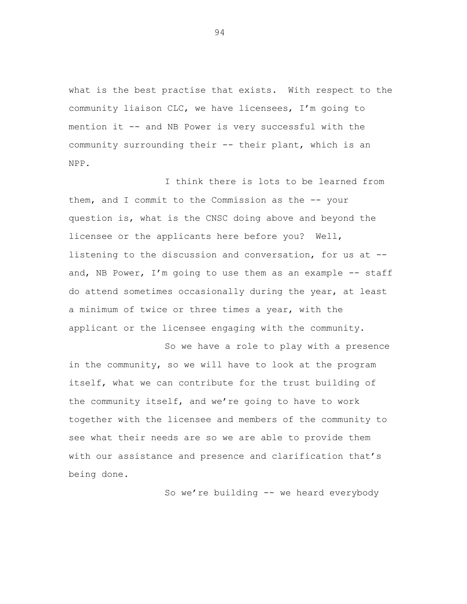what is the best practise that exists. With respect to the community liaison CLC, we have licensees, I'm going to mention it -- and NB Power is very successful with the community surrounding their -- their plant, which is an NPP.

I think there is lots to be learned from them, and I commit to the Commission as the -- your question is, what is the CNSC doing above and beyond the licensee or the applicants here before you? Well, listening to the discussion and conversation, for us at - and, NB Power, I'm going to use them as an example  $-$  staff do attend sometimes occasionally during the year, at least a minimum of twice or three times a year, with the applicant or the licensee engaging with the community.

So we have a role to play with a presence in the community, so we will have to look at the program itself, what we can contribute for the trust building of the community itself, and we're going to have to work together with the licensee and members of the community to see what their needs are so we are able to provide them with our assistance and presence and clarification that's being done.

So we're building -- we heard everybody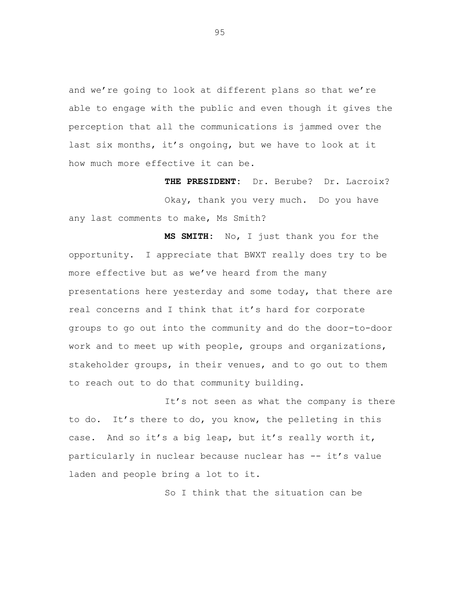and we're going to look at different plans so that we're able to engage with the public and even though it gives the perception that all the communications is jammed over the last six months, it's ongoing, but we have to look at it how much more effective it can be.

**THE PRESIDENT:** Dr. Berube? Dr. Lacroix? Okay, thank you very much. Do you have any last comments to make, Ms Smith?

**MS SMITH:** No, I just thank you for the opportunity. I appreciate that BWXT really does try to be more effective but as we've heard from the many presentations here yesterday and some today, that there are real concerns and I think that it's hard for corporate groups to go out into the community and do the door-to-door work and to meet up with people, groups and organizations, stakeholder groups, in their venues, and to go out to them to reach out to do that community building.

It's not seen as what the company is there to do. It's there to do, you know, the pelleting in this case. And so it's a big leap, but it's really worth it, particularly in nuclear because nuclear has -- it's value laden and people bring a lot to it.

So I think that the situation can be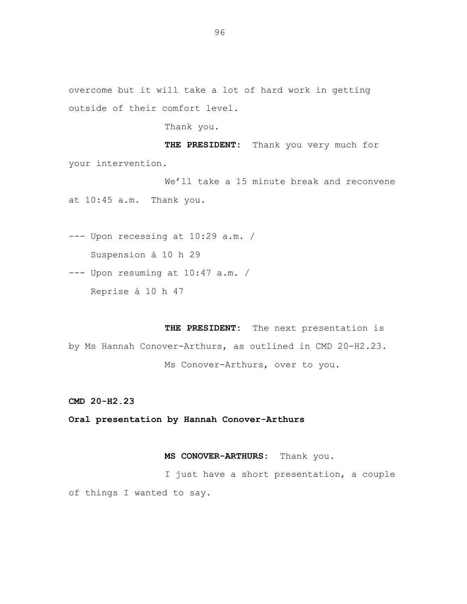Thank you.

**THE PRESIDENT:** Thank you very much for your intervention.

We'll take a 15 minute break and reconvene at 10:45 a.m. Thank you.

--- Upon recessing at 10:29 a.m. / Suspension à 10 h 29

--- Upon resuming at 10:47 a.m. / Reprise à 10 h 47

**THE PRESIDENT:** The next presentation is by Ms Hannah Conover-Arthurs, as outlined in CMD 20-H2.23. Ms Conover-Arthurs, over to you.

**CMD 20-H2.23**

**Oral presentation by Hannah Conover-Arthurs**

## **MS CONOVER-ARTHURS:** Thank you.

I just have a short presentation, a couple of things I wanted to say.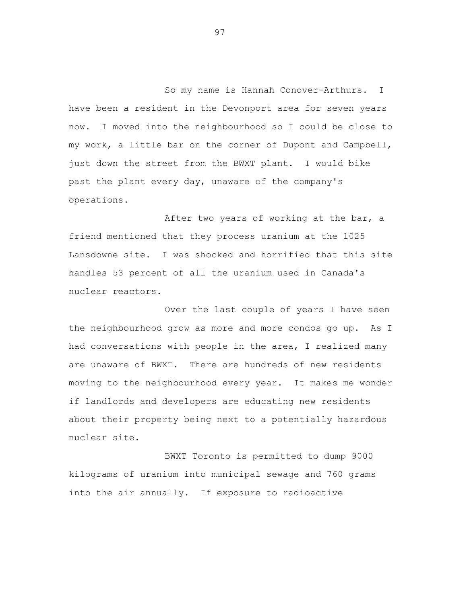So my name is Hannah Conover-Arthurs. I have been a resident in the Devonport area for seven years now. I moved into the neighbourhood so I could be close to my work, a little bar on the corner of Dupont and Campbell, just down the street from the BWXT plant. I would bike past the plant every day, unaware of the company's operations.

After two years of working at the bar, a friend mentioned that they process uranium at the 1025 Lansdowne site. I was shocked and horrified that this site handles 53 percent of all the uranium used in Canada's nuclear reactors.

Over the last couple of years I have seen the neighbourhood grow as more and more condos go up. As I had conversations with people in the area, I realized many are unaware of BWXT. There are hundreds of new residents moving to the neighbourhood every year. It makes me wonder if landlords and developers are educating new residents about their property being next to a potentially hazardous nuclear site.

BWXT Toronto is permitted to dump 9000 kilograms of uranium into municipal sewage and 760 grams into the air annually. If exposure to radioactive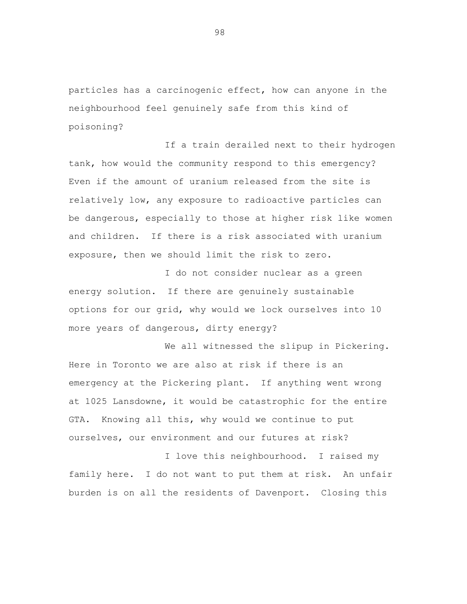particles has a carcinogenic effect, how can anyone in the neighbourhood feel genuinely safe from this kind of poisoning?

If a train derailed next to their hydrogen tank, how would the community respond to this emergency? Even if the amount of uranium released from the site is relatively low, any exposure to radioactive particles can be dangerous, especially to those at higher risk like women and children. If there is a risk associated with uranium exposure, then we should limit the risk to zero.

I do not consider nuclear as a green energy solution. If there are genuinely sustainable options for our grid, why would we lock ourselves into 10 more years of dangerous, dirty energy?

We all witnessed the slipup in Pickering. Here in Toronto we are also at risk if there is an emergency at the Pickering plant. If anything went wrong at 1025 Lansdowne, it would be catastrophic for the entire GTA. Knowing all this, why would we continue to put ourselves, our environment and our futures at risk?

I love this neighbourhood. I raised my family here. I do not want to put them at risk. An unfair burden is on all the residents of Davenport. Closing this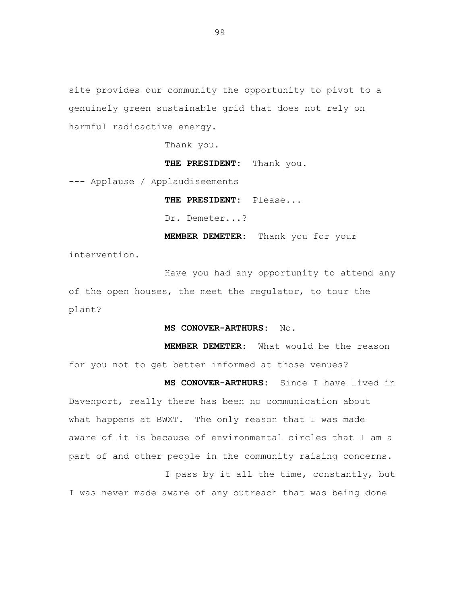site provides our community the opportunity to pivot to a genuinely green sustainable grid that does not rely on harmful radioactive energy.

Thank you.

**THE PRESIDENT:** Thank you.

--- Applause / Applaudiseements

**THE PRESIDENT:** Please...

Dr. Demeter...?

**MEMBER DEMETER:** Thank you for your

**MS CONOVER-ARTHURS:** Since I have lived in

intervention.

Have you had any opportunity to attend any of the open houses, the meet the regulator, to tour the plant?

**MS CONOVER-ARTHURS:** No.

**MEMBER DEMETER:** What would be the reason for you not to get better informed at those venues?

Davenport, really there has been no communication about what happens at BWXT. The only reason that I was made aware of it is because of environmental circles that I am a part of and other people in the community raising concerns. I pass by it all the time, constantly, but

I was never made aware of any outreach that was being done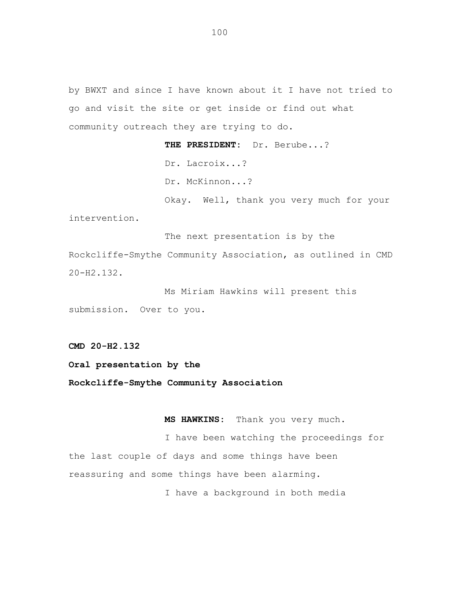by BWXT and since I have known about it I have not tried to go and visit the site or get inside or find out what community outreach they are trying to do.

> **THE PRESIDENT:** Dr. Berube...? Dr. Lacroix...? Dr. McKinnon...? Okay. Well, thank you very much for your

The next presentation is by the Rockcliffe-Smythe Community Association, as outlined in CMD 20-H2.132.

Ms Miriam Hawkins will present this submission. Over to you.

**CMD 20-H2.132**

intervention.

**Oral presentation by the**

**Rockcliffe-Smythe Community Association**

**MS HAWKINS:** Thank you very much.

I have been watching the proceedings for the last couple of days and some things have been reassuring and some things have been alarming. I have a background in both media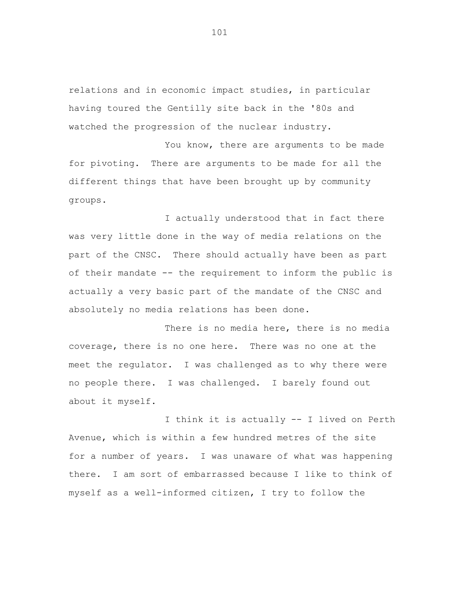relations and in economic impact studies, in particular having toured the Gentilly site back in the '80s and watched the progression of the nuclear industry.

You know, there are arguments to be made for pivoting. There are arguments to be made for all the different things that have been brought up by community groups.

I actually understood that in fact there was very little done in the way of media relations on the part of the CNSC. There should actually have been as part of their mandate -- the requirement to inform the public is actually a very basic part of the mandate of the CNSC and absolutely no media relations has been done.

There is no media here, there is no media coverage, there is no one here. There was no one at the meet the regulator. I was challenged as to why there were no people there. I was challenged. I barely found out about it myself.

I think it is actually -- I lived on Perth Avenue, which is within a few hundred metres of the site for a number of years. I was unaware of what was happening there. I am sort of embarrassed because I like to think of myself as a well-informed citizen, I try to follow the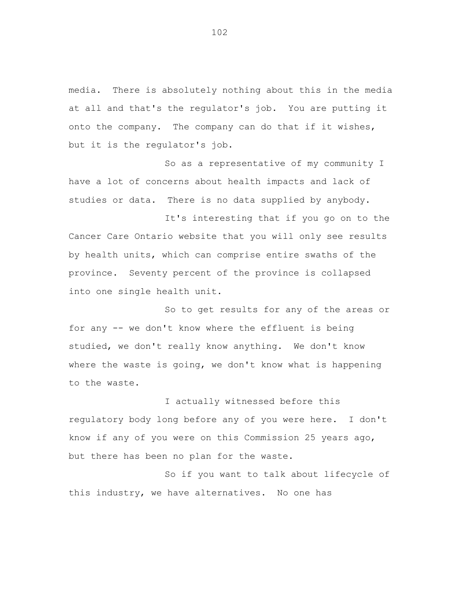media. There is absolutely nothing about this in the media at all and that's the regulator's job. You are putting it onto the company. The company can do that if it wishes, but it is the regulator's job.

So as a representative of my community I have a lot of concerns about health impacts and lack of studies or data. There is no data supplied by anybody.

It's interesting that if you go on to the Cancer Care Ontario website that you will only see results by health units, which can comprise entire swaths of the province. Seventy percent of the province is collapsed into one single health unit.

So to get results for any of the areas or for any -- we don't know where the effluent is being studied, we don't really know anything. We don't know where the waste is going, we don't know what is happening to the waste.

I actually witnessed before this regulatory body long before any of you were here. I don't know if any of you were on this Commission 25 years ago, but there has been no plan for the waste.

So if you want to talk about lifecycle of this industry, we have alternatives. No one has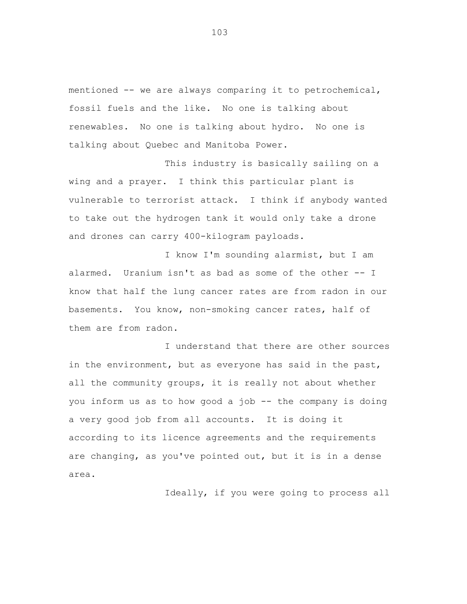mentioned -- we are always comparing it to petrochemical, fossil fuels and the like. No one is talking about renewables. No one is talking about hydro. No one is talking about Quebec and Manitoba Power.

This industry is basically sailing on a wing and a prayer. I think this particular plant is vulnerable to terrorist attack. I think if anybody wanted to take out the hydrogen tank it would only take a drone and drones can carry 400-kilogram payloads.

I know I'm sounding alarmist, but I am alarmed. Uranium isn't as bad as some of the other -- I know that half the lung cancer rates are from radon in our basements. You know, non-smoking cancer rates, half of them are from radon.

I understand that there are other sources in the environment, but as everyone has said in the past, all the community groups, it is really not about whether you inform us as to how good a job -- the company is doing a very good job from all accounts. It is doing it according to its licence agreements and the requirements are changing, as you've pointed out, but it is in a dense area.

Ideally, if you were going to process all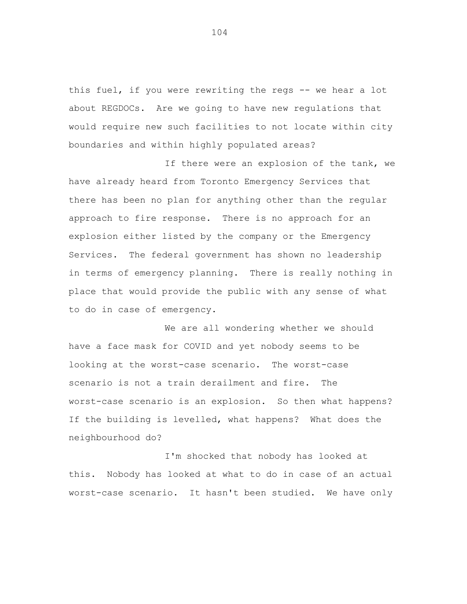this fuel, if you were rewriting the regs -- we hear a lot about REGDOCs. Are we going to have new regulations that would require new such facilities to not locate within city boundaries and within highly populated areas?

If there were an explosion of the tank, we have already heard from Toronto Emergency Services that there has been no plan for anything other than the regular approach to fire response. There is no approach for an explosion either listed by the company or the Emergency Services. The federal government has shown no leadership in terms of emergency planning. There is really nothing in place that would provide the public with any sense of what to do in case of emergency.

We are all wondering whether we should have a face mask for COVID and yet nobody seems to be looking at the worst-case scenario. The worst-case scenario is not a train derailment and fire. The worst-case scenario is an explosion. So then what happens? If the building is levelled, what happens? What does the neighbourhood do?

I'm shocked that nobody has looked at this. Nobody has looked at what to do in case of an actual worst-case scenario. It hasn't been studied. We have only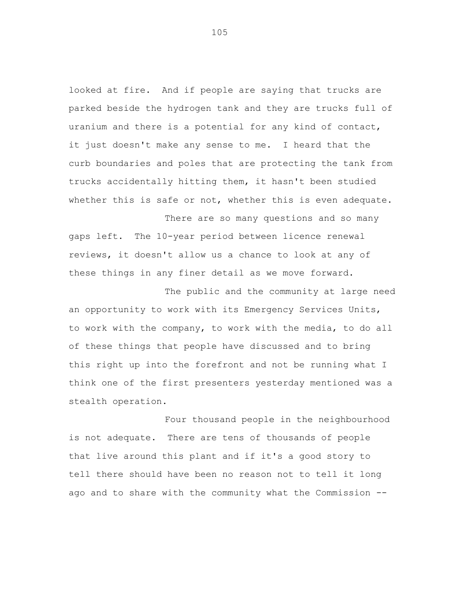looked at fire. And if people are saying that trucks are parked beside the hydrogen tank and they are trucks full of uranium and there is a potential for any kind of contact, it just doesn't make any sense to me. I heard that the curb boundaries and poles that are protecting the tank from trucks accidentally hitting them, it hasn't been studied whether this is safe or not, whether this is even adequate.

There are so many questions and so many gaps left. The 10-year period between licence renewal reviews, it doesn't allow us a chance to look at any of these things in any finer detail as we move forward.

The public and the community at large need an opportunity to work with its Emergency Services Units, to work with the company, to work with the media, to do all of these things that people have discussed and to bring this right up into the forefront and not be running what I think one of the first presenters yesterday mentioned was a stealth operation.

Four thousand people in the neighbourhood is not adequate. There are tens of thousands of people that live around this plant and if it's a good story to tell there should have been no reason not to tell it long ago and to share with the community what the Commission --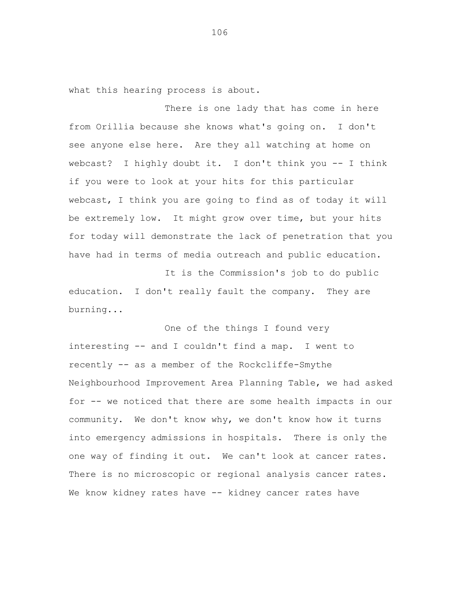what this hearing process is about.

There is one lady that has come in here from Orillia because she knows what's going on. I don't see anyone else here. Are they all watching at home on webcast? I highly doubt it. I don't think you -- I think if you were to look at your hits for this particular webcast, I think you are going to find as of today it will be extremely low. It might grow over time, but your hits for today will demonstrate the lack of penetration that you have had in terms of media outreach and public education.

It is the Commission's job to do public education. I don't really fault the company. They are burning...

One of the things I found very interesting -- and I couldn't find a map. I went to recently -- as a member of the Rockcliffe-Smythe Neighbourhood Improvement Area Planning Table, we had asked for -- we noticed that there are some health impacts in our community. We don't know why, we don't know how it turns into emergency admissions in hospitals. There is only the one way of finding it out. We can't look at cancer rates. There is no microscopic or regional analysis cancer rates. We know kidney rates have -- kidney cancer rates have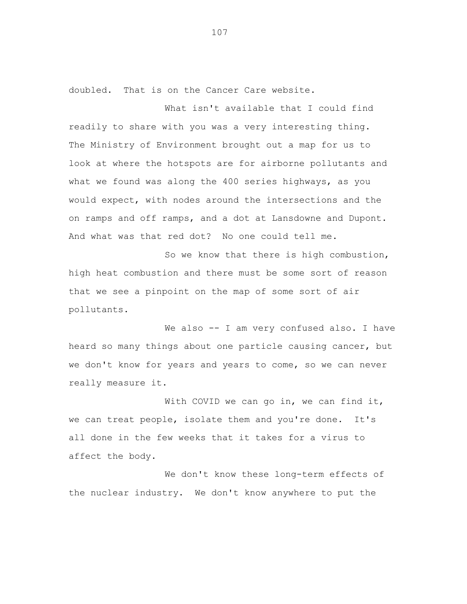doubled. That is on the Cancer Care website.

What isn't available that I could find readily to share with you was a very interesting thing. The Ministry of Environment brought out a map for us to look at where the hotspots are for airborne pollutants and what we found was along the 400 series highways, as you would expect, with nodes around the intersections and the on ramps and off ramps, and a dot at Lansdowne and Dupont. And what was that red dot? No one could tell me.

So we know that there is high combustion, high heat combustion and there must be some sort of reason that we see a pinpoint on the map of some sort of air pollutants.

We also -- I am very confused also. I have heard so many things about one particle causing cancer, but we don't know for years and years to come, so we can never really measure it.

With COVID we can go in, we can find it, we can treat people, isolate them and you're done. It's all done in the few weeks that it takes for a virus to affect the body.

We don't know these long-term effects of the nuclear industry. We don't know anywhere to put the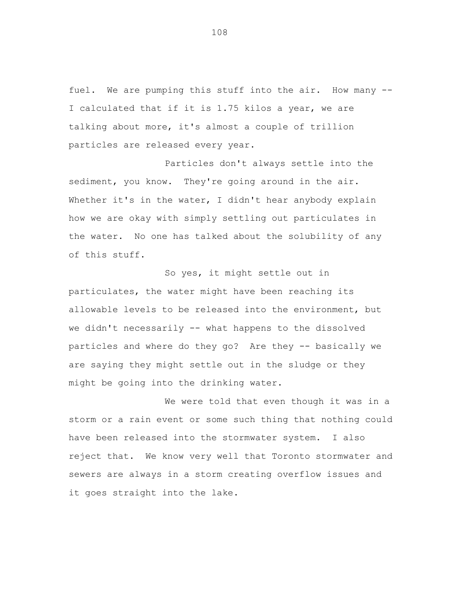fuel. We are pumping this stuff into the air. How many -- I calculated that if it is 1.75 kilos a year, we are talking about more, it's almost a couple of trillion particles are released every year.

Particles don't always settle into the sediment, you know. They're going around in the air. Whether it's in the water, I didn't hear anybody explain how we are okay with simply settling out particulates in the water. No one has talked about the solubility of any of this stuff.

So yes, it might settle out in particulates, the water might have been reaching its allowable levels to be released into the environment, but we didn't necessarily -- what happens to the dissolved particles and where do they go? Are they -- basically we are saying they might settle out in the sludge or they might be going into the drinking water.

We were told that even though it was in a storm or a rain event or some such thing that nothing could have been released into the stormwater system. I also reject that. We know very well that Toronto stormwater and sewers are always in a storm creating overflow issues and it goes straight into the lake.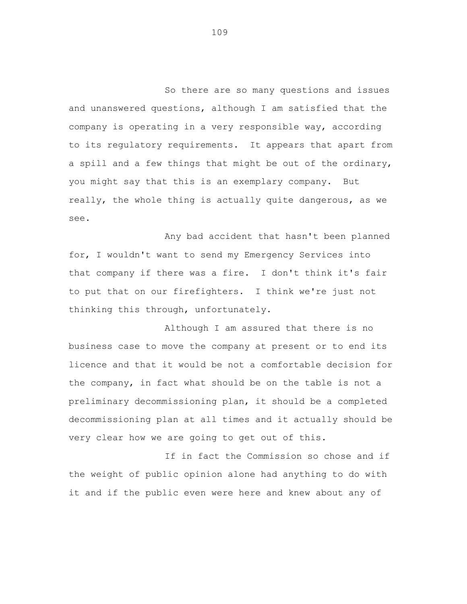So there are so many questions and issues and unanswered questions, although I am satisfied that the company is operating in a very responsible way, according to its regulatory requirements. It appears that apart from a spill and a few things that might be out of the ordinary, you might say that this is an exemplary company. But really, the whole thing is actually quite dangerous, as we see.

Any bad accident that hasn't been planned for, I wouldn't want to send my Emergency Services into that company if there was a fire. I don't think it's fair to put that on our firefighters. I think we're just not thinking this through, unfortunately.

Although I am assured that there is no business case to move the company at present or to end its licence and that it would be not a comfortable decision for the company, in fact what should be on the table is not a preliminary decommissioning plan, it should be a completed decommissioning plan at all times and it actually should be very clear how we are going to get out of this.

If in fact the Commission so chose and if the weight of public opinion alone had anything to do with it and if the public even were here and knew about any of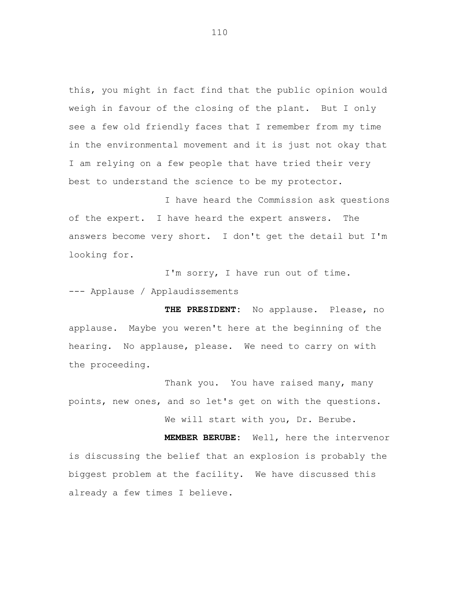this, you might in fact find that the public opinion would weigh in favour of the closing of the plant. But I only see a few old friendly faces that I remember from my time in the environmental movement and it is just not okay that I am relying on a few people that have tried their very best to understand the science to be my protector.

I have heard the Commission ask questions of the expert. I have heard the expert answers. The answers become very short. I don't get the detail but I'm looking for.

I'm sorry, I have run out of time. --- Applause / Applaudissements

**THE PRESIDENT:** No applause. Please, no applause. Maybe you weren't here at the beginning of the hearing. No applause, please. We need to carry on with the proceeding.

Thank you. You have raised many, many points, new ones, and so let's get on with the questions. We will start with you, Dr. Berube.

**MEMBER BERUBE:** Well, here the intervenor is discussing the belief that an explosion is probably the biggest problem at the facility. We have discussed this already a few times I believe.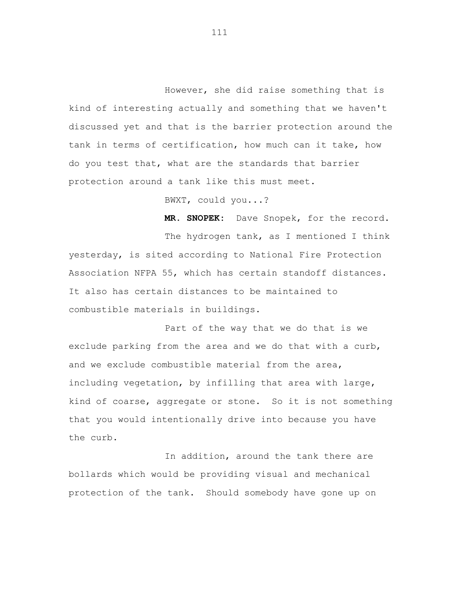However, she did raise something that is kind of interesting actually and something that we haven't discussed yet and that is the barrier protection around the tank in terms of certification, how much can it take, how do you test that, what are the standards that barrier protection around a tank like this must meet.

BWXT, could you...?

**MR. SNOPEK:** Dave Snopek, for the record.

The hydrogen tank, as I mentioned I think yesterday, is sited according to National Fire Protection Association NFPA 55, which has certain standoff distances. It also has certain distances to be maintained to combustible materials in buildings.

Part of the way that we do that is we exclude parking from the area and we do that with a curb, and we exclude combustible material from the area, including vegetation, by infilling that area with large, kind of coarse, aggregate or stone. So it is not something that you would intentionally drive into because you have the curb.

In addition, around the tank there are bollards which would be providing visual and mechanical protection of the tank. Should somebody have gone up on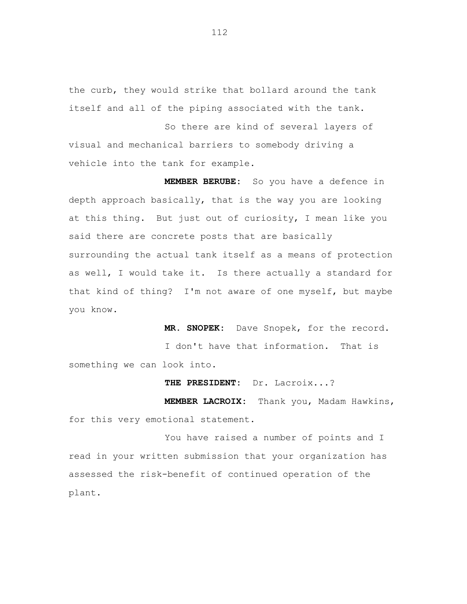the curb, they would strike that bollard around the tank itself and all of the piping associated with the tank.

So there are kind of several layers of visual and mechanical barriers to somebody driving a vehicle into the tank for example.

**MEMBER BERUBE:** So you have a defence in depth approach basically, that is the way you are looking at this thing. But just out of curiosity, I mean like you said there are concrete posts that are basically surrounding the actual tank itself as a means of protection as well, I would take it. Is there actually a standard for that kind of thing? I'm not aware of one myself, but maybe you know.

**MR. SNOPEK:** Dave Snopek, for the record. I don't have that information. That is something we can look into.

**THE PRESIDENT:** Dr. Lacroix...?

**MEMBER LACROIX:** Thank you, Madam Hawkins, for this very emotional statement.

You have raised a number of points and I read in your written submission that your organization has assessed the risk-benefit of continued operation of the plant.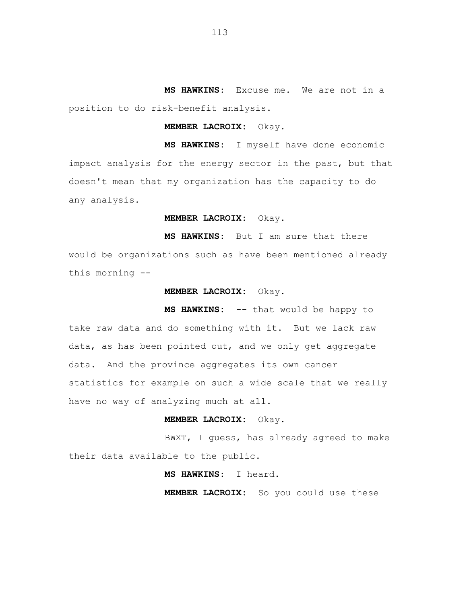**MS HAWKINS:** Excuse me. We are not in a position to do risk-benefit analysis.

## **MEMBER LACROIX:** Okay.

**MS HAWKINS:** I myself have done economic impact analysis for the energy sector in the past, but that doesn't mean that my organization has the capacity to do any analysis.

## **MEMBER LACROIX:** Okay.

**MS HAWKINS:** But I am sure that there would be organizations such as have been mentioned already this morning --

### **MEMBER LACROIX:** Okay.

**MS HAWKINS:** -- that would be happy to take raw data and do something with it. But we lack raw data, as has been pointed out, and we only get aggregate data. And the province aggregates its own cancer statistics for example on such a wide scale that we really have no way of analyzing much at all.

# **MEMBER LACROIX:** Okay.

BWXT, I guess, has already agreed to make their data available to the public.

# **MS HAWKINS:** I heard.

**MEMBER LACROIX:** So you could use these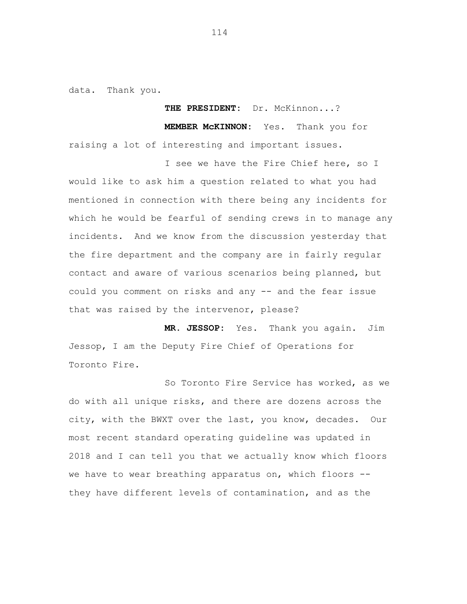data. Thank you.

**THE PRESIDENT:** Dr. McKinnon...?

**MEMBER McKINNON:** Yes. Thank you for raising a lot of interesting and important issues.

I see we have the Fire Chief here, so I would like to ask him a question related to what you had mentioned in connection with there being any incidents for which he would be fearful of sending crews in to manage any incidents. And we know from the discussion yesterday that the fire department and the company are in fairly regular contact and aware of various scenarios being planned, but could you comment on risks and any -- and the fear issue that was raised by the intervenor, please?

**MR. JESSOP:** Yes. Thank you again. Jim Jessop, I am the Deputy Fire Chief of Operations for Toronto Fire.

So Toronto Fire Service has worked, as we do with all unique risks, and there are dozens across the city, with the BWXT over the last, you know, decades. Our most recent standard operating guideline was updated in 2018 and I can tell you that we actually know which floors we have to wear breathing apparatus on, which floors -they have different levels of contamination, and as the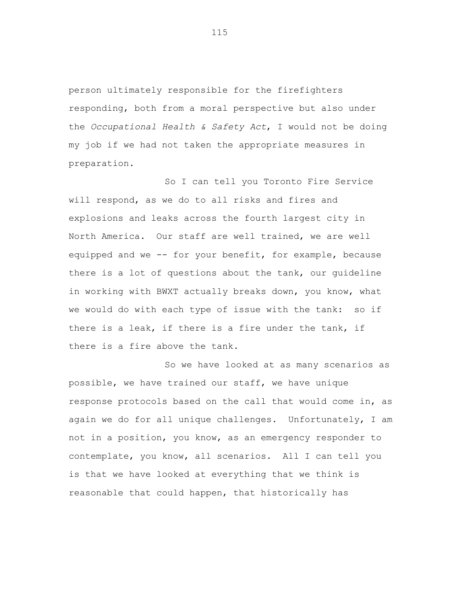person ultimately responsible for the firefighters responding, both from a moral perspective but also under the *Occupational Health & Safety Act*, I would not be doing my job if we had not taken the appropriate measures in preparation.

So I can tell you Toronto Fire Service will respond, as we do to all risks and fires and explosions and leaks across the fourth largest city in North America. Our staff are well trained, we are well equipped and we -- for your benefit, for example, because there is a lot of questions about the tank, our guideline in working with BWXT actually breaks down, you know, what we would do with each type of issue with the tank: so if there is a leak, if there is a fire under the tank, if there is a fire above the tank.

So we have looked at as many scenarios as possible, we have trained our staff, we have unique response protocols based on the call that would come in, as again we do for all unique challenges. Unfortunately, I am not in a position, you know, as an emergency responder to contemplate, you know, all scenarios. All I can tell you is that we have looked at everything that we think is reasonable that could happen, that historically has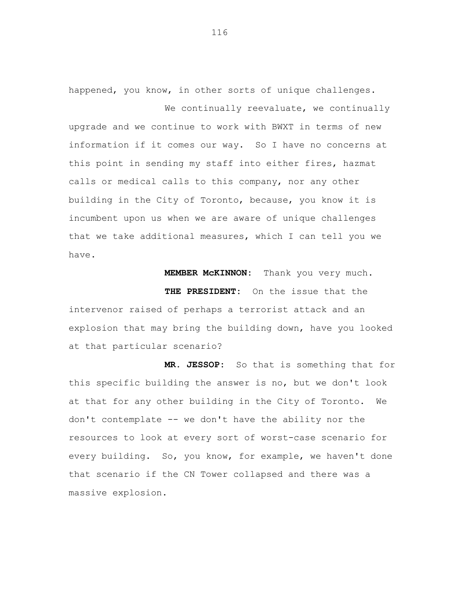happened, you know, in other sorts of unique challenges. We continually reevaluate, we continually

upgrade and we continue to work with BWXT in terms of new information if it comes our way. So I have no concerns at this point in sending my staff into either fires, hazmat calls or medical calls to this company, nor any other building in the City of Toronto, because, you know it is incumbent upon us when we are aware of unique challenges that we take additional measures, which I can tell you we have.

**MEMBER McKINNON:** Thank you very much.

**THE PRESIDENT:** On the issue that the intervenor raised of perhaps a terrorist attack and an explosion that may bring the building down, have you looked at that particular scenario?

**MR. JESSOP:** So that is something that for this specific building the answer is no, but we don't look at that for any other building in the City of Toronto. We don't contemplate -- we don't have the ability nor the resources to look at every sort of worst-case scenario for every building. So, you know, for example, we haven't done that scenario if the CN Tower collapsed and there was a massive explosion.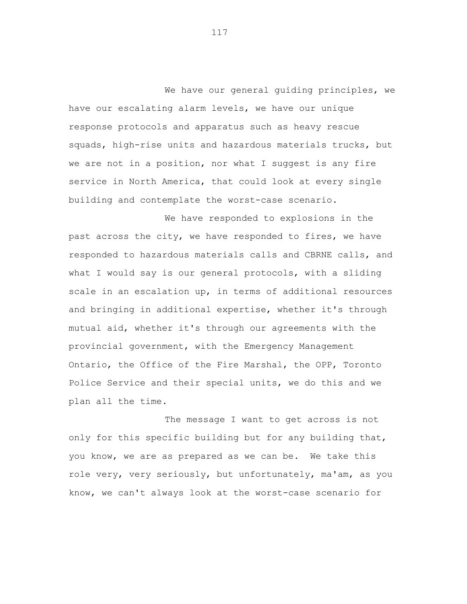We have our general quiding principles, we have our escalating alarm levels, we have our unique response protocols and apparatus such as heavy rescue squads, high-rise units and hazardous materials trucks, but we are not in a position, nor what I suggest is any fire service in North America, that could look at every single building and contemplate the worst-case scenario.

We have responded to explosions in the past across the city, we have responded to fires, we have responded to hazardous materials calls and CBRNE calls, and what I would say is our general protocols, with a sliding scale in an escalation up, in terms of additional resources and bringing in additional expertise, whether it's through mutual aid, whether it's through our agreements with the provincial government, with the Emergency Management Ontario, the Office of the Fire Marshal, the OPP, Toronto Police Service and their special units, we do this and we plan all the time.

The message I want to get across is not only for this specific building but for any building that, you know, we are as prepared as we can be. We take this role very, very seriously, but unfortunately, ma'am, as you know, we can't always look at the worst-case scenario for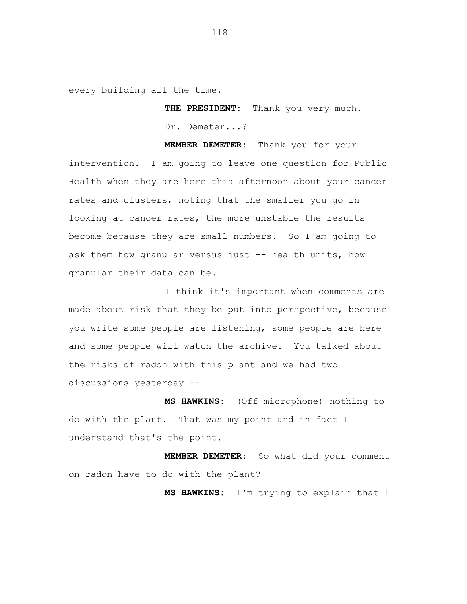every building all the time.

**THE PRESIDENT:** Thank you very much. Dr. Demeter...?

**MEMBER DEMETER:** Thank you for your intervention. I am going to leave one question for Public Health when they are here this afternoon about your cancer rates and clusters, noting that the smaller you go in looking at cancer rates, the more unstable the results become because they are small numbers. So I am going to ask them how granular versus just -- health units, how granular their data can be.

I think it's important when comments are made about risk that they be put into perspective, because you write some people are listening, some people are here and some people will watch the archive. You talked about the risks of radon with this plant and we had two discussions yesterday --

**MS HAWKINS:** (Off microphone) nothing to do with the plant. That was my point and in fact I understand that's the point.

**MEMBER DEMETER:** So what did your comment on radon have to do with the plant?

**MS HAWKINS:** I'm trying to explain that I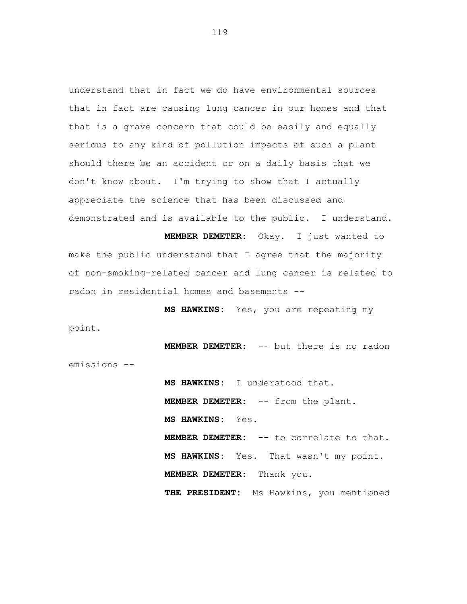understand that in fact we do have environmental sources that in fact are causing lung cancer in our homes and that that is a grave concern that could be easily and equally serious to any kind of pollution impacts of such a plant should there be an accident or on a daily basis that we don't know about. I'm trying to show that I actually appreciate the science that has been discussed and demonstrated and is available to the public. I understand.

**MEMBER DEMETER:** Okay. I just wanted to make the public understand that I agree that the majority of non-smoking-related cancer and lung cancer is related to radon in residential homes and basements --

**MS HAWKINS:** Yes, you are repeating my point.

**MEMBER DEMETER:** -- but there is no radon emissions --

> **MS HAWKINS:** I understood that. **MEMBER DEMETER:** -- from the plant. **MS HAWKINS:** Yes. **MEMBER DEMETER:** -- to correlate to that. **MS HAWKINS:** Yes. That wasn't my point. **MEMBER DEMETER:** Thank you. **THE PRESIDENT:** Ms Hawkins, you mentioned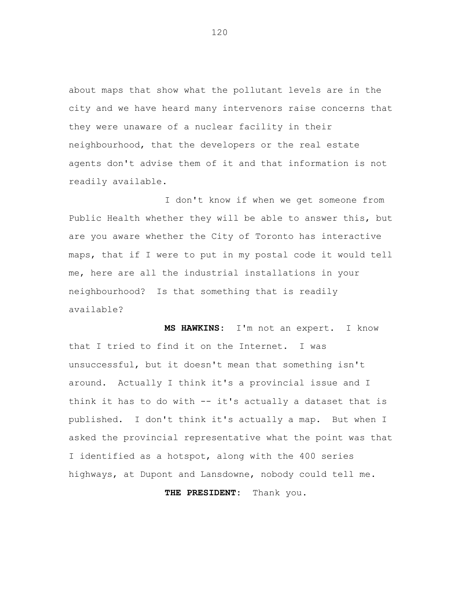about maps that show what the pollutant levels are in the city and we have heard many intervenors raise concerns that they were unaware of a nuclear facility in their neighbourhood, that the developers or the real estate agents don't advise them of it and that information is not readily available.

I don't know if when we get someone from Public Health whether they will be able to answer this, but are you aware whether the City of Toronto has interactive maps, that if I were to put in my postal code it would tell me, here are all the industrial installations in your neighbourhood? Is that something that is readily available?

**MS HAWKINS:** I'm not an expert. I know that I tried to find it on the Internet. I was unsuccessful, but it doesn't mean that something isn't around. Actually I think it's a provincial issue and I think it has to do with -- it's actually a dataset that is published. I don't think it's actually a map. But when I asked the provincial representative what the point was that I identified as a hotspot, along with the 400 series highways, at Dupont and Lansdowne, nobody could tell me.

**THE PRESIDENT:** Thank you.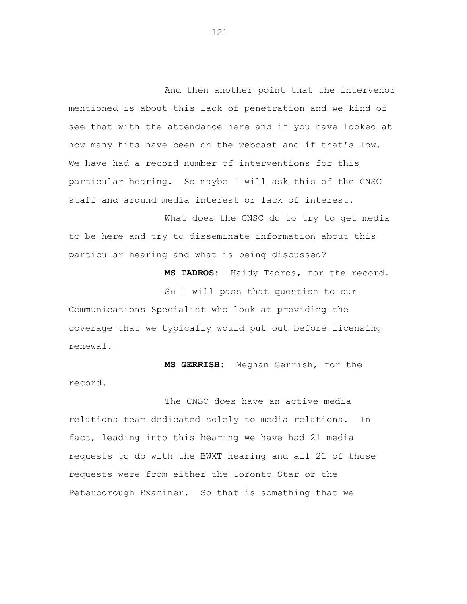And then another point that the intervenor mentioned is about this lack of penetration and we kind of see that with the attendance here and if you have looked at how many hits have been on the webcast and if that's low. We have had a record number of interventions for this particular hearing. So maybe I will ask this of the CNSC staff and around media interest or lack of interest.

What does the CNSC do to try to get media to be here and try to disseminate information about this particular hearing and what is being discussed?

**MS TADROS:** Haidy Tadros, for the record.

So I will pass that question to our Communications Specialist who look at providing the coverage that we typically would put out before licensing renewal.

**MS GERRISH:** Meghan Gerrish, for the record.

The CNSC does have an active media relations team dedicated solely to media relations. In fact, leading into this hearing we have had 21 media requests to do with the BWXT hearing and all 21 of those requests were from either the Toronto Star or the Peterborough Examiner. So that is something that we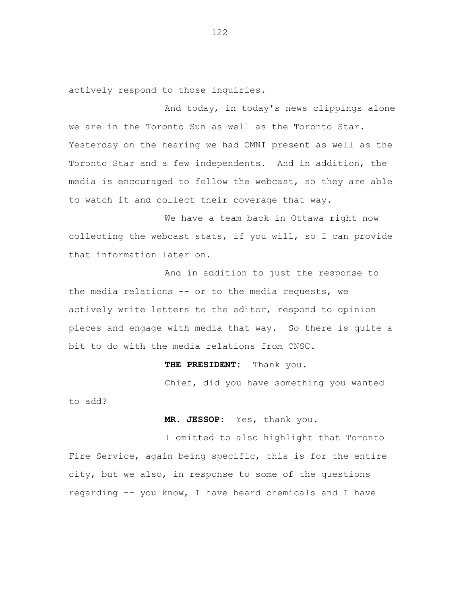actively respond to those inquiries.

And today, in today's news clippings alone we are in the Toronto Sun as well as the Toronto Star. Yesterday on the hearing we had OMNI present as well as the Toronto Star and a few independents. And in addition, the media is encouraged to follow the webcast, so they are able to watch it and collect their coverage that way.

We have a team back in Ottawa right now collecting the webcast stats, if you will, so I can provide that information later on.

And in addition to just the response to the media relations -- or to the media requests, we actively write letters to the editor, respond to opinion pieces and engage with media that way. So there is quite a bit to do with the media relations from CNSC.

### **THE PRESIDENT:** Thank you.

Chief, did you have something you wanted to add?

**MR. JESSOP:** Yes, thank you.

I omitted to also highlight that Toronto Fire Service, again being specific, this is for the entire city, but we also, in response to some of the questions regarding -- you know, I have heard chemicals and I have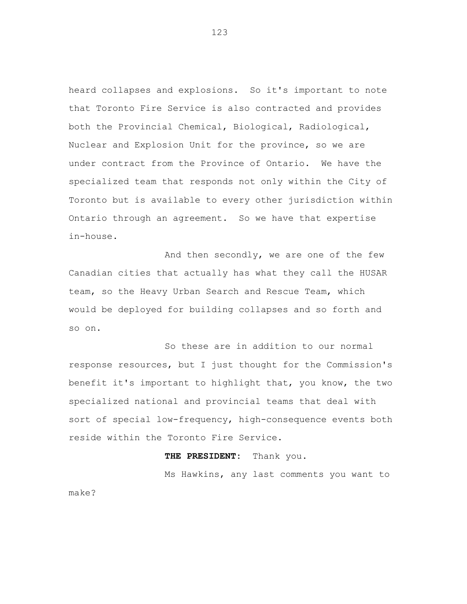heard collapses and explosions. So it's important to note that Toronto Fire Service is also contracted and provides both the Provincial Chemical, Biological, Radiological, Nuclear and Explosion Unit for the province, so we are under contract from the Province of Ontario. We have the specialized team that responds not only within the City of Toronto but is available to every other jurisdiction within Ontario through an agreement. So we have that expertise in-house.

And then secondly, we are one of the few Canadian cities that actually has what they call the HUSAR team, so the Heavy Urban Search and Rescue Team, which would be deployed for building collapses and so forth and so on.

So these are in addition to our normal response resources, but I just thought for the Commission's benefit it's important to highlight that, you know, the two specialized national and provincial teams that deal with sort of special low-frequency, high-consequence events both reside within the Toronto Fire Service.

#### **THE PRESIDENT:** Thank you.

Ms Hawkins, any last comments you want to make?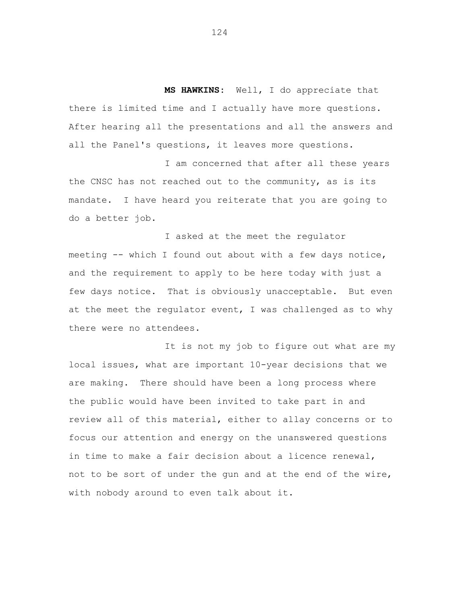**MS HAWKINS:** Well, I do appreciate that there is limited time and I actually have more questions. After hearing all the presentations and all the answers and all the Panel's questions, it leaves more questions.

I am concerned that after all these years the CNSC has not reached out to the community, as is its mandate. I have heard you reiterate that you are going to do a better job.

I asked at the meet the regulator meeting -- which I found out about with a few days notice, and the requirement to apply to be here today with just a few days notice. That is obviously unacceptable. But even at the meet the regulator event, I was challenged as to why there were no attendees.

It is not my job to figure out what are my local issues, what are important 10-year decisions that we are making. There should have been a long process where the public would have been invited to take part in and review all of this material, either to allay concerns or to focus our attention and energy on the unanswered questions in time to make a fair decision about a licence renewal, not to be sort of under the gun and at the end of the wire, with nobody around to even talk about it.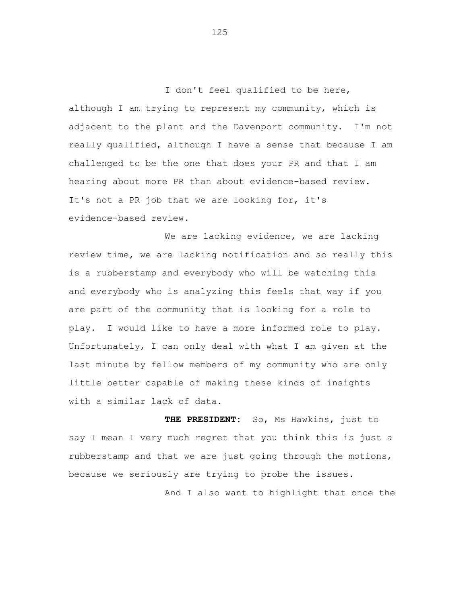I don't feel qualified to be here, although I am trying to represent my community, which is adjacent to the plant and the Davenport community. I'm not really qualified, although I have a sense that because I am challenged to be the one that does your PR and that I am hearing about more PR than about evidence-based review. It's not a PR job that we are looking for, it's evidence-based review.

We are lacking evidence, we are lacking review time, we are lacking notification and so really this is a rubberstamp and everybody who will be watching this and everybody who is analyzing this feels that way if you are part of the community that is looking for a role to play. I would like to have a more informed role to play. Unfortunately, I can only deal with what I am given at the last minute by fellow members of my community who are only little better capable of making these kinds of insights with a similar lack of data.

**THE PRESIDENT:** So, Ms Hawkins, just to say I mean I very much regret that you think this is just a rubberstamp and that we are just going through the motions, because we seriously are trying to probe the issues. And I also want to highlight that once the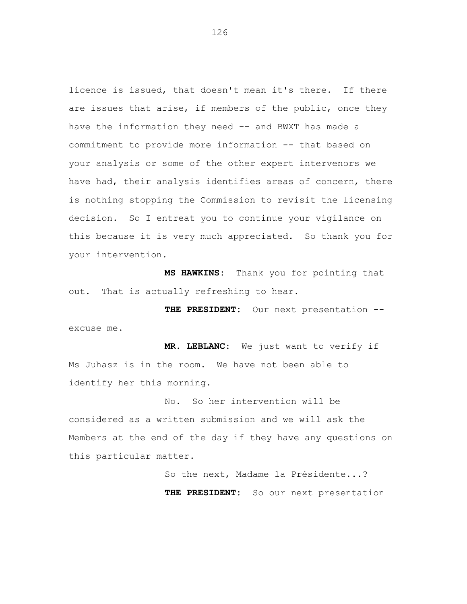licence is issued, that doesn't mean it's there. If there are issues that arise, if members of the public, once they have the information they need -- and BWXT has made a commitment to provide more information -- that based on your analysis or some of the other expert intervenors we have had, their analysis identifies areas of concern, there is nothing stopping the Commission to revisit the licensing decision. So I entreat you to continue your vigilance on this because it is very much appreciated. So thank you for your intervention.

**MS HAWKINS:** Thank you for pointing that out. That is actually refreshing to hear.

**THE PRESIDENT:** Our next presentation - excuse me.

**MR. LEBLANC:** We just want to verify if Ms Juhasz is in the room. We have not been able to identify her this morning.

No. So her intervention will be considered as a written submission and we will ask the Members at the end of the day if they have any questions on this particular matter.

> So the next, Madame la Présidente...? **THE PRESIDENT:** So our next presentation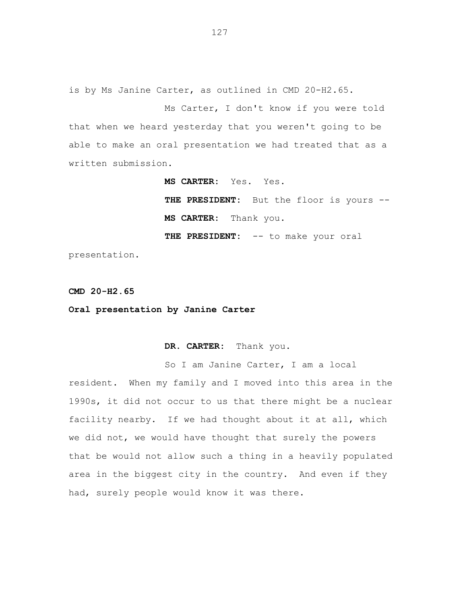is by Ms Janine Carter, as outlined in CMD 20-H2.65.

Ms Carter, I don't know if you were told that when we heard yesterday that you weren't going to be able to make an oral presentation we had treated that as a written submission.

**MS CARTER:** Yes. Yes.

**THE PRESIDENT:** But the floor is yours -- **MS CARTER:** Thank you. **THE PRESIDENT:** -- to make your oral

presentation.

**CMD 20-H2.65**

**Oral presentation by Janine Carter**

**DR. CARTER:** Thank you.

So I am Janine Carter, I am a local resident. When my family and I moved into this area in the 1990s, it did not occur to us that there might be a nuclear facility nearby. If we had thought about it at all, which we did not, we would have thought that surely the powers that be would not allow such a thing in a heavily populated area in the biggest city in the country. And even if they had, surely people would know it was there.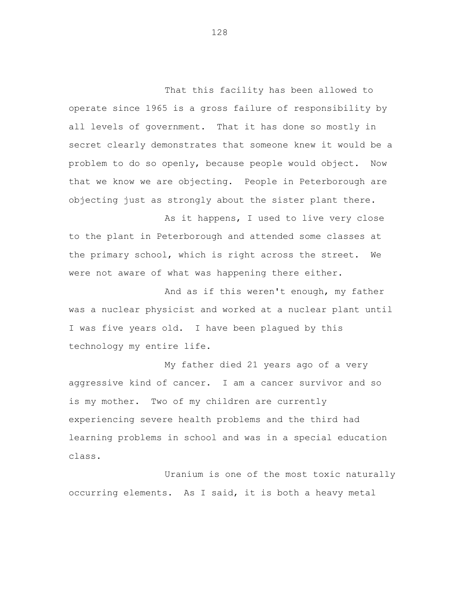That this facility has been allowed to operate since 1965 is a gross failure of responsibility by all levels of government. That it has done so mostly in secret clearly demonstrates that someone knew it would be a problem to do so openly, because people would object. Now that we know we are objecting. People in Peterborough are objecting just as strongly about the sister plant there.

As it happens, I used to live very close to the plant in Peterborough and attended some classes at the primary school, which is right across the street. We were not aware of what was happening there either.

And as if this weren't enough, my father was a nuclear physicist and worked at a nuclear plant until I was five years old. I have been plagued by this technology my entire life.

My father died 21 years ago of a very aggressive kind of cancer. I am a cancer survivor and so is my mother. Two of my children are currently experiencing severe health problems and the third had learning problems in school and was in a special education class.

Uranium is one of the most toxic naturally occurring elements. As I said, it is both a heavy metal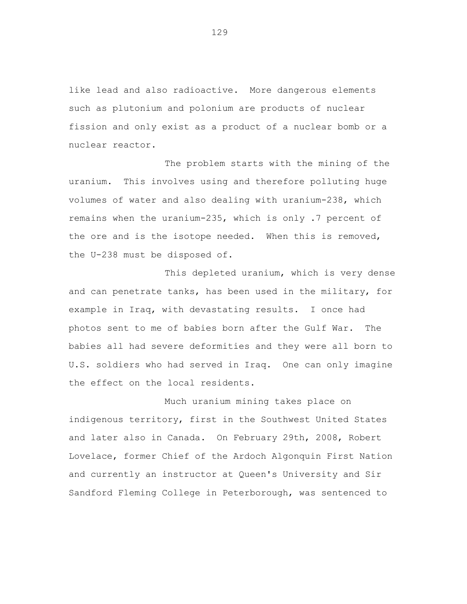like lead and also radioactive. More dangerous elements such as plutonium and polonium are products of nuclear fission and only exist as a product of a nuclear bomb or a nuclear reactor.

The problem starts with the mining of the uranium. This involves using and therefore polluting huge volumes of water and also dealing with uranium-238, which remains when the uranium-235, which is only .7 percent of the ore and is the isotope needed. When this is removed, the U-238 must be disposed of.

This depleted uranium, which is very dense and can penetrate tanks, has been used in the military, for example in Iraq, with devastating results. I once had photos sent to me of babies born after the Gulf War. The babies all had severe deformities and they were all born to U.S. soldiers who had served in Iraq. One can only imagine the effect on the local residents.

Much uranium mining takes place on indigenous territory, first in the Southwest United States and later also in Canada. On February 29th, 2008, Robert Lovelace, former Chief of the Ardoch Algonquin First Nation and currently an instructor at Queen's University and Sir Sandford Fleming College in Peterborough, was sentenced to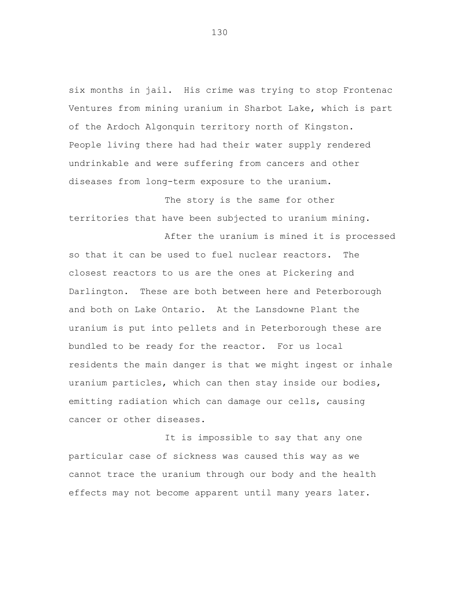six months in jail. His crime was trying to stop Frontenac Ventures from mining uranium in Sharbot Lake, which is part of the Ardoch Algonquin territory north of Kingston. People living there had had their water supply rendered undrinkable and were suffering from cancers and other diseases from long-term exposure to the uranium.

The story is the same for other territories that have been subjected to uranium mining.

After the uranium is mined it is processed so that it can be used to fuel nuclear reactors. The closest reactors to us are the ones at Pickering and Darlington. These are both between here and Peterborough and both on Lake Ontario. At the Lansdowne Plant the uranium is put into pellets and in Peterborough these are bundled to be ready for the reactor. For us local residents the main danger is that we might ingest or inhale uranium particles, which can then stay inside our bodies, emitting radiation which can damage our cells, causing cancer or other diseases.

It is impossible to say that any one particular case of sickness was caused this way as we cannot trace the uranium through our body and the health effects may not become apparent until many years later.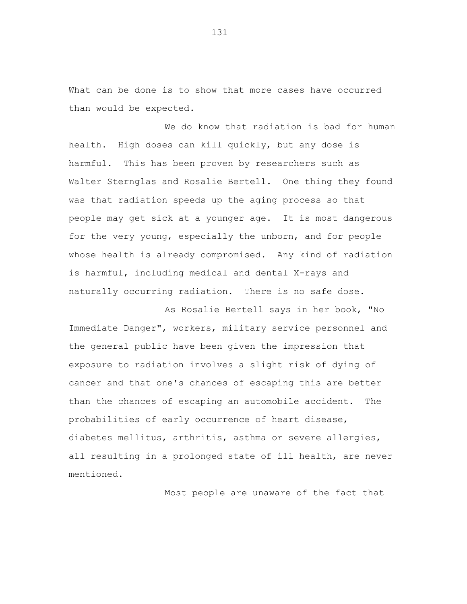What can be done is to show that more cases have occurred than would be expected.

We do know that radiation is bad for human health. High doses can kill quickly, but any dose is harmful. This has been proven by researchers such as Walter Sternglas and Rosalie Bertell. One thing they found was that radiation speeds up the aging process so that people may get sick at a younger age. It is most dangerous for the very young, especially the unborn, and for people whose health is already compromised. Any kind of radiation is harmful, including medical and dental X-rays and naturally occurring radiation. There is no safe dose.

As Rosalie Bertell says in her book, "No Immediate Danger", workers, military service personnel and the general public have been given the impression that exposure to radiation involves a slight risk of dying of cancer and that one's chances of escaping this are better than the chances of escaping an automobile accident. The probabilities of early occurrence of heart disease, diabetes mellitus, arthritis, asthma or severe allergies, all resulting in a prolonged state of ill health, are never mentioned.

Most people are unaware of the fact that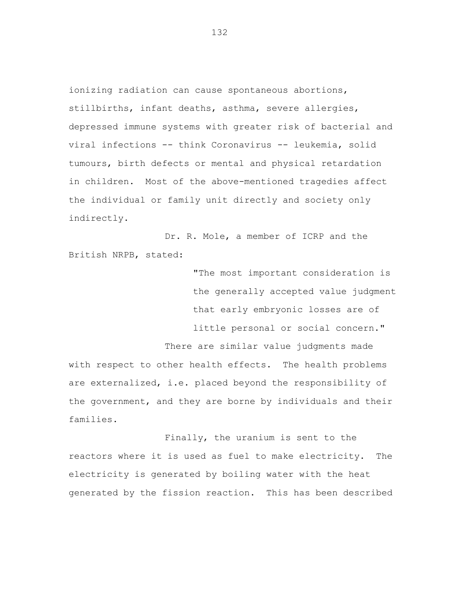ionizing radiation can cause spontaneous abortions, stillbirths, infant deaths, asthma, severe allergies, depressed immune systems with greater risk of bacterial and viral infections -- think Coronavirus -- leukemia, solid tumours, birth defects or mental and physical retardation in children. Most of the above-mentioned tragedies affect the individual or family unit directly and society only indirectly.

Dr. R. Mole, a member of ICRP and the British NRPB, stated:

> "The most important consideration is the generally accepted value judgment that early embryonic losses are of little personal or social concern."

There are similar value judgments made with respect to other health effects. The health problems are externalized, i.e. placed beyond the responsibility of the government, and they are borne by individuals and their families.

Finally, the uranium is sent to the reactors where it is used as fuel to make electricity. The electricity is generated by boiling water with the heat generated by the fission reaction. This has been described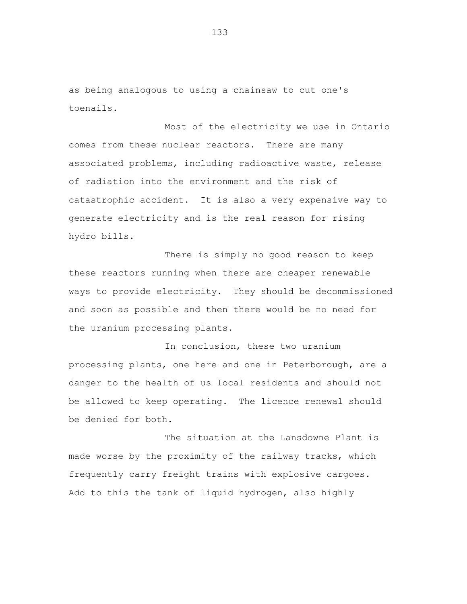as being analogous to using a chainsaw to cut one's toenails.

Most of the electricity we use in Ontario comes from these nuclear reactors. There are many associated problems, including radioactive waste, release of radiation into the environment and the risk of catastrophic accident. It is also a very expensive way to generate electricity and is the real reason for rising hydro bills.

There is simply no good reason to keep these reactors running when there are cheaper renewable ways to provide electricity. They should be decommissioned and soon as possible and then there would be no need for the uranium processing plants.

In conclusion, these two uranium processing plants, one here and one in Peterborough, are a danger to the health of us local residents and should not be allowed to keep operating. The licence renewal should be denied for both.

The situation at the Lansdowne Plant is made worse by the proximity of the railway tracks, which frequently carry freight trains with explosive cargoes. Add to this the tank of liquid hydrogen, also highly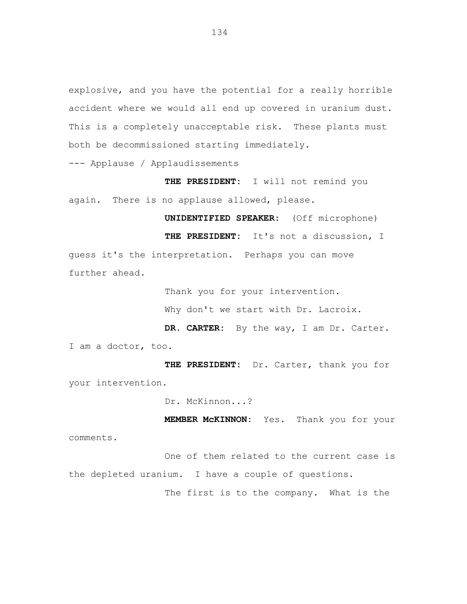explosive, and you have the potential for a really horrible accident where we would all end up covered in uranium dust. This is a completely unacceptable risk. These plants must both be decommissioned starting immediately.

--- Applause / Applaudissements

**THE PRESIDENT:** I will not remind you again. There is no applause allowed, please.

**UNIDENTIFIED SPEAKER:** (Off microphone) **THE PRESIDENT:** It's not a discussion, I guess it's the interpretation. Perhaps you can move further ahead.

Thank you for your intervention.

Why don't we start with Dr. Lacroix.

**DR. CARTER:** By the way, I am Dr. Carter. I am a doctor, too.

**THE PRESIDENT:** Dr. Carter, thank you for your intervention.

Dr. McKinnon...?

**MEMBER McKINNON:** Yes. Thank you for your

comments.

One of them related to the current case is the depleted uranium. I have a couple of questions.

The first is to the company. What is the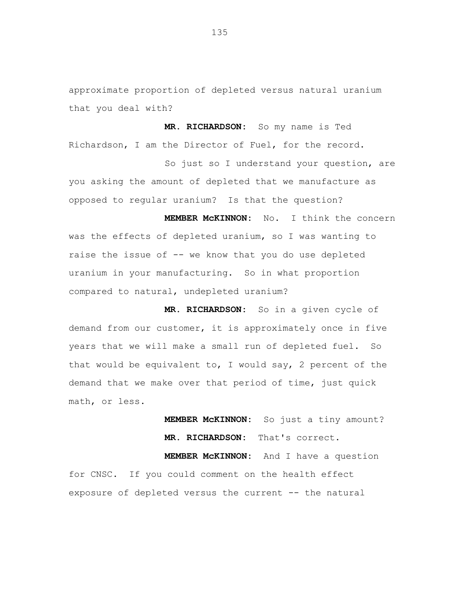approximate proportion of depleted versus natural uranium that you deal with?

**MR. RICHARDSON:** So my name is Ted Richardson, I am the Director of Fuel, for the record.

So just so I understand your question, are you asking the amount of depleted that we manufacture as opposed to regular uranium? Is that the question?

**MEMBER McKINNON:** No. I think the concern was the effects of depleted uranium, so I was wanting to raise the issue of -- we know that you do use depleted uranium in your manufacturing. So in what proportion compared to natural, undepleted uranium?

**MR. RICHARDSON:** So in a given cycle of demand from our customer, it is approximately once in five years that we will make a small run of depleted fuel. So that would be equivalent to, I would say, 2 percent of the demand that we make over that period of time, just quick math, or less.

> **MEMBER McKINNON:** So just a tiny amount? **MR. RICHARDSON:** That's correct.

**MEMBER McKINNON:** And I have a question for CNSC. If you could comment on the health effect exposure of depleted versus the current -- the natural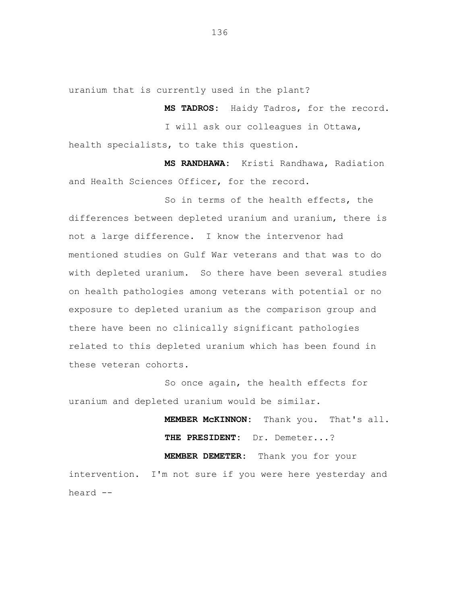uranium that is currently used in the plant?

**MS TADROS:** Haidy Tadros, for the record.

I will ask our colleagues in Ottawa, health specialists, to take this question.

**MS RANDHAWA:** Kristi Randhawa, Radiation and Health Sciences Officer, for the record.

So in terms of the health effects, the differences between depleted uranium and uranium, there is not a large difference. I know the intervenor had mentioned studies on Gulf War veterans and that was to do with depleted uranium. So there have been several studies on health pathologies among veterans with potential or no exposure to depleted uranium as the comparison group and there have been no clinically significant pathologies related to this depleted uranium which has been found in these veteran cohorts.

So once again, the health effects for uranium and depleted uranium would be similar.

> **MEMBER McKINNON:** Thank you. That's all. **THE PRESIDENT:** Dr. Demeter...?

**MEMBER DEMETER:** Thank you for your intervention. I'm not sure if you were here yesterday and heard --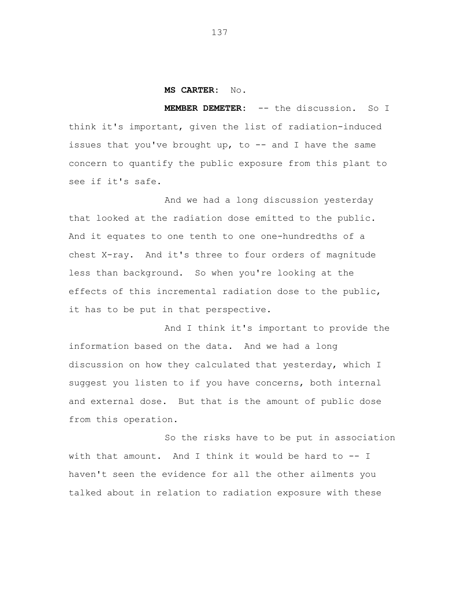#### **MS CARTER:** No.

**MEMBER DEMETER:** -- the discussion. So I think it's important, given the list of radiation-induced issues that you've brought up, to  $--$  and I have the same concern to quantify the public exposure from this plant to see if it's safe.

And we had a long discussion yesterday that looked at the radiation dose emitted to the public. And it equates to one tenth to one one-hundredths of a chest X-ray. And it's three to four orders of magnitude less than background. So when you're looking at the effects of this incremental radiation dose to the public, it has to be put in that perspective.

And I think it's important to provide the information based on the data. And we had a long discussion on how they calculated that yesterday, which I suggest you listen to if you have concerns, both internal and external dose. But that is the amount of public dose from this operation.

So the risks have to be put in association with that amount. And I think it would be hard to -- I haven't seen the evidence for all the other ailments you talked about in relation to radiation exposure with these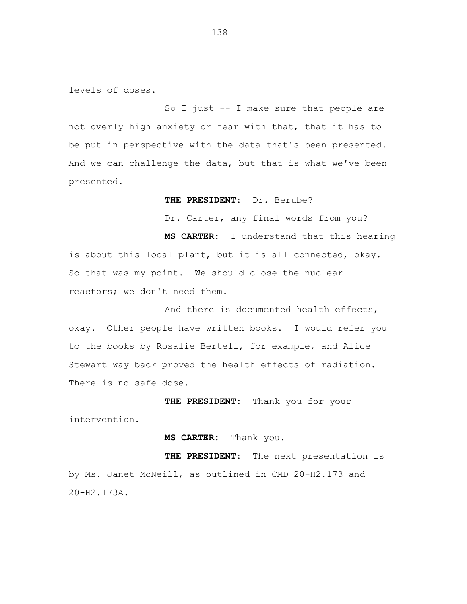levels of doses.

So I just -- I make sure that people are not overly high anxiety or fear with that, that it has to be put in perspective with the data that's been presented. And we can challenge the data, but that is what we've been presented.

**THE PRESIDENT:** Dr. Berube?

Dr. Carter, any final words from you?

**MS CARTER:** I understand that this hearing is about this local plant, but it is all connected, okay. So that was my point. We should close the nuclear reactors; we don't need them.

And there is documented health effects, okay. Other people have written books. I would refer you to the books by Rosalie Bertell, for example, and Alice Stewart way back proved the health effects of radiation. There is no safe dose.

**THE PRESIDENT:** Thank you for your intervention.

**MS CARTER:** Thank you.

**THE PRESIDENT:** The next presentation is by Ms. Janet McNeill, as outlined in CMD 20-H2.173 and 20-H2.173A.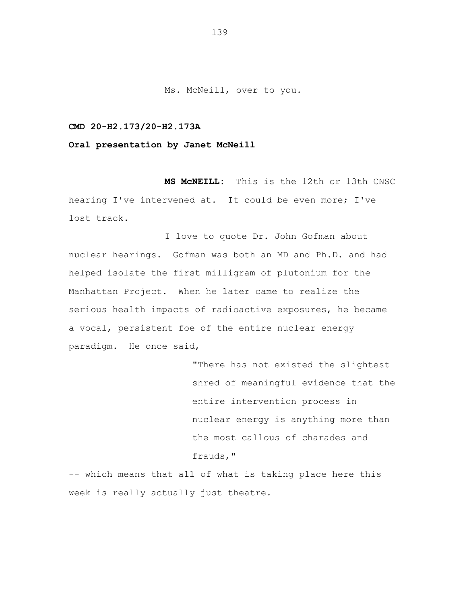Ms. McNeill, over to you.

## **CMD 20-H2.173/20-H2.173A**

**Oral presentation by Janet McNeill**

**MS McNEILL:** This is the 12th or 13th CNSC hearing I've intervened at. It could be even more; I've lost track.

I love to quote Dr. John Gofman about nuclear hearings. Gofman was both an MD and Ph.D. and had helped isolate the first milligram of plutonium for the Manhattan Project. When he later came to realize the serious health impacts of radioactive exposures, he became a vocal, persistent foe of the entire nuclear energy paradigm. He once said,

> "There has not existed the slightest shred of meaningful evidence that the entire intervention process in nuclear energy is anything more than the most callous of charades and frauds,"

-- which means that all of what is taking place here this week is really actually just theatre.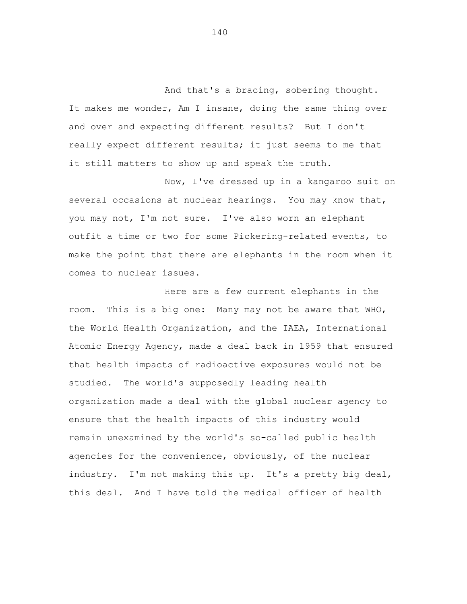And that's a bracing, sobering thought. It makes me wonder, Am I insane, doing the same thing over and over and expecting different results? But I don't really expect different results; it just seems to me that it still matters to show up and speak the truth.

Now, I've dressed up in a kangaroo suit on several occasions at nuclear hearings. You may know that, you may not, I'm not sure. I've also worn an elephant outfit a time or two for some Pickering-related events, to make the point that there are elephants in the room when it comes to nuclear issues.

Here are a few current elephants in the room. This is a big one: Many may not be aware that WHO, the World Health Organization, and the IAEA, International Atomic Energy Agency, made a deal back in 1959 that ensured that health impacts of radioactive exposures would not be studied. The world's supposedly leading health organization made a deal with the global nuclear agency to ensure that the health impacts of this industry would remain unexamined by the world's so-called public health agencies for the convenience, obviously, of the nuclear industry. I'm not making this up. It's a pretty big deal, this deal. And I have told the medical officer of health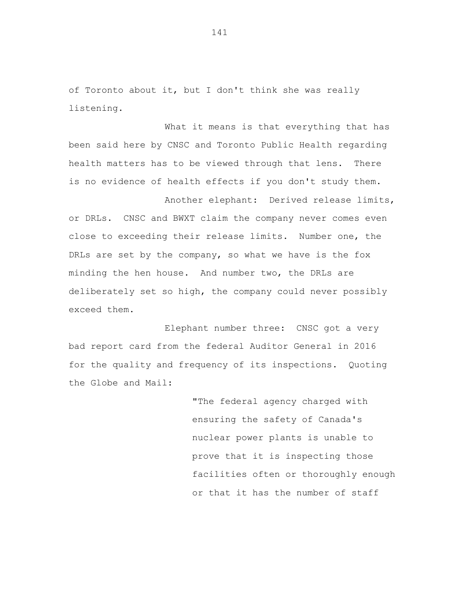of Toronto about it, but I don't think she was really listening.

What it means is that everything that has been said here by CNSC and Toronto Public Health regarding health matters has to be viewed through that lens. There is no evidence of health effects if you don't study them.

Another elephant: Derived release limits, or DRLs. CNSC and BWXT claim the company never comes even close to exceeding their release limits. Number one, the DRLs are set by the company, so what we have is the fox minding the hen house. And number two, the DRLs are deliberately set so high, the company could never possibly exceed them.

Elephant number three: CNSC got a very bad report card from the federal Auditor General in 2016 for the quality and frequency of its inspections. Quoting the Globe and Mail:

> "The federal agency charged with ensuring the safety of Canada's nuclear power plants is unable to prove that it is inspecting those facilities often or thoroughly enough or that it has the number of staff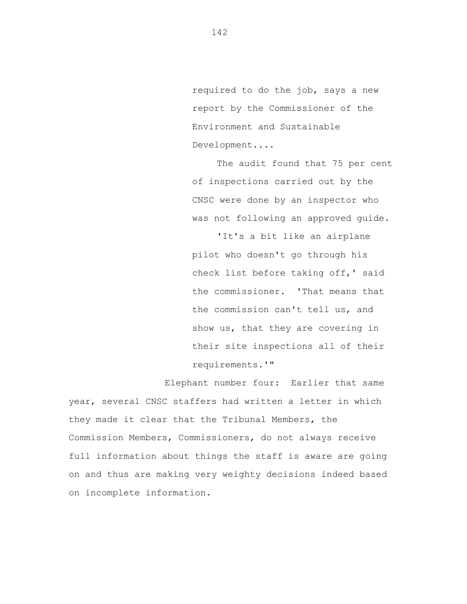required to do the job, says a new report by the Commissioner of the Environment and Sustainable Development....

The audit found that 75 per cent of inspections carried out by the CNSC were done by an inspector who was not following an approved guide.

'It's a bit like an airplane pilot who doesn't go through his check list before taking off,' said the commissioner. 'That means that the commission can't tell us, and show us, that they are covering in their site inspections all of their requirements.'"

Elephant number four: Earlier that same year, several CNSC staffers had written a letter in which they made it clear that the Tribunal Members, the Commission Members, Commissioners, do not always receive full information about things the staff is aware are going on and thus are making very weighty decisions indeed based on incomplete information.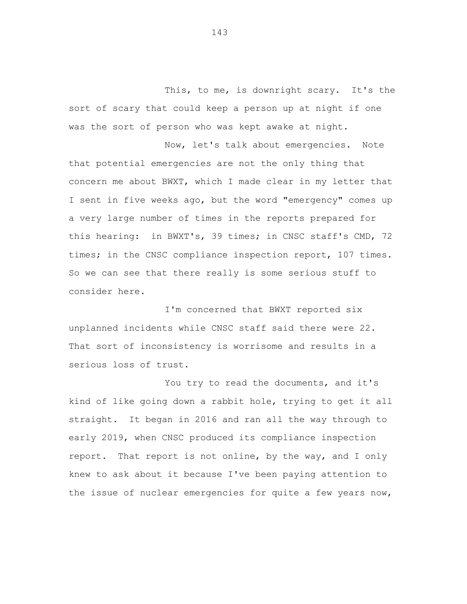This, to me, is downright scary. It's the sort of scary that could keep a person up at night if one was the sort of person who was kept awake at night.

Now, let's talk about emergencies. Note that potential emergencies are not the only thing that concern me about BWXT, which I made clear in my letter that I sent in five weeks ago, but the word "emergency" comes up a very large number of times in the reports prepared for this hearing: in BWXT's, 39 times; in CNSC staff's CMD, 72 times; in the CNSC compliance inspection report, 107 times. So we can see that there really is some serious stuff to consider here.

I'm concerned that BWXT reported six unplanned incidents while CNSC staff said there were 22. That sort of inconsistency is worrisome and results in a serious loss of trust.

You try to read the documents, and it's kind of like going down a rabbit hole, trying to get it all straight. It began in 2016 and ran all the way through to early 2019, when CNSC produced its compliance inspection report. That report is not online, by the way, and I only knew to ask about it because I've been paying attention to the issue of nuclear emergencies for quite a few years now,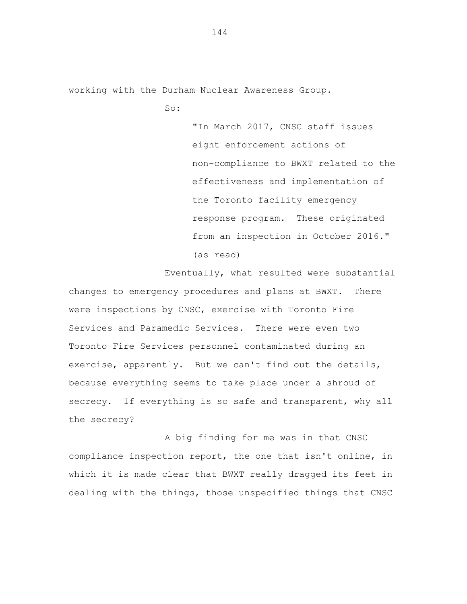working with the Durham Nuclear Awareness Group.

So:

"In March 2017, CNSC staff issues eight enforcement actions of non-compliance to BWXT related to the effectiveness and implementation of the Toronto facility emergency response program. These originated from an inspection in October 2016." (as read)

Eventually, what resulted were substantial changes to emergency procedures and plans at BWXT. There were inspections by CNSC, exercise with Toronto Fire Services and Paramedic Services. There were even two Toronto Fire Services personnel contaminated during an exercise, apparently. But we can't find out the details, because everything seems to take place under a shroud of secrecy. If everything is so safe and transparent, why all the secrecy?

A big finding for me was in that CNSC compliance inspection report, the one that isn't online, in which it is made clear that BWXT really dragged its feet in dealing with the things, those unspecified things that CNSC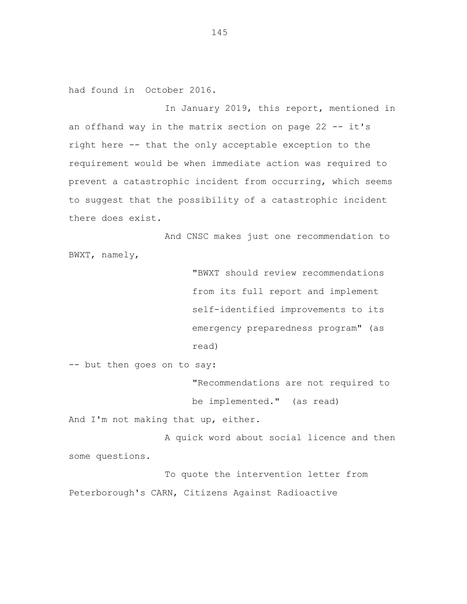had found in October 2016.

In January 2019, this report, mentioned in an offhand way in the matrix section on page 22 -- it's right here -- that the only acceptable exception to the requirement would be when immediate action was required to prevent a catastrophic incident from occurring, which seems to suggest that the possibility of a catastrophic incident there does exist.

And CNSC makes just one recommendation to BWXT, namely,

> "BWXT should review recommendations from its full report and implement self-identified improvements to its emergency preparedness program" (as read)

-- but then goes on to say:

"Recommendations are not required to be implemented." (as read)

And I'm not making that up, either.

A quick word about social licence and then some questions.

To quote the intervention letter from Peterborough's CARN, Citizens Against Radioactive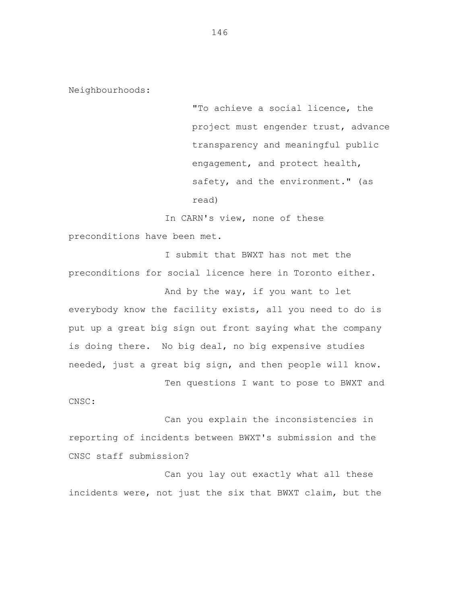Neighbourhoods:

"To achieve a social licence, the project must engender trust, advance transparency and meaningful public engagement, and protect health, safety, and the environment." (as read)

In CARN's view, none of these preconditions have been met.

I submit that BWXT has not met the preconditions for social licence here in Toronto either.

And by the way, if you want to let everybody know the facility exists, all you need to do is put up a great big sign out front saying what the company is doing there. No big deal, no big expensive studies needed, just a great big sign, and then people will know.

Ten questions I want to pose to BWXT and

CNSC:

Can you explain the inconsistencies in reporting of incidents between BWXT's submission and the CNSC staff submission?

Can you lay out exactly what all these incidents were, not just the six that BWXT claim, but the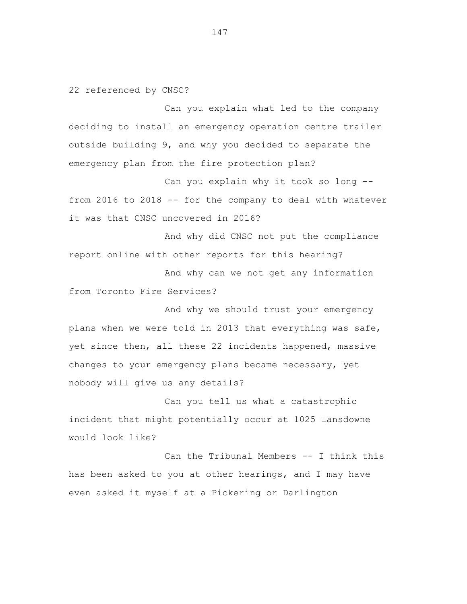22 referenced by CNSC?

Can you explain what led to the company deciding to install an emergency operation centre trailer outside building 9, and why you decided to separate the emergency plan from the fire protection plan?

Can you explain why it took so long - from 2016 to 2018 -- for the company to deal with whatever it was that CNSC uncovered in 2016?

And why did CNSC not put the compliance report online with other reports for this hearing?

And why can we not get any information from Toronto Fire Services?

And why we should trust your emergency plans when we were told in 2013 that everything was safe, yet since then, all these 22 incidents happened, massive changes to your emergency plans became necessary, yet nobody will give us any details?

Can you tell us what a catastrophic incident that might potentially occur at 1025 Lansdowne would look like?

Can the Tribunal Members -- I think this has been asked to you at other hearings, and I may have even asked it myself at a Pickering or Darlington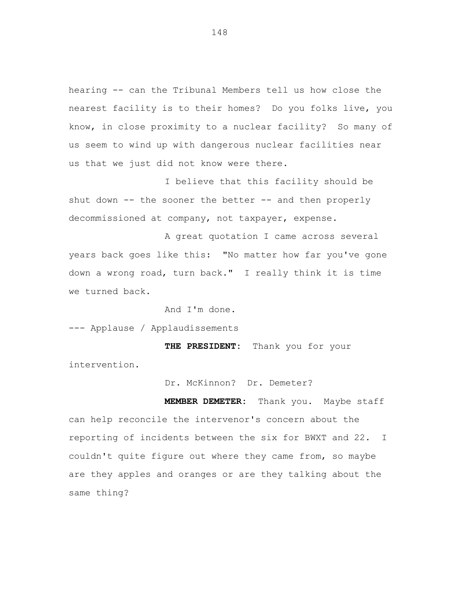hearing -- can the Tribunal Members tell us how close the nearest facility is to their homes? Do you folks live, you know, in close proximity to a nuclear facility? So many of us seem to wind up with dangerous nuclear facilities near us that we just did not know were there.

I believe that this facility should be shut down  $--$  the sooner the better  $--$  and then properly decommissioned at company, not taxpayer, expense.

A great quotation I came across several years back goes like this: "No matter how far you've gone down a wrong road, turn back." I really think it is time we turned back.

And I'm done.

--- Applause / Applaudissements

**THE PRESIDENT:** Thank you for your intervention.

Dr. McKinnon? Dr. Demeter?

**MEMBER DEMETER:** Thank you. Maybe staff can help reconcile the intervenor's concern about the reporting of incidents between the six for BWXT and 22. I couldn't quite figure out where they came from, so maybe are they apples and oranges or are they talking about the same thing?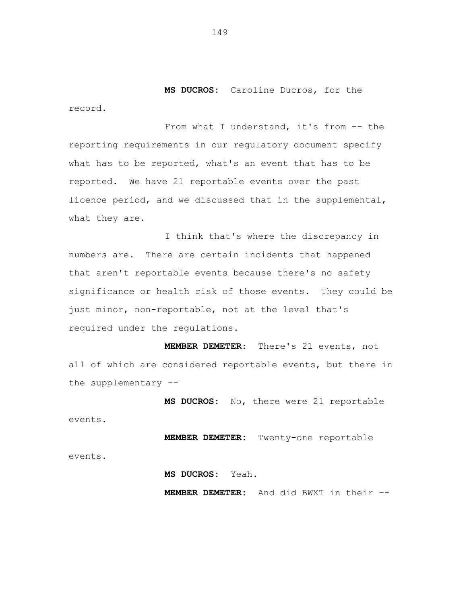**MS DUCROS:** Caroline Ducros, for the record.

From what I understand, it's from -- the reporting requirements in our regulatory document specify what has to be reported, what's an event that has to be reported. We have 21 reportable events over the past licence period, and we discussed that in the supplemental, what they are.

I think that's where the discrepancy in numbers are. There are certain incidents that happened that aren't reportable events because there's no safety significance or health risk of those events. They could be just minor, non-reportable, not at the level that's required under the regulations.

**MEMBER DEMETER:** There's 21 events, not all of which are considered reportable events, but there in the supplementary --

**MS DUCROS:** No, there were 21 reportable events.

**MEMBER DEMETER:** Twenty-one reportable events.

**MS DUCROS:** Yeah.

**MEMBER DEMETER:** And did BWXT in their --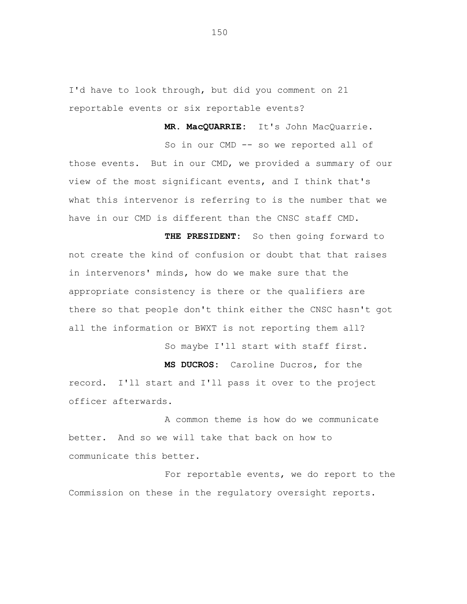I'd have to look through, but did you comment on 21 reportable events or six reportable events?

**MR. MacQUARRIE:** It's John MacQuarrie.

So in our CMD -- so we reported all of those events. But in our CMD, we provided a summary of our view of the most significant events, and I think that's what this intervenor is referring to is the number that we have in our CMD is different than the CNSC staff CMD.

**THE PRESIDENT:** So then going forward to not create the kind of confusion or doubt that that raises in intervenors' minds, how do we make sure that the appropriate consistency is there or the qualifiers are there so that people don't think either the CNSC hasn't got all the information or BWXT is not reporting them all?

So maybe I'll start with staff first.

**MS DUCROS:** Caroline Ducros, for the record. I'll start and I'll pass it over to the project officer afterwards.

A common theme is how do we communicate better. And so we will take that back on how to communicate this better.

For reportable events, we do report to the Commission on these in the regulatory oversight reports.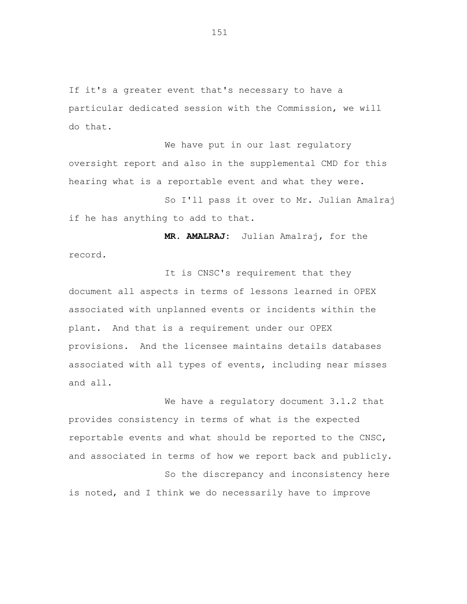If it's a greater event that's necessary to have a particular dedicated session with the Commission, we will do that.

We have put in our last regulatory oversight report and also in the supplemental CMD for this hearing what is a reportable event and what they were.

So I'll pass it over to Mr. Julian Amalraj if he has anything to add to that.

**MR. AMALRAJ:** Julian Amalraj, for the record.

It is CNSC's requirement that they document all aspects in terms of lessons learned in OPEX associated with unplanned events or incidents within the plant. And that is a requirement under our OPEX provisions. And the licensee maintains details databases associated with all types of events, including near misses and all.

We have a regulatory document 3.1.2 that provides consistency in terms of what is the expected reportable events and what should be reported to the CNSC, and associated in terms of how we report back and publicly. So the discrepancy and inconsistency here is noted, and I think we do necessarily have to improve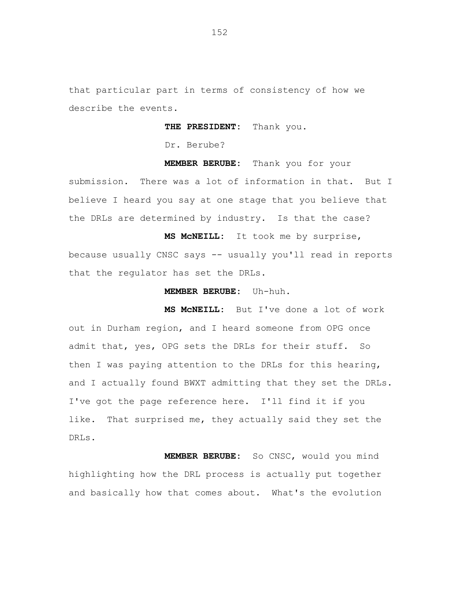that particular part in terms of consistency of how we describe the events.

**THE PRESIDENT:** Thank you.

Dr. Berube?

**MEMBER BERUBE:** Thank you for your submission. There was a lot of information in that. But I believe I heard you say at one stage that you believe that the DRLs are determined by industry. Is that the case?

**MS McNEILL:** It took me by surprise, because usually CNSC says -- usually you'll read in reports that the regulator has set the DRLs.

# **MEMBER BERUBE:** Uh-huh.

**MS McNEILL:** But I've done a lot of work out in Durham region, and I heard someone from OPG once admit that, yes, OPG sets the DRLs for their stuff. So then I was paying attention to the DRLs for this hearing, and I actually found BWXT admitting that they set the DRLs. I've got the page reference here. I'll find it if you like. That surprised me, they actually said they set the DRLs.

**MEMBER BERUBE:** So CNSC, would you mind highlighting how the DRL process is actually put together and basically how that comes about. What's the evolution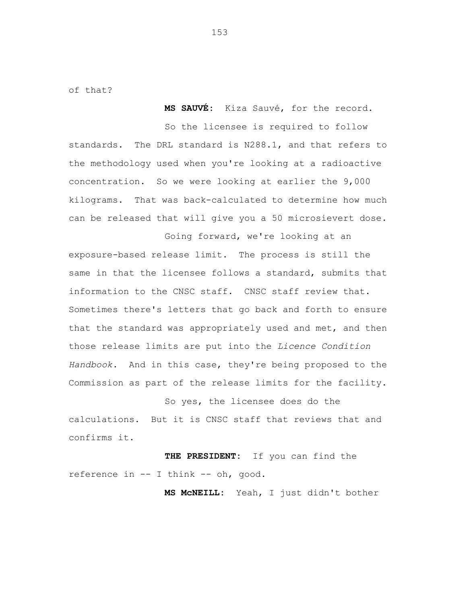of that?

**MS SAUVÉ:** Kiza Sauvé, for the record.

So the licensee is required to follow standards. The DRL standard is N288.1, and that refers to the methodology used when you're looking at a radioactive concentration. So we were looking at earlier the 9,000 kilograms. That was back-calculated to determine how much can be released that will give you a 50 microsievert dose.

Going forward, we're looking at an exposure-based release limit. The process is still the same in that the licensee follows a standard, submits that information to the CNSC staff. CNSC staff review that. Sometimes there's letters that go back and forth to ensure that the standard was appropriately used and met, and then those release limits are put into the *Licence Condition Handbook*. And in this case, they're being proposed to the Commission as part of the release limits for the facility.

So yes, the licensee does do the calculations. But it is CNSC staff that reviews that and confirms it.

**THE PRESIDENT:** If you can find the reference in -- I think -- oh, good.

**MS McNEILL:** Yeah, I just didn't bother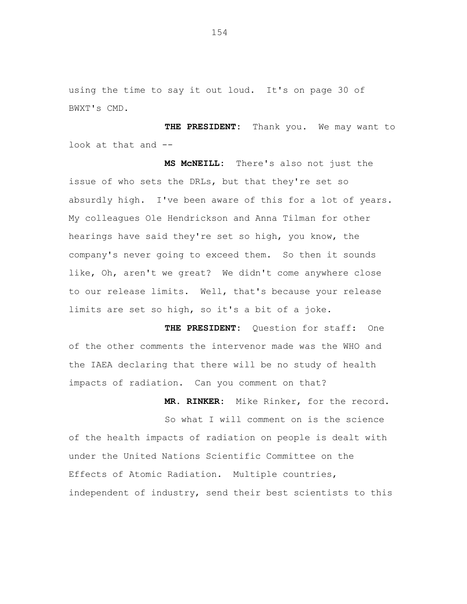using the time to say it out loud. It's on page 30 of BWXT's CMD.

**THE PRESIDENT:** Thank you. We may want to look at that and --

**MS McNEILL:** There's also not just the issue of who sets the DRLs, but that they're set so absurdly high. I've been aware of this for a lot of years. My colleagues Ole Hendrickson and Anna Tilman for other hearings have said they're set so high, you know, the company's never going to exceed them. So then it sounds like, Oh, aren't we great? We didn't come anywhere close to our release limits. Well, that's because your release limits are set so high, so it's a bit of a joke.

**THE PRESIDENT:** Question for staff: One of the other comments the intervenor made was the WHO and the IAEA declaring that there will be no study of health impacts of radiation. Can you comment on that?

**MR. RINKER:** Mike Rinker, for the record. So what I will comment on is the science of the health impacts of radiation on people is dealt with under the United Nations Scientific Committee on the Effects of Atomic Radiation. Multiple countries, independent of industry, send their best scientists to this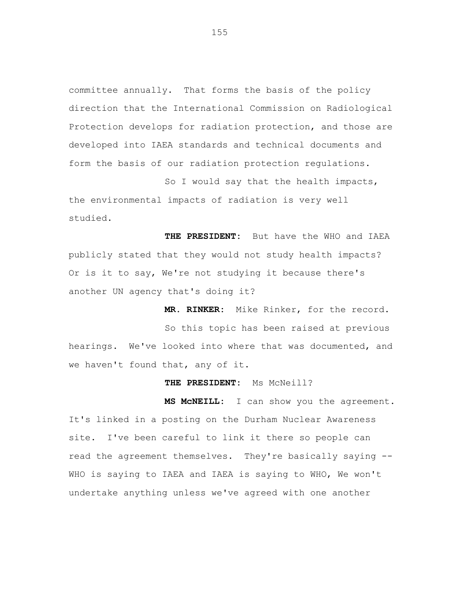committee annually. That forms the basis of the policy direction that the International Commission on Radiological Protection develops for radiation protection, and those are developed into IAEA standards and technical documents and form the basis of our radiation protection regulations.

So I would say that the health impacts, the environmental impacts of radiation is very well studied.

**THE PRESIDENT:** But have the WHO and IAEA publicly stated that they would not study health impacts? Or is it to say, We're not studying it because there's another UN agency that's doing it?

**MR. RINKER:** Mike Rinker, for the record.

So this topic has been raised at previous hearings. We've looked into where that was documented, and we haven't found that, any of it.

### **THE PRESIDENT:** Ms McNeill?

**MS McNEILL:** I can show you the agreement. It's linked in a posting on the Durham Nuclear Awareness site. I've been careful to link it there so people can read the agreement themselves. They're basically saying -- WHO is saying to IAEA and IAEA is saying to WHO, We won't undertake anything unless we've agreed with one another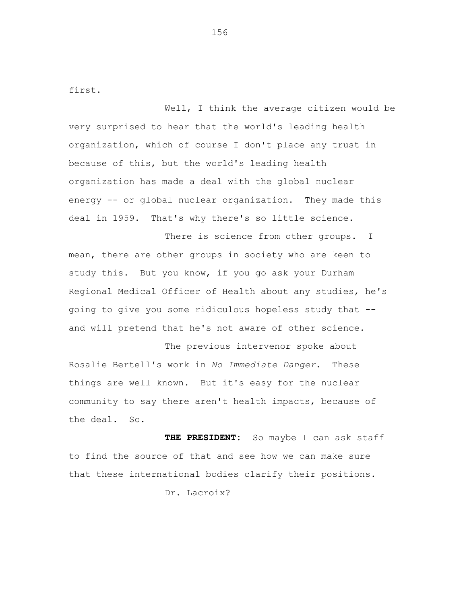first.

Well, I think the average citizen would be very surprised to hear that the world's leading health organization, which of course I don't place any trust in because of this, but the world's leading health organization has made a deal with the global nuclear energy -- or global nuclear organization. They made this deal in 1959. That's why there's so little science.

There is science from other groups. I mean, there are other groups in society who are keen to study this. But you know, if you go ask your Durham Regional Medical Officer of Health about any studies, he's going to give you some ridiculous hopeless study that - and will pretend that he's not aware of other science.

The previous intervenor spoke about Rosalie Bertell's work in *No Immediate Danger*. These things are well known. But it's easy for the nuclear community to say there aren't health impacts, because of the deal. So.

**THE PRESIDENT:** So maybe I can ask staff to find the source of that and see how we can make sure that these international bodies clarify their positions.

Dr. Lacroix?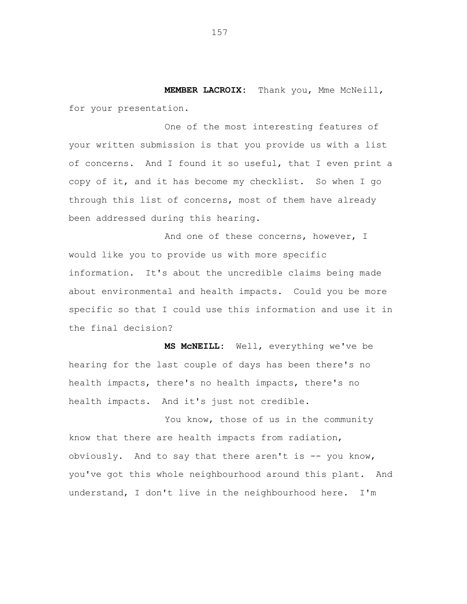**MEMBER LACROIX:** Thank you, Mme McNeill, for your presentation.

One of the most interesting features of your written submission is that you provide us with a list of concerns. And I found it so useful, that I even print a copy of it, and it has become my checklist. So when I go through this list of concerns, most of them have already been addressed during this hearing.

And one of these concerns, however, I would like you to provide us with more specific information. It's about the uncredible claims being made about environmental and health impacts. Could you be more specific so that I could use this information and use it in the final decision?

**MS McNEILL:** Well, everything we've be hearing for the last couple of days has been there's no health impacts, there's no health impacts, there's no health impacts. And it's just not credible.

You know, those of us in the community know that there are health impacts from radiation, obviously. And to say that there aren't is  $--$  you know, you've got this whole neighbourhood around this plant. And understand, I don't live in the neighbourhood here. I'm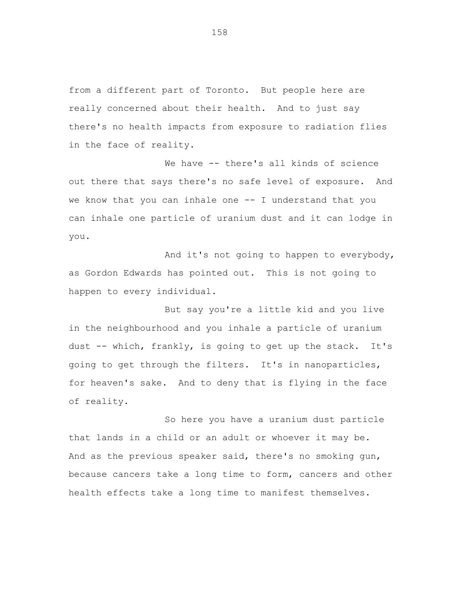from a different part of Toronto. But people here are really concerned about their health. And to just say there's no health impacts from exposure to radiation flies in the face of reality.

We have -- there's all kinds of science out there that says there's no safe level of exposure. And we know that you can inhale one -- I understand that you can inhale one particle of uranium dust and it can lodge in you.

And it's not going to happen to everybody, as Gordon Edwards has pointed out. This is not going to happen to every individual.

But say you're a little kid and you live in the neighbourhood and you inhale a particle of uranium dust -- which, frankly, is going to get up the stack. It's going to get through the filters. It's in nanoparticles, for heaven's sake. And to deny that is flying in the face of reality.

So here you have a uranium dust particle that lands in a child or an adult or whoever it may be. And as the previous speaker said, there's no smoking gun, because cancers take a long time to form, cancers and other health effects take a long time to manifest themselves.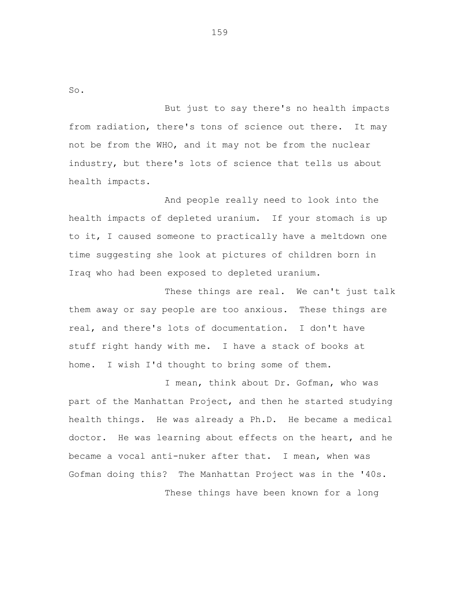So.

But just to say there's no health impacts from radiation, there's tons of science out there. It may not be from the WHO, and it may not be from the nuclear industry, but there's lots of science that tells us about health impacts.

And people really need to look into the health impacts of depleted uranium. If your stomach is up to it, I caused someone to practically have a meltdown one time suggesting she look at pictures of children born in Iraq who had been exposed to depleted uranium.

These things are real. We can't just talk them away or say people are too anxious. These things are real, and there's lots of documentation. I don't have stuff right handy with me. I have a stack of books at home. I wish I'd thought to bring some of them.

I mean, think about Dr. Gofman, who was part of the Manhattan Project, and then he started studying health things. He was already a Ph.D. He became a medical doctor. He was learning about effects on the heart, and he became a vocal anti-nuker after that. I mean, when was Gofman doing this? The Manhattan Project was in the '40s. These things have been known for a long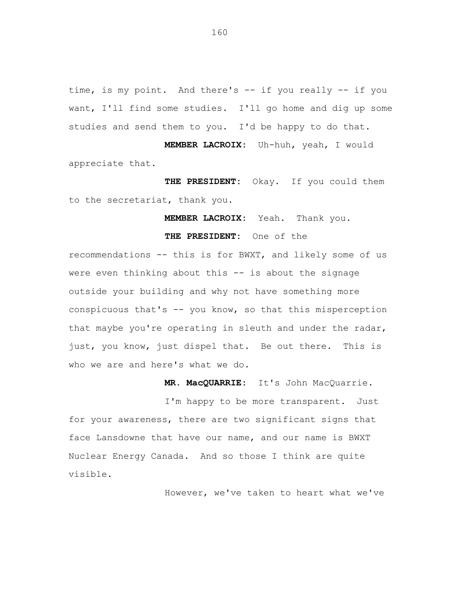time, is my point. And there's -- if you really -- if you want, I'll find some studies. I'll go home and dig up some studies and send them to you. I'd be happy to do that.

**MEMBER LACROIX:** Uh-huh, yeah, I would appreciate that.

**THE PRESIDENT:** Okay. If you could them to the secretariat, thank you.

**MEMBER LACROIX:** Yeah. Thank you.

**THE PRESIDENT:** One of the

recommendations -- this is for BWXT, and likely some of us were even thinking about this -- is about the signage outside your building and why not have something more conspicuous that's -- you know, so that this misperception that maybe you're operating in sleuth and under the radar, just, you know, just dispel that. Be out there. This is who we are and here's what we do.

**MR. MacQUARRIE:** It's John MacQuarrie.

I'm happy to be more transparent. Just for your awareness, there are two significant signs that face Lansdowne that have our name, and our name is BWXT Nuclear Energy Canada. And so those I think are quite visible.

However, we've taken to heart what we've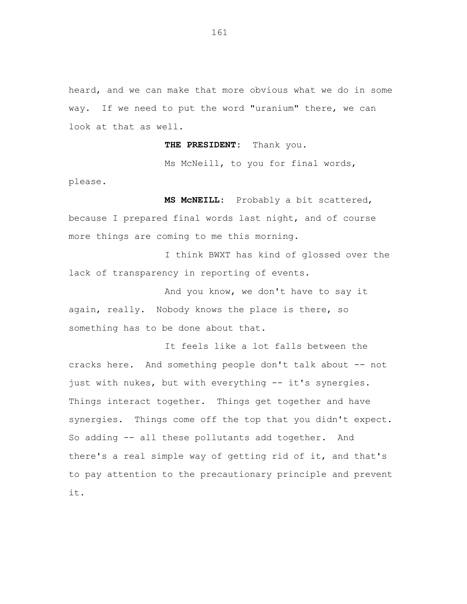heard, and we can make that more obvious what we do in some way. If we need to put the word "uranium" there, we can look at that as well.

**THE PRESIDENT:** Thank you.

Ms McNeill, to you for final words,

please.

**MS McNEILL:** Probably a bit scattered,

because I prepared final words last night, and of course more things are coming to me this morning.

I think BWXT has kind of glossed over the lack of transparency in reporting of events.

And you know, we don't have to say it again, really. Nobody knows the place is there, so something has to be done about that.

It feels like a lot falls between the cracks here. And something people don't talk about -- not just with nukes, but with everything -- it's synergies. Things interact together. Things get together and have synergies. Things come off the top that you didn't expect. So adding -- all these pollutants add together. And there's a real simple way of getting rid of it, and that's to pay attention to the precautionary principle and prevent it.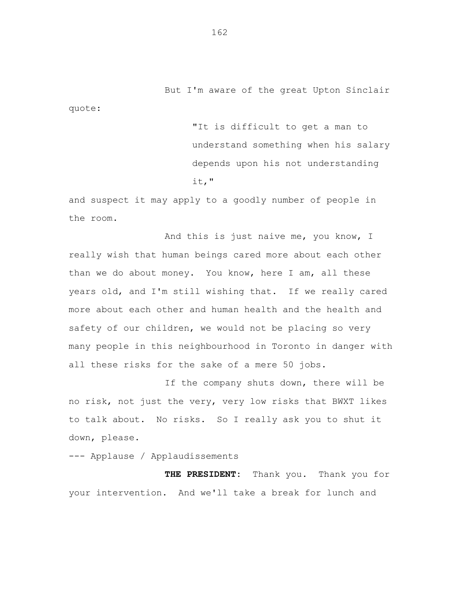But I'm aware of the great Upton Sinclair

quote:

"It is difficult to get a man to understand something when his salary depends upon his not understanding it,"

and suspect it may apply to a goodly number of people in the room.

And this is just naive me, you know, I really wish that human beings cared more about each other than we do about money. You know, here I am, all these years old, and I'm still wishing that. If we really cared more about each other and human health and the health and safety of our children, we would not be placing so very many people in this neighbourhood in Toronto in danger with all these risks for the sake of a mere 50 jobs.

If the company shuts down, there will be no risk, not just the very, very low risks that BWXT likes to talk about. No risks. So I really ask you to shut it down, please.

--- Applause / Applaudissements

**THE PRESIDENT:** Thank you. Thank you for your intervention. And we'll take a break for lunch and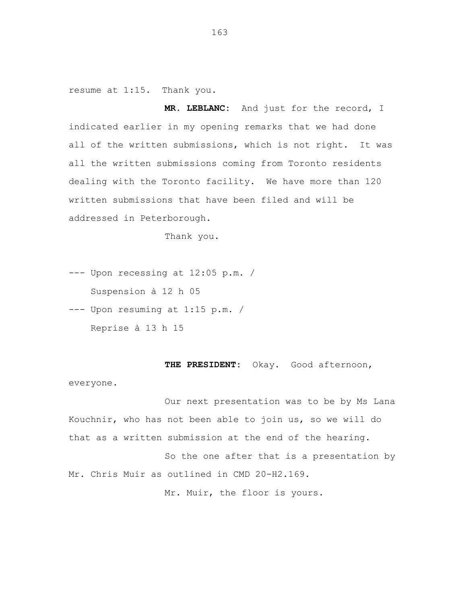resume at 1:15. Thank you.

**MR. LEBLANC:** And just for the record, I indicated earlier in my opening remarks that we had done all of the written submissions, which is not right. It was all the written submissions coming from Toronto residents dealing with the Toronto facility. We have more than 120 written submissions that have been filed and will be addressed in Peterborough.

Thank you.

--- Upon recessing at 12:05 p.m. / Suspension à 12 h 05

--- Upon resuming at 1:15 p.m. / Reprise à 13 h 15

THE PRESIDENT: Okay. Good afternoon,

everyone.

Our next presentation was to be by Ms Lana Kouchnir, who has not been able to join us, so we will do that as a written submission at the end of the hearing.

So the one after that is a presentation by Mr. Chris Muir as outlined in CMD 20-H2.169.

Mr. Muir, the floor is yours.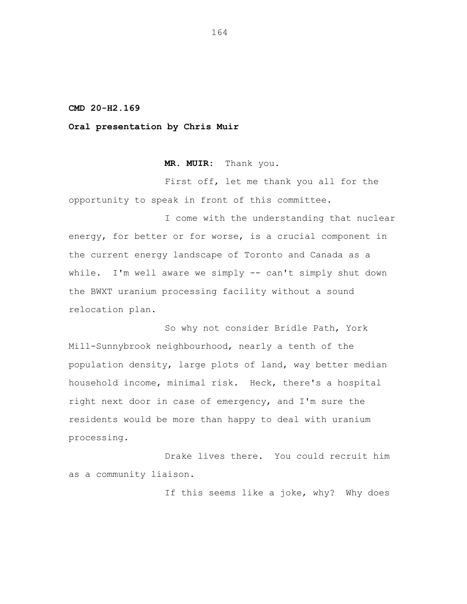#### **CMD 20-H2.169**

### **Oral presentation by Chris Muir**

**MR. MUIR:** Thank you.

First off, let me thank you all for the opportunity to speak in front of this committee.

I come with the understanding that nuclear energy, for better or for worse, is a crucial component in the current energy landscape of Toronto and Canada as a while. I'm well aware we simply -- can't simply shut down the BWXT uranium processing facility without a sound relocation plan.

So why not consider Bridle Path, York Mill-Sunnybrook neighbourhood, nearly a tenth of the population density, large plots of land, way better median household income, minimal risk. Heck, there's a hospital right next door in case of emergency, and I'm sure the residents would be more than happy to deal with uranium processing.

Drake lives there. You could recruit him as a community liaison.

If this seems like a joke, why? Why does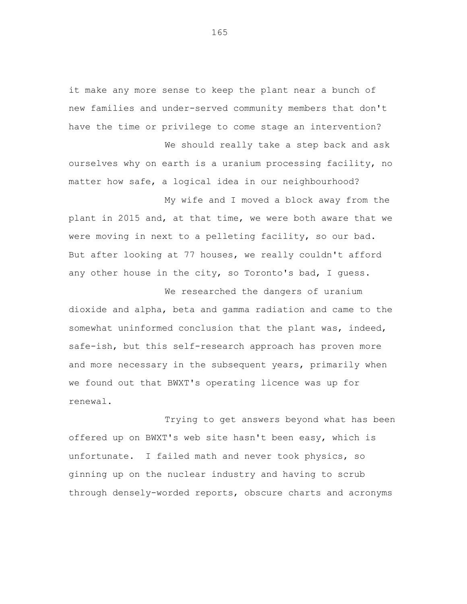it make any more sense to keep the plant near a bunch of new families and under-served community members that don't have the time or privilege to come stage an intervention?

We should really take a step back and ask ourselves why on earth is a uranium processing facility, no matter how safe, a logical idea in our neighbourhood?

My wife and I moved a block away from the plant in 2015 and, at that time, we were both aware that we were moving in next to a pelleting facility, so our bad. But after looking at 77 houses, we really couldn't afford any other house in the city, so Toronto's bad, I guess.

We researched the dangers of uranium dioxide and alpha, beta and gamma radiation and came to the somewhat uninformed conclusion that the plant was, indeed, safe-ish, but this self-research approach has proven more and more necessary in the subsequent years, primarily when we found out that BWXT's operating licence was up for renewal.

Trying to get answers beyond what has been offered up on BWXT's web site hasn't been easy, which is unfortunate. I failed math and never took physics, so ginning up on the nuclear industry and having to scrub through densely-worded reports, obscure charts and acronyms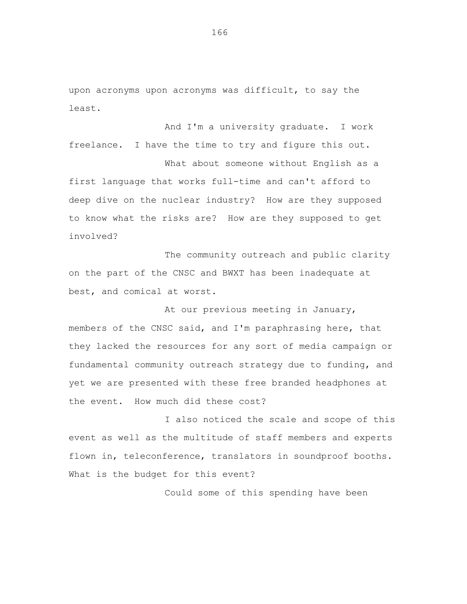upon acronyms upon acronyms was difficult, to say the least.

And I'm a university graduate. I work freelance. I have the time to try and figure this out.

What about someone without English as a first language that works full-time and can't afford to deep dive on the nuclear industry? How are they supposed to know what the risks are? How are they supposed to get involved?

The community outreach and public clarity on the part of the CNSC and BWXT has been inadequate at best, and comical at worst.

At our previous meeting in January, members of the CNSC said, and I'm paraphrasing here, that they lacked the resources for any sort of media campaign or fundamental community outreach strategy due to funding, and yet we are presented with these free branded headphones at the event. How much did these cost?

I also noticed the scale and scope of this event as well as the multitude of staff members and experts flown in, teleconference, translators in soundproof booths. What is the budget for this event?

Could some of this spending have been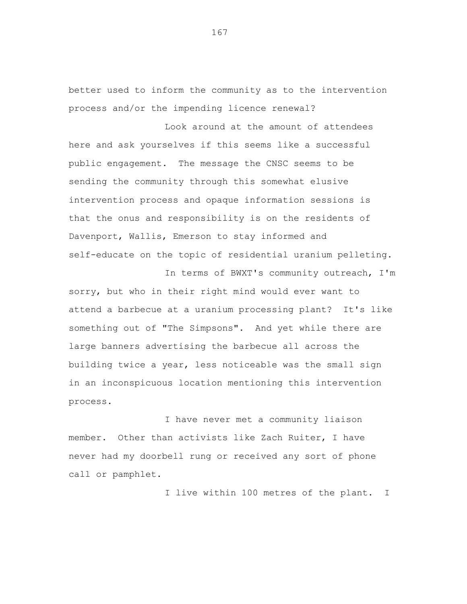better used to inform the community as to the intervention process and/or the impending licence renewal?

Look around at the amount of attendees here and ask yourselves if this seems like a successful public engagement. The message the CNSC seems to be sending the community through this somewhat elusive intervention process and opaque information sessions is that the onus and responsibility is on the residents of Davenport, Wallis, Emerson to stay informed and self-educate on the topic of residential uranium pelleting.

sorry, but who in their right mind would ever want to attend a barbecue at a uranium processing plant? It's like something out of "The Simpsons". And yet while there are large banners advertising the barbecue all across the building twice a year, less noticeable was the small sign in an inconspicuous location mentioning this intervention process.

I have never met a community liaison member. Other than activists like Zach Ruiter, I have never had my doorbell rung or received any sort of phone call or pamphlet.

I live within 100 metres of the plant. I

In terms of BWXT's community outreach, I'm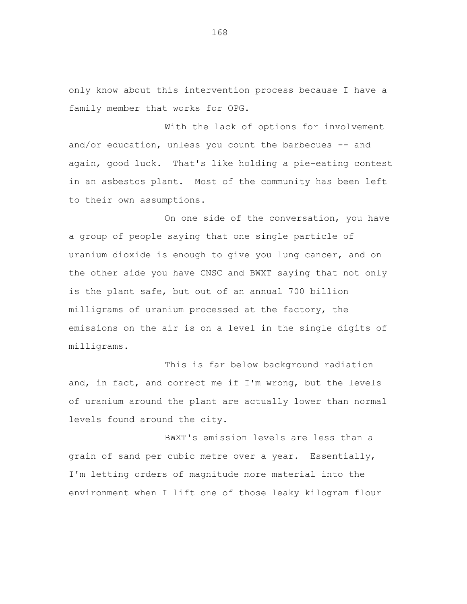only know about this intervention process because I have a family member that works for OPG.

With the lack of options for involvement and/or education, unless you count the barbecues -- and again, good luck. That's like holding a pie-eating contest in an asbestos plant. Most of the community has been left to their own assumptions.

On one side of the conversation, you have a group of people saying that one single particle of uranium dioxide is enough to give you lung cancer, and on the other side you have CNSC and BWXT saying that not only is the plant safe, but out of an annual 700 billion milligrams of uranium processed at the factory, the emissions on the air is on a level in the single digits of milligrams.

This is far below background radiation and, in fact, and correct me if I'm wrong, but the levels of uranium around the plant are actually lower than normal levels found around the city.

BWXT's emission levels are less than a grain of sand per cubic metre over a year. Essentially, I'm letting orders of magnitude more material into the environment when I lift one of those leaky kilogram flour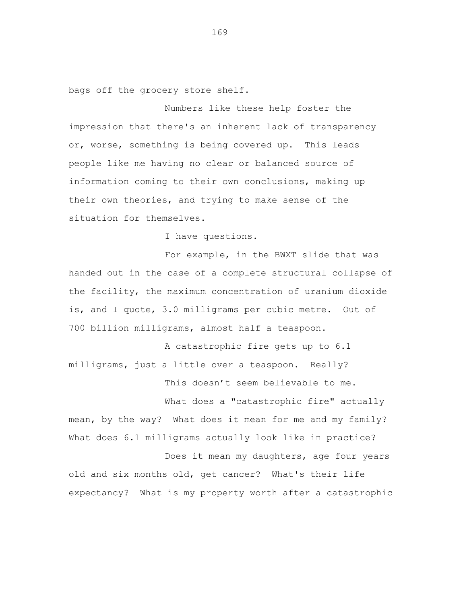bags off the grocery store shelf.

Numbers like these help foster the impression that there's an inherent lack of transparency or, worse, something is being covered up. This leads people like me having no clear or balanced source of information coming to their own conclusions, making up their own theories, and trying to make sense of the situation for themselves.

I have questions.

For example, in the BWXT slide that was handed out in the case of a complete structural collapse of the facility, the maximum concentration of uranium dioxide is, and I quote, 3.0 milligrams per cubic metre. Out of 700 billion milligrams, almost half a teaspoon.

A catastrophic fire gets up to 6.1 milligrams, just a little over a teaspoon. Really? This doesn't seem believable to me.

What does a "catastrophic fire" actually

mean, by the way? What does it mean for me and my family? What does 6.1 milligrams actually look like in practice? Does it mean my daughters, age four years

old and six months old, get cancer? What's their life expectancy? What is my property worth after a catastrophic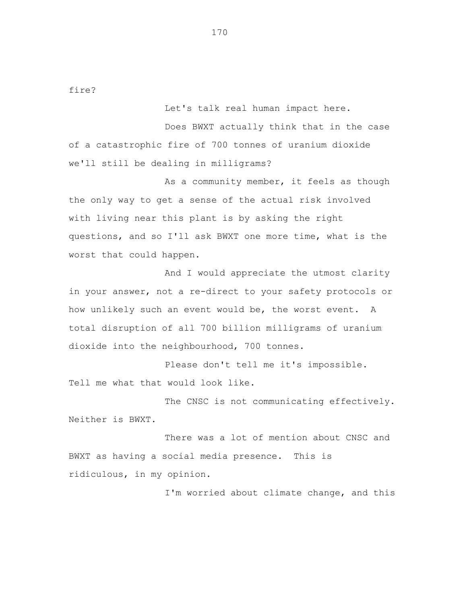fire?

Let's talk real human impact here.

Does BWXT actually think that in the case of a catastrophic fire of 700 tonnes of uranium dioxide we'll still be dealing in milligrams?

As a community member, it feels as though the only way to get a sense of the actual risk involved with living near this plant is by asking the right questions, and so I'll ask BWXT one more time, what is the worst that could happen.

And I would appreciate the utmost clarity in your answer, not a re-direct to your safety protocols or how unlikely such an event would be, the worst event. A total disruption of all 700 billion milligrams of uranium dioxide into the neighbourhood, 700 tonnes.

Please don't tell me it's impossible. Tell me what that would look like.

The CNSC is not communicating effectively. Neither is BWXT.

There was a lot of mention about CNSC and BWXT as having a social media presence. This is ridiculous, in my opinion.

I'm worried about climate change, and this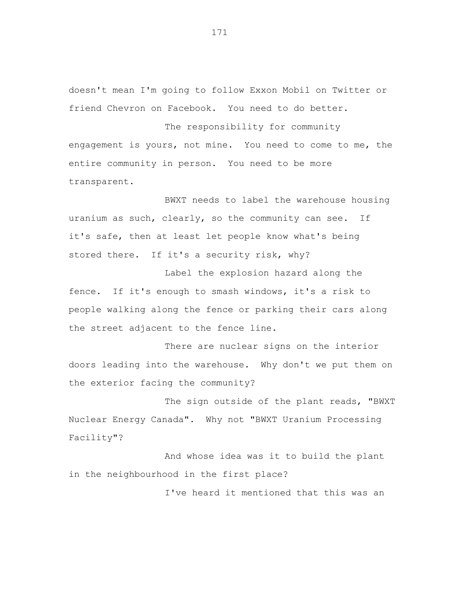doesn't mean I'm going to follow Exxon Mobil on Twitter or friend Chevron on Facebook. You need to do better.

The responsibility for community engagement is yours, not mine. You need to come to me, the entire community in person. You need to be more transparent.

BWXT needs to label the warehouse housing uranium as such, clearly, so the community can see. If it's safe, then at least let people know what's being stored there. If it's a security risk, why?

Label the explosion hazard along the fence. If it's enough to smash windows, it's a risk to people walking along the fence or parking their cars along the street adjacent to the fence line.

There are nuclear signs on the interior doors leading into the warehouse. Why don't we put them on the exterior facing the community?

The sign outside of the plant reads, "BWXT Nuclear Energy Canada". Why not "BWXT Uranium Processing Facility"?

And whose idea was it to build the plant in the neighbourhood in the first place?

I've heard it mentioned that this was an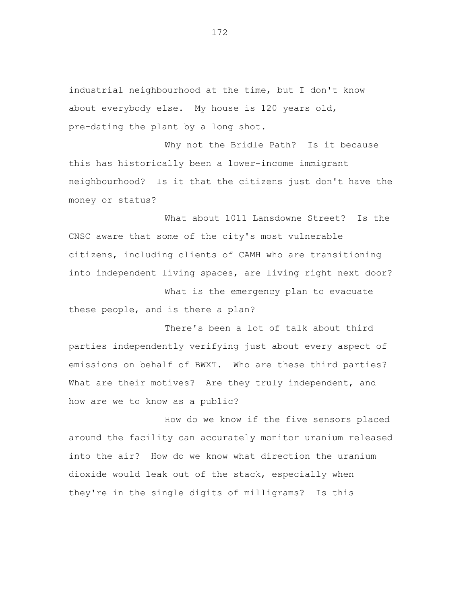industrial neighbourhood at the time, but I don't know about everybody else. My house is 120 years old, pre-dating the plant by a long shot.

Why not the Bridle Path? Is it because this has historically been a lower-income immigrant neighbourhood? Is it that the citizens just don't have the money or status?

What about 1011 Lansdowne Street? Is the CNSC aware that some of the city's most vulnerable citizens, including clients of CAMH who are transitioning into independent living spaces, are living right next door?

What is the emergency plan to evacuate these people, and is there a plan?

There's been a lot of talk about third parties independently verifying just about every aspect of emissions on behalf of BWXT. Who are these third parties? What are their motives? Are they truly independent, and how are we to know as a public?

How do we know if the five sensors placed around the facility can accurately monitor uranium released into the air? How do we know what direction the uranium dioxide would leak out of the stack, especially when they're in the single digits of milligrams? Is this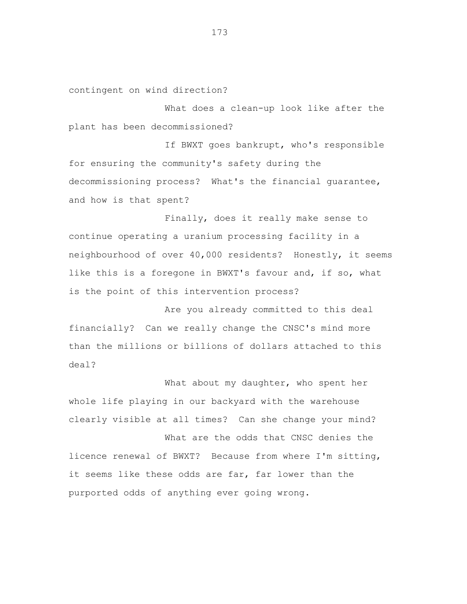contingent on wind direction?

What does a clean-up look like after the plant has been decommissioned?

If BWXT goes bankrupt, who's responsible for ensuring the community's safety during the decommissioning process? What's the financial guarantee, and how is that spent?

Finally, does it really make sense to continue operating a uranium processing facility in a neighbourhood of over 40,000 residents? Honestly, it seems like this is a foregone in BWXT's favour and, if so, what is the point of this intervention process?

Are you already committed to this deal financially? Can we really change the CNSC's mind more than the millions or billions of dollars attached to this deal?

What about my daughter, who spent her whole life playing in our backyard with the warehouse clearly visible at all times? Can she change your mind?

What are the odds that CNSC denies the licence renewal of BWXT? Because from where I'm sitting, it seems like these odds are far, far lower than the purported odds of anything ever going wrong.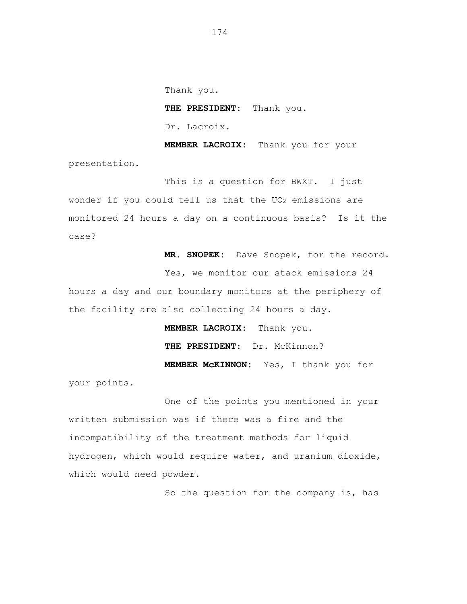Thank you. **THE PRESIDENT:** Thank you. Dr. Lacroix.

**MEMBER LACROIX:** Thank you for your presentation.

This is a question for BWXT. I just wonder if you could tell us that the  $UO_2$  emissions are monitored 24 hours a day on a continuous basis? Is it the case?

**MR. SNOPEK:** Dave Snopek, for the record.

Yes, we monitor our stack emissions 24

hours a day and our boundary monitors at the periphery of the facility are also collecting 24 hours a day.

> **MEMBER LACROIX:** Thank you. **THE PRESIDENT:** Dr. McKinnon? **MEMBER McKINNON:** Yes, I thank you for

your points.

One of the points you mentioned in your written submission was if there was a fire and the incompatibility of the treatment methods for liquid hydrogen, which would require water, and uranium dioxide, which would need powder.

So the question for the company is, has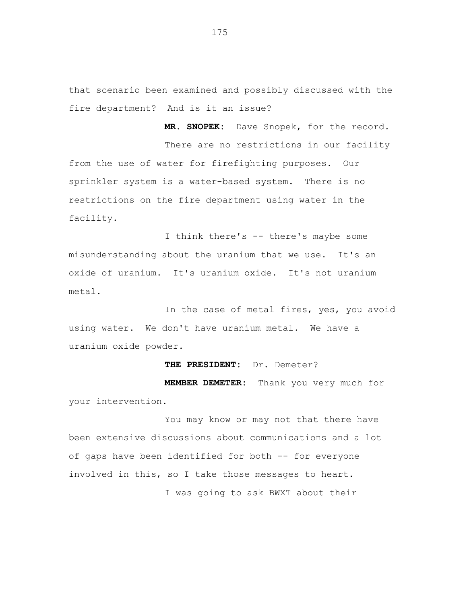that scenario been examined and possibly discussed with the fire department? And is it an issue?

**MR. SNOPEK:** Dave Snopek, for the record.

There are no restrictions in our facility from the use of water for firefighting purposes. Our sprinkler system is a water-based system. There is no restrictions on the fire department using water in the facility.

I think there's -- there's maybe some misunderstanding about the uranium that we use. It's an oxide of uranium. It's uranium oxide. It's not uranium metal.

In the case of metal fires, yes, you avoid using water. We don't have uranium metal. We have a uranium oxide powder.

## **THE PRESIDENT:** Dr. Demeter?

**MEMBER DEMETER:** Thank you very much for your intervention.

You may know or may not that there have been extensive discussions about communications and a lot of gaps have been identified for both -- for everyone involved in this, so I take those messages to heart. I was going to ask BWXT about their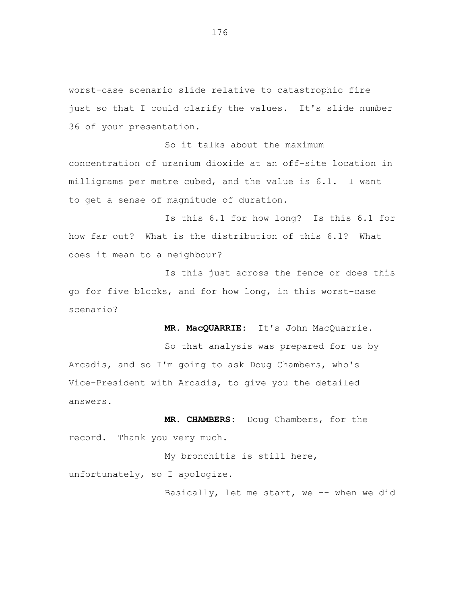worst-case scenario slide relative to catastrophic fire just so that I could clarify the values. It's slide number 36 of your presentation.

So it talks about the maximum concentration of uranium dioxide at an off-site location in milligrams per metre cubed, and the value is 6.1. I want to get a sense of magnitude of duration.

Is this 6.1 for how long? Is this 6.1 for how far out? What is the distribution of this 6.1? What does it mean to a neighbour?

Is this just across the fence or does this go for five blocks, and for how long, in this worst-case scenario?

**MR. MacQUARRIE:** It's John MacQuarrie.

So that analysis was prepared for us by Arcadis, and so I'm going to ask Doug Chambers, who's Vice-President with Arcadis, to give you the detailed answers.

**MR. CHAMBERS:** Doug Chambers, for the record. Thank you very much.

My bronchitis is still here, unfortunately, so I apologize.

Basically, let me start, we -- when we did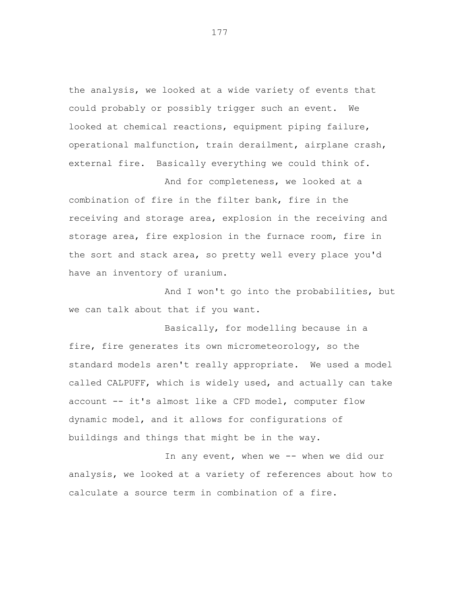the analysis, we looked at a wide variety of events that could probably or possibly trigger such an event. We looked at chemical reactions, equipment piping failure, operational malfunction, train derailment, airplane crash, external fire. Basically everything we could think of.

combination of fire in the filter bank, fire in the receiving and storage area, explosion in the receiving and storage area, fire explosion in the furnace room, fire in the sort and stack area, so pretty well every place you'd have an inventory of uranium.

And for completeness, we looked at a

And I won't go into the probabilities, but we can talk about that if you want.

Basically, for modelling because in a fire, fire generates its own micrometeorology, so the standard models aren't really appropriate. We used a model called CALPUFF, which is widely used, and actually can take account -- it's almost like a CFD model, computer flow dynamic model, and it allows for configurations of buildings and things that might be in the way.

In any event, when we -- when we did our analysis, we looked at a variety of references about how to calculate a source term in combination of a fire.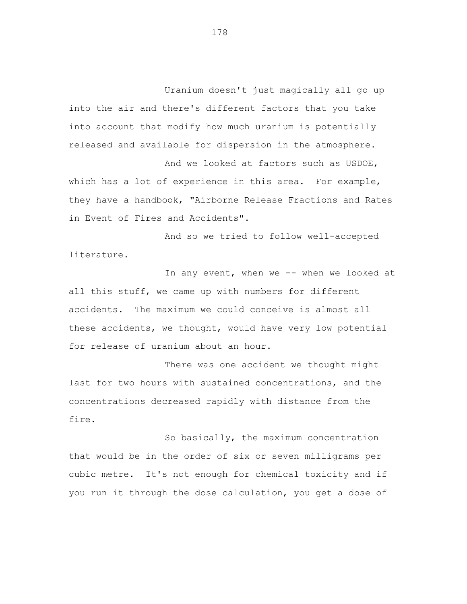Uranium doesn't just magically all go up into the air and there's different factors that you take into account that modify how much uranium is potentially released and available for dispersion in the atmosphere.

And we looked at factors such as USDOE, which has a lot of experience in this area. For example, they have a handbook, "Airborne Release Fractions and Rates in Event of Fires and Accidents".

And so we tried to follow well-accepted literature.

In any event, when we -- when we looked at all this stuff, we came up with numbers for different accidents. The maximum we could conceive is almost all these accidents, we thought, would have very low potential for release of uranium about an hour.

There was one accident we thought might last for two hours with sustained concentrations, and the concentrations decreased rapidly with distance from the fire.

So basically, the maximum concentration that would be in the order of six or seven milligrams per cubic metre. It's not enough for chemical toxicity and if you run it through the dose calculation, you get a dose of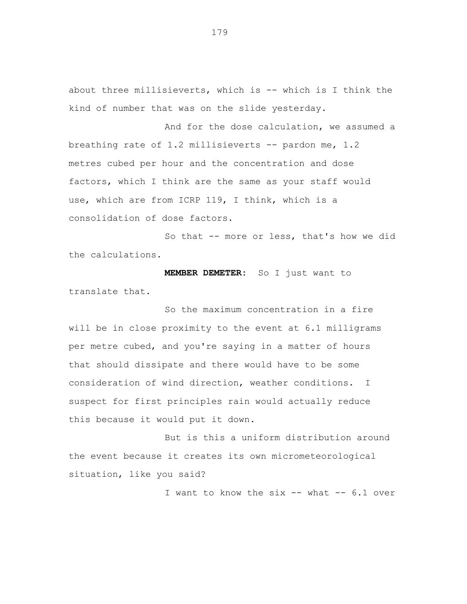about three millisieverts, which is -- which is I think the kind of number that was on the slide yesterday.

And for the dose calculation, we assumed a breathing rate of 1.2 millisieverts -- pardon me, 1.2 metres cubed per hour and the concentration and dose factors, which I think are the same as your staff would use, which are from ICRP 119, I think, which is a consolidation of dose factors.

So that -- more or less, that's how we did the calculations.

**MEMBER DEMETER:** So I just want to translate that.

So the maximum concentration in a fire will be in close proximity to the event at 6.1 milligrams per metre cubed, and you're saying in a matter of hours that should dissipate and there would have to be some consideration of wind direction, weather conditions. I suspect for first principles rain would actually reduce this because it would put it down.

But is this a uniform distribution around the event because it creates its own micrometeorological situation, like you said?

I want to know the six -- what -- 6.1 over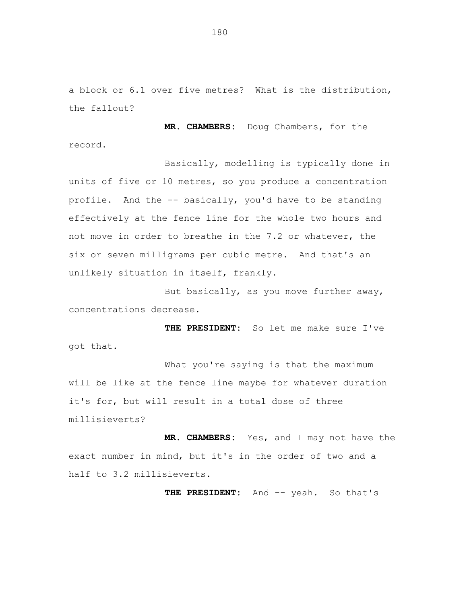a block or 6.1 over five metres? What is the distribution, the fallout?

**MR. CHAMBERS:** Doug Chambers, for the record.

Basically, modelling is typically done in units of five or 10 metres, so you produce a concentration profile. And the -- basically, you'd have to be standing effectively at the fence line for the whole two hours and not move in order to breathe in the 7.2 or whatever, the six or seven milligrams per cubic metre. And that's an unlikely situation in itself, frankly.

But basically, as you move further away, concentrations decrease.

**THE PRESIDENT:** So let me make sure I've got that.

What you're saying is that the maximum will be like at the fence line maybe for whatever duration it's for, but will result in a total dose of three millisieverts?

**MR. CHAMBERS:** Yes, and I may not have the exact number in mind, but it's in the order of two and a half to 3.2 millisieverts.

**THE PRESIDENT:** And -- yeah. So that's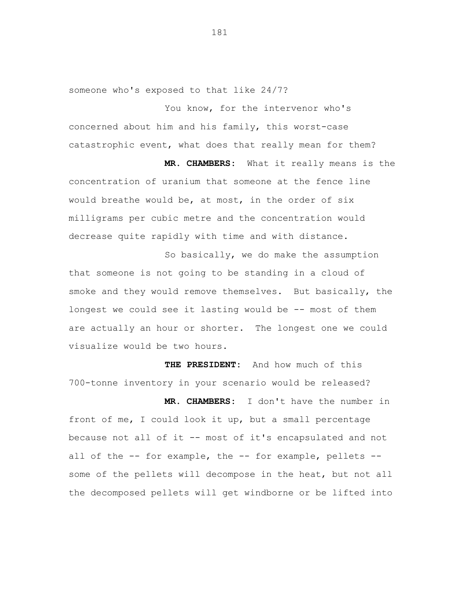someone who's exposed to that like 24/7?

You know, for the intervenor who's concerned about him and his family, this worst-case catastrophic event, what does that really mean for them?

**MR. CHAMBERS:** What it really means is the concentration of uranium that someone at the fence line would breathe would be, at most, in the order of six milligrams per cubic metre and the concentration would decrease quite rapidly with time and with distance.

So basically, we do make the assumption that someone is not going to be standing in a cloud of smoke and they would remove themselves. But basically, the longest we could see it lasting would be -- most of them are actually an hour or shorter. The longest one we could visualize would be two hours.

**THE PRESIDENT:** And how much of this 700-tonne inventory in your scenario would be released?

**MR. CHAMBERS:** I don't have the number in front of me, I could look it up, but a small percentage because not all of it -- most of it's encapsulated and not all of the -- for example, the -- for example, pellets - some of the pellets will decompose in the heat, but not all the decomposed pellets will get windborne or be lifted into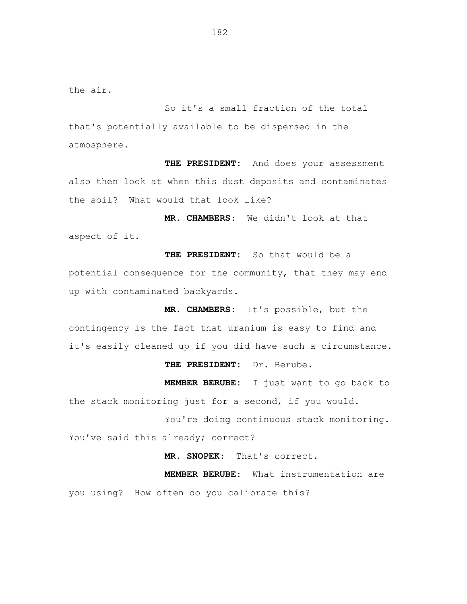the air.

So it's a small fraction of the total that's potentially available to be dispersed in the atmosphere.

**THE PRESIDENT:** And does your assessment also then look at when this dust deposits and contaminates the soil? What would that look like?

**MR. CHAMBERS:** We didn't look at that aspect of it.

**THE PRESIDENT:** So that would be a potential consequence for the community, that they may end up with contaminated backyards.

**MR. CHAMBERS:** It's possible, but the contingency is the fact that uranium is easy to find and it's easily cleaned up if you did have such a circumstance.

## **THE PRESIDENT:** Dr. Berube.

**MEMBER BERUBE:** I just want to go back to the stack monitoring just for a second, if you would.

You're doing continuous stack monitoring. You've said this already; correct?

**MR. SNOPEK:** That's correct.

**MEMBER BERUBE:** What instrumentation are you using? How often do you calibrate this?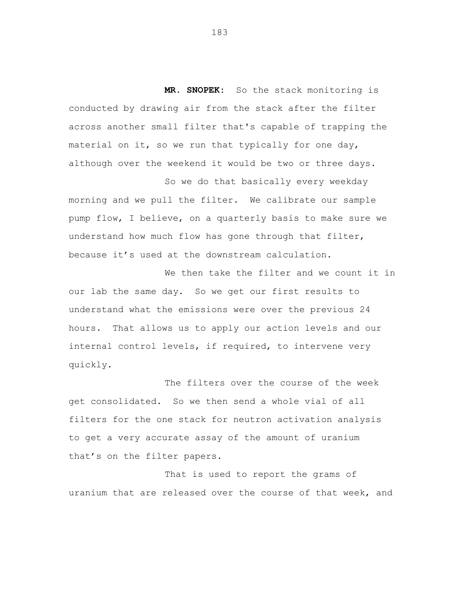**MR. SNOPEK:** So the stack monitoring is conducted by drawing air from the stack after the filter across another small filter that's capable of trapping the material on it, so we run that typically for one day, although over the weekend it would be two or three days.

So we do that basically every weekday morning and we pull the filter. We calibrate our sample pump flow, I believe, on a quarterly basis to make sure we understand how much flow has gone through that filter, because it's used at the downstream calculation.

We then take the filter and we count it in our lab the same day. So we get our first results to understand what the emissions were over the previous 24 hours. That allows us to apply our action levels and our internal control levels, if required, to intervene very quickly.

The filters over the course of the week get consolidated. So we then send a whole vial of all filters for the one stack for neutron activation analysis to get a very accurate assay of the amount of uranium that's on the filter papers.

That is used to report the grams of uranium that are released over the course of that week, and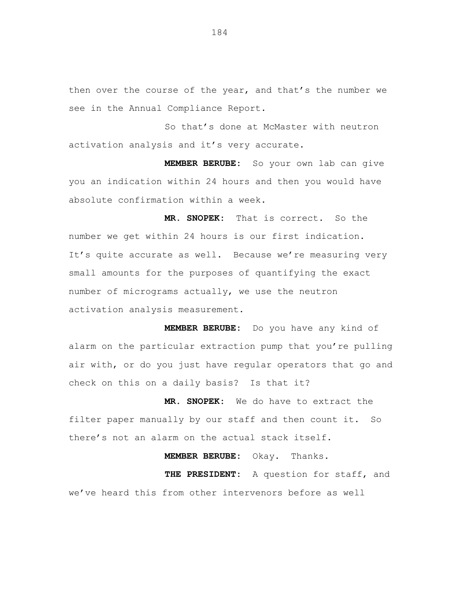then over the course of the year, and that's the number we see in the Annual Compliance Report.

So that's done at McMaster with neutron activation analysis and it's very accurate.

**MEMBER BERUBE:** So your own lab can give you an indication within 24 hours and then you would have absolute confirmation within a week.

**MR. SNOPEK:** That is correct. So the number we get within 24 hours is our first indication. It's quite accurate as well. Because we're measuring very small amounts for the purposes of quantifying the exact number of micrograms actually, we use the neutron activation analysis measurement.

**MEMBER BERUBE:** Do you have any kind of alarm on the particular extraction pump that you're pulling air with, or do you just have regular operators that go and check on this on a daily basis? Is that it?

**MR. SNOPEK:** We do have to extract the filter paper manually by our staff and then count it. So there's not an alarm on the actual stack itself.

**MEMBER BERUBE:** Okay. Thanks. **THE PRESIDENT:** A question for staff, and we've heard this from other intervenors before as well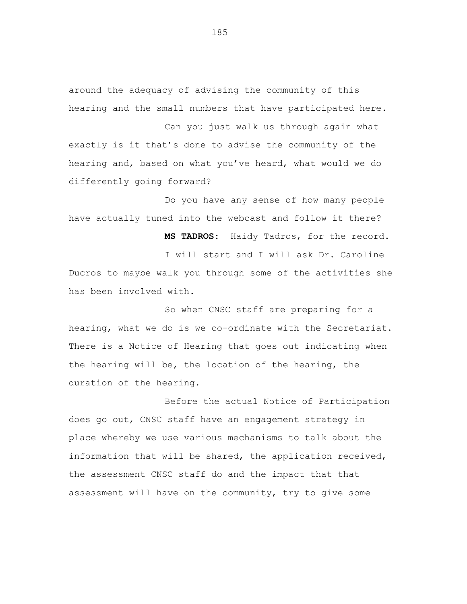around the adequacy of advising the community of this hearing and the small numbers that have participated here.

Can you just walk us through again what exactly is it that's done to advise the community of the hearing and, based on what you've heard, what would we do differently going forward?

Do you have any sense of how many people have actually tuned into the webcast and follow it there?

**MS TADROS:** Haidy Tadros, for the record. I will start and I will ask Dr. Caroline Ducros to maybe walk you through some of the activities she has been involved with.

So when CNSC staff are preparing for a hearing, what we do is we co-ordinate with the Secretariat. There is a Notice of Hearing that goes out indicating when the hearing will be, the location of the hearing, the duration of the hearing.

Before the actual Notice of Participation does go out, CNSC staff have an engagement strategy in place whereby we use various mechanisms to talk about the information that will be shared, the application received, the assessment CNSC staff do and the impact that that assessment will have on the community, try to give some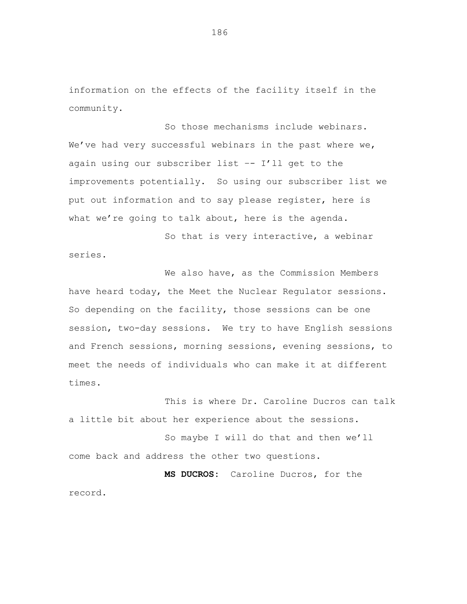information on the effects of the facility itself in the community.

So those mechanisms include webinars. We've had very successful webinars in the past where we, again using our subscriber list –- I'll get to the improvements potentially. So using our subscriber list we put out information and to say please register, here is what we're going to talk about, here is the agenda.

So that is very interactive, a webinar series.

We also have, as the Commission Members have heard today, the Meet the Nuclear Regulator sessions. So depending on the facility, those sessions can be one session, two-day sessions. We try to have English sessions and French sessions, morning sessions, evening sessions, to meet the needs of individuals who can make it at different times.

This is where Dr. Caroline Ducros can talk a little bit about her experience about the sessions.

So maybe I will do that and then we'll come back and address the other two questions.

**MS DUCROS:** Caroline Ducros, for the record.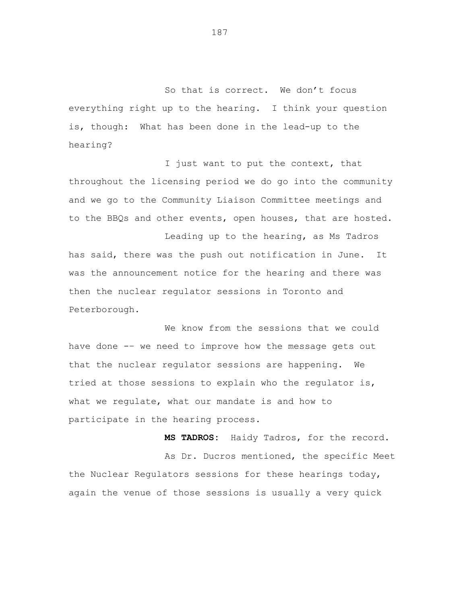So that is correct. We don't focus everything right up to the hearing. I think your question is, though: What has been done in the lead-up to the hearing?

I just want to put the context, that throughout the licensing period we do go into the community and we go to the Community Liaison Committee meetings and to the BBQs and other events, open houses, that are hosted.

Leading up to the hearing, as Ms Tadros has said, there was the push out notification in June. It was the announcement notice for the hearing and there was then the nuclear regulator sessions in Toronto and Peterborough.

We know from the sessions that we could have done -– we need to improve how the message gets out that the nuclear regulator sessions are happening. We tried at those sessions to explain who the regulator is, what we regulate, what our mandate is and how to participate in the hearing process.

**MS TADROS:** Haidy Tadros, for the record.

As Dr. Ducros mentioned, the specific Meet the Nuclear Regulators sessions for these hearings today, again the venue of those sessions is usually a very quick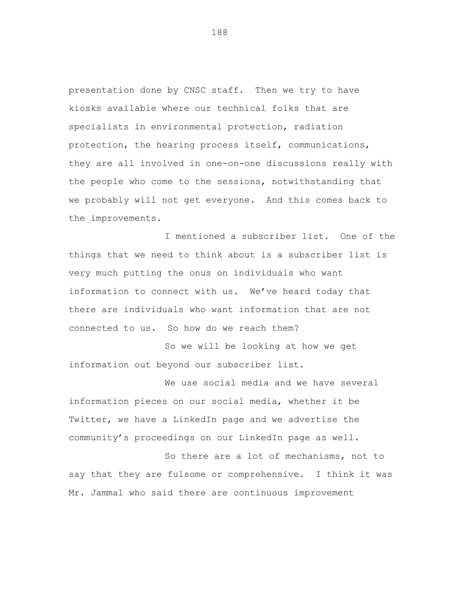presentation done by CNSC staff. Then we try to have kiosks available where our technical folks that are specialists in environmental protection, radiation protection, the hearing process itself, communications, they are all involved in one-on-one discussions really with the people who come to the sessions, notwithstanding that we probably will not get everyone. And this comes back to the improvements.

I mentioned a subscriber list. One of the things that we need to think about is a subscriber list is very much putting the onus on individuals who want information to connect with us. We've heard today that there are individuals who want information that are not connected to us. So how do we reach them?

So we will be looking at how we get information out beyond our subscriber list.

We use social media and we have several information pieces on our social media, whether it be Twitter, we have a LinkedIn page and we advertise the community's proceedings on our LinkedIn page as well.

So there are a lot of mechanisms, not to say that they are fulsome or comprehensive. I think it was Mr. Jammal who said there are continuous improvement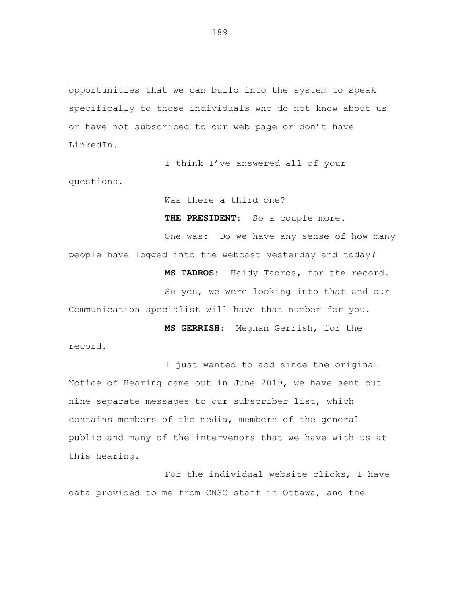opportunities that we can build into the system to speak specifically to those individuals who do not know about us or have not subscribed to our web page or don't have LinkedIn.

I think I've answered all of your questions.

Was there a third one?

THE PRESIDENT: So a couple more. One was: Do we have any sense of how many people have logged into the webcast yesterday and today? **MS TADROS:** Haidy Tadros, for the record. So yes, we were looking into that and our Communication specialist will have that number for you. **MS GERRISH:** Meghan Gerrish, for the

record.

I just wanted to add since the original Notice of Hearing came out in June 2019, we have sent out nine separate messages to our subscriber list, which contains members of the media, members of the general public and many of the intervenors that we have with us at this hearing.

For the individual website clicks, I have data provided to me from CNSC staff in Ottawa, and the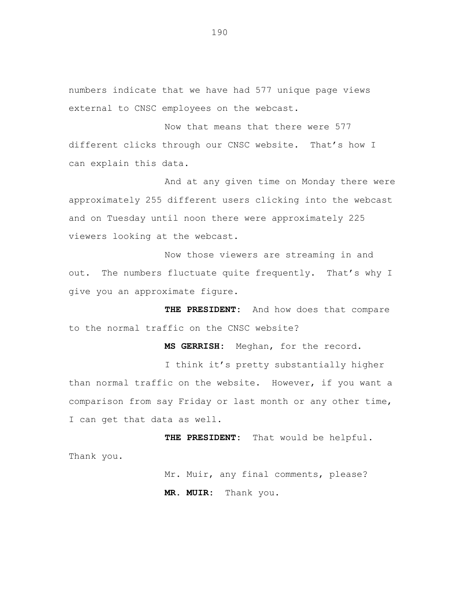numbers indicate that we have had 577 unique page views external to CNSC employees on the webcast.

Now that means that there were 577 different clicks through our CNSC website. That's how I can explain this data.

And at any given time on Monday there were approximately 255 different users clicking into the webcast and on Tuesday until noon there were approximately 225 viewers looking at the webcast.

Now those viewers are streaming in and out. The numbers fluctuate quite frequently. That's why I give you an approximate figure.

**THE PRESIDENT:** And how does that compare to the normal traffic on the CNSC website?

**MS GERRISH:** Meghan, for the record.

I think it's pretty substantially higher than normal traffic on the website. However, if you want a comparison from say Friday or last month or any other time, I can get that data as well.

**THE PRESIDENT:** That would be helpful. Thank you.

> Mr. Muir, any final comments, please? **MR. MUIR:** Thank you.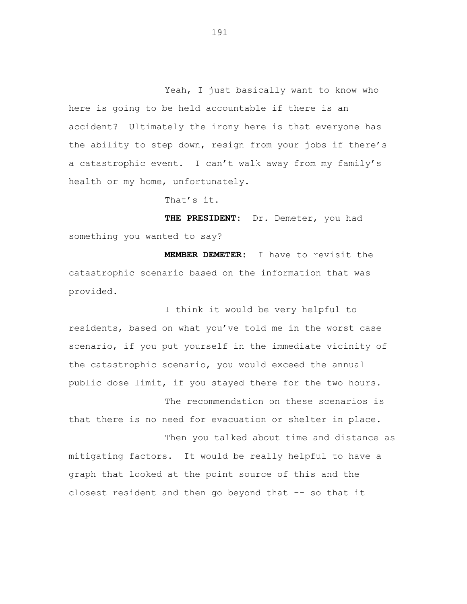Yeah, I just basically want to know who here is going to be held accountable if there is an accident? Ultimately the irony here is that everyone has the ability to step down, resign from your jobs if there's a catastrophic event. I can't walk away from my family's health or my home, unfortunately.

That's it.

**THE PRESIDENT:** Dr. Demeter, you had something you wanted to say?

**MEMBER DEMETER:** I have to revisit the catastrophic scenario based on the information that was provided.

I think it would be very helpful to residents, based on what you've told me in the worst case scenario, if you put yourself in the immediate vicinity of the catastrophic scenario, you would exceed the annual public dose limit, if you stayed there for the two hours.

The recommendation on these scenarios is that there is no need for evacuation or shelter in place. Then you talked about time and distance as

mitigating factors. It would be really helpful to have a graph that looked at the point source of this and the closest resident and then go beyond that -- so that it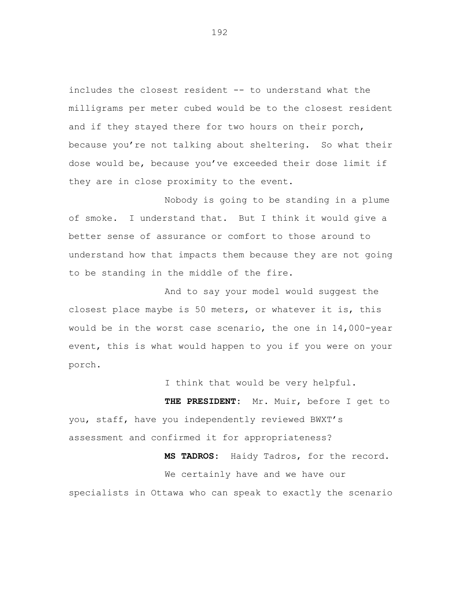includes the closest resident -- to understand what the milligrams per meter cubed would be to the closest resident and if they stayed there for two hours on their porch, because you're not talking about sheltering. So what their dose would be, because you've exceeded their dose limit if they are in close proximity to the event.

Nobody is going to be standing in a plume of smoke. I understand that. But I think it would give a better sense of assurance or comfort to those around to understand how that impacts them because they are not going to be standing in the middle of the fire.

And to say your model would suggest the closest place maybe is 50 meters, or whatever it is, this would be in the worst case scenario, the one in 14,000-year event, this is what would happen to you if you were on your porch.

I think that would be very helpful.

**THE PRESIDENT:** Mr. Muir, before I get to you, staff, have you independently reviewed BWXT's assessment and confirmed it for appropriateness?

**MS TADROS:** Haidy Tadros, for the record. We certainly have and we have our specialists in Ottawa who can speak to exactly the scenario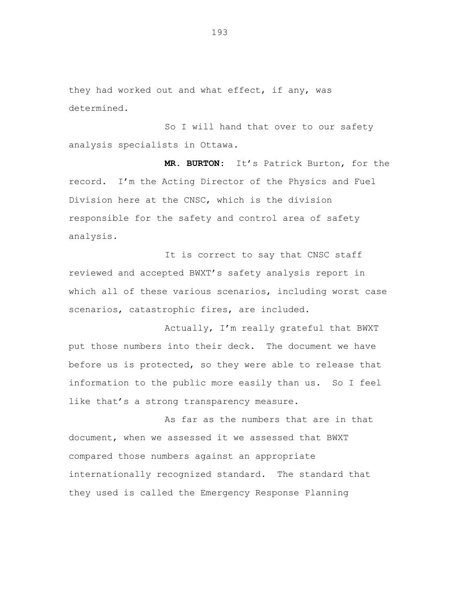they had worked out and what effect, if any, was determined.

So I will hand that over to our safety analysis specialists in Ottawa.

**MR. BURTON:** It's Patrick Burton, for the record. I'm the Acting Director of the Physics and Fuel Division here at the CNSC, which is the division responsible for the safety and control area of safety analysis.

It is correct to say that CNSC staff reviewed and accepted BWXT's safety analysis report in which all of these various scenarios, including worst case scenarios, catastrophic fires, are included.

Actually, I'm really grateful that BWXT put those numbers into their deck. The document we have before us is protected, so they were able to release that information to the public more easily than us. So I feel like that's a strong transparency measure.

As far as the numbers that are in that document, when we assessed it we assessed that BWXT compared those numbers against an appropriate internationally recognized standard. The standard that they used is called the Emergency Response Planning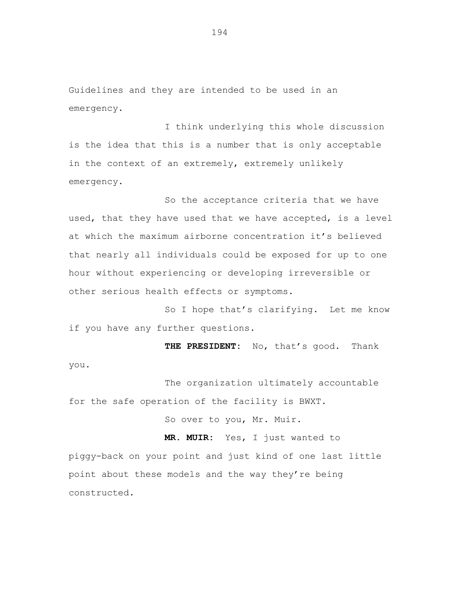Guidelines and they are intended to be used in an emergency.

I think underlying this whole discussion is the idea that this is a number that is only acceptable in the context of an extremely, extremely unlikely emergency.

So the acceptance criteria that we have used, that they have used that we have accepted, is a level at which the maximum airborne concentration it's believed that nearly all individuals could be exposed for up to one hour without experiencing or developing irreversible or other serious health effects or symptoms.

So I hope that's clarifying. Let me know if you have any further questions.

**THE PRESIDENT:** No, that's good. Thank you.

The organization ultimately accountable for the safe operation of the facility is BWXT.

So over to you, Mr. Muir.

**MR. MUIR:** Yes, I just wanted to piggy-back on your point and just kind of one last little point about these models and the way they're being constructed.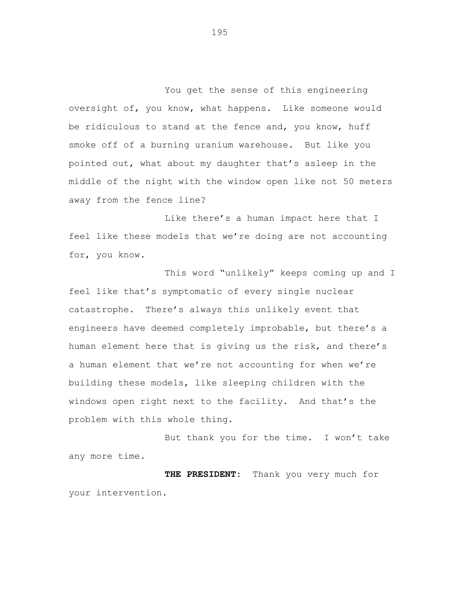You get the sense of this engineering oversight of, you know, what happens. Like someone would be ridiculous to stand at the fence and, you know, huff smoke off of a burning uranium warehouse. But like you pointed out, what about my daughter that's asleep in the middle of the night with the window open like not 50 meters away from the fence line?

Like there's a human impact here that I feel like these models that we're doing are not accounting for, you know.

This word "unlikely" keeps coming up and I feel like that's symptomatic of every single nuclear catastrophe. There's always this unlikely event that engineers have deemed completely improbable, but there's a human element here that is giving us the risk, and there's a human element that we're not accounting for when we're building these models, like sleeping children with the windows open right next to the facility. And that's the problem with this whole thing.

But thank you for the time. I won't take any more time.

**THE PRESIDENT:** Thank you very much for your intervention.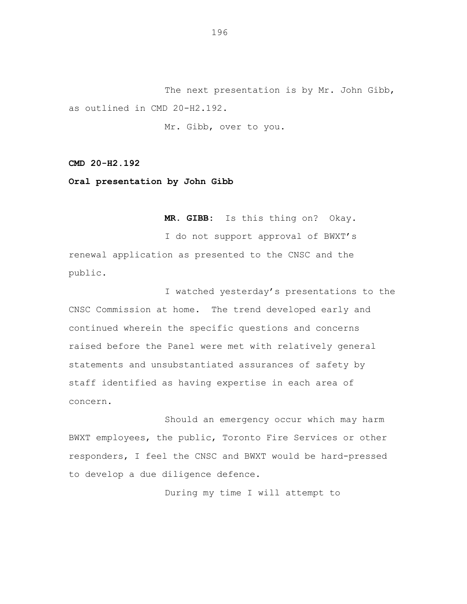The next presentation is by Mr. John Gibb, as outlined in CMD 20-H2.192.

Mr. Gibb, over to you.

**CMD 20-H2.192**

**Oral presentation by John Gibb**

**MR. GIBB:** Is this thing on? Okay.

I do not support approval of BWXT's renewal application as presented to the CNSC and the public.

I watched yesterday's presentations to the CNSC Commission at home. The trend developed early and continued wherein the specific questions and concerns raised before the Panel were met with relatively general statements and unsubstantiated assurances of safety by staff identified as having expertise in each area of concern.

Should an emergency occur which may harm BWXT employees, the public, Toronto Fire Services or other responders, I feel the CNSC and BWXT would be hard-pressed to develop a due diligence defence.

During my time I will attempt to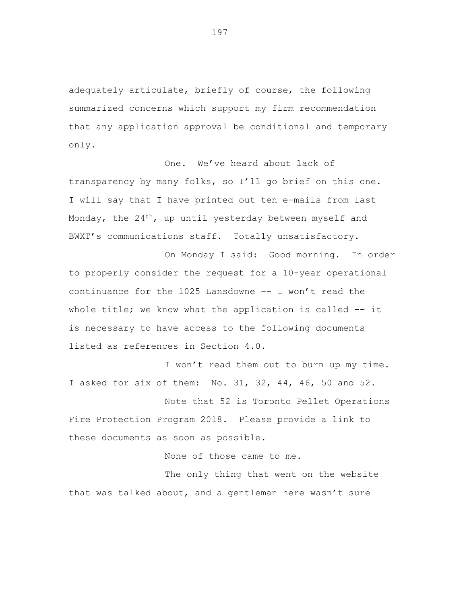adequately articulate, briefly of course, the following summarized concerns which support my firm recommendation that any application approval be conditional and temporary only.

One. We've heard about lack of transparency by many folks, so I'll go brief on this one. I will say that I have printed out ten e-mails from last Monday, the 24<sup>th</sup>, up until yesterday between myself and BWXT's communications staff. Totally unsatisfactory.

On Monday I said: Good morning. In order to properly consider the request for a 10-year operational continuance for the 1025 Lansdowne  $-$ - I won't read the whole title; we know what the application is called -- it is necessary to have access to the following documents listed as references in Section 4.0.

I won't read them out to burn up my time. I asked for six of them: No. 31, 32, 44, 46, 50 and 52.

Note that 52 is Toronto Pellet Operations Fire Protection Program 2018. Please provide a link to these documents as soon as possible.

None of those came to me.

The only thing that went on the website that was talked about, and a gentleman here wasn't sure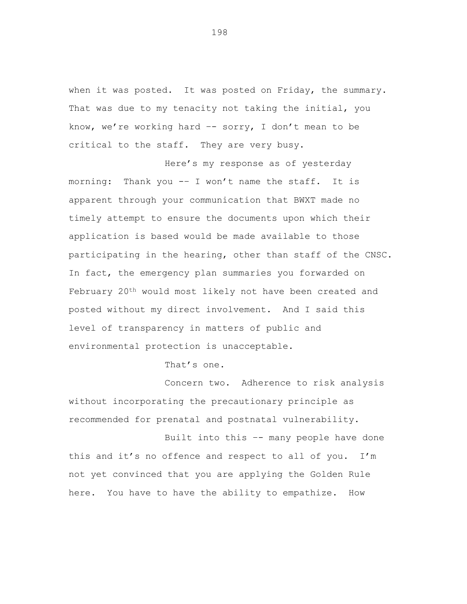when it was posted. It was posted on Friday, the summary. That was due to my tenacity not taking the initial, you know, we're working hard  $-$  sorry, I don't mean to be critical to the staff. They are very busy.

Here's my response as of yesterday morning: Thank you -– I won't name the staff. It is apparent through your communication that BWXT made no timely attempt to ensure the documents upon which their application is based would be made available to those participating in the hearing, other than staff of the CNSC. In fact, the emergency plan summaries you forwarded on February 20th would most likely not have been created and posted without my direct involvement. And I said this level of transparency in matters of public and environmental protection is unacceptable.

That's one.

Concern two. Adherence to risk analysis without incorporating the precautionary principle as recommended for prenatal and postnatal vulnerability.

Built into this –- many people have done this and it's no offence and respect to all of you. I'm not yet convinced that you are applying the Golden Rule here. You have to have the ability to empathize. How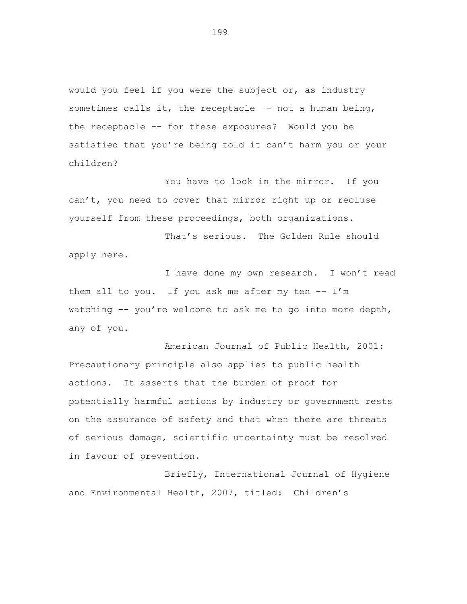would you feel if you were the subject or, as industry sometimes calls it, the receptacle  $-$ - not a human being, the receptacle -– for these exposures? Would you be satisfied that you're being told it can't harm you or your children?

You have to look in the mirror. If you can't, you need to cover that mirror right up or recluse yourself from these proceedings, both organizations.

That's serious. The Golden Rule should apply here.

I have done my own research. I won't read them all to you. If you ask me after my ten  $-- I'm$ watching –- you're welcome to ask me to go into more depth, any of you.

American Journal of Public Health, 2001: Precautionary principle also applies to public health actions. It asserts that the burden of proof for potentially harmful actions by industry or government rests on the assurance of safety and that when there are threats of serious damage, scientific uncertainty must be resolved in favour of prevention.

Briefly, International Journal of Hygiene and Environmental Health, 2007, titled: Children's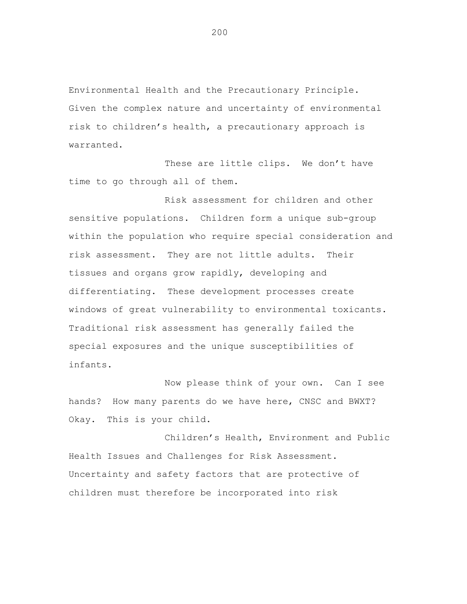Environmental Health and the Precautionary Principle. Given the complex nature and uncertainty of environmental risk to children's health, a precautionary approach is warranted.

These are little clips. We don't have time to go through all of them.

Risk assessment for children and other sensitive populations. Children form a unique sub-group within the population who require special consideration and risk assessment. They are not little adults. Their tissues and organs grow rapidly, developing and differentiating. These development processes create windows of great vulnerability to environmental toxicants. Traditional risk assessment has generally failed the special exposures and the unique susceptibilities of infants.

Now please think of your own. Can I see hands? How many parents do we have here, CNSC and BWXT? Okay. This is your child.

Children's Health, Environment and Public Health Issues and Challenges for Risk Assessment. Uncertainty and safety factors that are protective of children must therefore be incorporated into risk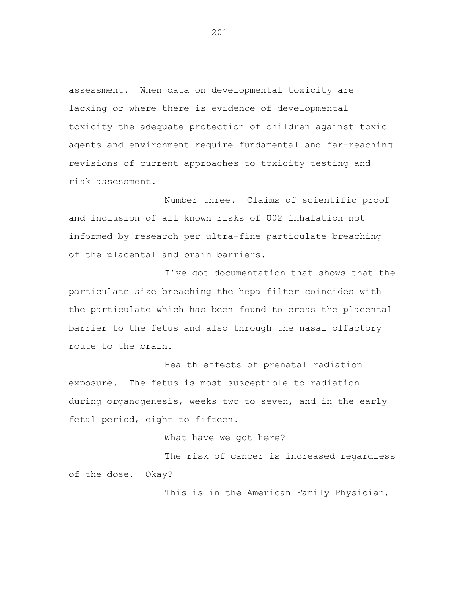assessment. When data on developmental toxicity are lacking or where there is evidence of developmental toxicity the adequate protection of children against toxic agents and environment require fundamental and far-reaching revisions of current approaches to toxicity testing and risk assessment.

Number three. Claims of scientific proof and inclusion of all known risks of U02 inhalation not informed by research per ultra-fine particulate breaching of the placental and brain barriers.

I've got documentation that shows that the particulate size breaching the hepa filter coincides with the particulate which has been found to cross the placental barrier to the fetus and also through the nasal olfactory route to the brain.

Health effects of prenatal radiation exposure. The fetus is most susceptible to radiation during organogenesis, weeks two to seven, and in the early fetal period, eight to fifteen.

## What have we got here?

The risk of cancer is increased regardless of the dose. Okay?

This is in the American Family Physician,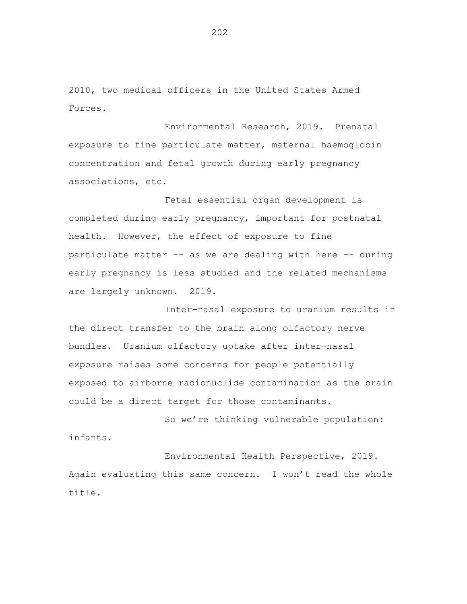2010, two medical officers in the United States Armed Forces.

Environmental Research, 2019. Prenatal exposure to fine particulate matter, maternal haemoglobin concentration and fetal growth during early pregnancy associations, etc.

Fetal essential organ development is completed during early pregnancy, important for postnatal health. However, the effect of exposure to fine particulate matter -– as we are dealing with here -– during early pregnancy is less studied and the related mechanisms are largely unknown. 2019.

Inter-nasal exposure to uranium results in the direct transfer to the brain along olfactory nerve bundles. Uranium olfactory uptake after inter-nasal exposure raises some concerns for people potentially exposed to airborne radionuclide contamination as the brain could be a direct target for those contaminants.

So we're thinking vulnerable population: infants.

Environmental Health Perspective, 2019. Again evaluating this same concern. I won't read the whole title.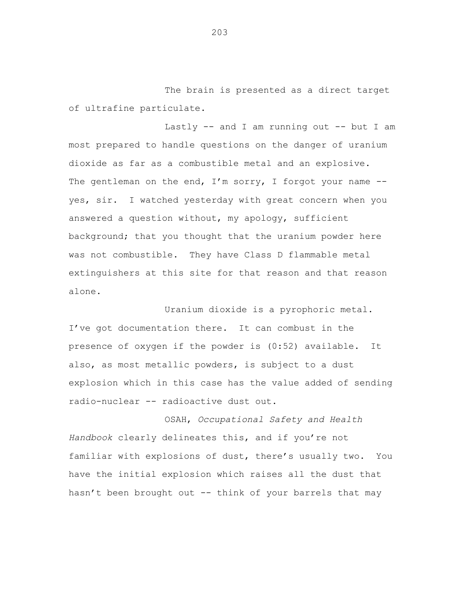The brain is presented as a direct target of ultrafine particulate.

Lastly  $--$  and I am running out  $--$  but I am most prepared to handle questions on the danger of uranium dioxide as far as a combustible metal and an explosive. The gentleman on the end,  $I'm$  sorry, I forgot your name  $-$ yes, sir. I watched yesterday with great concern when you answered a question without, my apology, sufficient background; that you thought that the uranium powder here was not combustible. They have Class D flammable metal extinguishers at this site for that reason and that reason alone.

Uranium dioxide is a pyrophoric metal. I've got documentation there. It can combust in the presence of oxygen if the powder is (0:52) available. It also, as most metallic powders, is subject to a dust explosion which in this case has the value added of sending radio-nuclear -- radioactive dust out.

OSAH, *Occupational Safety and Health Handbook* clearly delineates this, and if you're not familiar with explosions of dust, there's usually two. You have the initial explosion which raises all the dust that hasn't been brought out -- think of your barrels that may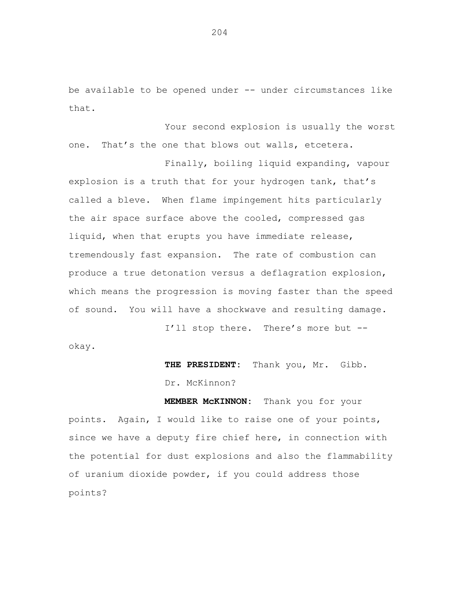be available to be opened under -- under circumstances like that.

Your second explosion is usually the worst one. That's the one that blows out walls, etcetera.

Finally, boiling liquid expanding, vapour explosion is a truth that for your hydrogen tank, that's called a bleve. When flame impingement hits particularly the air space surface above the cooled, compressed gas liquid, when that erupts you have immediate release, tremendously fast expansion. The rate of combustion can produce a true detonation versus a deflagration explosion, which means the progression is moving faster than the speed of sound. You will have a shockwave and resulting damage.

I'll stop there. There's more but - okay.

**THE PRESIDENT:** Thank you, Mr. Gibb.

Dr. McKinnon?

**MEMBER McKINNON:** Thank you for your points. Again, I would like to raise one of your points, since we have a deputy fire chief here, in connection with the potential for dust explosions and also the flammability of uranium dioxide powder, if you could address those points?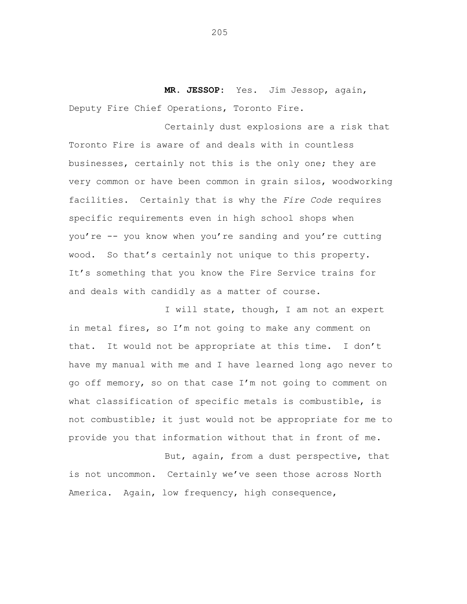**MR. JESSOP:** Yes. Jim Jessop, again, Deputy Fire Chief Operations, Toronto Fire.

Certainly dust explosions are a risk that Toronto Fire is aware of and deals with in countless businesses, certainly not this is the only one; they are very common or have been common in grain silos, woodworking facilities. Certainly that is why the *Fire Code* requires specific requirements even in high school shops when you're -- you know when you're sanding and you're cutting wood. So that's certainly not unique to this property. It's something that you know the Fire Service trains for and deals with candidly as a matter of course.

I will state, though, I am not an expert in metal fires, so I'm not going to make any comment on that. It would not be appropriate at this time. I don't have my manual with me and I have learned long ago never to go off memory, so on that case I'm not going to comment on what classification of specific metals is combustible, is not combustible; it just would not be appropriate for me to provide you that information without that in front of me.

But, again, from a dust perspective, that is not uncommon. Certainly we've seen those across North America. Again, low frequency, high consequence,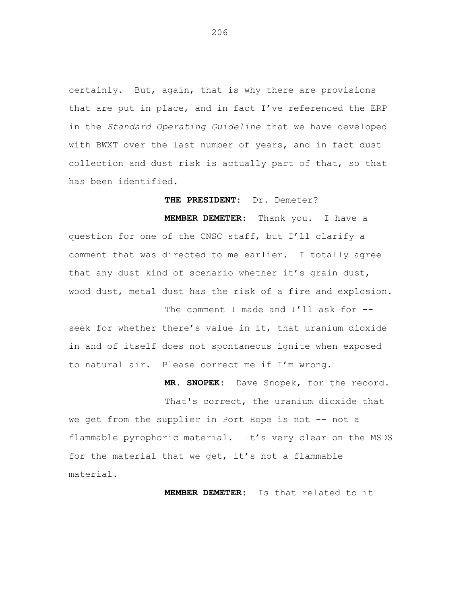certainly. But, again, that is why there are provisions that are put in place, and in fact I've referenced the ERP in the *Standard Operating Guideline* that we have developed with BWXT over the last number of years, and in fact dust collection and dust risk is actually part of that, so that has been identified.

**THE PRESIDENT:** Dr. Demeter?

**MEMBER DEMETER:** Thank you. I have a question for one of the CNSC staff, but I'll clarify a comment that was directed to me earlier. I totally agree that any dust kind of scenario whether it's grain dust, wood dust, metal dust has the risk of a fire and explosion.

The comment I made and I'll ask for -seek for whether there's value in it, that uranium dioxide in and of itself does not spontaneous ignite when exposed to natural air. Please correct me if I'm wrong.

**MR. SNOPEK:** Dave Snopek, for the record.

That's correct, the uranium dioxide that we get from the supplier in Port Hope is not -- not a flammable pyrophoric material. It's very clear on the MSDS for the material that we get, it's not a flammable material.

**MEMBER DEMETER:** Is that related to it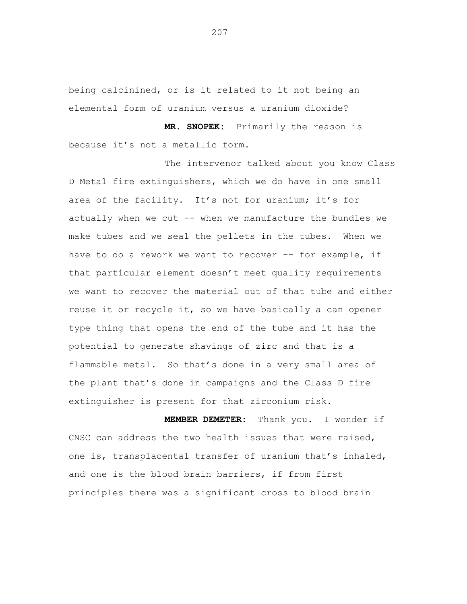being calcinined, or is it related to it not being an elemental form of uranium versus a uranium dioxide?

**MR. SNOPEK:** Primarily the reason is because it's not a metallic form.

The intervenor talked about you know Class D Metal fire extinguishers, which we do have in one small area of the facility. It's not for uranium; it's for actually when we cut -- when we manufacture the bundles we make tubes and we seal the pellets in the tubes. When we have to do a rework we want to recover -- for example, if that particular element doesn't meet quality requirements we want to recover the material out of that tube and either reuse it or recycle it, so we have basically a can opener type thing that opens the end of the tube and it has the potential to generate shavings of zirc and that is a flammable metal. So that's done in a very small area of the plant that's done in campaigns and the Class D fire extinguisher is present for that zirconium risk.

**MEMBER DEMETER:** Thank you. I wonder if CNSC can address the two health issues that were raised, one is, transplacental transfer of uranium that's inhaled, and one is the blood brain barriers, if from first principles there was a significant cross to blood brain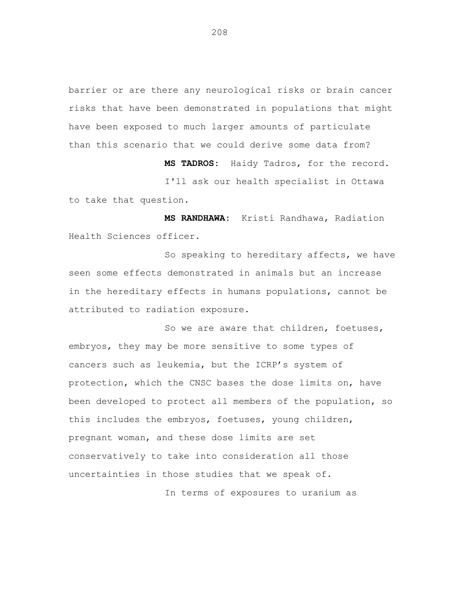barrier or are there any neurological risks or brain cancer risks that have been demonstrated in populations that might have been exposed to much larger amounts of particulate than this scenario that we could derive some data from?

**MS TADROS:** Haidy Tadros, for the record. I'll ask our health specialist in Ottawa to take that question.

**MS RANDHAWA:** Kristi Randhawa, Radiation Health Sciences officer.

So speaking to hereditary affects, we have seen some effects demonstrated in animals but an increase in the hereditary effects in humans populations, cannot be attributed to radiation exposure.

So we are aware that children, foetuses, embryos, they may be more sensitive to some types of cancers such as leukemia, but the ICRP's system of protection, which the CNSC bases the dose limits on, have been developed to protect all members of the population, so this includes the embryos, foetuses, young children, pregnant woman, and these dose limits are set conservatively to take into consideration all those uncertainties in those studies that we speak of.

In terms of exposures to uranium as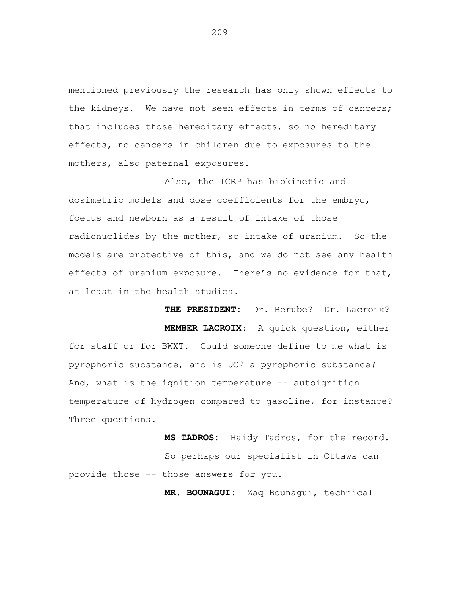mentioned previously the research has only shown effects to the kidneys. We have not seen effects in terms of cancers; that includes those hereditary effects, so no hereditary effects, no cancers in children due to exposures to the mothers, also paternal exposures.

Also, the ICRP has biokinetic and dosimetric models and dose coefficients for the embryo, foetus and newborn as a result of intake of those radionuclides by the mother, so intake of uranium. So the models are protective of this, and we do not see any health effects of uranium exposure. There's no evidence for that, at least in the health studies.

**THE PRESIDENT:** Dr. Berube? Dr. Lacroix? **MEMBER LACROIX:** A quick question, either for staff or for BWXT. Could someone define to me what is pyrophoric substance, and is UO2 a pyrophoric substance? And, what is the ignition temperature -- autoignition temperature of hydrogen compared to gasoline, for instance? Three questions.

**MS TADROS:** Haidy Tadros, for the record. So perhaps our specialist in Ottawa can provide those -- those answers for you.

**MR. BOUNAGUI:** Zaq Bounagui, technical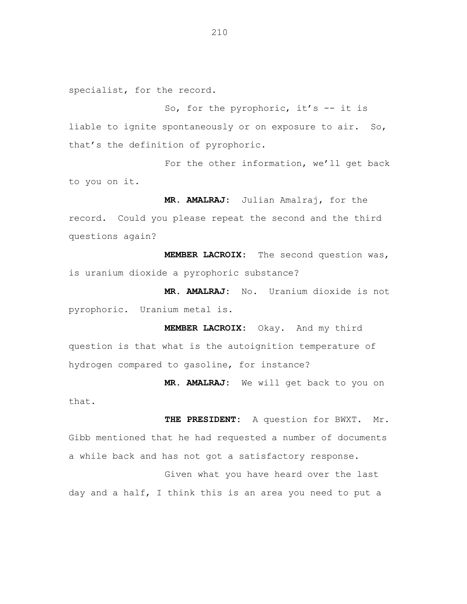specialist, for the record.

So, for the pyrophoric, it's  $-$  it is liable to ignite spontaneously or on exposure to air. So, that's the definition of pyrophoric.

For the other information, we'll get back to you on it.

**MR. AMALRAJ:** Julian Amalraj, for the record. Could you please repeat the second and the third questions again?

**MEMBER LACROIX:** The second question was, is uranium dioxide a pyrophoric substance?

**MR. AMALRAJ:** No. Uranium dioxide is not pyrophoric. Uranium metal is.

**MEMBER LACROIX:** Okay. And my third question is that what is the autoignition temperature of hydrogen compared to gasoline, for instance?

**MR. AMALRAJ:** We will get back to you on that.

**THE PRESIDENT:** A question for BWXT. Mr. Gibb mentioned that he had requested a number of documents a while back and has not got a satisfactory response.

Given what you have heard over the last day and a half, I think this is an area you need to put a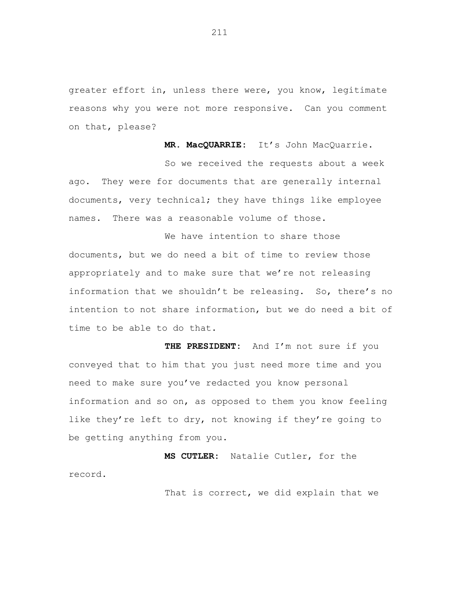greater effort in, unless there were, you know, legitimate reasons why you were not more responsive. Can you comment on that, please?

**MR. MacQUARRIE:** It's John MacQuarrie.

So we received the requests about a week ago. They were for documents that are generally internal documents, very technical; they have things like employee names. There was a reasonable volume of those.

We have intention to share those documents, but we do need a bit of time to review those appropriately and to make sure that we're not releasing information that we shouldn't be releasing. So, there's no intention to not share information, but we do need a bit of time to be able to do that.

**THE PRESIDENT:** And I'm not sure if you conveyed that to him that you just need more time and you need to make sure you've redacted you know personal information and so on, as opposed to them you know feeling like they're left to dry, not knowing if they're going to be getting anything from you.

**MS CUTLER:** Natalie Cutler, for the record.

That is correct, we did explain that we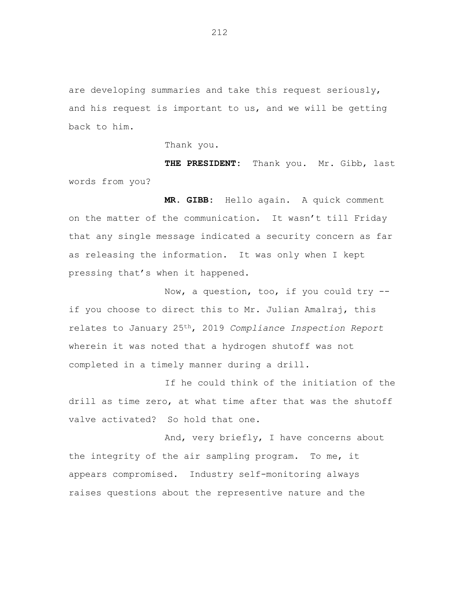are developing summaries and take this request seriously, and his request is important to us, and we will be getting back to him.

Thank you.

**THE PRESIDENT:** Thank you. Mr. Gibb, last words from you?

**MR. GIBB:** Hello again. A quick comment on the matter of the communication. It wasn't till Friday that any single message indicated a security concern as far as releasing the information. It was only when I kept pressing that's when it happened.

Now, a question, too, if you could try - if you choose to direct this to Mr. Julian Amalraj, this relates to January 25th, 2019 *Compliance Inspection Report* wherein it was noted that a hydrogen shutoff was not completed in a timely manner during a drill.

If he could think of the initiation of the drill as time zero, at what time after that was the shutoff valve activated? So hold that one.

And, very briefly, I have concerns about the integrity of the air sampling program. To me, it appears compromised. Industry self-monitoring always raises questions about the representive nature and the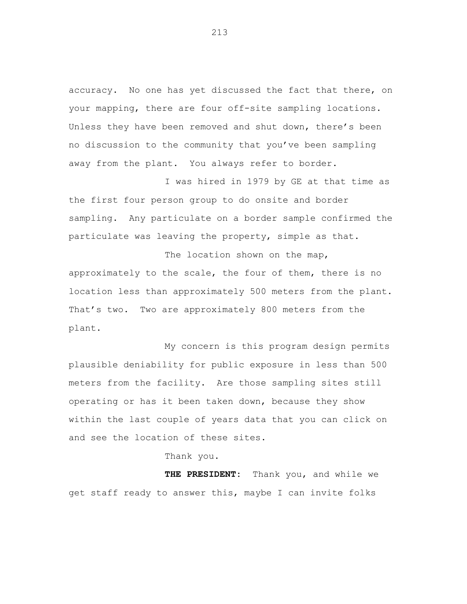accuracy. No one has yet discussed the fact that there, on your mapping, there are four off-site sampling locations. Unless they have been removed and shut down, there's been no discussion to the community that you've been sampling away from the plant. You always refer to border.

I was hired in 1979 by GE at that time as the first four person group to do onsite and border sampling. Any particulate on a border sample confirmed the particulate was leaving the property, simple as that.

The location shown on the map, approximately to the scale, the four of them, there is no location less than approximately 500 meters from the plant. That's two. Two are approximately 800 meters from the plant.

My concern is this program design permits plausible deniability for public exposure in less than 500 meters from the facility. Are those sampling sites still operating or has it been taken down, because they show within the last couple of years data that you can click on and see the location of these sites.

Thank you.

**THE PRESIDENT:** Thank you, and while we get staff ready to answer this, maybe I can invite folks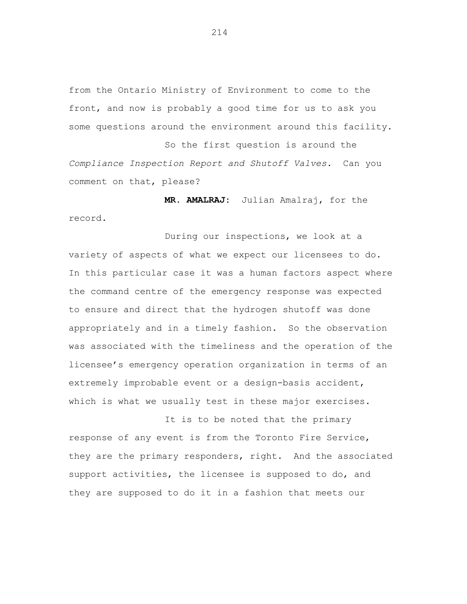from the Ontario Ministry of Environment to come to the front, and now is probably a good time for us to ask you some questions around the environment around this facility.

So the first question is around the *Compliance Inspection Report and Shutoff Valves.* Can you comment on that, please?

**MR. AMALRAJ:** Julian Amalraj, for the record.

During our inspections, we look at a variety of aspects of what we expect our licensees to do. In this particular case it was a human factors aspect where the command centre of the emergency response was expected to ensure and direct that the hydrogen shutoff was done appropriately and in a timely fashion. So the observation was associated with the timeliness and the operation of the licensee's emergency operation organization in terms of an extremely improbable event or a design-basis accident, which is what we usually test in these major exercises.

It is to be noted that the primary response of any event is from the Toronto Fire Service, they are the primary responders, right. And the associated support activities, the licensee is supposed to do, and they are supposed to do it in a fashion that meets our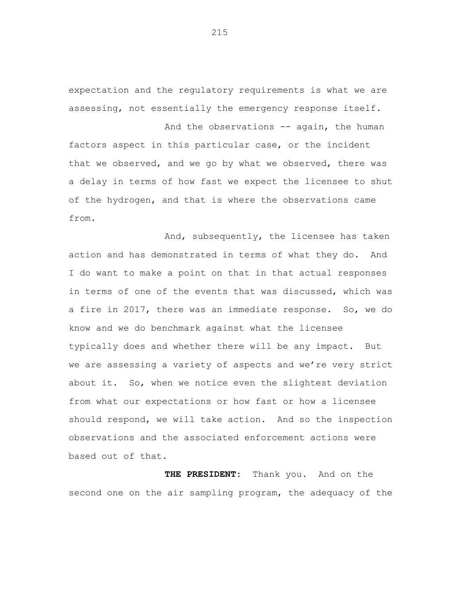expectation and the regulatory requirements is what we are assessing, not essentially the emergency response itself.

And the observations -- again, the human

factors aspect in this particular case, or the incident that we observed, and we go by what we observed, there was a delay in terms of how fast we expect the licensee to shut of the hydrogen, and that is where the observations came from.

And, subsequently, the licensee has taken action and has demonstrated in terms of what they do. And I do want to make a point on that in that actual responses in terms of one of the events that was discussed, which was a fire in 2017, there was an immediate response. So, we do know and we do benchmark against what the licensee typically does and whether there will be any impact. But we are assessing a variety of aspects and we're very strict about it. So, when we notice even the slightest deviation from what our expectations or how fast or how a licensee should respond, we will take action. And so the inspection observations and the associated enforcement actions were based out of that.

**THE PRESIDENT:** Thank you. And on the second one on the air sampling program, the adequacy of the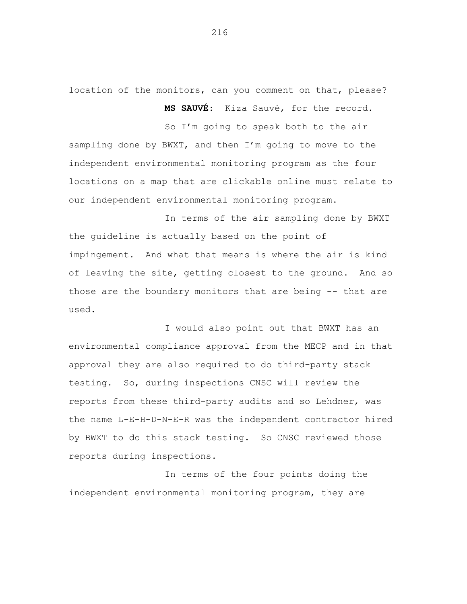location of the monitors, can you comment on that, please?

**MS SAUVÉ:** Kiza Sauvé, for the record.

So I'm going to speak both to the air sampling done by BWXT, and then I'm going to move to the independent environmental monitoring program as the four locations on a map that are clickable online must relate to our independent environmental monitoring program.

In terms of the air sampling done by BWXT the guideline is actually based on the point of impingement. And what that means is where the air is kind of leaving the site, getting closest to the ground. And so those are the boundary monitors that are being -- that are used.

I would also point out that BWXT has an environmental compliance approval from the MECP and in that approval they are also required to do third-party stack testing. So, during inspections CNSC will review the reports from these third-party audits and so Lehdner, was the name L-E-H-D-N-E-R was the independent contractor hired by BWXT to do this stack testing. So CNSC reviewed those reports during inspections.

In terms of the four points doing the independent environmental monitoring program, they are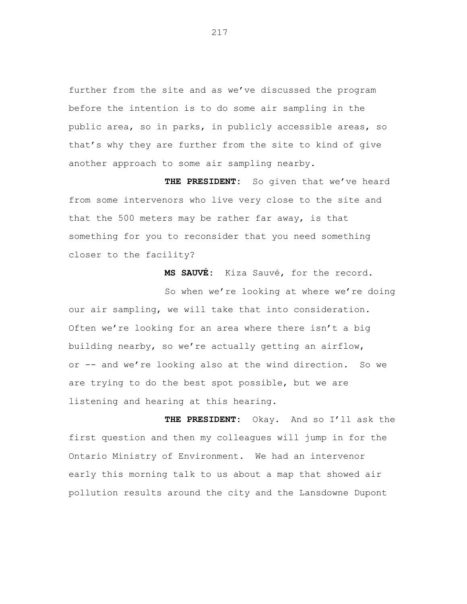further from the site and as we've discussed the program before the intention is to do some air sampling in the public area, so in parks, in publicly accessible areas, so that's why they are further from the site to kind of give another approach to some air sampling nearby.

**THE PRESIDENT:** So given that we've heard from some intervenors who live very close to the site and that the 500 meters may be rather far away, is that something for you to reconsider that you need something closer to the facility?

**MS SAUVÉ:** Kiza Sauvé, for the record.

So when we're looking at where we're doing our air sampling, we will take that into consideration. Often we're looking for an area where there isn't a big building nearby, so we're actually getting an airflow, or -- and we're looking also at the wind direction. So we are trying to do the best spot possible, but we are listening and hearing at this hearing.

**THE PRESIDENT:** Okay. And so I'll ask the first question and then my colleagues will jump in for the Ontario Ministry of Environment. We had an intervenor early this morning talk to us about a map that showed air pollution results around the city and the Lansdowne Dupont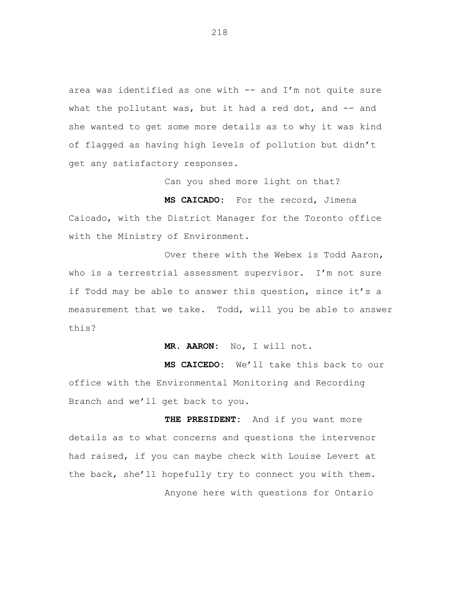area was identified as one with -- and I'm not quite sure what the pollutant was, but it had a red dot, and  $-$ - and she wanted to get some more details as to why it was kind of flagged as having high levels of pollution but didn't get any satisfactory responses.

Can you shed more light on that?

**MS CAICADO:** For the record, Jimena Caicado, with the District Manager for the Toronto office with the Ministry of Environment.

Over there with the Webex is Todd Aaron, who is a terrestrial assessment supervisor. I'm not sure if Todd may be able to answer this question, since it's a measurement that we take. Todd, will you be able to answer this?

**MR. AARON:** No, I will not.

**MS CAICEDO:** We'll take this back to our office with the Environmental Monitoring and Recording Branch and we'll get back to you.

**THE PRESIDENT:** And if you want more details as to what concerns and questions the intervenor had raised, if you can maybe check with Louise Levert at the back, she'll hopefully try to connect you with them. Anyone here with questions for Ontario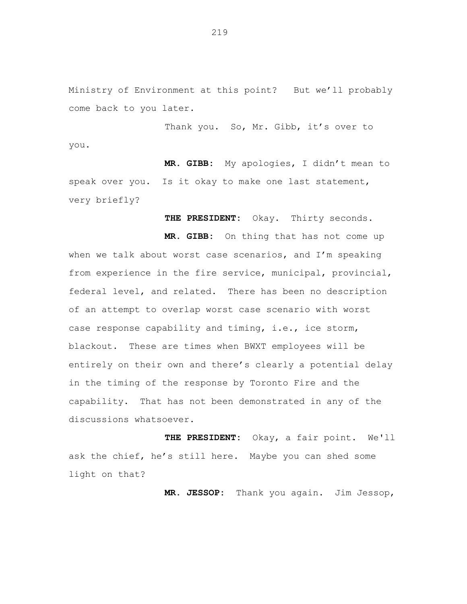Ministry of Environment at this point? But we'll probably come back to you later.

Thank you. So, Mr. Gibb, it's over to you.

**MR. GIBB:** My apologies, I didn't mean to speak over you. Is it okay to make one last statement, very briefly?

**THE PRESIDENT:** Okay. Thirty seconds.

**MR. GIBB:** On thing that has not come up when we talk about worst case scenarios, and I'm speaking from experience in the fire service, municipal, provincial, federal level, and related. There has been no description of an attempt to overlap worst case scenario with worst case response capability and timing, i.e., ice storm, blackout. These are times when BWXT employees will be entirely on their own and there's clearly a potential delay in the timing of the response by Toronto Fire and the capability. That has not been demonstrated in any of the discussions whatsoever.

**THE PRESIDENT:** Okay, a fair point. We'll ask the chief, he's still here. Maybe you can shed some light on that?

**MR. JESSOP:** Thank you again. Jim Jessop,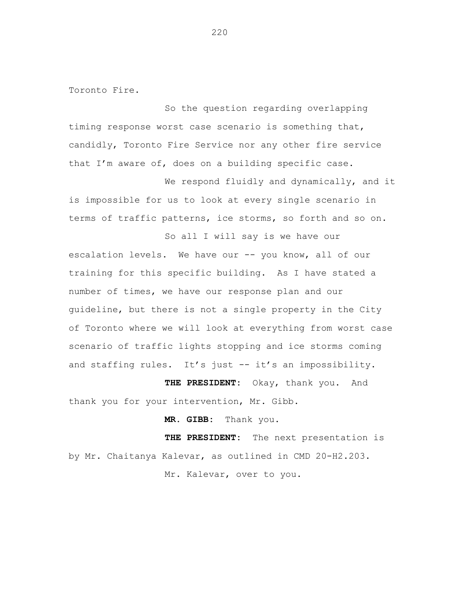Toronto Fire.

So the question regarding overlapping timing response worst case scenario is something that, candidly, Toronto Fire Service nor any other fire service that I'm aware of, does on a building specific case.

We respond fluidly and dynamically, and it is impossible for us to look at every single scenario in terms of traffic patterns, ice storms, so forth and so on.

So all I will say is we have our escalation levels. We have our -- you know, all of our training for this specific building. As I have stated a number of times, we have our response plan and our guideline, but there is not a single property in the City of Toronto where we will look at everything from worst case scenario of traffic lights stopping and ice storms coming and staffing rules. It's just -- it's an impossibility.

**THE PRESIDENT:** Okay, thank you. And thank you for your intervention, Mr. Gibb.

**MR. GIBB:** Thank you.

**THE PRESIDENT:** The next presentation is by Mr. Chaitanya Kalevar, as outlined in CMD 20-H2.203.

Mr. Kalevar, over to you.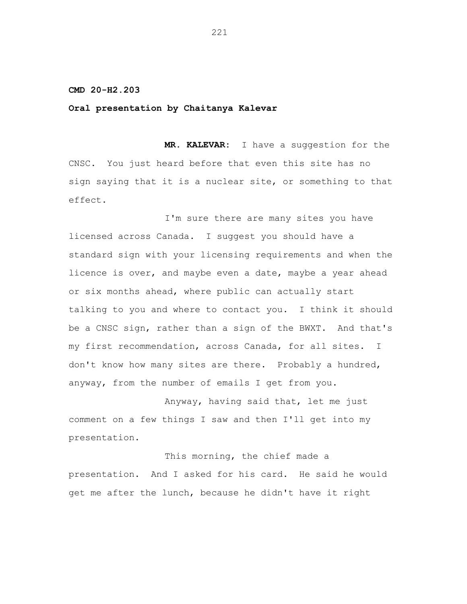# **CMD 20-H2.203**

## **Oral presentation by Chaitanya Kalevar**

**MR. KALEVAR:** I have a suggestion for the CNSC. You just heard before that even this site has no sign saying that it is a nuclear site, or something to that effect.

I'm sure there are many sites you have licensed across Canada. I suggest you should have a standard sign with your licensing requirements and when the licence is over, and maybe even a date, maybe a year ahead or six months ahead, where public can actually start talking to you and where to contact you. I think it should be a CNSC sign, rather than a sign of the BWXT. And that's my first recommendation, across Canada, for all sites. I don't know how many sites are there. Probably a hundred, anyway, from the number of emails I get from you.

Anyway, having said that, let me just comment on a few things I saw and then I'll get into my presentation.

This morning, the chief made a presentation. And I asked for his card. He said he would get me after the lunch, because he didn't have it right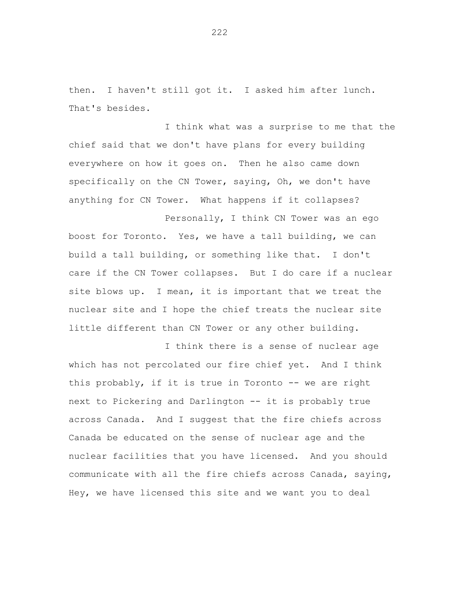then. I haven't still got it. I asked him after lunch. That's besides.

I think what was a surprise to me that the chief said that we don't have plans for every building everywhere on how it goes on. Then he also came down specifically on the CN Tower, saying, Oh, we don't have anything for CN Tower. What happens if it collapses?

Personally, I think CN Tower was an ego boost for Toronto. Yes, we have a tall building, we can build a tall building, or something like that. I don't care if the CN Tower collapses. But I do care if a nuclear site blows up. I mean, it is important that we treat the nuclear site and I hope the chief treats the nuclear site little different than CN Tower or any other building.

I think there is a sense of nuclear age which has not percolated our fire chief yet. And I think this probably, if it is true in Toronto -- we are right next to Pickering and Darlington -- it is probably true across Canada. And I suggest that the fire chiefs across Canada be educated on the sense of nuclear age and the nuclear facilities that you have licensed. And you should communicate with all the fire chiefs across Canada, saying, Hey, we have licensed this site and we want you to deal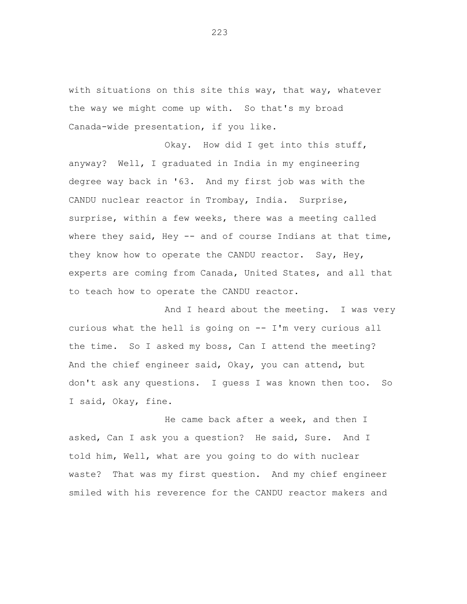with situations on this site this way, that way, whatever the way we might come up with. So that's my broad Canada-wide presentation, if you like.

Okay. How did I get into this stuff, anyway? Well, I graduated in India in my engineering degree way back in '63. And my first job was with the CANDU nuclear reactor in Trombay, India. Surprise, surprise, within a few weeks, there was a meeting called where they said, Hey  $-$  and of course Indians at that time, they know how to operate the CANDU reactor. Say, Hey, experts are coming from Canada, United States, and all that to teach how to operate the CANDU reactor.

And I heard about the meeting. I was very curious what the hell is going on -- I'm very curious all the time. So I asked my boss, Can I attend the meeting? And the chief engineer said, Okay, you can attend, but don't ask any questions. I guess I was known then too. So I said, Okay, fine.

He came back after a week, and then I asked, Can I ask you a question? He said, Sure. And I told him, Well, what are you going to do with nuclear waste? That was my first question. And my chief engineer smiled with his reverence for the CANDU reactor makers and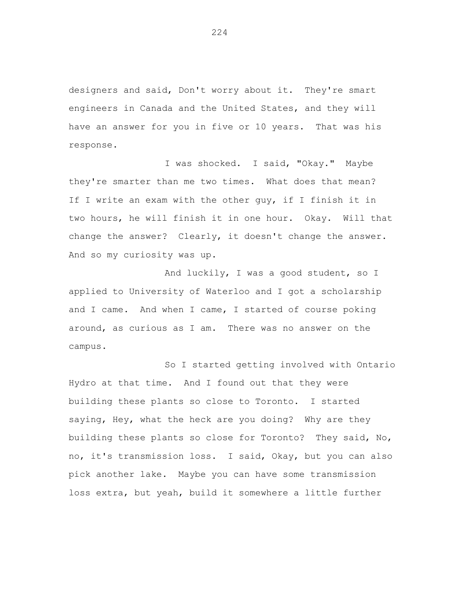designers and said, Don't worry about it. They're smart engineers in Canada and the United States, and they will have an answer for you in five or 10 years. That was his response.

I was shocked. I said, "Okay." Maybe they're smarter than me two times. What does that mean? If I write an exam with the other guy, if I finish it in two hours, he will finish it in one hour. Okay. Will that change the answer? Clearly, it doesn't change the answer. And so my curiosity was up.

And luckily, I was a good student, so I applied to University of Waterloo and I got a scholarship and I came. And when I came, I started of course poking around, as curious as I am. There was no answer on the campus.

So I started getting involved with Ontario Hydro at that time. And I found out that they were building these plants so close to Toronto. I started saying, Hey, what the heck are you doing? Why are they building these plants so close for Toronto? They said, No, no, it's transmission loss. I said, Okay, but you can also pick another lake. Maybe you can have some transmission loss extra, but yeah, build it somewhere a little further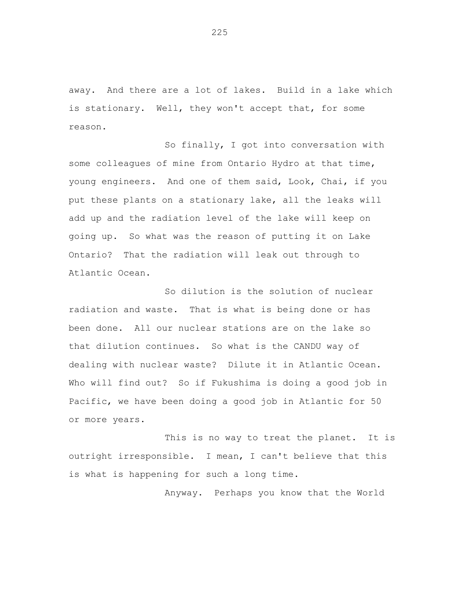away. And there are a lot of lakes. Build in a lake which is stationary. Well, they won't accept that, for some reason.

So finally, I got into conversation with some colleagues of mine from Ontario Hydro at that time, young engineers. And one of them said, Look, Chai, if you put these plants on a stationary lake, all the leaks will add up and the radiation level of the lake will keep on going up. So what was the reason of putting it on Lake Ontario? That the radiation will leak out through to Atlantic Ocean.

So dilution is the solution of nuclear radiation and waste. That is what is being done or has been done. All our nuclear stations are on the lake so that dilution continues. So what is the CANDU way of dealing with nuclear waste? Dilute it in Atlantic Ocean. Who will find out? So if Fukushima is doing a good job in Pacific, we have been doing a good job in Atlantic for 50 or more years.

This is no way to treat the planet. It is outright irresponsible. I mean, I can't believe that this is what is happening for such a long time.

Anyway. Perhaps you know that the World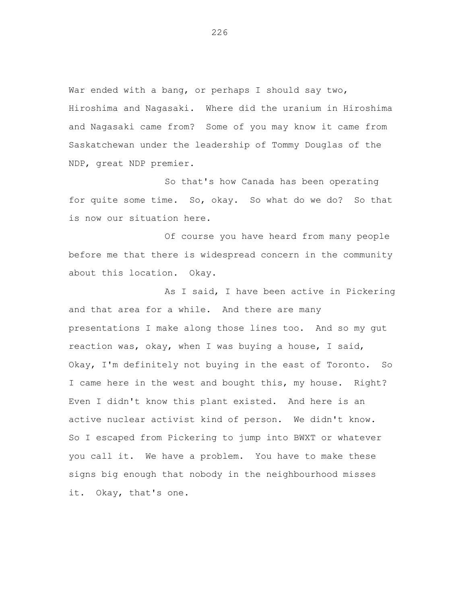War ended with a bang, or perhaps I should say two, Hiroshima and Nagasaki. Where did the uranium in Hiroshima and Nagasaki came from? Some of you may know it came from Saskatchewan under the leadership of Tommy Douglas of the NDP, great NDP premier.

So that's how Canada has been operating for quite some time. So, okay. So what do we do? So that is now our situation here.

Of course you have heard from many people before me that there is widespread concern in the community about this location. Okay.

As I said, I have been active in Pickering and that area for a while. And there are many presentations I make along those lines too. And so my gut reaction was, okay, when I was buying a house, I said, Okay, I'm definitely not buying in the east of Toronto. So I came here in the west and bought this, my house. Right? Even I didn't know this plant existed. And here is an active nuclear activist kind of person. We didn't know. So I escaped from Pickering to jump into BWXT or whatever you call it. We have a problem. You have to make these signs big enough that nobody in the neighbourhood misses it. Okay, that's one.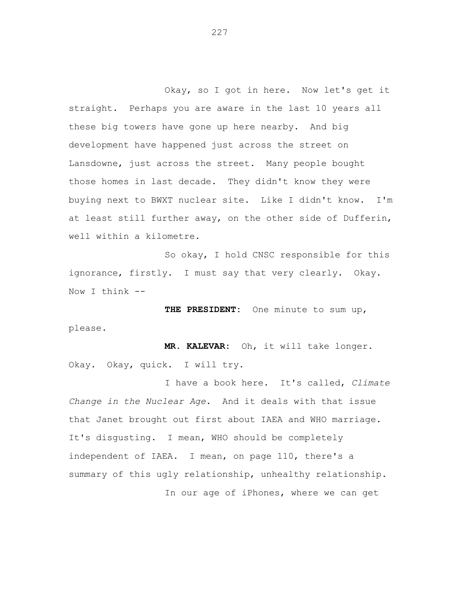Okay, so I got in here. Now let's get it straight. Perhaps you are aware in the last 10 years all these big towers have gone up here nearby. And big development have happened just across the street on Lansdowne, just across the street. Many people bought those homes in last decade. They didn't know they were buying next to BWXT nuclear site. Like I didn't know. I'm at least still further away, on the other side of Dufferin, well within a kilometre.

So okay, I hold CNSC responsible for this ignorance, firstly. I must say that very clearly. Okay. Now I think --

**THE PRESIDENT:** One minute to sum up, please.

**MR. KALEVAR:** Oh, it will take longer. Okay. Okay, quick. I will try.

I have a book here. It's called, *Climate Change in the Nuclear Age*. And it deals with that issue that Janet brought out first about IAEA and WHO marriage. It's disgusting. I mean, WHO should be completely independent of IAEA. I mean, on page 110, there's a summary of this ugly relationship, unhealthy relationship. In our age of iPhones, where we can get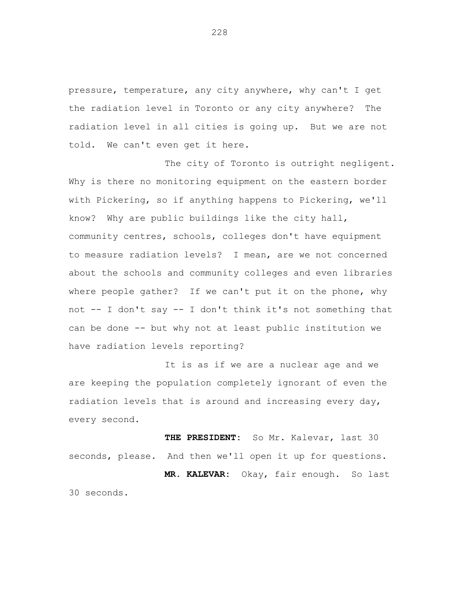pressure, temperature, any city anywhere, why can't I get the radiation level in Toronto or any city anywhere? The radiation level in all cities is going up. But we are not told. We can't even get it here.

The city of Toronto is outright negligent. Why is there no monitoring equipment on the eastern border with Pickering, so if anything happens to Pickering, we'll know? Why are public buildings like the city hall, community centres, schools, colleges don't have equipment to measure radiation levels? I mean, are we not concerned about the schools and community colleges and even libraries where people gather? If we can't put it on the phone, why not -- I don't say -- I don't think it's not something that can be done -- but why not at least public institution we have radiation levels reporting?

It is as if we are a nuclear age and we are keeping the population completely ignorant of even the radiation levels that is around and increasing every day, every second.

**THE PRESIDENT:** So Mr. Kalevar, last 30 seconds, please. And then we'll open it up for questions. **MR. KALEVAR:** Okay, fair enough. So last 30 seconds.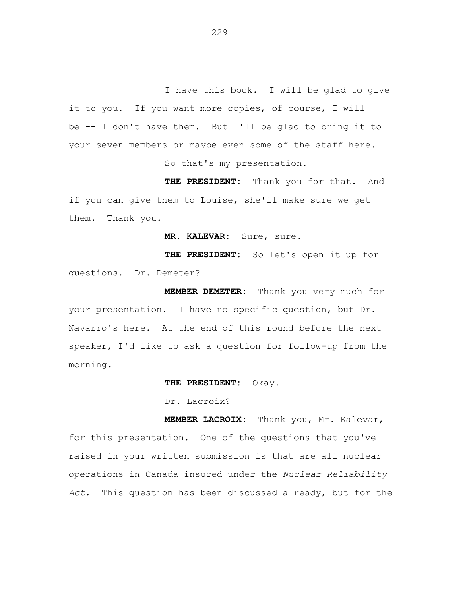I have this book. I will be glad to give it to you. If you want more copies, of course, I will be -- I don't have them. But I'll be glad to bring it to your seven members or maybe even some of the staff here. So that's my presentation.

**THE PRESIDENT:** Thank you for that. And if you can give them to Louise, she'll make sure we get them. Thank you.

**MR. KALEVAR:** Sure, sure.

**THE PRESIDENT:** So let's open it up for questions. Dr. Demeter?

**MEMBER DEMETER:** Thank you very much for your presentation. I have no specific question, but Dr. Navarro's here. At the end of this round before the next speaker, I'd like to ask a question for follow-up from the morning.

**THE PRESIDENT:** Okay.

Dr. Lacroix?

**MEMBER LACROIX:** Thank you, Mr. Kalevar, for this presentation. One of the questions that you've raised in your written submission is that are all nuclear operations in Canada insured under the *Nuclear Reliability Act*. This question has been discussed already, but for the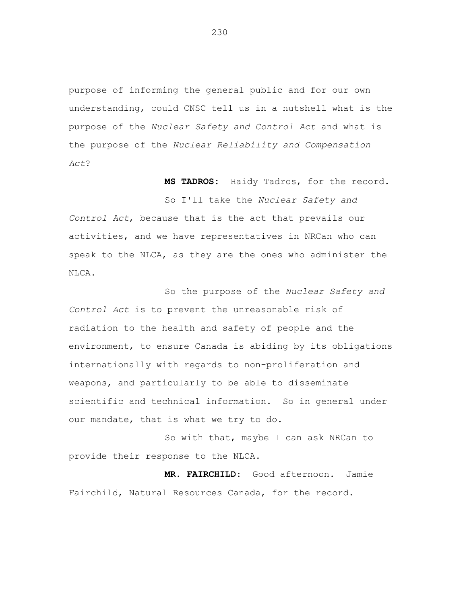purpose of informing the general public and for our own understanding, could CNSC tell us in a nutshell what is the purpose of the *Nuclear Safety and Control Act* and what is the purpose of the *Nuclear Reliability and Compensation Act*?

**MS TADROS:** Haidy Tadros, for the record.

So I'll take the *Nuclear Safety and Control Act*, because that is the act that prevails our activities, and we have representatives in NRCan who can speak to the NLCA, as they are the ones who administer the NLCA.

So the purpose of the *Nuclear Safety and Control Act* is to prevent the unreasonable risk of radiation to the health and safety of people and the environment, to ensure Canada is abiding by its obligations internationally with regards to non-proliferation and weapons, and particularly to be able to disseminate scientific and technical information. So in general under our mandate, that is what we try to do.

So with that, maybe I can ask NRCan to provide their response to the NLCA.

**MR. FAIRCHILD:** Good afternoon. Jamie Fairchild, Natural Resources Canada, for the record.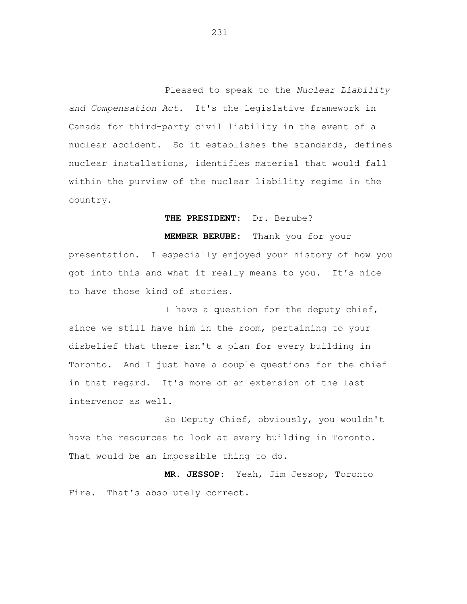Pleased to speak to the *Nuclear Liability and Compensation Act*. It's the legislative framework in Canada for third-party civil liability in the event of a nuclear accident. So it establishes the standards, defines nuclear installations, identifies material that would fall within the purview of the nuclear liability regime in the country.

**THE PRESIDENT:** Dr. Berube?

**MEMBER BERUBE:** Thank you for your presentation. I especially enjoyed your history of how you got into this and what it really means to you. It's nice to have those kind of stories.

I have a question for the deputy chief, since we still have him in the room, pertaining to your disbelief that there isn't a plan for every building in Toronto. And I just have a couple questions for the chief in that regard. It's more of an extension of the last intervenor as well.

So Deputy Chief, obviously, you wouldn't have the resources to look at every building in Toronto. That would be an impossible thing to do.

**MR. JESSOP:** Yeah, Jim Jessop, Toronto Fire. That's absolutely correct.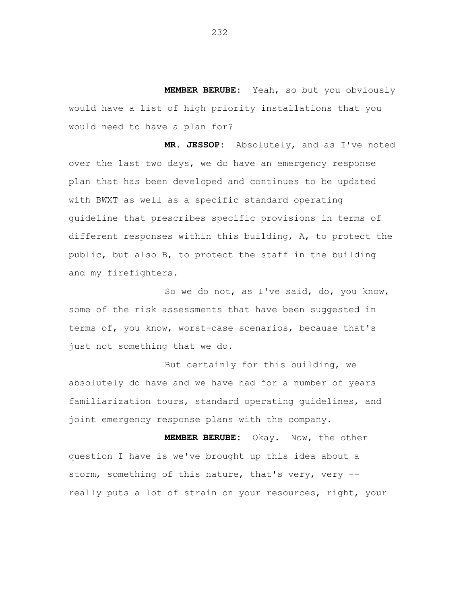**MEMBER BERUBE:** Yeah, so but you obviously would have a list of high priority installations that you would need to have a plan for?

**MR. JESSOP:** Absolutely, and as I've noted over the last two days, we do have an emergency response plan that has been developed and continues to be updated with BWXT as well as a specific standard operating guideline that prescribes specific provisions in terms of different responses within this building, A, to protect the public, but also B, to protect the staff in the building and my firefighters.

So we do not, as I've said, do, you know, some of the risk assessments that have been suggested in terms of, you know, worst-case scenarios, because that's just not something that we do.

But certainly for this building, we absolutely do have and we have had for a number of years familiarization tours, standard operating guidelines, and joint emergency response plans with the company.

**MEMBER BERUBE:** Okay. Now, the other question I have is we've brought up this idea about a storm, something of this nature, that's very, very - really puts a lot of strain on your resources, right, your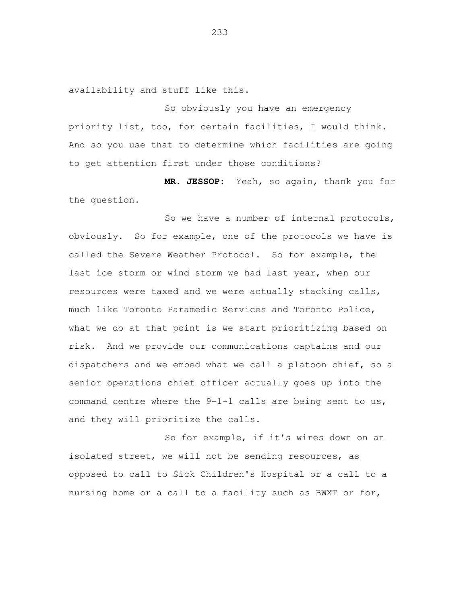availability and stuff like this.

So obviously you have an emergency priority list, too, for certain facilities, I would think. And so you use that to determine which facilities are going to get attention first under those conditions?

**MR. JESSOP:** Yeah, so again, thank you for the question.

So we have a number of internal protocols, obviously. So for example, one of the protocols we have is called the Severe Weather Protocol. So for example, the last ice storm or wind storm we had last year, when our resources were taxed and we were actually stacking calls, much like Toronto Paramedic Services and Toronto Police, what we do at that point is we start prioritizing based on risk. And we provide our communications captains and our dispatchers and we embed what we call a platoon chief, so a senior operations chief officer actually goes up into the command centre where the  $9-1-1$  calls are being sent to us, and they will prioritize the calls.

So for example, if it's wires down on an isolated street, we will not be sending resources, as opposed to call to Sick Children's Hospital or a call to a nursing home or a call to a facility such as BWXT or for,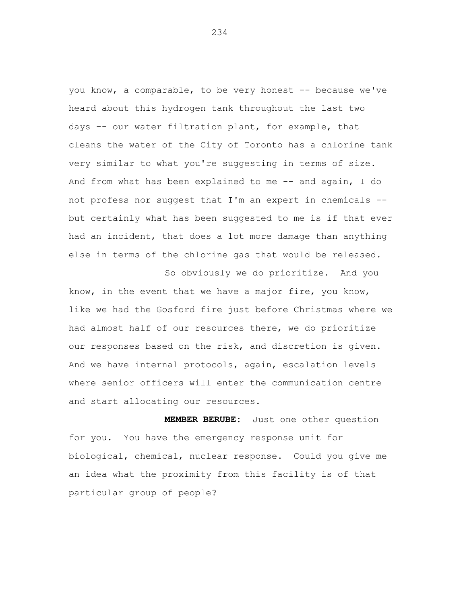you know, a comparable, to be very honest -- because we've heard about this hydrogen tank throughout the last two days -- our water filtration plant, for example, that cleans the water of the City of Toronto has a chlorine tank very similar to what you're suggesting in terms of size. And from what has been explained to me -- and again, I do not profess nor suggest that I'm an expert in chemicals - but certainly what has been suggested to me is if that ever had an incident, that does a lot more damage than anything else in terms of the chlorine gas that would be released.

So obviously we do prioritize. And you know, in the event that we have a major fire, you know, like we had the Gosford fire just before Christmas where we had almost half of our resources there, we do prioritize our responses based on the risk, and discretion is given. And we have internal protocols, again, escalation levels where senior officers will enter the communication centre and start allocating our resources.

**MEMBER BERUBE:** Just one other question for you. You have the emergency response unit for biological, chemical, nuclear response. Could you give me an idea what the proximity from this facility is of that particular group of people?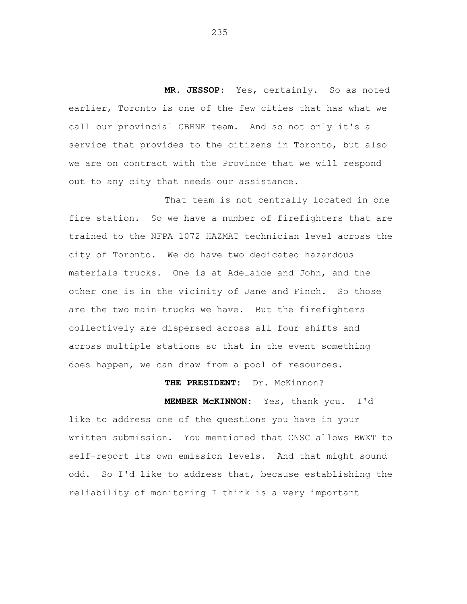**MR. JESSOP:** Yes, certainly. So as noted earlier, Toronto is one of the few cities that has what we call our provincial CBRNE team. And so not only it's a service that provides to the citizens in Toronto, but also we are on contract with the Province that we will respond out to any city that needs our assistance.

That team is not centrally located in one fire station. So we have a number of firefighters that are trained to the NFPA 1072 HAZMAT technician level across the city of Toronto. We do have two dedicated hazardous materials trucks. One is at Adelaide and John, and the other one is in the vicinity of Jane and Finch. So those are the two main trucks we have. But the firefighters collectively are dispersed across all four shifts and across multiple stations so that in the event something does happen, we can draw from a pool of resources.

# **THE PRESIDENT:** Dr. McKinnon?

**MEMBER McKINNON:** Yes, thank you. I'd like to address one of the questions you have in your written submission. You mentioned that CNSC allows BWXT to self-report its own emission levels. And that might sound odd. So I'd like to address that, because establishing the reliability of monitoring I think is a very important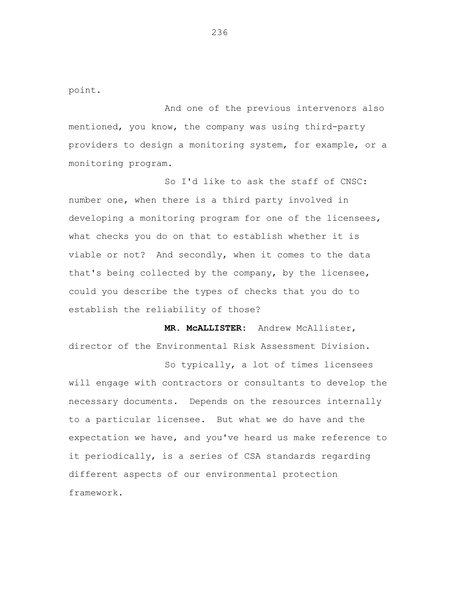point.

And one of the previous intervenors also mentioned, you know, the company was using third-party providers to design a monitoring system, for example, or a monitoring program.

So I'd like to ask the staff of CNSC: number one, when there is a third party involved in developing a monitoring program for one of the licensees, what checks you do on that to establish whether it is viable or not? And secondly, when it comes to the data that's being collected by the company, by the licensee, could you describe the types of checks that you do to establish the reliability of those?

**MR. McALLISTER:** Andrew McAllister, director of the Environmental Risk Assessment Division.

So typically, a lot of times licensees will engage with contractors or consultants to develop the necessary documents. Depends on the resources internally to a particular licensee. But what we do have and the expectation we have, and you've heard us make reference to it periodically, is a series of CSA standards regarding different aspects of our environmental protection framework.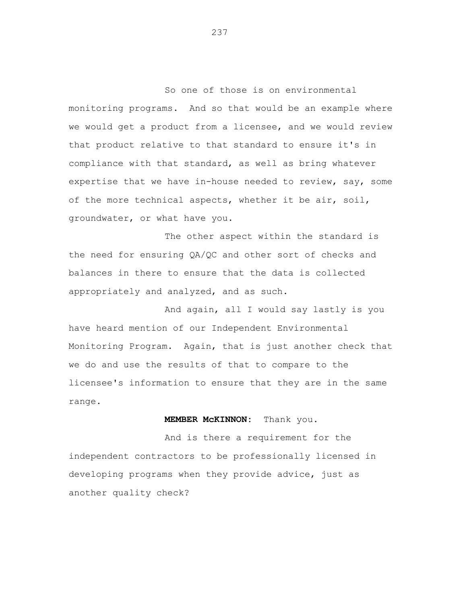So one of those is on environmental monitoring programs. And so that would be an example where we would get a product from a licensee, and we would review that product relative to that standard to ensure it's in compliance with that standard, as well as bring whatever expertise that we have in-house needed to review, say, some of the more technical aspects, whether it be air, soil, groundwater, or what have you.

The other aspect within the standard is the need for ensuring QA/QC and other sort of checks and balances in there to ensure that the data is collected appropriately and analyzed, and as such.

And again, all I would say lastly is you have heard mention of our Independent Environmental Monitoring Program. Again, that is just another check that we do and use the results of that to compare to the licensee's information to ensure that they are in the same range.

# **MEMBER McKINNON:** Thank you.

And is there a requirement for the independent contractors to be professionally licensed in developing programs when they provide advice, just as another quality check?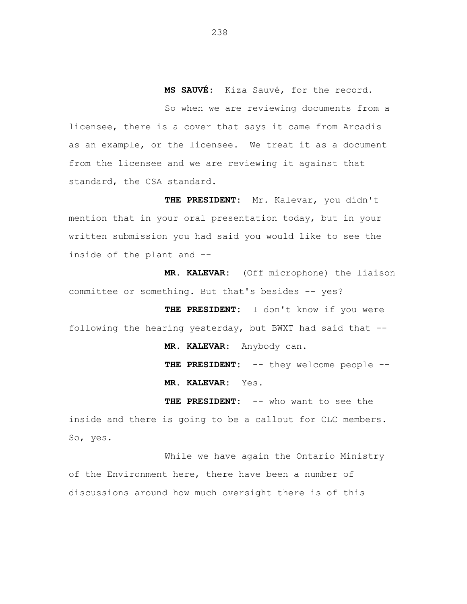**MS SAUVÉ:** Kiza Sauvé, for the record.

So when we are reviewing documents from a licensee, there is a cover that says it came from Arcadis as an example, or the licensee. We treat it as a document from the licensee and we are reviewing it against that standard, the CSA standard.

**THE PRESIDENT:** Mr. Kalevar, you didn't mention that in your oral presentation today, but in your written submission you had said you would like to see the inside of the plant and --

**MR. KALEVAR:** (Off microphone) the liaison committee or something. But that's besides -- yes?

**THE PRESIDENT:** I don't know if you were following the hearing yesterday, but BWXT had said that --

**MR. KALEVAR:** Anybody can.

THE PRESIDENT: -- they welcome people --**MR. KALEVAR:** Yes.

**THE PRESIDENT:** -- who want to see the inside and there is going to be a callout for CLC members. So, yes.

While we have again the Ontario Ministry of the Environment here, there have been a number of discussions around how much oversight there is of this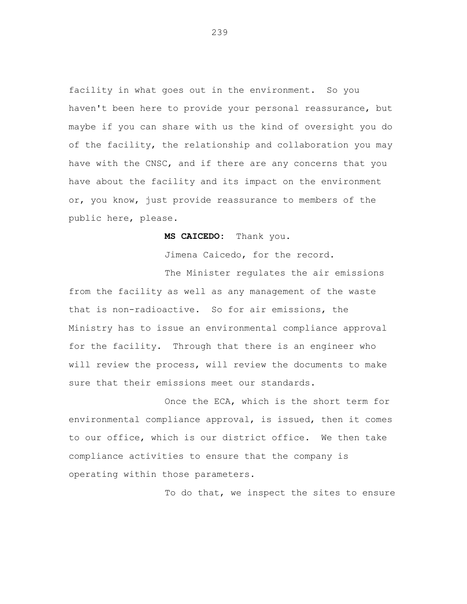facility in what goes out in the environment. So you haven't been here to provide your personal reassurance, but maybe if you can share with us the kind of oversight you do of the facility, the relationship and collaboration you may have with the CNSC, and if there are any concerns that you have about the facility and its impact on the environment or, you know, just provide reassurance to members of the public here, please.

**MS CAICEDO:** Thank you.

Jimena Caicedo, for the record.

The Minister regulates the air emissions from the facility as well as any management of the waste that is non-radioactive. So for air emissions, the Ministry has to issue an environmental compliance approval for the facility. Through that there is an engineer who will review the process, will review the documents to make sure that their emissions meet our standards.

Once the ECA, which is the short term for environmental compliance approval, is issued, then it comes to our office, which is our district office. We then take compliance activities to ensure that the company is operating within those parameters.

To do that, we inspect the sites to ensure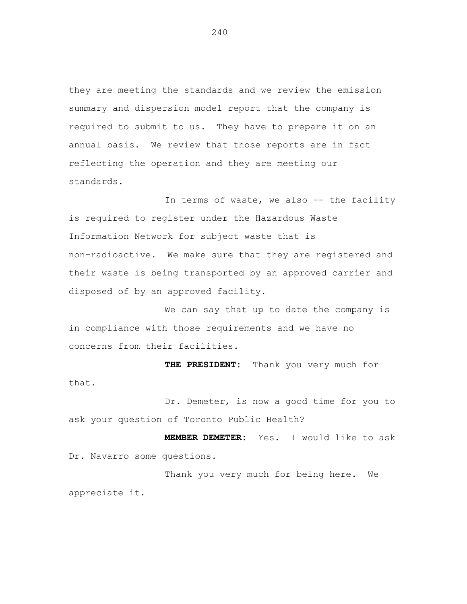they are meeting the standards and we review the emission summary and dispersion model report that the company is required to submit to us. They have to prepare it on an annual basis. We review that those reports are in fact reflecting the operation and they are meeting our standards.

In terms of waste, we also -- the facility is required to register under the Hazardous Waste Information Network for subject waste that is non-radioactive. We make sure that they are registered and their waste is being transported by an approved carrier and disposed of by an approved facility.

We can say that up to date the company is in compliance with those requirements and we have no concerns from their facilities.

**THE PRESIDENT:** Thank you very much for that.

Dr. Demeter, is now a good time for you to ask your question of Toronto Public Health?

**MEMBER DEMETER:** Yes. I would like to ask Dr. Navarro some questions.

Thank you very much for being here. We appreciate it.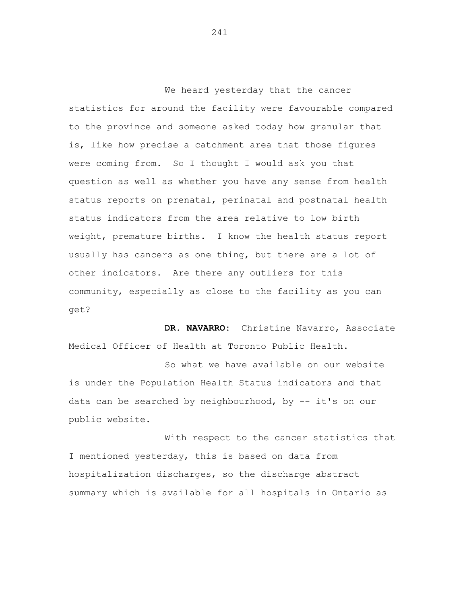We heard yesterday that the cancer statistics for around the facility were favourable compared to the province and someone asked today how granular that is, like how precise a catchment area that those figures were coming from. So I thought I would ask you that question as well as whether you have any sense from health status reports on prenatal, perinatal and postnatal health status indicators from the area relative to low birth weight, premature births. I know the health status report usually has cancers as one thing, but there are a lot of other indicators. Are there any outliers for this community, especially as close to the facility as you can get?

**DR. NAVARRO:** Christine Navarro, Associate Medical Officer of Health at Toronto Public Health.

So what we have available on our website is under the Population Health Status indicators and that data can be searched by neighbourhood, by -- it's on our public website.

With respect to the cancer statistics that I mentioned yesterday, this is based on data from hospitalization discharges, so the discharge abstract summary which is available for all hospitals in Ontario as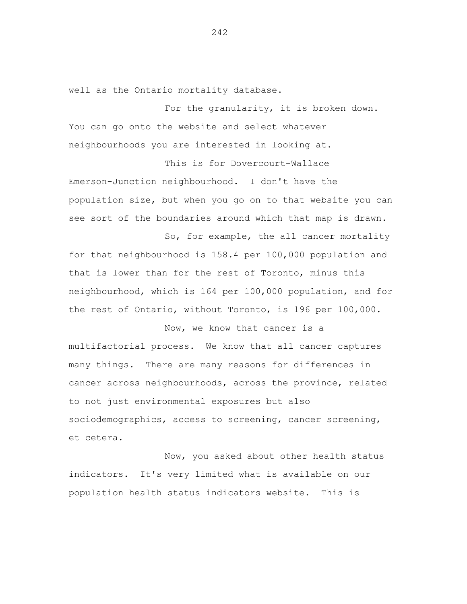well as the Ontario mortality database.

For the granularity, it is broken down. You can go onto the website and select whatever neighbourhoods you are interested in looking at.

This is for Dovercourt-Wallace Emerson-Junction neighbourhood. I don't have the population size, but when you go on to that website you can see sort of the boundaries around which that map is drawn.

So, for example, the all cancer mortality for that neighbourhood is 158.4 per 100,000 population and that is lower than for the rest of Toronto, minus this neighbourhood, which is 164 per 100,000 population, and for the rest of Ontario, without Toronto, is 196 per 100,000.

Now, we know that cancer is a multifactorial process. We know that all cancer captures many things. There are many reasons for differences in cancer across neighbourhoods, across the province, related to not just environmental exposures but also sociodemographics, access to screening, cancer screening, et cetera.

Now, you asked about other health status indicators. It's very limited what is available on our population health status indicators website. This is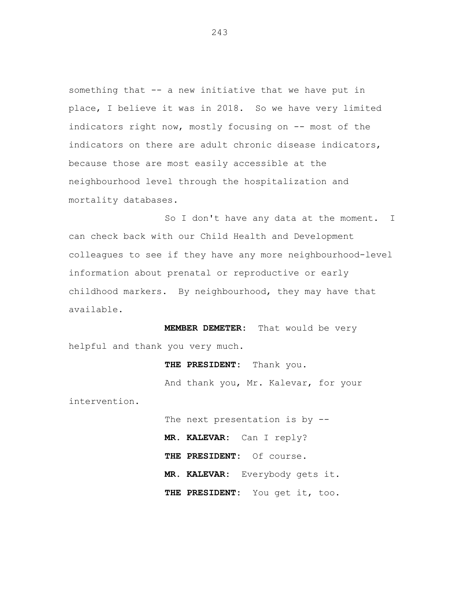something that -- a new initiative that we have put in place, I believe it was in 2018. So we have very limited indicators right now, mostly focusing on -- most of the indicators on there are adult chronic disease indicators, because those are most easily accessible at the neighbourhood level through the hospitalization and mortality databases.

So I don't have any data at the moment. I can check back with our Child Health and Development colleagues to see if they have any more neighbourhood-level information about prenatal or reproductive or early childhood markers. By neighbourhood, they may have that available.

**MEMBER DEMETER:** That would be very helpful and thank you very much.

intervention.

**THE PRESIDENT:** Thank you. And thank you, Mr. Kalevar, for your The next presentation is by -- **MR. KALEVAR:** Can I reply? **THE PRESIDENT:** Of course.

**MR. KALEVAR:** Everybody gets it.

**THE PRESIDENT:** You get it, too.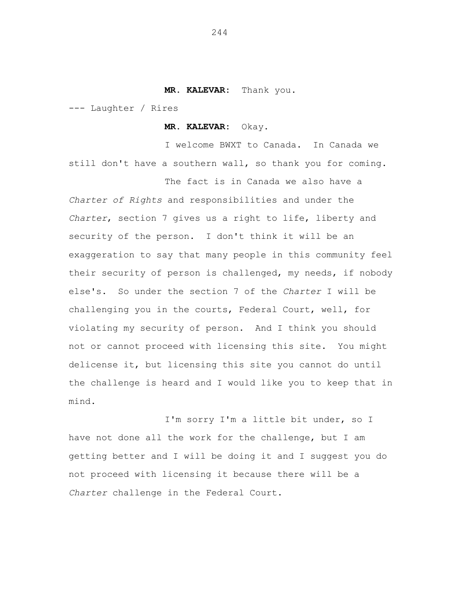#### **MR. KALEVAR:** Thank you.

--- Laughter / Rires

**MR. KALEVAR:** Okay.

I welcome BWXT to Canada. In Canada we still don't have a southern wall, so thank you for coming.

The fact is in Canada we also have a *Charter of Rights* and responsibilities and under the *Charter*, section 7 gives us a right to life, liberty and security of the person. I don't think it will be an exaggeration to say that many people in this community feel their security of person is challenged, my needs, if nobody else's. So under the section 7 of the *Charter* I will be challenging you in the courts, Federal Court, well, for violating my security of person. And I think you should not or cannot proceed with licensing this site. You might delicense it, but licensing this site you cannot do until the challenge is heard and I would like you to keep that in mind.

I'm sorry I'm a little bit under, so I have not done all the work for the challenge, but I am getting better and I will be doing it and I suggest you do not proceed with licensing it because there will be a *Charter* challenge in the Federal Court.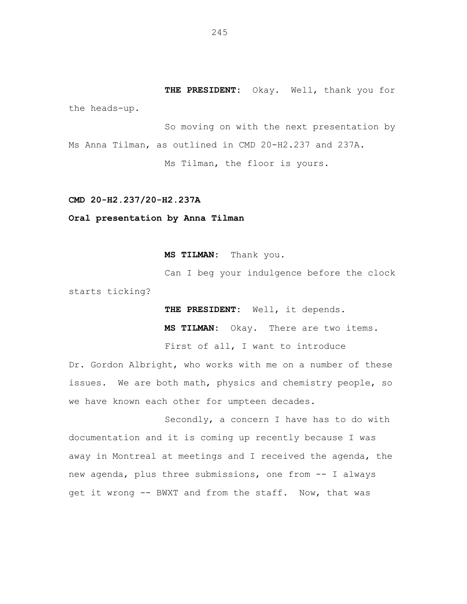**THE PRESIDENT:** Okay. Well, thank you for the heads-up.

So moving on with the next presentation by Ms Anna Tilman, as outlined in CMD 20-H2.237 and 237A.

Ms Tilman, the floor is yours.

### **CMD 20-H2.237/20-H2.237A**

# **Oral presentation by Anna Tilman**

**MS TILMAN:** Thank you.

Can I beg your indulgence before the clock starts ticking?

**THE PRESIDENT:** Well, it depends.

**MS TILMAN:** Okay. There are two items.

First of all, I want to introduce

Dr. Gordon Albright, who works with me on a number of these issues. We are both math, physics and chemistry people, so we have known each other for umpteen decades.

Secondly, a concern I have has to do with documentation and it is coming up recently because I was away in Montreal at meetings and I received the agenda, the new agenda, plus three submissions, one from -- I always get it wrong -- BWXT and from the staff. Now, that was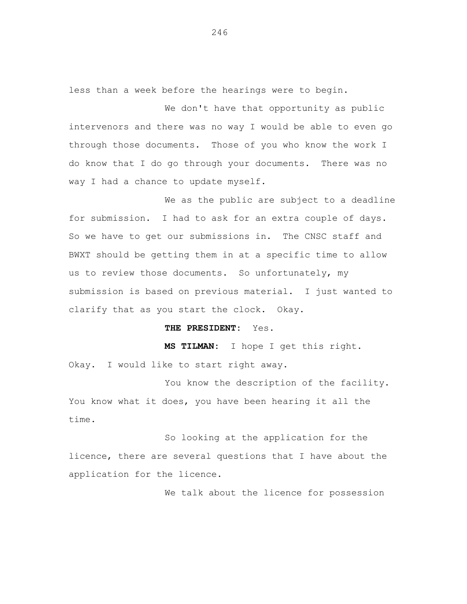less than a week before the hearings were to begin.

We don't have that opportunity as public intervenors and there was no way I would be able to even go through those documents. Those of you who know the work I do know that I do go through your documents. There was no way I had a chance to update myself.

We as the public are subject to a deadline for submission. I had to ask for an extra couple of days. So we have to get our submissions in. The CNSC staff and BWXT should be getting them in at a specific time to allow us to review those documents. So unfortunately, my submission is based on previous material. I just wanted to clarify that as you start the clock. Okay.

**THE PRESIDENT:** Yes.

**MS TILMAN:** I hope I get this right.

Okay. I would like to start right away.

You know the description of the facility. You know what it does, you have been hearing it all the time.

So looking at the application for the licence, there are several questions that I have about the application for the licence.

We talk about the licence for possession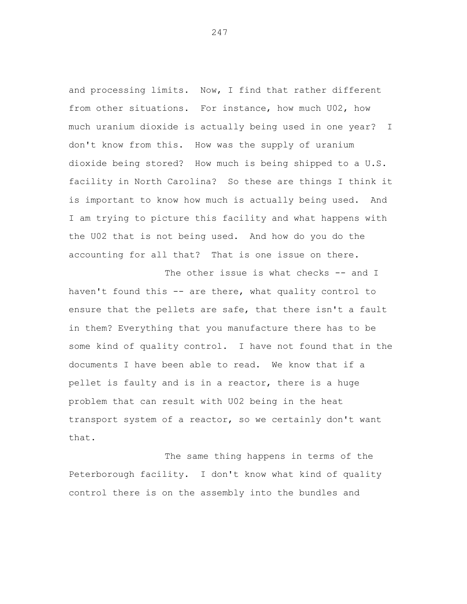and processing limits. Now, I find that rather different from other situations. For instance, how much U02, how much uranium dioxide is actually being used in one year? I don't know from this. How was the supply of uranium dioxide being stored? How much is being shipped to a U.S. facility in North Carolina? So these are things I think it is important to know how much is actually being used. And I am trying to picture this facility and what happens with the U02 that is not being used. And how do you do the accounting for all that? That is one issue on there.

The other issue is what checks -- and I haven't found this -- are there, what quality control to ensure that the pellets are safe, that there isn't a fault in them? Everything that you manufacture there has to be some kind of quality control. I have not found that in the documents I have been able to read. We know that if a pellet is faulty and is in a reactor, there is a huge problem that can result with U02 being in the heat transport system of a reactor, so we certainly don't want that.

The same thing happens in terms of the Peterborough facility. I don't know what kind of quality control there is on the assembly into the bundles and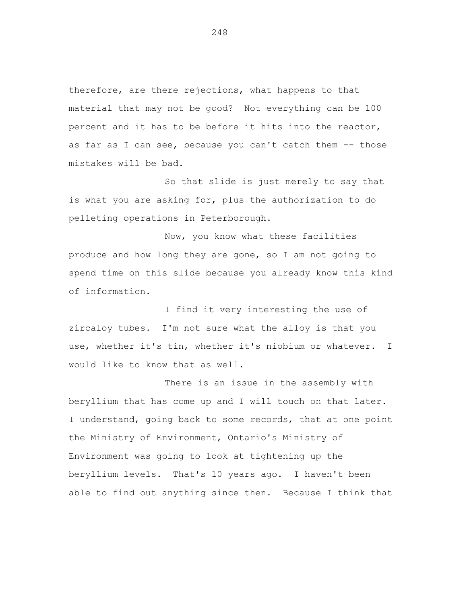therefore, are there rejections, what happens to that material that may not be good? Not everything can be 100 percent and it has to be before it hits into the reactor, as far as I can see, because you can't catch them -- those mistakes will be bad.

So that slide is just merely to say that is what you are asking for, plus the authorization to do pelleting operations in Peterborough.

Now, you know what these facilities produce and how long they are gone, so I am not going to spend time on this slide because you already know this kind of information.

I find it very interesting the use of zircaloy tubes. I'm not sure what the alloy is that you use, whether it's tin, whether it's niobium or whatever. I would like to know that as well.

There is an issue in the assembly with beryllium that has come up and I will touch on that later. I understand, going back to some records, that at one point the Ministry of Environment, Ontario's Ministry of Environment was going to look at tightening up the beryllium levels. That's 10 years ago. I haven't been able to find out anything since then. Because I think that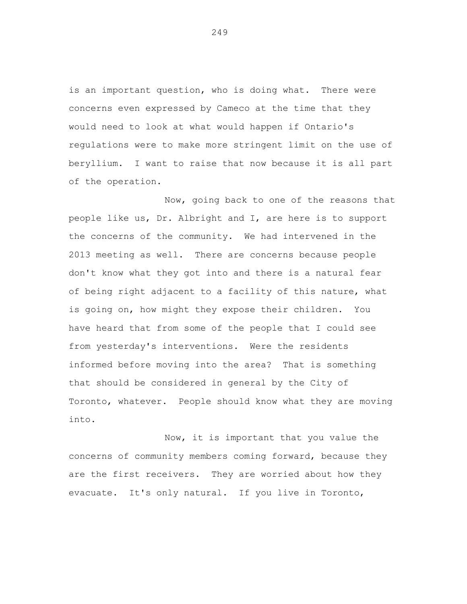is an important question, who is doing what. There were concerns even expressed by Cameco at the time that they would need to look at what would happen if Ontario's regulations were to make more stringent limit on the use of beryllium. I want to raise that now because it is all part of the operation.

Now, going back to one of the reasons that people like us, Dr. Albright and I, are here is to support the concerns of the community. We had intervened in the 2013 meeting as well. There are concerns because people don't know what they got into and there is a natural fear of being right adjacent to a facility of this nature, what is going on, how might they expose their children. You have heard that from some of the people that I could see from yesterday's interventions. Were the residents informed before moving into the area? That is something that should be considered in general by the City of Toronto, whatever. People should know what they are moving into.

Now, it is important that you value the concerns of community members coming forward, because they are the first receivers. They are worried about how they evacuate. It's only natural. If you live in Toronto,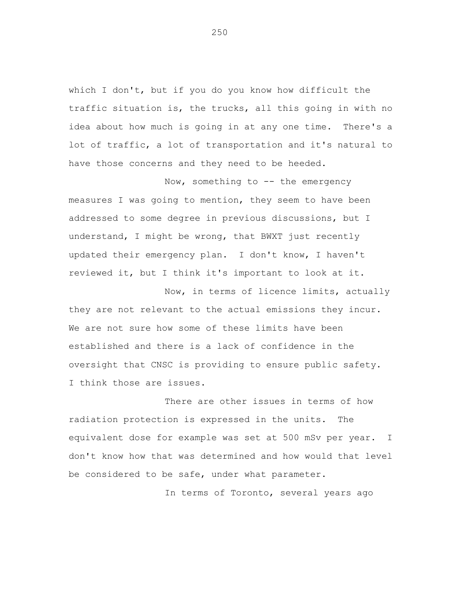which I don't, but if you do you know how difficult the traffic situation is, the trucks, all this going in with no idea about how much is going in at any one time. There's a lot of traffic, a lot of transportation and it's natural to have those concerns and they need to be heeded.

Now, something to -- the emergency measures I was going to mention, they seem to have been addressed to some degree in previous discussions, but I understand, I might be wrong, that BWXT just recently updated their emergency plan. I don't know, I haven't reviewed it, but I think it's important to look at it.

Now, in terms of licence limits, actually they are not relevant to the actual emissions they incur. We are not sure how some of these limits have been established and there is a lack of confidence in the oversight that CNSC is providing to ensure public safety. I think those are issues.

There are other issues in terms of how radiation protection is expressed in the units. The equivalent dose for example was set at 500 mSv per year. I don't know how that was determined and how would that level be considered to be safe, under what parameter.

In terms of Toronto, several years ago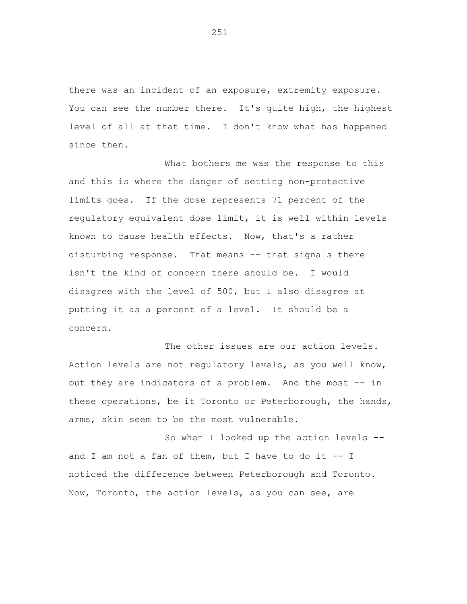there was an incident of an exposure, extremity exposure. You can see the number there. It's quite high, the highest level of all at that time. I don't know what has happened since then.

What bothers me was the response to this and this is where the danger of setting non-protective limits goes. If the dose represents 71 percent of the regulatory equivalent dose limit, it is well within levels known to cause health effects. Now, that's a rather disturbing response. That means -- that signals there isn't the kind of concern there should be. I would disagree with the level of 500, but I also disagree at putting it as a percent of a level. It should be a concern.

The other issues are our action levels. Action levels are not regulatory levels, as you well know, but they are indicators of a problem. And the most -- in these operations, be it Toronto or Peterborough, the hands, arms, skin seem to be the most vulnerable.

So when I looked up the action levels - and I am not a fan of them, but I have to do it -- I noticed the difference between Peterborough and Toronto. Now, Toronto, the action levels, as you can see, are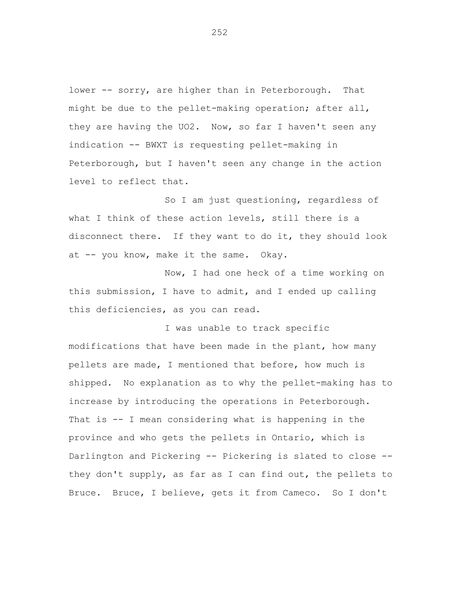lower -- sorry, are higher than in Peterborough. That might be due to the pellet-making operation; after all, they are having the UO2. Now, so far I haven't seen any indication -- BWXT is requesting pellet-making in Peterborough, but I haven't seen any change in the action level to reflect that.

So I am just questioning, regardless of what I think of these action levels, still there is a disconnect there. If they want to do it, they should look at -- you know, make it the same. Okay.

Now, I had one heck of a time working on this submission, I have to admit, and I ended up calling this deficiencies, as you can read.

I was unable to track specific modifications that have been made in the plant, how many pellets are made, I mentioned that before, how much is shipped. No explanation as to why the pellet-making has to increase by introducing the operations in Peterborough. That is -- I mean considering what is happening in the province and who gets the pellets in Ontario, which is Darlington and Pickering -- Pickering is slated to close - they don't supply, as far as I can find out, the pellets to Bruce. Bruce, I believe, gets it from Cameco. So I don't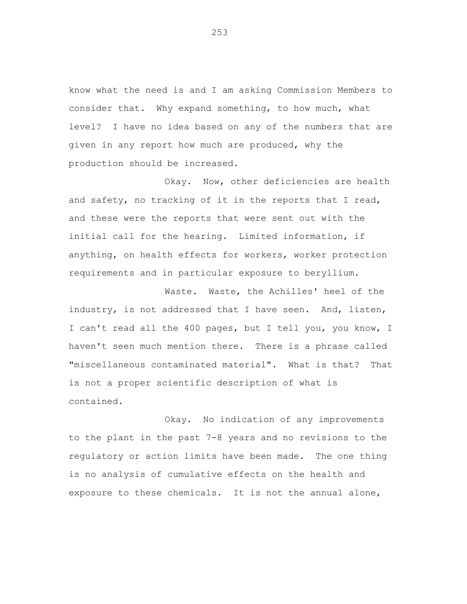know what the need is and I am asking Commission Members to consider that. Why expand something, to how much, what level? I have no idea based on any of the numbers that are given in any report how much are produced, why the production should be increased.

Okay. Now, other deficiencies are health and safety, no tracking of it in the reports that I read, and these were the reports that were sent out with the initial call for the hearing. Limited information, if anything, on health effects for workers, worker protection requirements and in particular exposure to beryllium.

Waste. Waste, the Achilles' heel of the industry, is not addressed that I have seen. And, listen, I can't read all the 400 pages, but I tell you, you know, I haven't seen much mention there. There is a phrase called "miscellaneous contaminated material". What is that? That is not a proper scientific description of what is contained.

Okay. No indication of any improvements to the plant in the past 7-8 years and no revisions to the regulatory or action limits have been made. The one thing is no analysis of cumulative effects on the health and exposure to these chemicals. It is not the annual alone,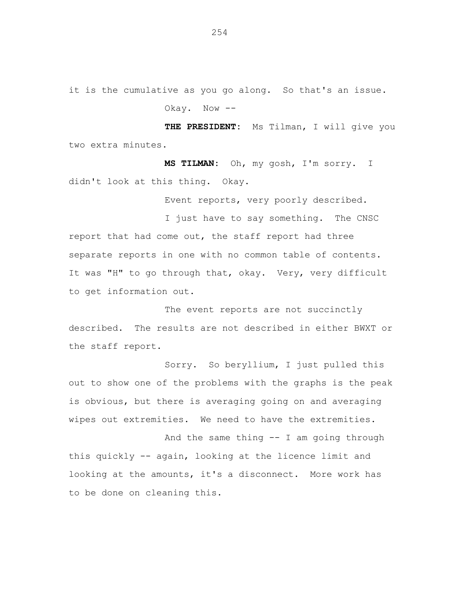it is the cumulative as you go along. So that's an issue. Okay. Now --

**THE PRESIDENT:** Ms Tilman, I will give you two extra minutes.

**MS TILMAN:** Oh, my gosh, I'm sorry. I didn't look at this thing. Okay.

Event reports, very poorly described.

I just have to say something. The CNSC report that had come out, the staff report had three separate reports in one with no common table of contents. It was "H" to go through that, okay. Very, very difficult to get information out.

The event reports are not succinctly described. The results are not described in either BWXT or the staff report.

Sorry. So beryllium, I just pulled this out to show one of the problems with the graphs is the peak is obvious, but there is averaging going on and averaging wipes out extremities. We need to have the extremities.

And the same thing -- I am going through this quickly -- again, looking at the licence limit and looking at the amounts, it's a disconnect. More work has to be done on cleaning this.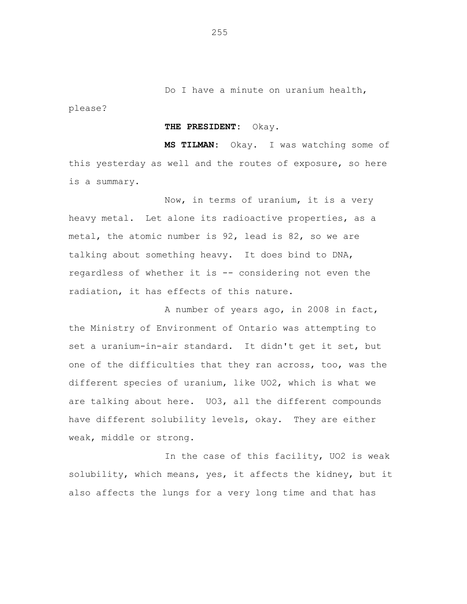please?

**THE PRESIDENT:** Okay.

**MS TILMAN:** Okay. I was watching some of this yesterday as well and the routes of exposure, so here is a summary.

Now, in terms of uranium, it is a very heavy metal. Let alone its radioactive properties, as a metal, the atomic number is 92, lead is 82, so we are talking about something heavy. It does bind to DNA, regardless of whether it is -- considering not even the radiation, it has effects of this nature.

A number of years ago, in 2008 in fact, the Ministry of Environment of Ontario was attempting to set a uranium-in-air standard. It didn't get it set, but one of the difficulties that they ran across, too, was the different species of uranium, like UO2, which is what we are talking about here. UO3, all the different compounds have different solubility levels, okay. They are either weak, middle or strong.

In the case of this facility, UO2 is weak solubility, which means, yes, it affects the kidney, but it also affects the lungs for a very long time and that has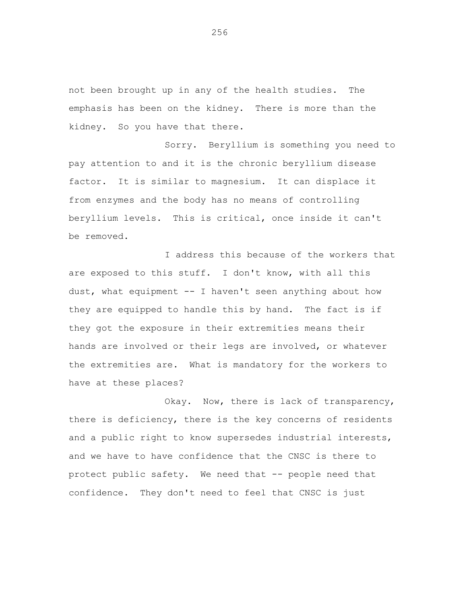not been brought up in any of the health studies. The emphasis has been on the kidney. There is more than the kidney. So you have that there.

Sorry. Beryllium is something you need to pay attention to and it is the chronic beryllium disease factor. It is similar to magnesium. It can displace it from enzymes and the body has no means of controlling beryllium levels. This is critical, once inside it can't be removed.

I address this because of the workers that are exposed to this stuff. I don't know, with all this dust, what equipment  $--$  I haven't seen anything about how they are equipped to handle this by hand. The fact is if they got the exposure in their extremities means their hands are involved or their legs are involved, or whatever the extremities are. What is mandatory for the workers to have at these places?

Okay. Now, there is lack of transparency, there is deficiency, there is the key concerns of residents and a public right to know supersedes industrial interests, and we have to have confidence that the CNSC is there to protect public safety. We need that -- people need that confidence. They don't need to feel that CNSC is just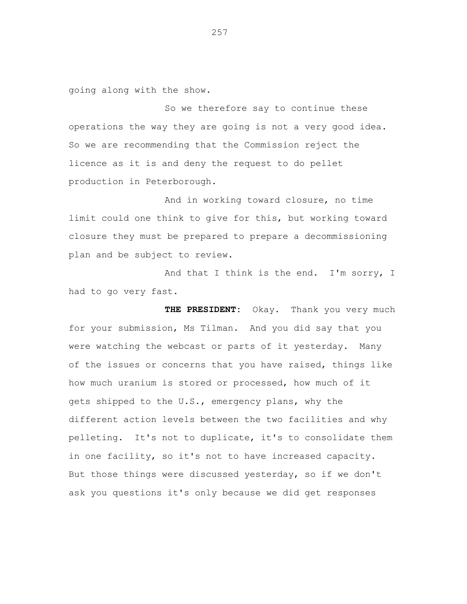going along with the show.

So we therefore say to continue these operations the way they are going is not a very good idea. So we are recommending that the Commission reject the licence as it is and deny the request to do pellet production in Peterborough.

And in working toward closure, no time limit could one think to give for this, but working toward closure they must be prepared to prepare a decommissioning plan and be subject to review.

And that I think is the end. I'm sorry, I had to go very fast.

**THE PRESIDENT:** Okay. Thank you very much for your submission, Ms Tilman. And you did say that you were watching the webcast or parts of it yesterday. Many of the issues or concerns that you have raised, things like how much uranium is stored or processed, how much of it gets shipped to the U.S., emergency plans, why the different action levels between the two facilities and why pelleting. It's not to duplicate, it's to consolidate them in one facility, so it's not to have increased capacity. But those things were discussed yesterday, so if we don't ask you questions it's only because we did get responses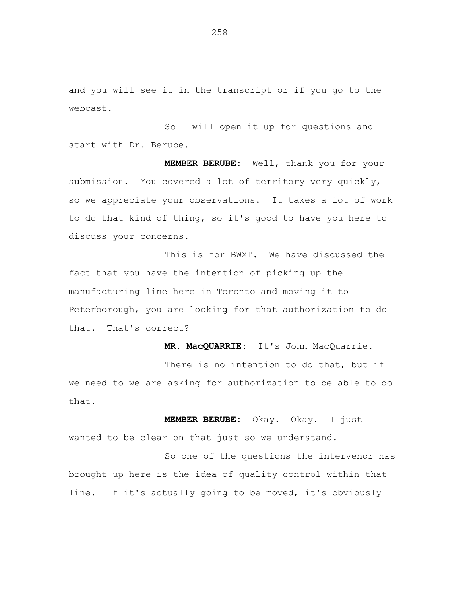and you will see it in the transcript or if you go to the webcast.

So I will open it up for questions and start with Dr. Berube.

**MEMBER BERUBE:** Well, thank you for your submission. You covered a lot of territory very quickly, so we appreciate your observations. It takes a lot of work to do that kind of thing, so it's good to have you here to discuss your concerns.

This is for BWXT. We have discussed the fact that you have the intention of picking up the manufacturing line here in Toronto and moving it to Peterborough, you are looking for that authorization to do that. That's correct?

**MR. MacQUARRIE:** It's John MacQuarrie.

There is no intention to do that, but if we need to we are asking for authorization to be able to do that.

**MEMBER BERUBE:** Okay. Okay. I just wanted to be clear on that just so we understand.

So one of the questions the intervenor has brought up here is the idea of quality control within that line. If it's actually going to be moved, it's obviously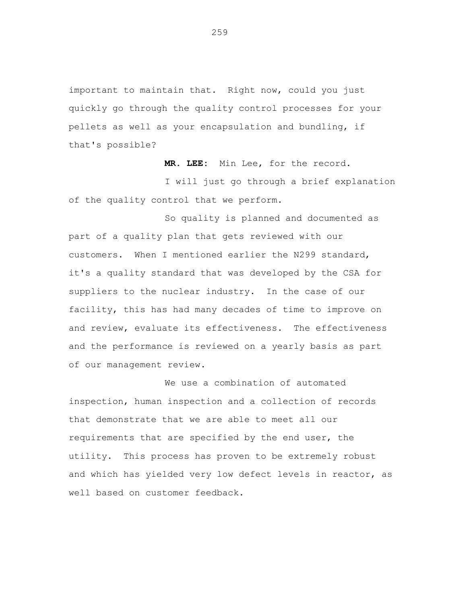important to maintain that. Right now, could you just quickly go through the quality control processes for your pellets as well as your encapsulation and bundling, if that's possible?

**MR. LEE:** Min Lee, for the record.

I will just go through a brief explanation of the quality control that we perform.

So quality is planned and documented as part of a quality plan that gets reviewed with our customers. When I mentioned earlier the N299 standard, it's a quality standard that was developed by the CSA for suppliers to the nuclear industry. In the case of our facility, this has had many decades of time to improve on and review, evaluate its effectiveness. The effectiveness and the performance is reviewed on a yearly basis as part of our management review.

We use a combination of automated inspection, human inspection and a collection of records that demonstrate that we are able to meet all our requirements that are specified by the end user, the utility. This process has proven to be extremely robust and which has yielded very low defect levels in reactor, as well based on customer feedback.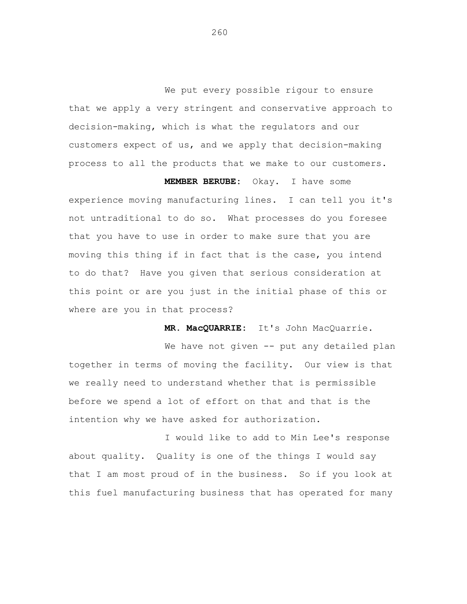We put every possible rigour to ensure that we apply a very stringent and conservative approach to decision-making, which is what the regulators and our customers expect of us, and we apply that decision-making process to all the products that we make to our customers.

**MEMBER BERUBE:** Okay. I have some experience moving manufacturing lines. I can tell you it's not untraditional to do so. What processes do you foresee that you have to use in order to make sure that you are moving this thing if in fact that is the case, you intend to do that? Have you given that serious consideration at this point or are you just in the initial phase of this or where are you in that process?

**MR. MacQUARRIE:** It's John MacQuarrie.

We have not given -- put any detailed plan together in terms of moving the facility. Our view is that we really need to understand whether that is permissible before we spend a lot of effort on that and that is the intention why we have asked for authorization.

I would like to add to Min Lee's response about quality. Quality is one of the things I would say that I am most proud of in the business. So if you look at this fuel manufacturing business that has operated for many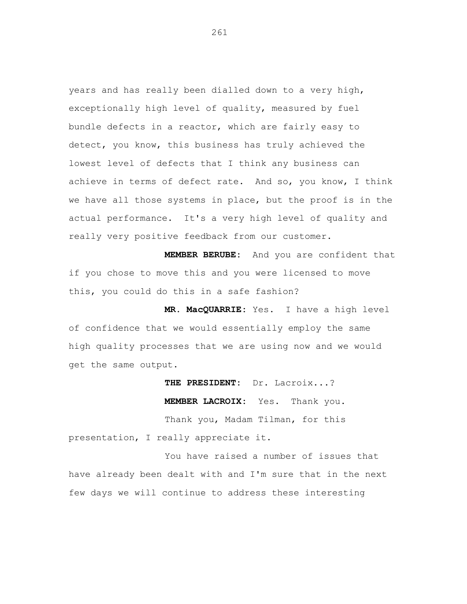years and has really been dialled down to a very high, exceptionally high level of quality, measured by fuel bundle defects in a reactor, which are fairly easy to detect, you know, this business has truly achieved the lowest level of defects that I think any business can achieve in terms of defect rate. And so, you know, I think we have all those systems in place, but the proof is in the actual performance. It's a very high level of quality and really very positive feedback from our customer.

**MEMBER BERUBE:** And you are confident that if you chose to move this and you were licensed to move this, you could do this in a safe fashion?

**MR. MacQUARRIE:** Yes. I have a high level of confidence that we would essentially employ the same high quality processes that we are using now and we would get the same output.

**THE PRESIDENT:** Dr. Lacroix...? **MEMBER LACROIX:** Yes. Thank you. Thank you, Madam Tilman, for this presentation, I really appreciate it.

You have raised a number of issues that have already been dealt with and I'm sure that in the next few days we will continue to address these interesting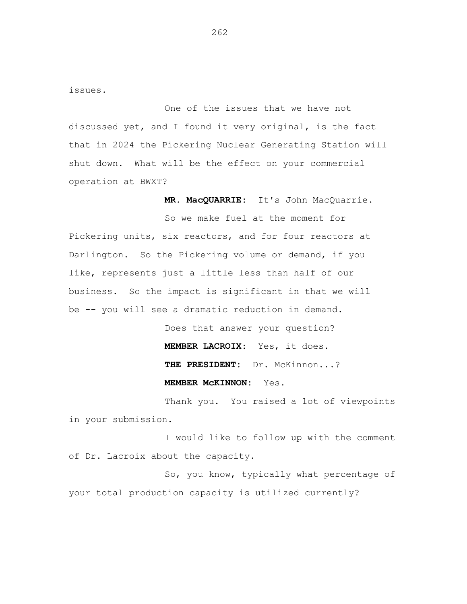issues.

One of the issues that we have not discussed yet, and I found it very original, is the fact that in 2024 the Pickering Nuclear Generating Station will shut down. What will be the effect on your commercial operation at BWXT?

**MR. MacQUARRIE:** It's John MacQuarrie.

So we make fuel at the moment for Pickering units, six reactors, and for four reactors at Darlington. So the Pickering volume or demand, if you like, represents just a little less than half of our business. So the impact is significant in that we will be -- you will see a dramatic reduction in demand.

> Does that answer your question? **MEMBER LACROIX:** Yes, it does. **THE PRESIDENT:** Dr. McKinnon...? **MEMBER McKINNON:** Yes.

Thank you. You raised a lot of viewpoints in your submission.

I would like to follow up with the comment of Dr. Lacroix about the capacity.

So, you know, typically what percentage of your total production capacity is utilized currently?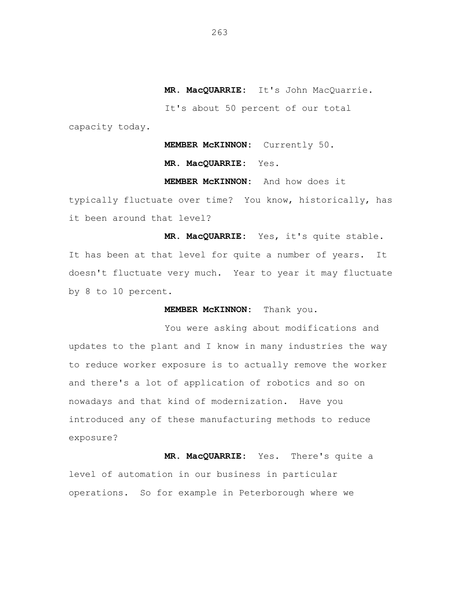**MR. MacQUARRIE:** It's John MacQuarrie.

It's about 50 percent of our total

capacity today.

**MEMBER McKINNON:** Currently 50.

**MR. MacQUARRIE:** Yes.

**MEMBER McKINNON:** And how does it

typically fluctuate over time? You know, historically, has it been around that level?

**MR. MacQUARRIE:** Yes, it's quite stable. It has been at that level for quite a number of years. It doesn't fluctuate very much. Year to year it may fluctuate by 8 to 10 percent.

**MEMBER McKINNON:** Thank you.

You were asking about modifications and updates to the plant and I know in many industries the way to reduce worker exposure is to actually remove the worker and there's a lot of application of robotics and so on nowadays and that kind of modernization. Have you introduced any of these manufacturing methods to reduce exposure?

**MR. MacQUARRIE:** Yes. There's quite a level of automation in our business in particular operations. So for example in Peterborough where we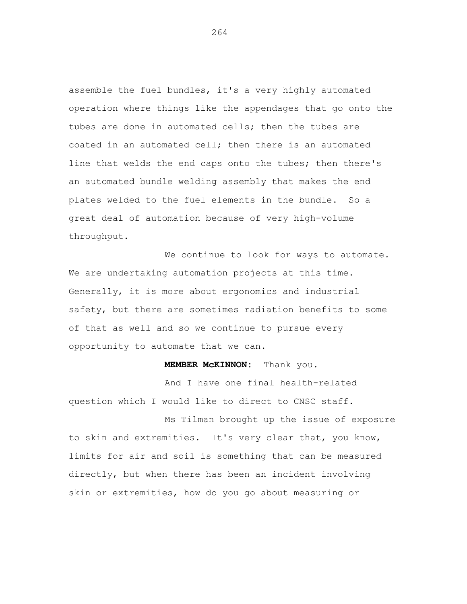assemble the fuel bundles, it's a very highly automated operation where things like the appendages that go onto the tubes are done in automated cells; then the tubes are coated in an automated cell; then there is an automated line that welds the end caps onto the tubes; then there's an automated bundle welding assembly that makes the end plates welded to the fuel elements in the bundle. So a great deal of automation because of very high-volume throughput.

We continue to look for ways to automate. We are undertaking automation projects at this time. Generally, it is more about ergonomics and industrial safety, but there are sometimes radiation benefits to some of that as well and so we continue to pursue every opportunity to automate that we can.

## **MEMBER McKINNON:** Thank you.

And I have one final health-related question which I would like to direct to CNSC staff.

Ms Tilman brought up the issue of exposure to skin and extremities. It's very clear that, you know, limits for air and soil is something that can be measured directly, but when there has been an incident involving skin or extremities, how do you go about measuring or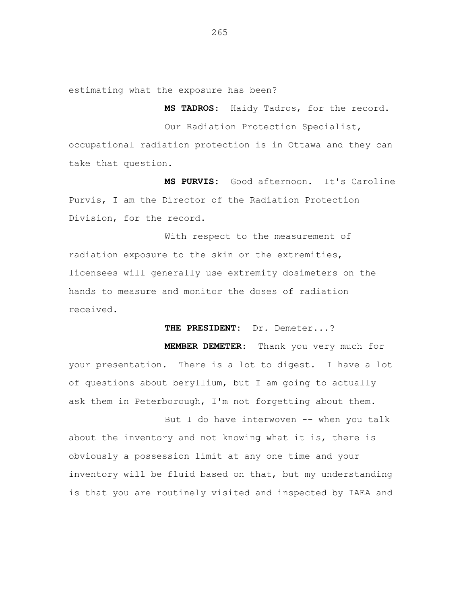estimating what the exposure has been?

**MS TADROS:** Haidy Tadros, for the record.

Our Radiation Protection Specialist, occupational radiation protection is in Ottawa and they can take that question.

**MS PURVIS:** Good afternoon. It's Caroline Purvis, I am the Director of the Radiation Protection Division, for the record.

With respect to the measurement of radiation exposure to the skin or the extremities, licensees will generally use extremity dosimeters on the hands to measure and monitor the doses of radiation received.

**THE PRESIDENT:** Dr. Demeter...?

**MEMBER DEMETER:** Thank you very much for your presentation. There is a lot to digest. I have a lot of questions about beryllium, but I am going to actually ask them in Peterborough, I'm not forgetting about them.

But I do have interwoven -- when you talk about the inventory and not knowing what it is, there is obviously a possession limit at any one time and your inventory will be fluid based on that, but my understanding is that you are routinely visited and inspected by IAEA and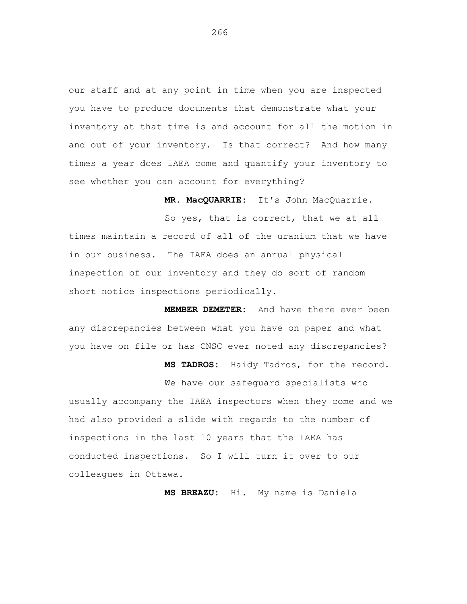our staff and at any point in time when you are inspected you have to produce documents that demonstrate what your inventory at that time is and account for all the motion in and out of your inventory. Is that correct? And how many times a year does IAEA come and quantify your inventory to see whether you can account for everything?

**MR. MacQUARRIE:** It's John MacQuarrie.

So yes, that is correct, that we at all times maintain a record of all of the uranium that we have in our business. The IAEA does an annual physical inspection of our inventory and they do sort of random short notice inspections periodically.

**MEMBER DEMETER:** And have there ever been any discrepancies between what you have on paper and what you have on file or has CNSC ever noted any discrepancies?

**MS TADROS:** Haidy Tadros, for the record.

We have our safeguard specialists who usually accompany the IAEA inspectors when they come and we had also provided a slide with regards to the number of inspections in the last 10 years that the IAEA has conducted inspections. So I will turn it over to our colleagues in Ottawa.

**MS BREAZU:** Hi. My name is Daniela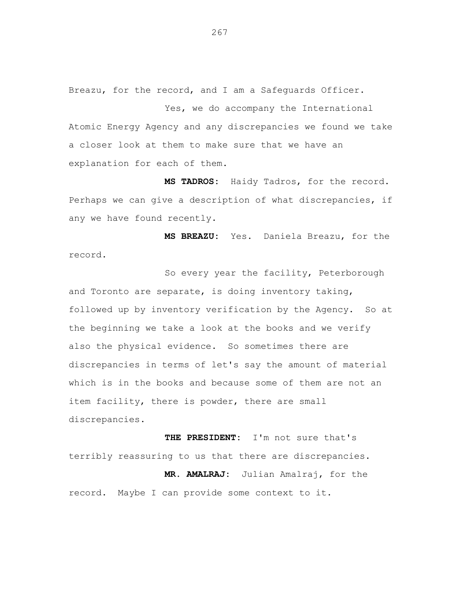Breazu, for the record, and I am a Safeguards Officer.

Yes, we do accompany the International Atomic Energy Agency and any discrepancies we found we take a closer look at them to make sure that we have an explanation for each of them.

**MS TADROS:** Haidy Tadros, for the record. Perhaps we can give a description of what discrepancies, if any we have found recently.

**MS BREAZU:** Yes. Daniela Breazu, for the record.

So every year the facility, Peterborough and Toronto are separate, is doing inventory taking, followed up by inventory verification by the Agency. So at the beginning we take a look at the books and we verify also the physical evidence. So sometimes there are discrepancies in terms of let's say the amount of material which is in the books and because some of them are not an item facility, there is powder, there are small discrepancies.

**THE PRESIDENT:** I'm not sure that's terribly reassuring to us that there are discrepancies. **MR. AMALRAJ:** Julian Amalraj, for the record. Maybe I can provide some context to it.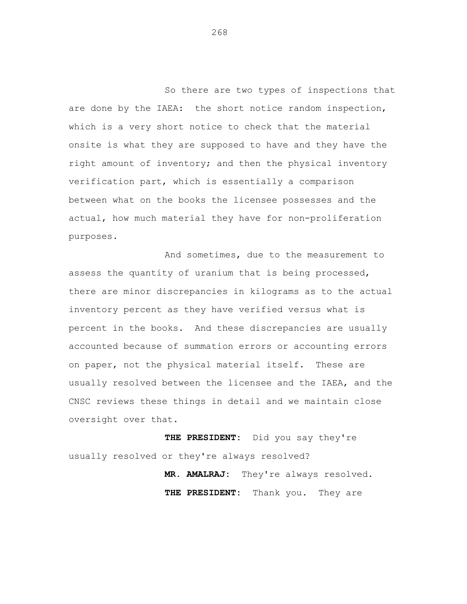So there are two types of inspections that are done by the IAEA: the short notice random inspection, which is a very short notice to check that the material onsite is what they are supposed to have and they have the right amount of inventory; and then the physical inventory verification part, which is essentially a comparison between what on the books the licensee possesses and the actual, how much material they have for non-proliferation purposes.

And sometimes, due to the measurement to assess the quantity of uranium that is being processed, there are minor discrepancies in kilograms as to the actual inventory percent as they have verified versus what is percent in the books. And these discrepancies are usually accounted because of summation errors or accounting errors on paper, not the physical material itself. These are usually resolved between the licensee and the IAEA, and the CNSC reviews these things in detail and we maintain close oversight over that.

**THE PRESIDENT:** Did you say they're usually resolved or they're always resolved?

> **MR. AMALRAJ:** They're always resolved. **THE PRESIDENT:** Thank you. They are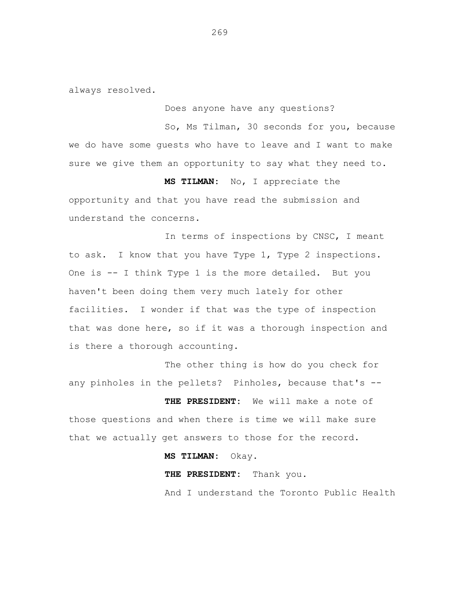always resolved.

Does anyone have any questions?

So, Ms Tilman, 30 seconds for you, because we do have some guests who have to leave and I want to make sure we give them an opportunity to say what they need to.

**MS TILMAN:** No, I appreciate the opportunity and that you have read the submission and understand the concerns.

In terms of inspections by CNSC, I meant to ask. I know that you have Type 1, Type 2 inspections. One is -- I think Type 1 is the more detailed. But you haven't been doing them very much lately for other facilities. I wonder if that was the type of inspection that was done here, so if it was a thorough inspection and is there a thorough accounting.

The other thing is how do you check for any pinholes in the pellets? Pinholes, because that's --

**THE PRESIDENT:** We will make a note of those questions and when there is time we will make sure that we actually get answers to those for the record.

**MS TILMAN:** Okay.

**THE PRESIDENT:** Thank you.

And I understand the Toronto Public Health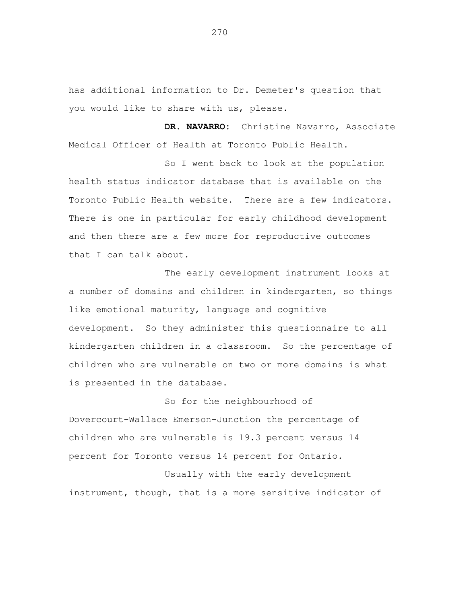has additional information to Dr. Demeter's question that you would like to share with us, please.

**DR. NAVARRO:** Christine Navarro, Associate Medical Officer of Health at Toronto Public Health.

So I went back to look at the population health status indicator database that is available on the Toronto Public Health website. There are a few indicators. There is one in particular for early childhood development and then there are a few more for reproductive outcomes that I can talk about.

The early development instrument looks at a number of domains and children in kindergarten, so things like emotional maturity, language and cognitive development. So they administer this questionnaire to all kindergarten children in a classroom. So the percentage of children who are vulnerable on two or more domains is what is presented in the database.

So for the neighbourhood of Dovercourt-Wallace Emerson-Junction the percentage of children who are vulnerable is 19.3 percent versus 14 percent for Toronto versus 14 percent for Ontario.

Usually with the early development instrument, though, that is a more sensitive indicator of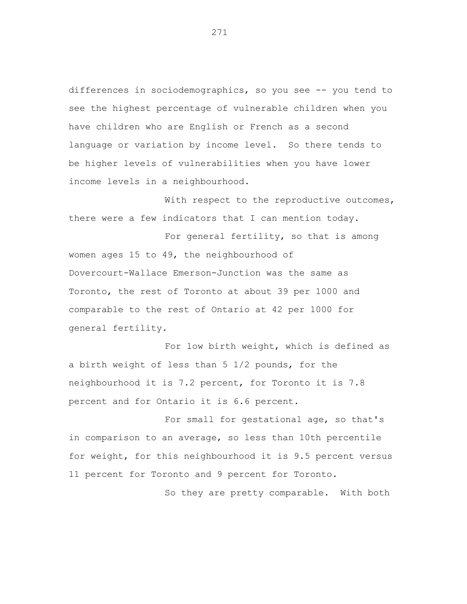differences in sociodemographics, so you see -- you tend to see the highest percentage of vulnerable children when you have children who are English or French as a second language or variation by income level. So there tends to be higher levels of vulnerabilities when you have lower income levels in a neighbourhood.

With respect to the reproductive outcomes, there were a few indicators that I can mention today.

For general fertility, so that is among women ages 15 to 49, the neighbourhood of Dovercourt-Wallace Emerson-Junction was the same as Toronto, the rest of Toronto at about 39 per 1000 and comparable to the rest of Ontario at 42 per 1000 for general fertility.

For low birth weight, which is defined as a birth weight of less than 5 1/2 pounds, for the neighbourhood it is 7.2 percent, for Toronto it is 7.8 percent and for Ontario it is 6.6 percent.

For small for gestational age, so that's in comparison to an average, so less than 10th percentile for weight, for this neighbourhood it is 9.5 percent versus 11 percent for Toronto and 9 percent for Toronto.

So they are pretty comparable. With both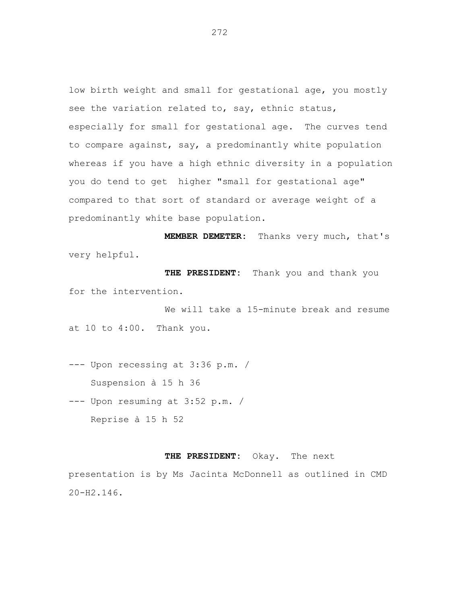low birth weight and small for gestational age, you mostly see the variation related to, say, ethnic status, especially for small for gestational age. The curves tend to compare against, say, a predominantly white population whereas if you have a high ethnic diversity in a population you do tend to get higher "small for gestational age" compared to that sort of standard or average weight of a predominantly white base population.

**MEMBER DEMETER:** Thanks very much, that's very helpful.

**THE PRESIDENT:** Thank you and thank you for the intervention.

We will take a 15-minute break and resume at 10 to 4:00. Thank you.

--- Upon recessing at 3:36 p.m. / Suspension à 15 h 36

--- Upon resuming at 3:52 p.m. / Reprise à 15 h 52

## **THE PRESIDENT:** Okay. The next

presentation is by Ms Jacinta McDonnell as outlined in CMD 20-H2.146.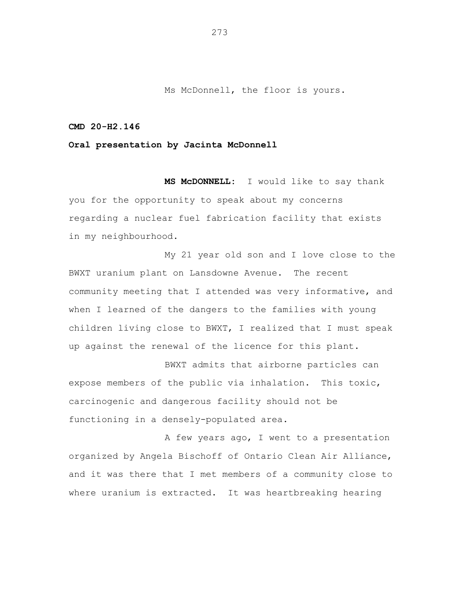Ms McDonnell, the floor is yours.

## **CMD 20-H2.146**

## **Oral presentation by Jacinta McDonnell**

**MS McDONNELL:** I would like to say thank you for the opportunity to speak about my concerns regarding a nuclear fuel fabrication facility that exists in my neighbourhood.

My 21 year old son and I love close to the BWXT uranium plant on Lansdowne Avenue. The recent community meeting that I attended was very informative, and when I learned of the dangers to the families with young children living close to BWXT, I realized that I must speak up against the renewal of the licence for this plant.

BWXT admits that airborne particles can expose members of the public via inhalation. This toxic, carcinogenic and dangerous facility should not be functioning in a densely-populated area.

A few years ago, I went to a presentation organized by Angela Bischoff of Ontario Clean Air Alliance, and it was there that I met members of a community close to where uranium is extracted. It was heartbreaking hearing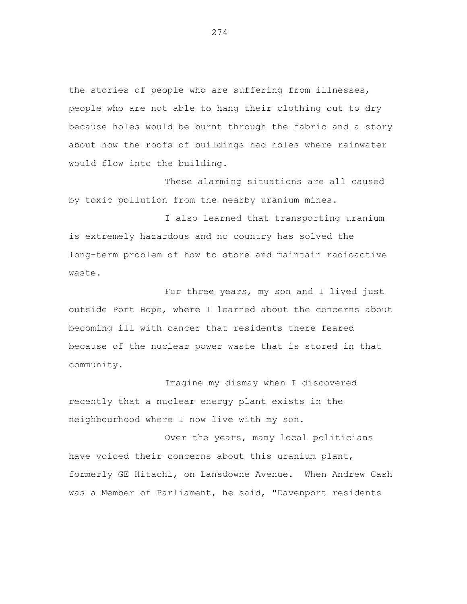the stories of people who are suffering from illnesses, people who are not able to hang their clothing out to dry because holes would be burnt through the fabric and a story about how the roofs of buildings had holes where rainwater would flow into the building.

These alarming situations are all caused by toxic pollution from the nearby uranium mines.

I also learned that transporting uranium is extremely hazardous and no country has solved the long-term problem of how to store and maintain radioactive waste.

For three years, my son and I lived just outside Port Hope, where I learned about the concerns about becoming ill with cancer that residents there feared because of the nuclear power waste that is stored in that community.

Imagine my dismay when I discovered recently that a nuclear energy plant exists in the neighbourhood where I now live with my son.

Over the years, many local politicians have voiced their concerns about this uranium plant, formerly GE Hitachi, on Lansdowne Avenue. When Andrew Cash was a Member of Parliament, he said, "Davenport residents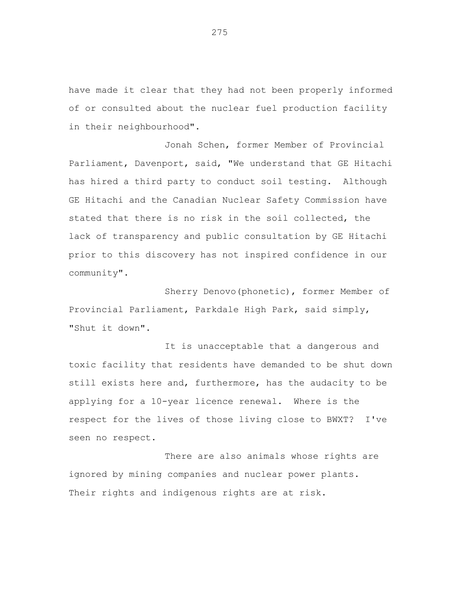have made it clear that they had not been properly informed of or consulted about the nuclear fuel production facility in their neighbourhood".

Jonah Schen, former Member of Provincial Parliament, Davenport, said, "We understand that GE Hitachi has hired a third party to conduct soil testing. Although GE Hitachi and the Canadian Nuclear Safety Commission have stated that there is no risk in the soil collected, the lack of transparency and public consultation by GE Hitachi prior to this discovery has not inspired confidence in our community".

Sherry Denovo(phonetic), former Member of Provincial Parliament, Parkdale High Park, said simply, "Shut it down".

It is unacceptable that a dangerous and toxic facility that residents have demanded to be shut down still exists here and, furthermore, has the audacity to be applying for a 10-year licence renewal. Where is the respect for the lives of those living close to BWXT? I've seen no respect.

There are also animals whose rights are ignored by mining companies and nuclear power plants. Their rights and indigenous rights are at risk.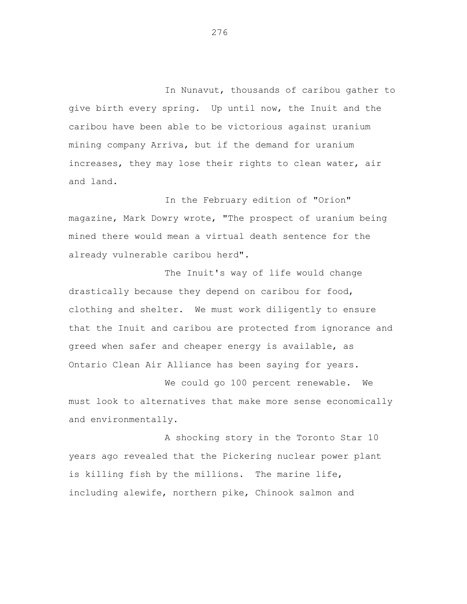In Nunavut, thousands of caribou gather to give birth every spring. Up until now, the Inuit and the caribou have been able to be victorious against uranium mining company Arriva, but if the demand for uranium increases, they may lose their rights to clean water, air and land.

In the February edition of "Orion" magazine, Mark Dowry wrote, "The prospect of uranium being mined there would mean a virtual death sentence for the already vulnerable caribou herd".

The Inuit's way of life would change drastically because they depend on caribou for food, clothing and shelter. We must work diligently to ensure that the Inuit and caribou are protected from ignorance and greed when safer and cheaper energy is available, as Ontario Clean Air Alliance has been saying for years.

We could go 100 percent renewable. We must look to alternatives that make more sense economically and environmentally.

A shocking story in the Toronto Star 10 years ago revealed that the Pickering nuclear power plant is killing fish by the millions. The marine life, including alewife, northern pike, Chinook salmon and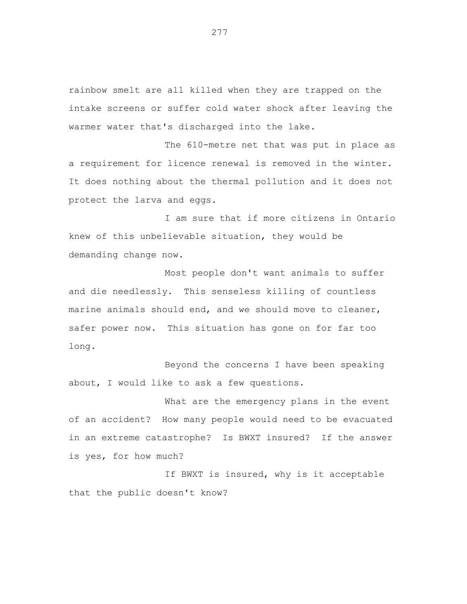rainbow smelt are all killed when they are trapped on the intake screens or suffer cold water shock after leaving the warmer water that's discharged into the lake.

The 610-metre net that was put in place as a requirement for licence renewal is removed in the winter. It does nothing about the thermal pollution and it does not protect the larva and eggs.

I am sure that if more citizens in Ontario knew of this unbelievable situation, they would be demanding change now.

Most people don't want animals to suffer and die needlessly. This senseless killing of countless marine animals should end, and we should move to cleaner, safer power now. This situation has gone on for far too long.

Beyond the concerns I have been speaking about, I would like to ask a few questions.

What are the emergency plans in the event of an accident? How many people would need to be evacuated in an extreme catastrophe? Is BWXT insured? If the answer is yes, for how much?

If BWXT is insured, why is it acceptable that the public doesn't know?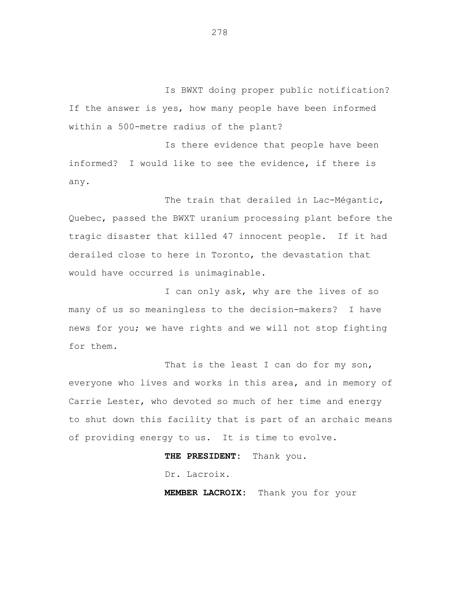Is BWXT doing proper public notification? If the answer is yes, how many people have been informed within a 500-metre radius of the plant?

Is there evidence that people have been informed? I would like to see the evidence, if there is any.

The train that derailed in Lac-Mégantic, Quebec, passed the BWXT uranium processing plant before the tragic disaster that killed 47 innocent people. If it had derailed close to here in Toronto, the devastation that would have occurred is unimaginable.

I can only ask, why are the lives of so many of us so meaningless to the decision-makers? I have news for you; we have rights and we will not stop fighting for them.

That is the least I can do for my son, everyone who lives and works in this area, and in memory of Carrie Lester, who devoted so much of her time and energy to shut down this facility that is part of an archaic means of providing energy to us. It is time to evolve.

**THE PRESIDENT:** Thank you.

Dr. Lacroix.

**MEMBER LACROIX:** Thank you for your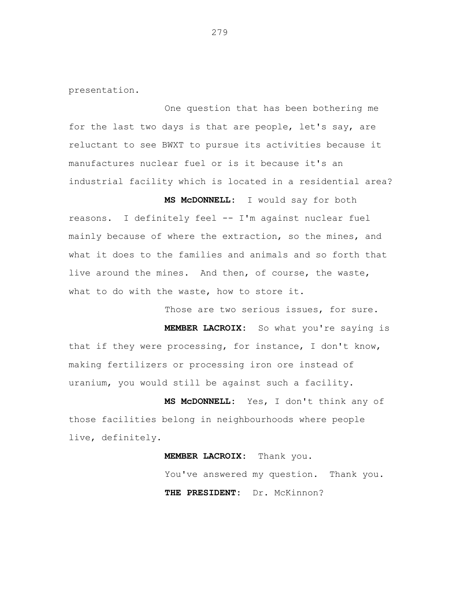presentation.

One question that has been bothering me for the last two days is that are people, let's say, are reluctant to see BWXT to pursue its activities because it manufactures nuclear fuel or is it because it's an industrial facility which is located in a residential area?

**MS McDONNELL:** I would say for both reasons. I definitely feel -- I'm against nuclear fuel mainly because of where the extraction, so the mines, and what it does to the families and animals and so forth that live around the mines. And then, of course, the waste, what to do with the waste, how to store it.

Those are two serious issues, for sure.

**MEMBER LACROIX:** So what you're saying is that if they were processing, for instance, I don't know, making fertilizers or processing iron ore instead of uranium, you would still be against such a facility.

**MS McDONNELL:** Yes, I don't think any of those facilities belong in neighbourhoods where people live, definitely.

> **MEMBER LACROIX:** Thank you. You've answered my question. Thank you. **THE PRESIDENT:** Dr. McKinnon?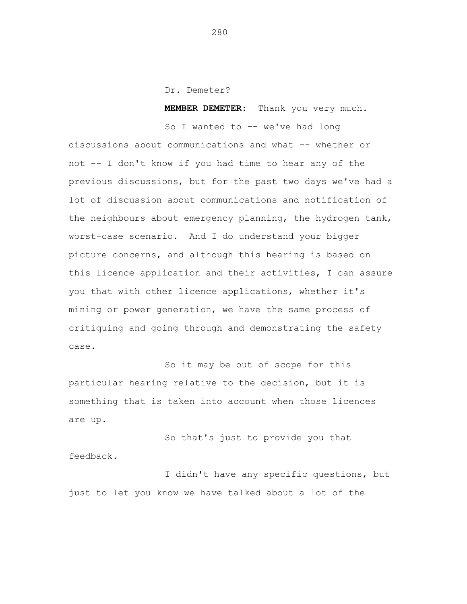Dr. Demeter?

**MEMBER DEMETER:** Thank you very much.

So I wanted to -- we've had long discussions about communications and what -- whether or not -- I don't know if you had time to hear any of the previous discussions, but for the past two days we've had a lot of discussion about communications and notification of the neighbours about emergency planning, the hydrogen tank, worst-case scenario. And I do understand your bigger picture concerns, and although this hearing is based on this licence application and their activities, I can assure you that with other licence applications, whether it's mining or power generation, we have the same process of critiquing and going through and demonstrating the safety case.

So it may be out of scope for this particular hearing relative to the decision, but it is something that is taken into account when those licences are up.

So that's just to provide you that feedback.

I didn't have any specific questions, but just to let you know we have talked about a lot of the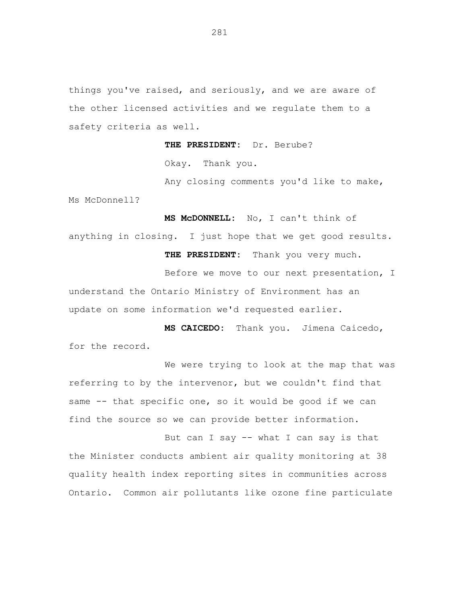things you've raised, and seriously, and we are aware of the other licensed activities and we regulate them to a safety criteria as well.

**THE PRESIDENT:** Dr. Berube?

Okay. Thank you.

Any closing comments you'd like to make, Ms McDonnell?

**MS McDONNELL:** No, I can't think of anything in closing. I just hope that we get good results.

**THE PRESIDENT:** Thank you very much.

Before we move to our next presentation, I understand the Ontario Ministry of Environment has an update on some information we'd requested earlier.

**MS CAICEDO:** Thank you. Jimena Caicedo, for the record.

We were trying to look at the map that was referring to by the intervenor, but we couldn't find that same -- that specific one, so it would be good if we can find the source so we can provide better information.

But can I say -- what I can say is that the Minister conducts ambient air quality monitoring at 38 quality health index reporting sites in communities across Ontario. Common air pollutants like ozone fine particulate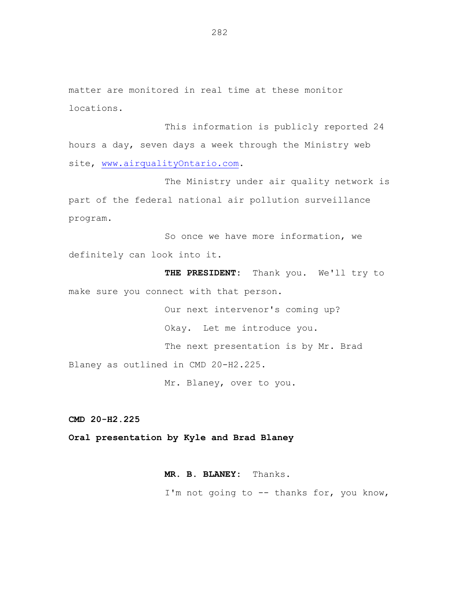matter are monitored in real time at these monitor locations.

This information is publicly reported 24 hours a day, seven days a week through the Ministry web site, [www.airqualityOntario.com.](file:///C:/Users/bouchardj.PROD/AppData/Local/Microsoft/Windows/Temporary%20Internet%20Files/Content.Outlook/2OS8KNVT/www.airqualityOntario.com)

The Ministry under air quality network is part of the federal national air pollution surveillance program.

So once we have more information, we definitely can look into it.

**THE PRESIDENT:** Thank you. We'll try to make sure you connect with that person.

Our next intervenor's coming up? Okay. Let me introduce you. The next presentation is by Mr. Brad Blaney as outlined in CMD 20-H2.225.

Mr. Blaney, over to you.

**CMD 20-H2.225**

**Oral presentation by Kyle and Brad Blaney**

**MR. B. BLANEY:** Thanks. I'm not going to -- thanks for, you know,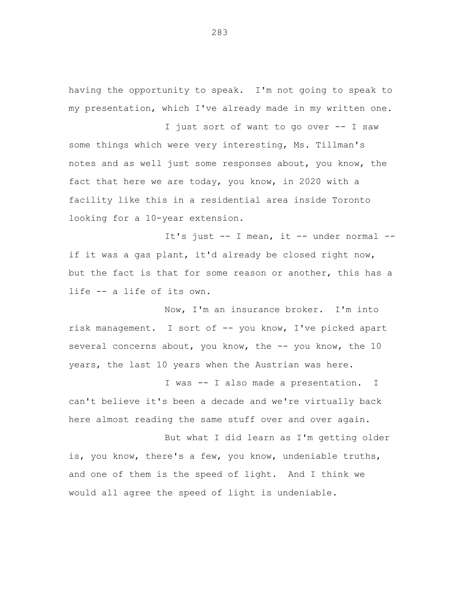having the opportunity to speak. I'm not going to speak to my presentation, which I've already made in my written one.

I just sort of want to go over -- I saw some things which were very interesting, Ms. Tillman's notes and as well just some responses about, you know, the fact that here we are today, you know, in 2020 with a facility like this in a residential area inside Toronto looking for a 10-year extension.

It's just -- I mean, it -- under normal - if it was a gas plant, it'd already be closed right now, but the fact is that for some reason or another, this has a life -- a life of its own.

Now, I'm an insurance broker. I'm into risk management. I sort of -- you know, I've picked apart several concerns about, you know, the -- you know, the 10 years, the last 10 years when the Austrian was here.

I was -- I also made a presentation. I can't believe it's been a decade and we're virtually back here almost reading the same stuff over and over again.

But what I did learn as I'm getting older is, you know, there's a few, you know, undeniable truths, and one of them is the speed of light. And I think we would all agree the speed of light is undeniable.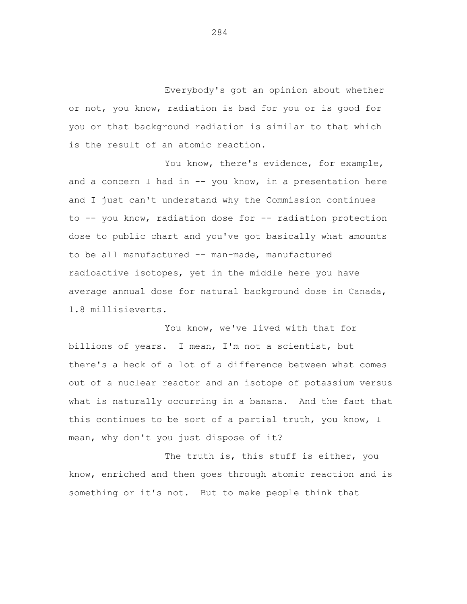Everybody's got an opinion about whether or not, you know, radiation is bad for you or is good for you or that background radiation is similar to that which is the result of an atomic reaction.

You know, there's evidence, for example, and a concern I had in  $-$  you know, in a presentation here and I just can't understand why the Commission continues to -- you know, radiation dose for -- radiation protection dose to public chart and you've got basically what amounts to be all manufactured -- man-made, manufactured radioactive isotopes, yet in the middle here you have average annual dose for natural background dose in Canada, 1.8 millisieverts.

You know, we've lived with that for billions of years. I mean, I'm not a scientist, but there's a heck of a lot of a difference between what comes out of a nuclear reactor and an isotope of potassium versus what is naturally occurring in a banana. And the fact that this continues to be sort of a partial truth, you know, I mean, why don't you just dispose of it?

The truth is, this stuff is either, you know, enriched and then goes through atomic reaction and is something or it's not. But to make people think that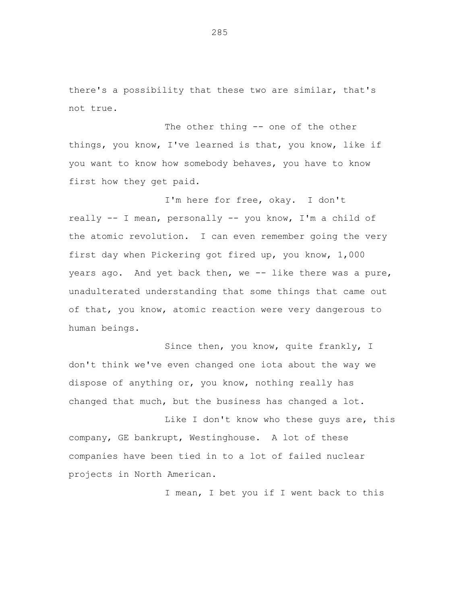there's a possibility that these two are similar, that's not true.

The other thing -- one of the other things, you know, I've learned is that, you know, like if you want to know how somebody behaves, you have to know first how they get paid.

I'm here for free, okay. I don't really -- I mean, personally -- you know, I'm a child of the atomic revolution. I can even remember going the very first day when Pickering got fired up, you know, 1,000 years ago. And yet back then, we -- like there was a pure, unadulterated understanding that some things that came out of that, you know, atomic reaction were very dangerous to human beings.

Since then, you know, quite frankly, I don't think we've even changed one iota about the way we dispose of anything or, you know, nothing really has changed that much, but the business has changed a lot.

Like I don't know who these guys are, this company, GE bankrupt, Westinghouse. A lot of these companies have been tied in to a lot of failed nuclear projects in North American.

I mean, I bet you if I went back to this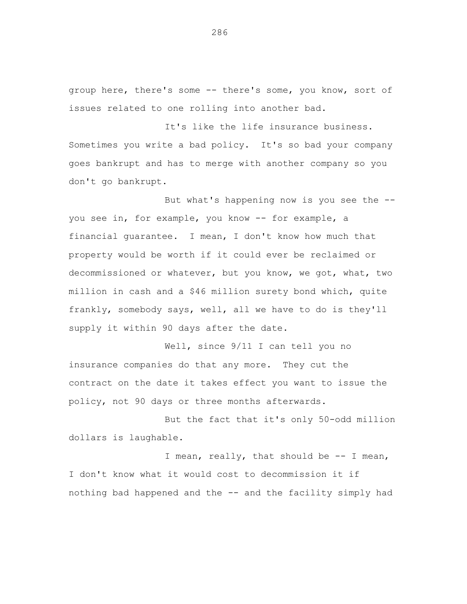group here, there's some -- there's some, you know, sort of issues related to one rolling into another bad.

It's like the life insurance business. Sometimes you write a bad policy. It's so bad your company goes bankrupt and has to merge with another company so you don't go bankrupt.

But what's happening now is you see the - you see in, for example, you know -- for example, a financial guarantee. I mean, I don't know how much that property would be worth if it could ever be reclaimed or decommissioned or whatever, but you know, we got, what, two million in cash and a \$46 million surety bond which, quite frankly, somebody says, well, all we have to do is they'll supply it within 90 days after the date.

Well, since 9/11 I can tell you no insurance companies do that any more. They cut the contract on the date it takes effect you want to issue the policy, not 90 days or three months afterwards.

But the fact that it's only 50-odd million dollars is laughable.

I mean, really, that should be -- I mean, I don't know what it would cost to decommission it if nothing bad happened and the -- and the facility simply had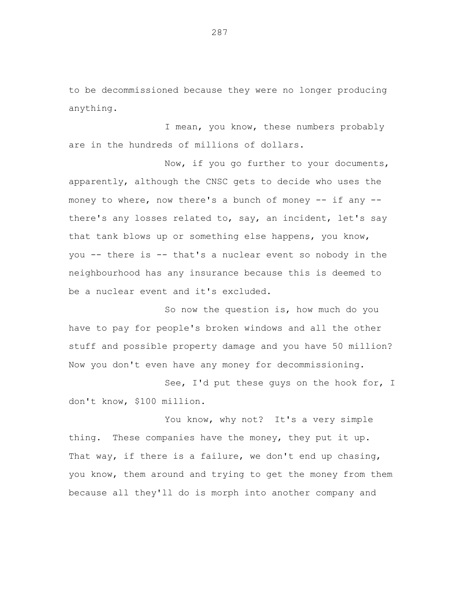to be decommissioned because they were no longer producing anything.

I mean, you know, these numbers probably are in the hundreds of millions of dollars.

Now, if you go further to your documents, apparently, although the CNSC gets to decide who uses the money to where, now there's a bunch of money  $-$  if any  $$ there's any losses related to, say, an incident, let's say that tank blows up or something else happens, you know, you -- there is -- that's a nuclear event so nobody in the neighbourhood has any insurance because this is deemed to be a nuclear event and it's excluded.

So now the question is, how much do you have to pay for people's broken windows and all the other stuff and possible property damage and you have 50 million? Now you don't even have any money for decommissioning.

See, I'd put these guys on the hook for, I don't know, \$100 million.

You know, why not? It's a very simple thing. These companies have the money, they put it up. That way, if there is a failure, we don't end up chasing, you know, them around and trying to get the money from them because all they'll do is morph into another company and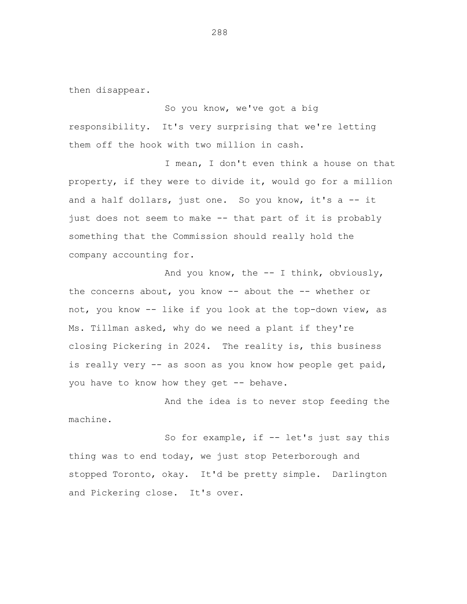then disappear.

So you know, we've got a big responsibility. It's very surprising that we're letting them off the hook with two million in cash.

I mean, I don't even think a house on that property, if they were to divide it, would go for a million and a half dollars, just one. So you know, it's a -- it just does not seem to make -- that part of it is probably something that the Commission should really hold the company accounting for.

And you know, the -- I think, obviously, the concerns about, you know -- about the -- whether or not, you know -- like if you look at the top-down view, as Ms. Tillman asked, why do we need a plant if they're closing Pickering in 2024. The reality is, this business is really very -- as soon as you know how people get paid, you have to know how they get -- behave.

And the idea is to never stop feeding the machine.

So for example, if -- let's just say this thing was to end today, we just stop Peterborough and stopped Toronto, okay. It'd be pretty simple. Darlington and Pickering close. It's over.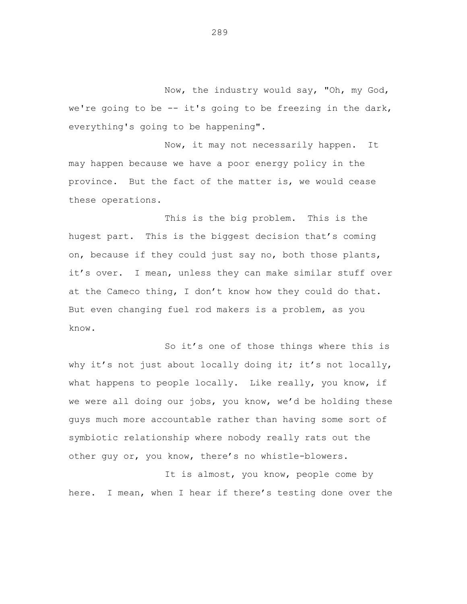Now, the industry would say, "Oh, my God, we're going to be  $-$  it's going to be freezing in the dark, everything's going to be happening".

Now, it may not necessarily happen. It may happen because we have a poor energy policy in the province. But the fact of the matter is, we would cease these operations.

This is the big problem. This is the hugest part. This is the biggest decision that's coming on, because if they could just say no, both those plants, it's over. I mean, unless they can make similar stuff over at the Cameco thing, I don't know how they could do that. But even changing fuel rod makers is a problem, as you know.

So it's one of those things where this is why it's not just about locally doing it; it's not locally, what happens to people locally. Like really, you know, if we were all doing our jobs, you know, we'd be holding these guys much more accountable rather than having some sort of symbiotic relationship where nobody really rats out the other guy or, you know, there's no whistle-blowers.

It is almost, you know, people come by here. I mean, when I hear if there's testing done over the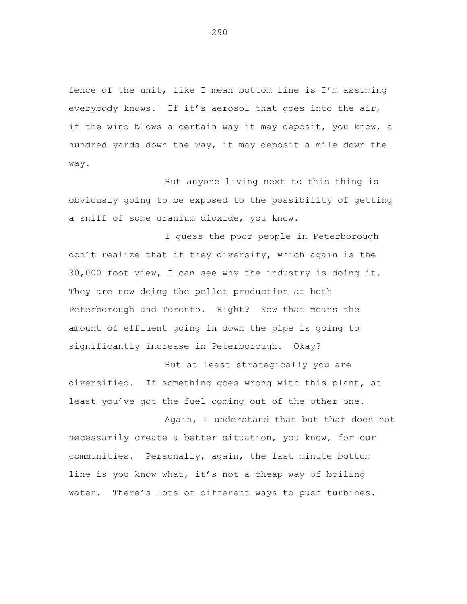fence of the unit, like I mean bottom line is I'm assuming everybody knows. If it's aerosol that goes into the air, if the wind blows a certain way it may deposit, you know, a hundred yards down the way, it may deposit a mile down the way.

But anyone living next to this thing is obviously going to be exposed to the possibility of getting a sniff of some uranium dioxide, you know.

I guess the poor people in Peterborough don't realize that if they diversify, which again is the 30,000 foot view, I can see why the industry is doing it. They are now doing the pellet production at both Peterborough and Toronto. Right? Now that means the amount of effluent going in down the pipe is going to significantly increase in Peterborough. Okay?

But at least strategically you are diversified. If something goes wrong with this plant, at least you've got the fuel coming out of the other one.

Again, I understand that but that does not necessarily create a better situation, you know, for our communities. Personally, again, the last minute bottom line is you know what, it's not a cheap way of boiling water. There's lots of different ways to push turbines.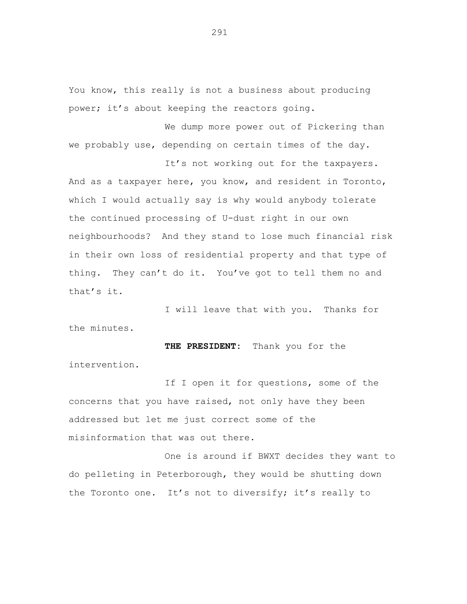You know, this really is not a business about producing power; it's about keeping the reactors going.

We dump more power out of Pickering than we probably use, depending on certain times of the day.

It's not working out for the taxpayers. And as a taxpayer here, you know, and resident in Toronto, which I would actually say is why would anybody tolerate the continued processing of U-dust right in our own neighbourhoods? And they stand to lose much financial risk in their own loss of residential property and that type of thing. They can't do it. You've got to tell them no and that's it.

I will leave that with you. Thanks for the minutes.

**THE PRESIDENT:** Thank you for the intervention.

If I open it for questions, some of the concerns that you have raised, not only have they been addressed but let me just correct some of the misinformation that was out there.

One is around if BWXT decides they want to do pelleting in Peterborough, they would be shutting down the Toronto one. It's not to diversify; it's really to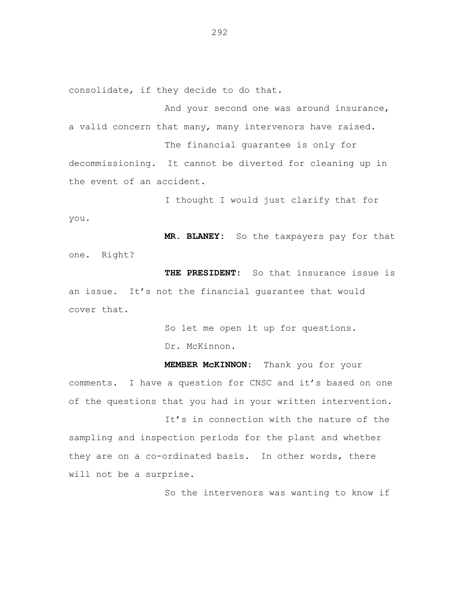consolidate, if they decide to do that.

And your second one was around insurance, a valid concern that many, many intervenors have raised. The financial guarantee is only for decommissioning. It cannot be diverted for cleaning up in the event of an accident.

I thought I would just clarify that for you.

**MR. BLANEY:** So the taxpayers pay for that one. Right?

**THE PRESIDENT:** So that insurance issue is an issue. It's not the financial guarantee that would cover that.

So let me open it up for questions.

Dr. McKinnon.

**MEMBER McKINNON:** Thank you for your comments. I have a question for CNSC and it's based on one of the questions that you had in your written intervention.

It's in connection with the nature of the sampling and inspection periods for the plant and whether they are on a co-ordinated basis. In other words, there will not be a surprise.

So the intervenors was wanting to know if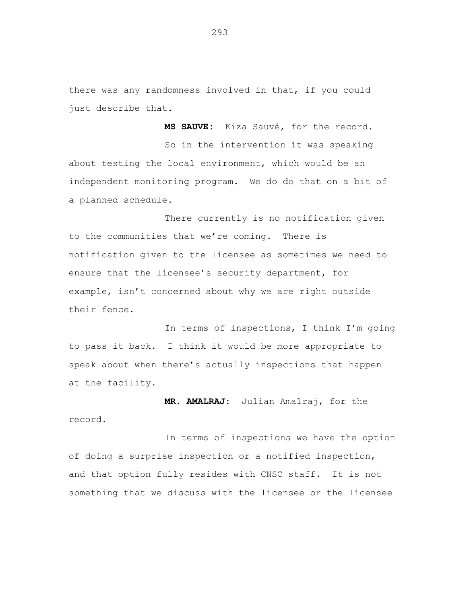there was any randomness involved in that, if you could just describe that.

**MS SAUVE:** Kiza Sauvé, for the record. So in the intervention it was speaking about testing the local environment, which would be an independent monitoring program. We do do that on a bit of a planned schedule.

There currently is no notification given to the communities that we're coming. There is notification given to the licensee as sometimes we need to ensure that the licensee's security department, for example, isn't concerned about why we are right outside their fence.

In terms of inspections, I think I'm going to pass it back. I think it would be more appropriate to speak about when there's actually inspections that happen at the facility.

**MR. AMALRAJ:** Julian Amalraj, for the record.

In terms of inspections we have the option of doing a surprise inspection or a notified inspection, and that option fully resides with CNSC staff. It is not something that we discuss with the licensee or the licensee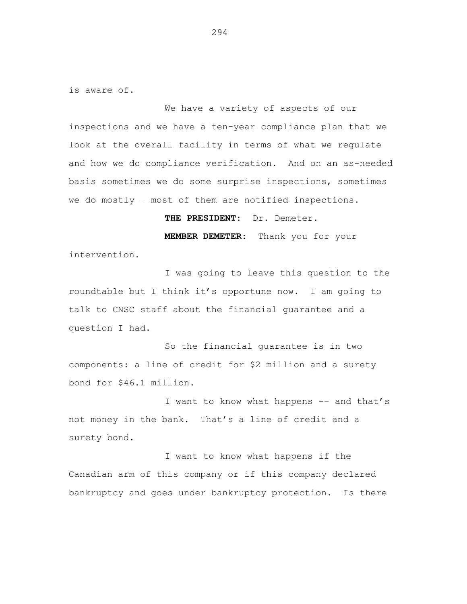is aware of.

We have a variety of aspects of our inspections and we have a ten-year compliance plan that we look at the overall facility in terms of what we regulate and how we do compliance verification. And on an as-needed basis sometimes we do some surprise inspections, sometimes we do mostly – most of them are notified inspections.

**THE PRESIDENT:** Dr. Demeter.

**MEMBER DEMETER:** Thank you for your intervention.

I was going to leave this question to the roundtable but I think it's opportune now. I am going to talk to CNSC staff about the financial guarantee and a question I had.

So the financial guarantee is in two components: a line of credit for \$2 million and a surety bond for \$46.1 million.

I want to know what happens -- and that's not money in the bank. That's a line of credit and a surety bond.

I want to know what happens if the Canadian arm of this company or if this company declared bankruptcy and goes under bankruptcy protection. Is there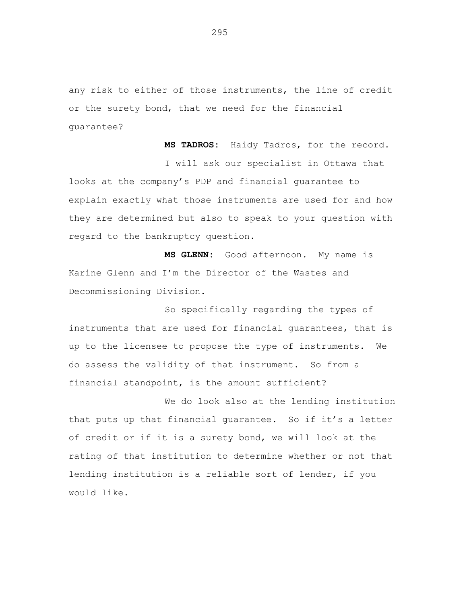any risk to either of those instruments, the line of credit or the surety bond, that we need for the financial guarantee?

**MS TADROS:** Haidy Tadros, for the record.

I will ask our specialist in Ottawa that looks at the company's PDP and financial guarantee to explain exactly what those instruments are used for and how they are determined but also to speak to your question with regard to the bankruptcy question.

**MS GLENN:** Good afternoon. My name is Karine Glenn and I'm the Director of the Wastes and Decommissioning Division.

So specifically regarding the types of instruments that are used for financial guarantees, that is up to the licensee to propose the type of instruments. We do assess the validity of that instrument. So from a financial standpoint, is the amount sufficient?

We do look also at the lending institution that puts up that financial guarantee. So if it's a letter of credit or if it is a surety bond, we will look at the rating of that institution to determine whether or not that lending institution is a reliable sort of lender, if you would like.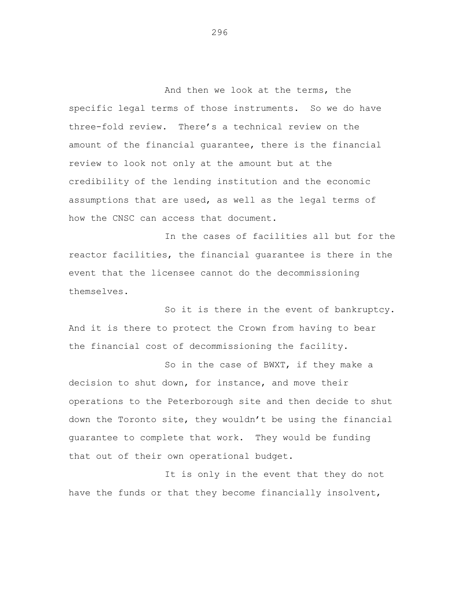And then we look at the terms, the specific legal terms of those instruments. So we do have three-fold review. There's a technical review on the amount of the financial guarantee, there is the financial review to look not only at the amount but at the credibility of the lending institution and the economic assumptions that are used, as well as the legal terms of how the CNSC can access that document.

In the cases of facilities all but for the reactor facilities, the financial guarantee is there in the event that the licensee cannot do the decommissioning themselves.

So it is there in the event of bankruptcy. And it is there to protect the Crown from having to bear the financial cost of decommissioning the facility.

So in the case of BWXT, if they make a decision to shut down, for instance, and move their operations to the Peterborough site and then decide to shut down the Toronto site, they wouldn't be using the financial guarantee to complete that work. They would be funding that out of their own operational budget.

It is only in the event that they do not have the funds or that they become financially insolvent,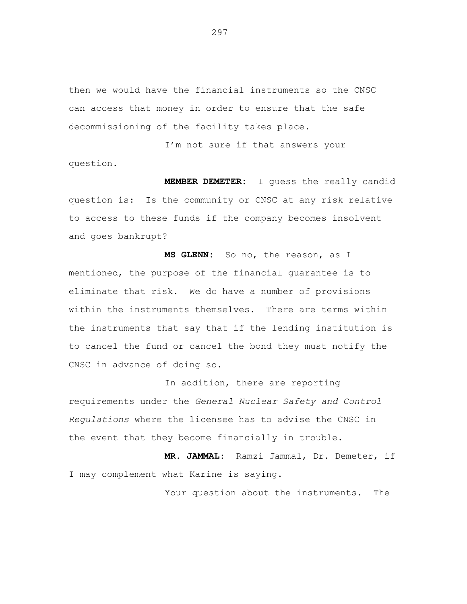then we would have the financial instruments so the CNSC can access that money in order to ensure that the safe decommissioning of the facility takes place.

I'm not sure if that answers your question.

**MEMBER DEMETER:** I guess the really candid question is: Is the community or CNSC at any risk relative to access to these funds if the company becomes insolvent and goes bankrupt?

**MS GLENN:** So no, the reason, as I mentioned, the purpose of the financial guarantee is to eliminate that risk. We do have a number of provisions within the instruments themselves. There are terms within the instruments that say that if the lending institution is to cancel the fund or cancel the bond they must notify the CNSC in advance of doing so.

In addition, there are reporting requirements under the *General Nuclear Safety and Control Regulations* where the licensee has to advise the CNSC in the event that they become financially in trouble.

**MR. JAMMAL:** Ramzi Jammal, Dr. Demeter, if I may complement what Karine is saying.

Your question about the instruments. The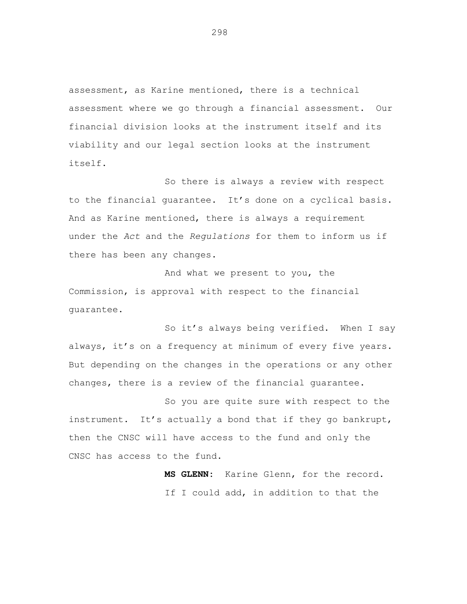assessment, as Karine mentioned, there is a technical assessment where we go through a financial assessment. Our financial division looks at the instrument itself and its viability and our legal section looks at the instrument itself.

So there is always a review with respect to the financial guarantee. It's done on a cyclical basis. And as Karine mentioned, there is always a requirement under the *Act* and the *Regulations* for them to inform us if there has been any changes.

And what we present to you, the Commission, is approval with respect to the financial guarantee.

So it's always being verified. When I say always, it's on a frequency at minimum of every five years. But depending on the changes in the operations or any other changes, there is a review of the financial guarantee.

So you are quite sure with respect to the instrument. It's actually a bond that if they go bankrupt, then the CNSC will have access to the fund and only the CNSC has access to the fund.

> **MS GLENN:** Karine Glenn, for the record. If I could add, in addition to that the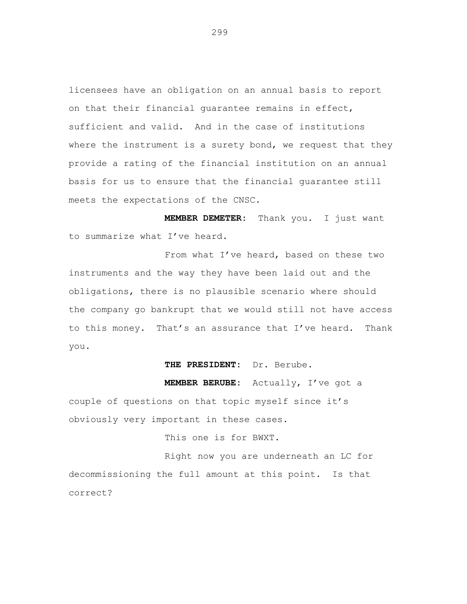licensees have an obligation on an annual basis to report on that their financial guarantee remains in effect, sufficient and valid. And in the case of institutions where the instrument is a surety bond, we request that they provide a rating of the financial institution on an annual basis for us to ensure that the financial guarantee still meets the expectations of the CNSC.

**MEMBER DEMETER:** Thank you. I just want to summarize what I've heard.

From what I've heard, based on these two instruments and the way they have been laid out and the obligations, there is no plausible scenario where should the company go bankrupt that we would still not have access to this money. That's an assurance that I've heard. Thank you.

## **THE PRESIDENT:** Dr. Berube.

**MEMBER BERUBE:** Actually, I've got a

couple of questions on that topic myself since it's obviously very important in these cases.

This one is for BWXT.

Right now you are underneath an LC for decommissioning the full amount at this point. Is that correct?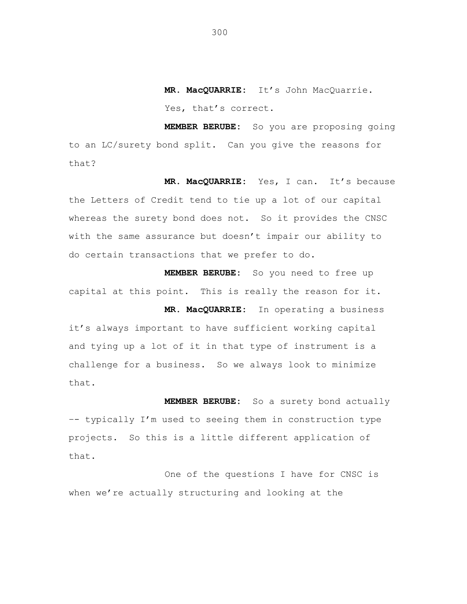**MR. MacQUARRIE:** It's John MacQuarrie. Yes, that's correct.

**MEMBER BERUBE:** So you are proposing going to an LC/surety bond split. Can you give the reasons for that?

**MR. MacQUARRIE:** Yes, I can. It's because the Letters of Credit tend to tie up a lot of our capital whereas the surety bond does not. So it provides the CNSC with the same assurance but doesn't impair our ability to do certain transactions that we prefer to do.

**MEMBER BERUBE:** So you need to free up capital at this point. This is really the reason for it.

**MR. MacQUARRIE:** In operating a business it's always important to have sufficient working capital and tying up a lot of it in that type of instrument is a challenge for a business. So we always look to minimize that.

**MEMBER BERUBE:** So a surety bond actually –- typically I'm used to seeing them in construction type projects. So this is a little different application of that.

One of the questions I have for CNSC is when we're actually structuring and looking at the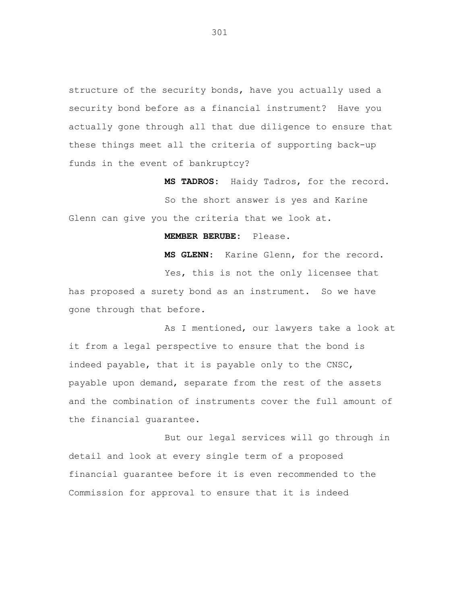structure of the security bonds, have you actually used a security bond before as a financial instrument? Have you actually gone through all that due diligence to ensure that these things meet all the criteria of supporting back-up funds in the event of bankruptcy?

**MS TADROS:** Haidy Tadros, for the record. So the short answer is yes and Karine Glenn can give you the criteria that we look at.

## **MEMBER BERUBE:** Please.

**MS GLENN:** Karine Glenn, for the record. Yes, this is not the only licensee that has proposed a surety bond as an instrument. So we have gone through that before.

As I mentioned, our lawyers take a look at it from a legal perspective to ensure that the bond is indeed payable, that it is payable only to the CNSC, payable upon demand, separate from the rest of the assets and the combination of instruments cover the full amount of the financial guarantee.

But our legal services will go through in detail and look at every single term of a proposed financial guarantee before it is even recommended to the Commission for approval to ensure that it is indeed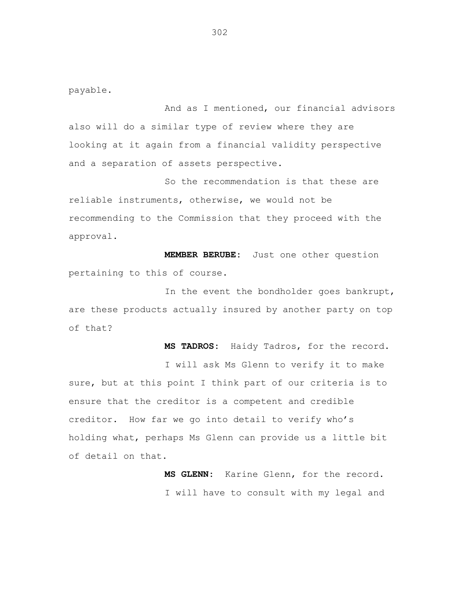payable.

And as I mentioned, our financial advisors also will do a similar type of review where they are looking at it again from a financial validity perspective and a separation of assets perspective.

So the recommendation is that these are reliable instruments, otherwise, we would not be recommending to the Commission that they proceed with the approval.

**MEMBER BERUBE:** Just one other question pertaining to this of course.

In the event the bondholder goes bankrupt, are these products actually insured by another party on top of that?

**MS TADROS:** Haidy Tadros, for the record. I will ask Ms Glenn to verify it to make sure, but at this point I think part of our criteria is to ensure that the creditor is a competent and credible creditor. How far we go into detail to verify who's holding what, perhaps Ms Glenn can provide us a little bit of detail on that.

> **MS GLENN:** Karine Glenn, for the record. I will have to consult with my legal and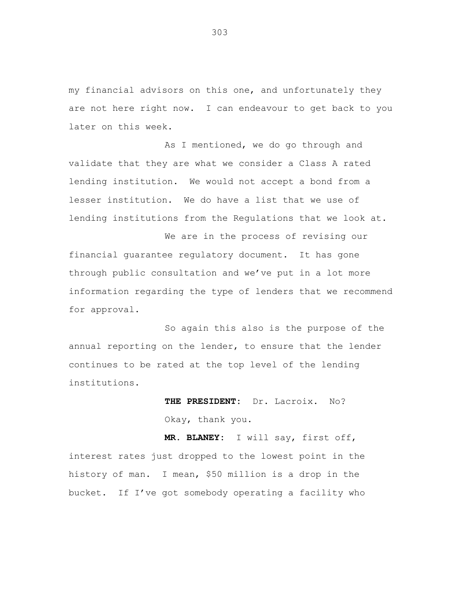my financial advisors on this one, and unfortunately they are not here right now. I can endeavour to get back to you later on this week.

As I mentioned, we do go through and validate that they are what we consider a Class A rated lending institution. We would not accept a bond from a lesser institution. We do have a list that we use of lending institutions from the Regulations that we look at.

We are in the process of revising our financial guarantee regulatory document. It has gone through public consultation and we've put in a lot more information regarding the type of lenders that we recommend for approval.

So again this also is the purpose of the annual reporting on the lender, to ensure that the lender continues to be rated at the top level of the lending institutions.

> **THE PRESIDENT:** Dr. Lacroix. No? Okay, thank you.

**MR. BLANEY:** I will say, first off, interest rates just dropped to the lowest point in the history of man. I mean, \$50 million is a drop in the bucket. If I've got somebody operating a facility who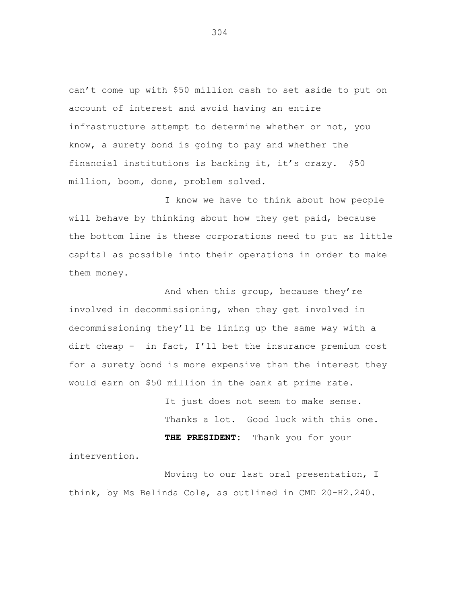can't come up with \$50 million cash to set aside to put on account of interest and avoid having an entire infrastructure attempt to determine whether or not, you know, a surety bond is going to pay and whether the financial institutions is backing it, it's crazy. \$50 million, boom, done, problem solved.

I know we have to think about how people will behave by thinking about how they get paid, because the bottom line is these corporations need to put as little capital as possible into their operations in order to make them money.

And when this group, because they're involved in decommissioning, when they get involved in decommissioning they'll be lining up the same way with a dirt cheap -– in fact, I'll bet the insurance premium cost for a surety bond is more expensive than the interest they would earn on \$50 million in the bank at prime rate.

> It just does not seem to make sense. Thanks a lot. Good luck with this one. **THE PRESIDENT:** Thank you for your

intervention.

Moving to our last oral presentation, I think, by Ms Belinda Cole, as outlined in CMD 20-H2.240.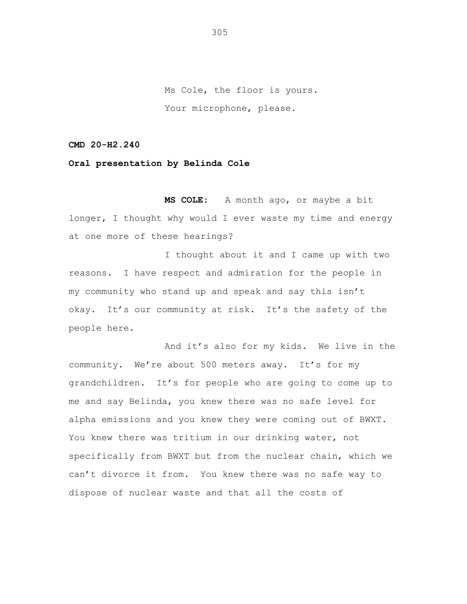Ms Cole, the floor is yours. Your microphone, please.

**CMD 20-H2.240**

**Oral presentation by Belinda Cole**

**MS COLE:** A month ago, or maybe a bit longer, I thought why would I ever waste my time and energy at one more of these hearings?

I thought about it and I came up with two reasons. I have respect and admiration for the people in my community who stand up and speak and say this isn't okay. It's our community at risk. It's the safety of the people here.

And it's also for my kids. We live in the community. We're about 500 meters away. It's for my grandchildren. It's for people who are going to come up to me and say Belinda, you knew there was no safe level for alpha emissions and you knew they were coming out of BWXT. You knew there was tritium in our drinking water, not specifically from BWXT but from the nuclear chain, which we can't divorce it from. You knew there was no safe way to dispose of nuclear waste and that all the costs of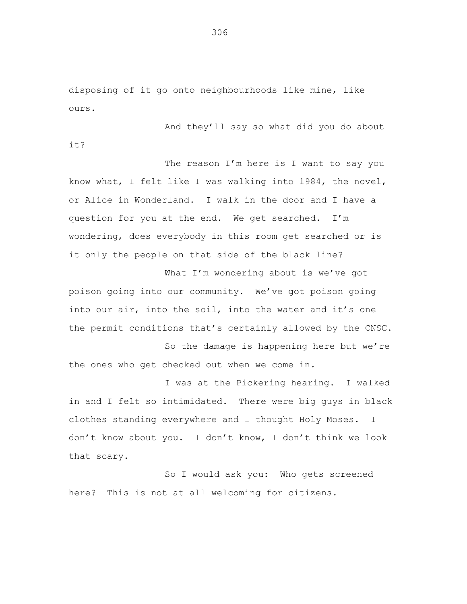disposing of it go onto neighbourhoods like mine, like ours.

And they'll say so what did you do about

it?

The reason I'm here is I want to say you know what, I felt like I was walking into 1984, the novel, or Alice in Wonderland. I walk in the door and I have a question for you at the end. We get searched. I'm wondering, does everybody in this room get searched or is it only the people on that side of the black line?

What I'm wondering about is we've got poison going into our community. We've got poison going into our air, into the soil, into the water and it's one the permit conditions that's certainly allowed by the CNSC.

So the damage is happening here but we're the ones who get checked out when we come in.

I was at the Pickering hearing. I walked in and I felt so intimidated. There were big guys in black clothes standing everywhere and I thought Holy Moses. I don't know about you. I don't know, I don't think we look that scary.

So I would ask you: Who gets screened here? This is not at all welcoming for citizens.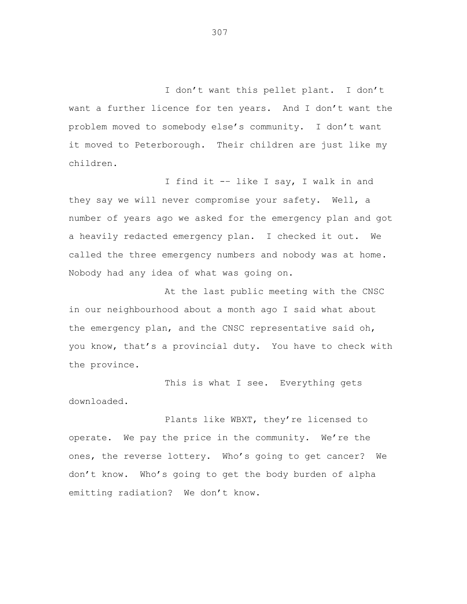I don't want this pellet plant. I don't want a further licence for ten years. And I don't want the problem moved to somebody else's community. I don't want it moved to Peterborough. Their children are just like my children.

I find it -– like I say, I walk in and they say we will never compromise your safety. Well, a number of years ago we asked for the emergency plan and got a heavily redacted emergency plan. I checked it out. We called the three emergency numbers and nobody was at home. Nobody had any idea of what was going on.

At the last public meeting with the CNSC in our neighbourhood about a month ago I said what about the emergency plan, and the CNSC representative said oh, you know, that's a provincial duty. You have to check with the province.

This is what I see. Everything gets downloaded.

Plants like WBXT, they're licensed to operate. We pay the price in the community. We're the ones, the reverse lottery. Who's going to get cancer? We don't know. Who's going to get the body burden of alpha emitting radiation? We don't know.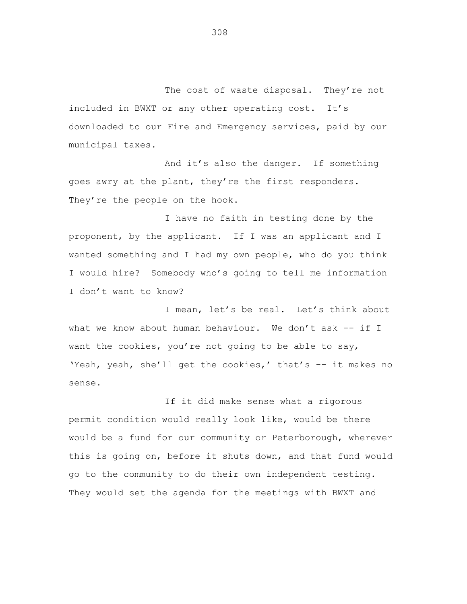The cost of waste disposal. They're not included in BWXT or any other operating cost. It's downloaded to our Fire and Emergency services, paid by our municipal taxes.

And it's also the danger. If something goes awry at the plant, they're the first responders. They're the people on the hook.

I have no faith in testing done by the proponent, by the applicant. If I was an applicant and I wanted something and I had my own people, who do you think I would hire? Somebody who's going to tell me information I don't want to know?

I mean, let's be real. Let's think about what we know about human behaviour. We don't ask -- if I want the cookies, you're not going to be able to say, 'Yeah, yeah, she'll get the cookies,' that's -- it makes no sense.

If it did make sense what a rigorous permit condition would really look like, would be there would be a fund for our community or Peterborough, wherever this is going on, before it shuts down, and that fund would go to the community to do their own independent testing. They would set the agenda for the meetings with BWXT and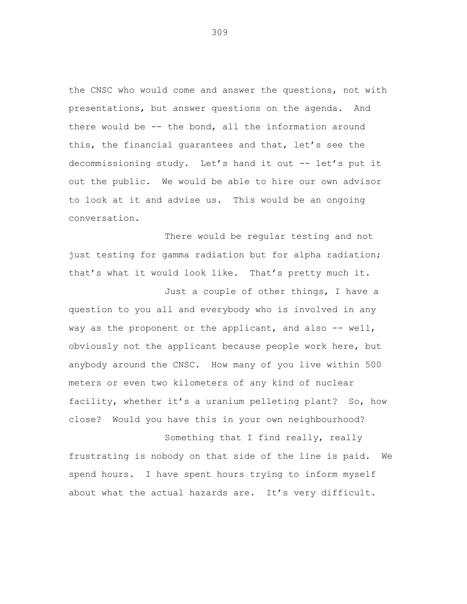the CNSC who would come and answer the questions, not with presentations, but answer questions on the agenda. And there would be -- the bond, all the information around this, the financial guarantees and that, let's see the decommissioning study. Let's hand it out -- let's put it out the public. We would be able to hire our own advisor to look at it and advise us. This would be an ongoing conversation.

There would be regular testing and not just testing for gamma radiation but for alpha radiation; that's what it would look like. That's pretty much it.

Just a couple of other things, I have a question to you all and everybody who is involved in any way as the proponent or the applicant, and also -- well, obviously not the applicant because people work here, but anybody around the CNSC. How many of you live within 500 meters or even two kilometers of any kind of nuclear facility, whether it's a uranium pelleting plant? So, how close? Would you have this in your own neighbourhood?

Something that I find really, really frustrating is nobody on that side of the line is paid. We spend hours. I have spent hours trying to inform myself about what the actual hazards are. It's very difficult.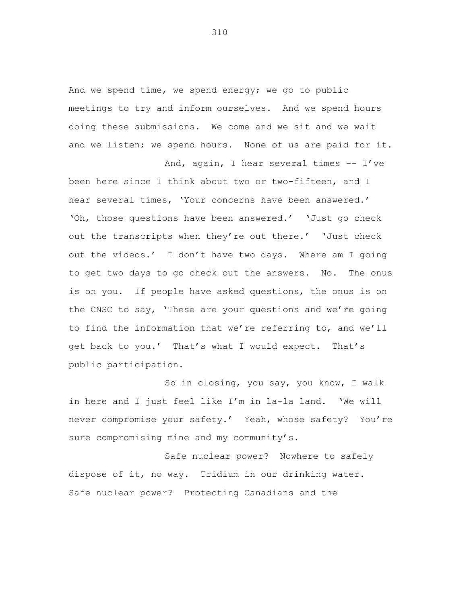And we spend time, we spend energy; we go to public meetings to try and inform ourselves. And we spend hours doing these submissions. We come and we sit and we wait and we listen; we spend hours. None of us are paid for it.

And, again, I hear several times -- I've

been here since I think about two or two-fifteen, and I hear several times, 'Your concerns have been answered.' 'Oh, those questions have been answered.' 'Just go check out the transcripts when they're out there.' 'Just check out the videos.' I don't have two days. Where am I going to get two days to go check out the answers. No. The onus is on you. If people have asked questions, the onus is on the CNSC to say, 'These are your questions and we're going to find the information that we're referring to, and we'll get back to you.' That's what I would expect. That's public participation.

So in closing, you say, you know, I walk in here and I just feel like I'm in la-la land. 'We will never compromise your safety.' Yeah, whose safety? You're sure compromising mine and my community's.

Safe nuclear power? Nowhere to safely dispose of it, no way. Tridium in our drinking water. Safe nuclear power? Protecting Canadians and the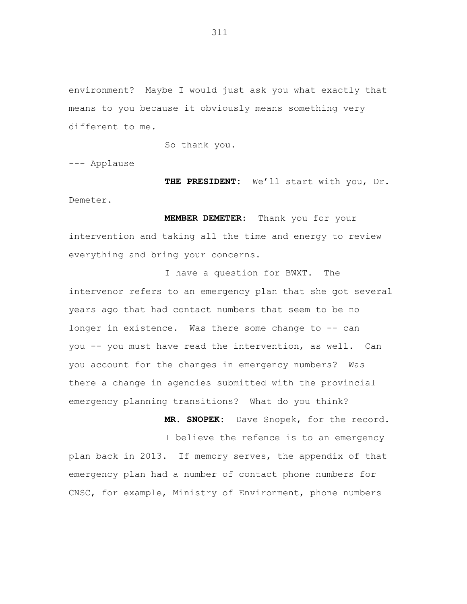environment? Maybe I would just ask you what exactly that means to you because it obviously means something very different to me.

So thank you.

--- Applause

**THE PRESIDENT:** We'll start with you, Dr. Demeter.

**MEMBER DEMETER:** Thank you for your intervention and taking all the time and energy to review everything and bring your concerns.

I have a question for BWXT. The intervenor refers to an emergency plan that she got several years ago that had contact numbers that seem to be no longer in existence. Was there some change to -- can you -- you must have read the intervention, as well. Can you account for the changes in emergency numbers? Was there a change in agencies submitted with the provincial emergency planning transitions? What do you think?

**MR. SNOPEK:** Dave Snopek, for the record. I believe the refence is to an emergency plan back in 2013. If memory serves, the appendix of that emergency plan had a number of contact phone numbers for CNSC, for example, Ministry of Environment, phone numbers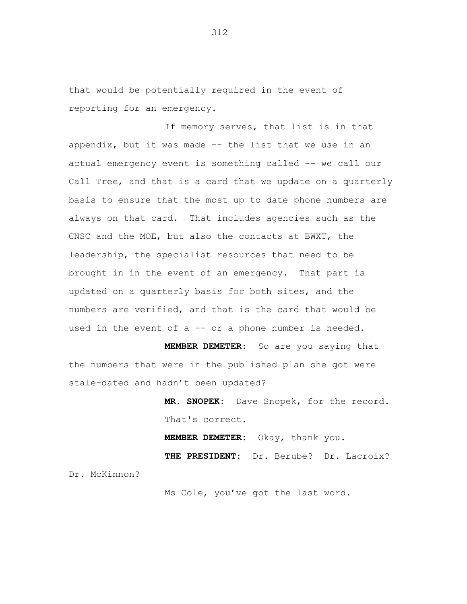that would be potentially required in the event of reporting for an emergency.

If memory serves, that list is in that appendix, but it was made -- the list that we use in an actual emergency event is something called -- we call our Call Tree, and that is a card that we update on a quarterly basis to ensure that the most up to date phone numbers are always on that card. That includes agencies such as the CNSC and the MOE, but also the contacts at BWXT, the leadership, the specialist resources that need to be brought in in the event of an emergency. That part is updated on a quarterly basis for both sites, and the numbers are verified, and that is the card that would be used in the event of a -- or a phone number is needed.

**MEMBER DEMETER:** So are you saying that the numbers that were in the published plan she got were stale-dated and hadn't been updated?

> **MR. SNOPEK:** Dave Snopek, for the record. That's correct.

**MEMBER DEMETER:** Okay, thank you. **THE PRESIDENT:** Dr. Berube? Dr. Lacroix?

Dr. McKinnon?

Ms Cole, you've got the last word.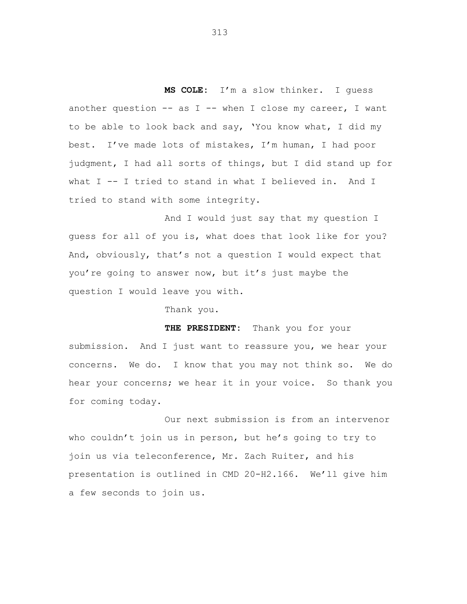**MS COLE:** I'm a slow thinker. I guess another question  $--$  as I  $--$  when I close my career, I want to be able to look back and say, 'You know what, I did my best. I've made lots of mistakes, I'm human, I had poor judgment, I had all sorts of things, but I did stand up for what I -- I tried to stand in what I believed in. And I tried to stand with some integrity.

And I would just say that my question I guess for all of you is, what does that look like for you? And, obviously, that's not a question I would expect that you're going to answer now, but it's just maybe the question I would leave you with.

Thank you.

**THE PRESIDENT:** Thank you for your submission. And I just want to reassure you, we hear your concerns. We do. I know that you may not think so. We do hear your concerns; we hear it in your voice. So thank you for coming today.

Our next submission is from an intervenor who couldn't join us in person, but he's going to try to join us via teleconference, Mr. Zach Ruiter, and his presentation is outlined in CMD 20-H2.166. We'll give him a few seconds to join us.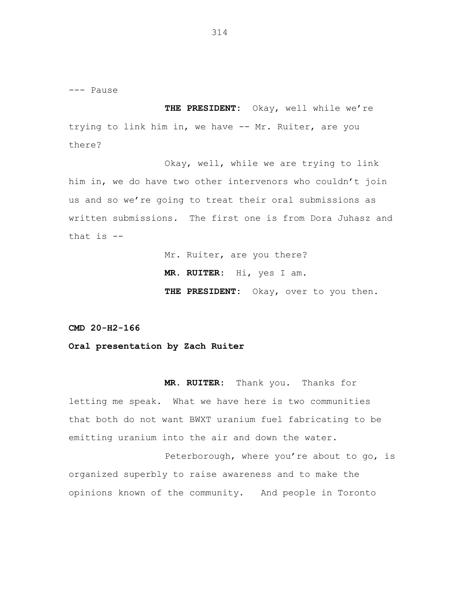--- Pause

**THE PRESIDENT:** Okay, well while we're trying to link him in, we have -- Mr. Ruiter, are you there?

Okay, well, while we are trying to link him in, we do have two other intervenors who couldn't join us and so we're going to treat their oral submissions as written submissions. The first one is from Dora Juhasz and that is  $-$ 

> Mr. Ruiter, are you there? **MR. RUITER:** Hi, yes I am. **THE PRESIDENT:** Okay, over to you then.

**CMD 20-H2-166**

## **Oral presentation by Zach Ruiter**

**MR. RUITER:** Thank you. Thanks for letting me speak. What we have here is two communities that both do not want BWXT uranium fuel fabricating to be emitting uranium into the air and down the water.

Peterborough, where you're about to go, is organized superbly to raise awareness and to make the opinions known of the community. And people in Toronto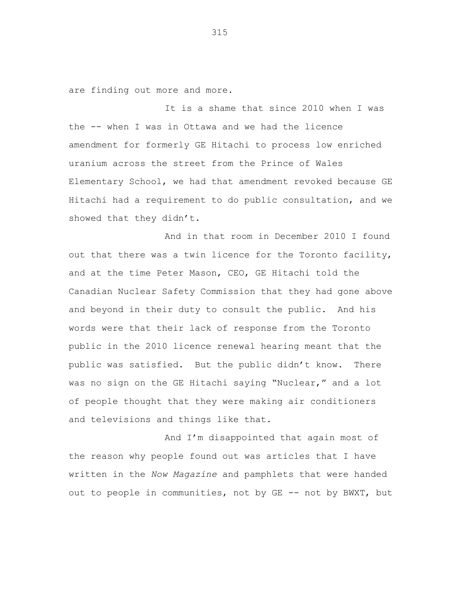are finding out more and more.

It is a shame that since 2010 when I was the -- when I was in Ottawa and we had the licence amendment for formerly GE Hitachi to process low enriched uranium across the street from the Prince of Wales Elementary School, we had that amendment revoked because GE Hitachi had a requirement to do public consultation, and we showed that they didn't.

And in that room in December 2010 I found out that there was a twin licence for the Toronto facility, and at the time Peter Mason, CEO, GE Hitachi told the Canadian Nuclear Safety Commission that they had gone above and beyond in their duty to consult the public. And his words were that their lack of response from the Toronto public in the 2010 licence renewal hearing meant that the public was satisfied. But the public didn't know. There was no sign on the GE Hitachi saying "Nuclear," and a lot of people thought that they were making air conditioners and televisions and things like that.

And I'm disappointed that again most of the reason why people found out was articles that I have written in the *Now Magazine* and pamphlets that were handed out to people in communities, not by GE -- not by BWXT, but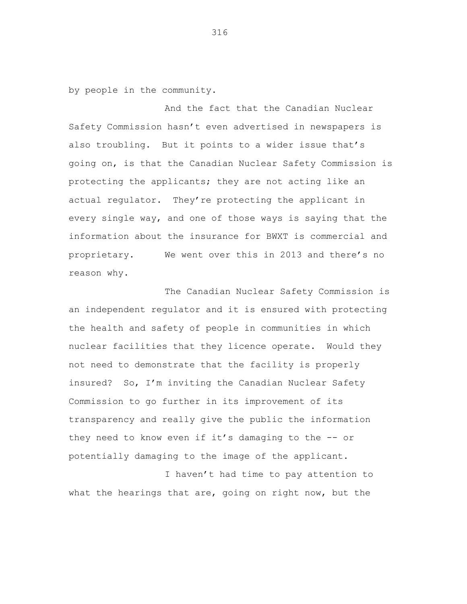by people in the community.

And the fact that the Canadian Nuclear Safety Commission hasn't even advertised in newspapers is also troubling. But it points to a wider issue that's going on, is that the Canadian Nuclear Safety Commission is protecting the applicants; they are not acting like an actual regulator. They're protecting the applicant in every single way, and one of those ways is saying that the information about the insurance for BWXT is commercial and proprietary. We went over this in 2013 and there's no reason why.

The Canadian Nuclear Safety Commission is an independent regulator and it is ensured with protecting the health and safety of people in communities in which nuclear facilities that they licence operate. Would they not need to demonstrate that the facility is properly insured? So, I'm inviting the Canadian Nuclear Safety Commission to go further in its improvement of its transparency and really give the public the information they need to know even if it's damaging to the -- or potentially damaging to the image of the applicant.

I haven't had time to pay attention to what the hearings that are, going on right now, but the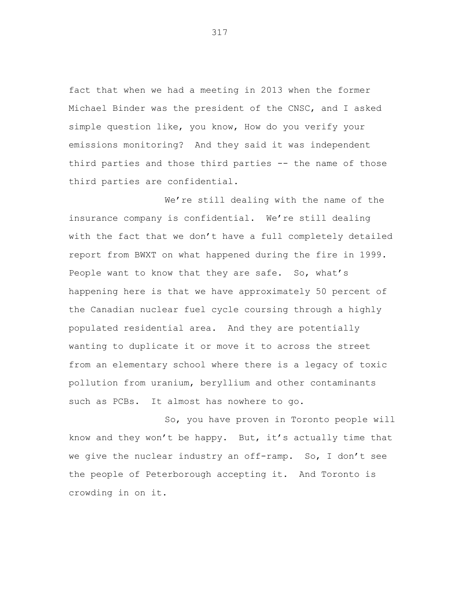fact that when we had a meeting in 2013 when the former Michael Binder was the president of the CNSC, and I asked simple question like, you know, How do you verify your emissions monitoring? And they said it was independent third parties and those third parties -- the name of those third parties are confidential.

We're still dealing with the name of the insurance company is confidential. We're still dealing with the fact that we don't have a full completely detailed report from BWXT on what happened during the fire in 1999. People want to know that they are safe. So, what's happening here is that we have approximately 50 percent of the Canadian nuclear fuel cycle coursing through a highly populated residential area. And they are potentially wanting to duplicate it or move it to across the street from an elementary school where there is a legacy of toxic pollution from uranium, beryllium and other contaminants such as PCBs. It almost has nowhere to go.

So, you have proven in Toronto people will know and they won't be happy. But, it's actually time that we give the nuclear industry an off-ramp. So, I don't see the people of Peterborough accepting it. And Toronto is crowding in on it.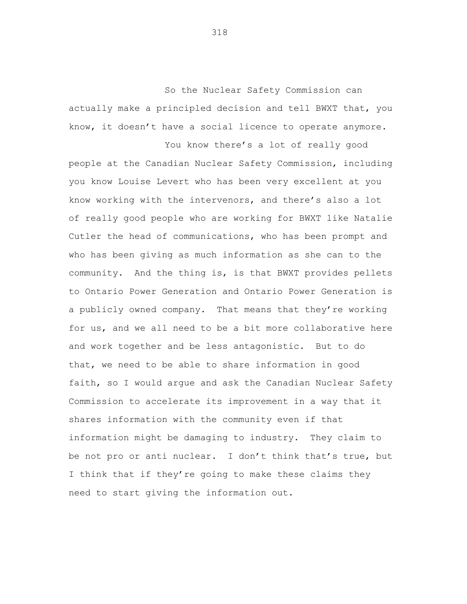So the Nuclear Safety Commission can actually make a principled decision and tell BWXT that, you know, it doesn't have a social licence to operate anymore.

You know there's a lot of really good people at the Canadian Nuclear Safety Commission, including you know Louise Levert who has been very excellent at you know working with the intervenors, and there's also a lot of really good people who are working for BWXT like Natalie Cutler the head of communications, who has been prompt and who has been giving as much information as she can to the community. And the thing is, is that BWXT provides pellets to Ontario Power Generation and Ontario Power Generation is a publicly owned company. That means that they're working for us, and we all need to be a bit more collaborative here and work together and be less antagonistic. But to do that, we need to be able to share information in good faith, so I would argue and ask the Canadian Nuclear Safety Commission to accelerate its improvement in a way that it shares information with the community even if that information might be damaging to industry. They claim to be not pro or anti nuclear. I don't think that's true, but I think that if they're going to make these claims they need to start giving the information out.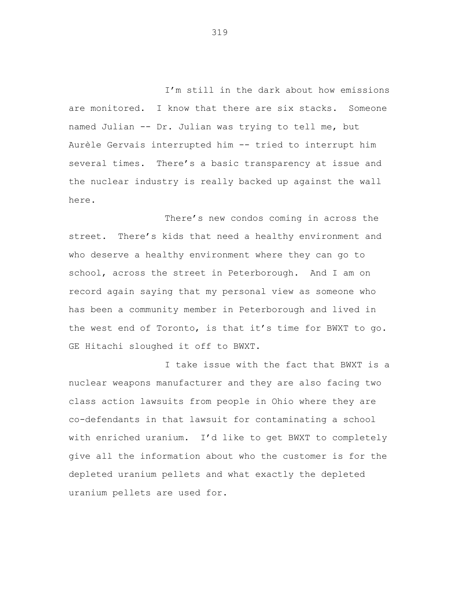I'm still in the dark about how emissions are monitored. I know that there are six stacks. Someone named Julian -- Dr. Julian was trying to tell me, but Aurèle Gervais interrupted him -- tried to interrupt him several times. There's a basic transparency at issue and the nuclear industry is really backed up against the wall here.

There's new condos coming in across the street. There's kids that need a healthy environment and who deserve a healthy environment where they can go to school, across the street in Peterborough. And I am on record again saying that my personal view as someone who has been a community member in Peterborough and lived in the west end of Toronto, is that it's time for BWXT to go. GE Hitachi sloughed it off to BWXT.

I take issue with the fact that BWXT is a nuclear weapons manufacturer and they are also facing two class action lawsuits from people in Ohio where they are co-defendants in that lawsuit for contaminating a school with enriched uranium. I'd like to get BWXT to completely give all the information about who the customer is for the depleted uranium pellets and what exactly the depleted uranium pellets are used for.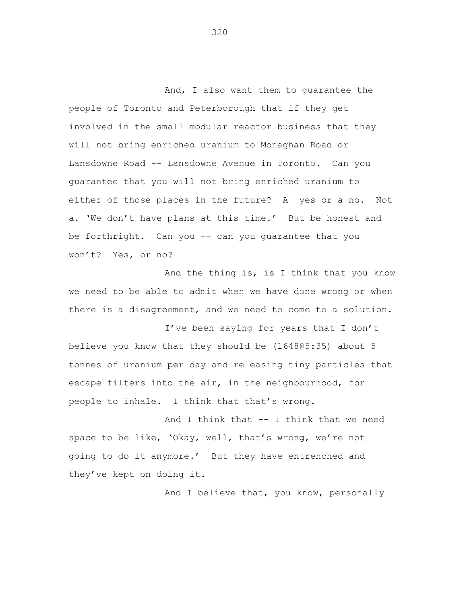And, I also want them to guarantee the people of Toronto and Peterborough that if they get involved in the small modular reactor business that they will not bring enriched uranium to Monaghan Road or Lansdowne Road -- Lansdowne Avenue in Toronto. Can you guarantee that you will not bring enriched uranium to either of those places in the future? A yes or a no. Not a. 'We don't have plans at this time.' But be honest and be forthright. Can you -- can you guarantee that you won't? Yes, or no?

And the thing is, is I think that you know we need to be able to admit when we have done wrong or when there is a disagreement, and we need to come to a solution.

I've been saying for years that I don't believe you know that they should be (1648@5:35) about 5 tonnes of uranium per day and releasing tiny particles that escape filters into the air, in the neighbourhood, for people to inhale. I think that that's wrong.

And I think that -- I think that we need space to be like, 'Okay, well, that's wrong, we're not going to do it anymore.' But they have entrenched and they've kept on doing it.

And I believe that, you know, personally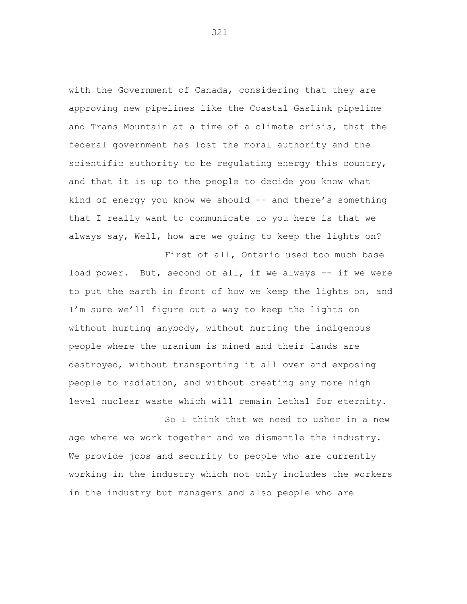with the Government of Canada, considering that they are approving new pipelines like the Coastal GasLink pipeline and Trans Mountain at a time of a climate crisis, that the federal government has lost the moral authority and the scientific authority to be regulating energy this country, and that it is up to the people to decide you know what kind of energy you know we should -- and there's something that I really want to communicate to you here is that we always say, Well, how are we going to keep the lights on?

First of all, Ontario used too much base load power. But, second of all, if we always -- if we were to put the earth in front of how we keep the lights on, and I'm sure we'll figure out a way to keep the lights on without hurting anybody, without hurting the indigenous people where the uranium is mined and their lands are destroyed, without transporting it all over and exposing people to radiation, and without creating any more high level nuclear waste which will remain lethal for eternity.

So I think that we need to usher in a new age where we work together and we dismantle the industry. We provide jobs and security to people who are currently working in the industry which not only includes the workers in the industry but managers and also people who are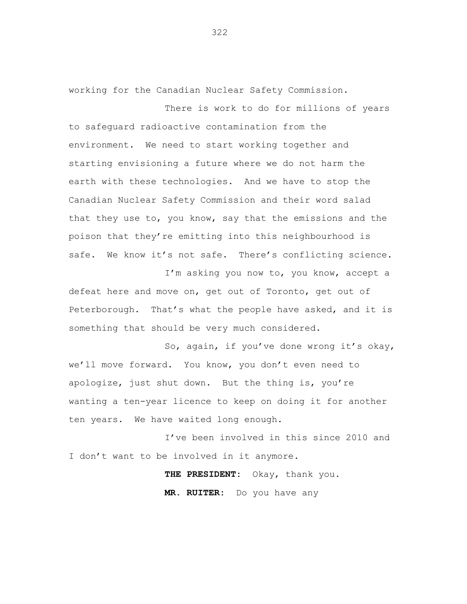working for the Canadian Nuclear Safety Commission.

There is work to do for millions of years to safeguard radioactive contamination from the environment. We need to start working together and starting envisioning a future where we do not harm the earth with these technologies. And we have to stop the Canadian Nuclear Safety Commission and their word salad that they use to, you know, say that the emissions and the poison that they're emitting into this neighbourhood is safe. We know it's not safe. There's conflicting science.

I'm asking you now to, you know, accept a defeat here and move on, get out of Toronto, get out of Peterborough. That's what the people have asked, and it is something that should be very much considered.

So, again, if you've done wrong it's okay, we'll move forward. You know, you don't even need to apologize, just shut down. But the thing is, you're wanting a ten-year licence to keep on doing it for another ten years. We have waited long enough.

I've been involved in this since 2010 and I don't want to be involved in it anymore.

> **THE PRESIDENT:** Okay, thank you. **MR. RUITER:** Do you have any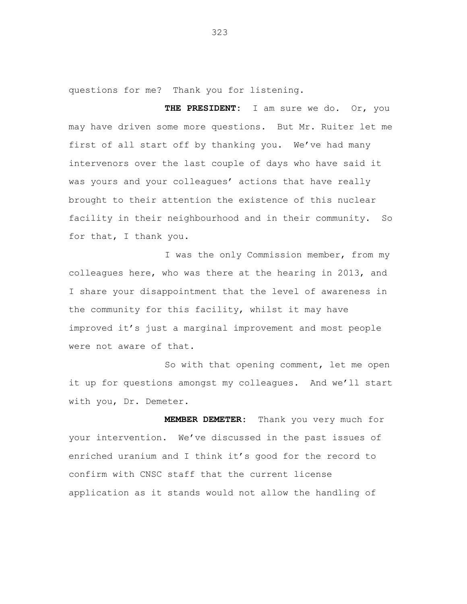questions for me? Thank you for listening.

**THE PRESIDENT:** I am sure we do. Or, you may have driven some more questions. But Mr. Ruiter let me first of all start off by thanking you. We've had many intervenors over the last couple of days who have said it was yours and your colleagues' actions that have really brought to their attention the existence of this nuclear facility in their neighbourhood and in their community. So for that, I thank you.

I was the only Commission member, from my colleagues here, who was there at the hearing in 2013, and I share your disappointment that the level of awareness in the community for this facility, whilst it may have improved it's just a marginal improvement and most people were not aware of that.

So with that opening comment, let me open it up for questions amongst my colleagues. And we'll start with you, Dr. Demeter.

**MEMBER DEMETER:** Thank you very much for your intervention. We've discussed in the past issues of enriched uranium and I think it's good for the record to confirm with CNSC staff that the current license application as it stands would not allow the handling of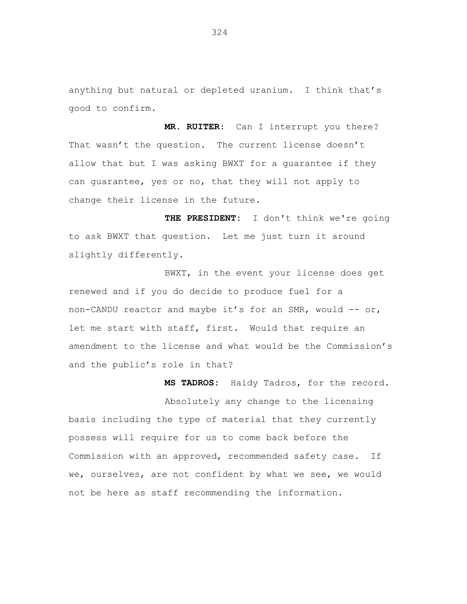anything but natural or depleted uranium. I think that's good to confirm.

**MR. RUITER:** Can I interrupt you there? That wasn't the question. The current license doesn't allow that but I was asking BWXT for a guarantee if they can guarantee, yes or no, that they will not apply to change their license in the future.

**THE PRESIDENT:** I don't think we're going to ask BWXT that question. Let me just turn it around slightly differently.

BWXT, in the event your license does get renewed and if you do decide to produce fuel for a non-CANDU reactor and maybe it's for an SMR, would  $--$  or, let me start with staff, first. Would that require an amendment to the license and what would be the Commission's and the public's role in that?

**MS TADROS:** Haidy Tadros, for the record.

Absolutely any change to the licensing basis including the type of material that they currently possess will require for us to come back before the Commission with an approved, recommended safety case. If we, ourselves, are not confident by what we see, we would not be here as staff recommending the information.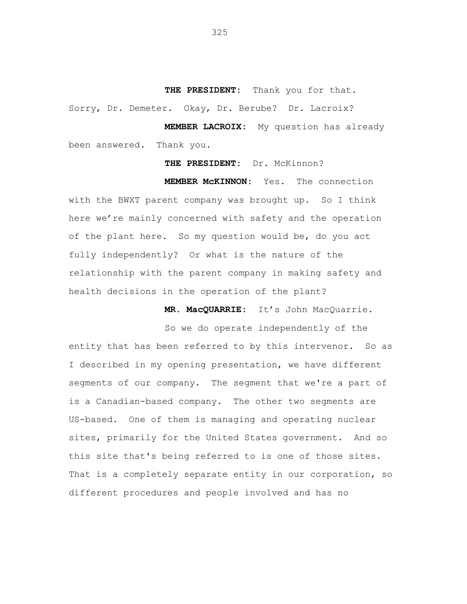**THE PRESIDENT:** Thank you for that. Sorry, Dr. Demeter. Okay, Dr. Berube? Dr. Lacroix?

**MEMBER LACROIX:** My question has already been answered. Thank you.

## **THE PRESIDENT:** Dr. McKinnon?

**MEMBER McKINNON:** Yes. The connection with the BWXT parent company was brought up. So I think here we're mainly concerned with safety and the operation of the plant here. So my question would be, do you act fully independently? Or what is the nature of the relationship with the parent company in making safety and health decisions in the operation of the plant?

**MR. MacQUARRIE:** It's John MacQuarrie.

So we do operate independently of the entity that has been referred to by this intervenor. So as I described in my opening presentation, we have different segments of our company. The segment that we're a part of is a Canadian-based company. The other two segments are US-based. One of them is managing and operating nuclear sites, primarily for the United States government. And so this site that's being referred to is one of those sites. That is a completely separate entity in our corporation, so different procedures and people involved and has no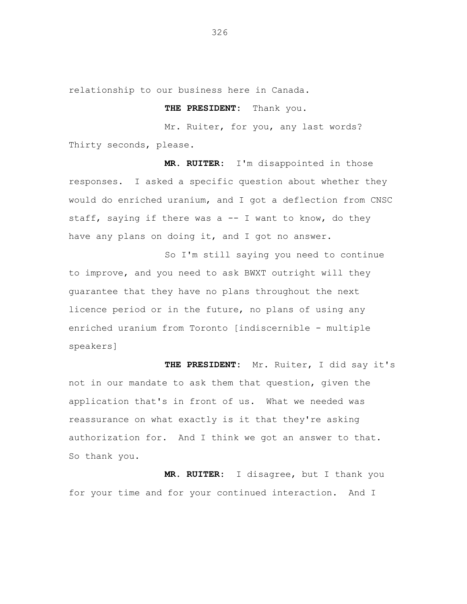relationship to our business here in Canada.

## **THE PRESIDENT:** Thank you.

Mr. Ruiter, for you, any last words? Thirty seconds, please.

**MR. RUITER:** I'm disappointed in those responses. I asked a specific question about whether they would do enriched uranium, and I got a deflection from CNSC staff, saying if there was a  $-$  I want to know, do they have any plans on doing it, and I got no answer.

So I'm still saying you need to continue to improve, and you need to ask BWXT outright will they guarantee that they have no plans throughout the next licence period or in the future, no plans of using any enriched uranium from Toronto [indiscernible - multiple speakers]

**THE PRESIDENT:** Mr. Ruiter, I did say it's not in our mandate to ask them that question, given the application that's in front of us. What we needed was reassurance on what exactly is it that they're asking authorization for. And I think we got an answer to that. So thank you.

**MR. RUITER:** I disagree, but I thank you for your time and for your continued interaction. And I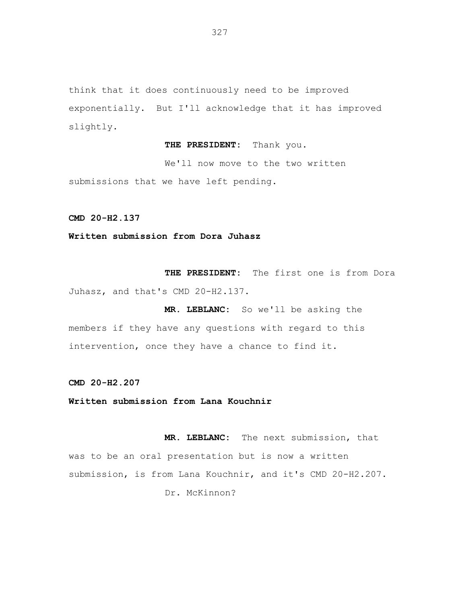think that it does continuously need to be improved exponentially. But I'll acknowledge that it has improved slightly.

**THE PRESIDENT:** Thank you.

We'll now move to the two written submissions that we have left pending.

**CMD 20-H2.137**

**Written submission from Dora Juhasz**

**THE PRESIDENT:** The first one is from Dora Juhasz, and that's CMD 20-H2.137.

**MR. LEBLANC:** So we'll be asking the members if they have any questions with regard to this intervention, once they have a chance to find it.

**CMD 20-H2.207**

**Written submission from Lana Kouchnir**

**MR. LEBLANC:** The next submission, that was to be an oral presentation but is now a written submission, is from Lana Kouchnir, and it's CMD 20-H2.207. Dr. McKinnon?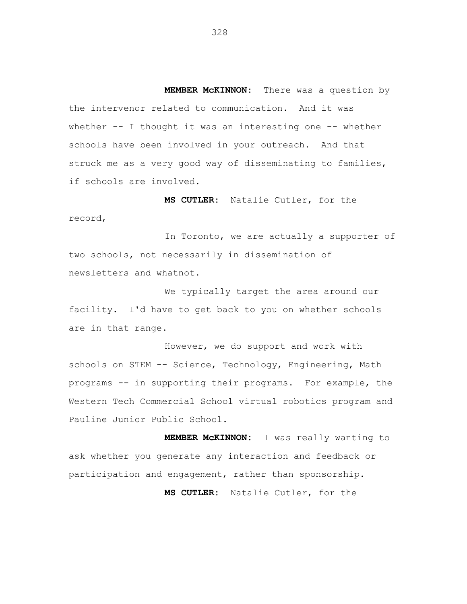**MEMBER McKINNON:** There was a question by the intervenor related to communication. And it was whether  $--$  I thought it was an interesting one  $--$  whether schools have been involved in your outreach. And that struck me as a very good way of disseminating to families, if schools are involved.

**MS CUTLER:** Natalie Cutler, for the record,

In Toronto, we are actually a supporter of two schools, not necessarily in dissemination of newsletters and whatnot.

We typically target the area around our facility. I'd have to get back to you on whether schools are in that range.

However, we do support and work with schools on STEM -- Science, Technology, Engineering, Math programs -- in supporting their programs. For example, the Western Tech Commercial School virtual robotics program and Pauline Junior Public School.

**MEMBER McKINNON:** I was really wanting to ask whether you generate any interaction and feedback or participation and engagement, rather than sponsorship.

**MS CUTLER:** Natalie Cutler, for the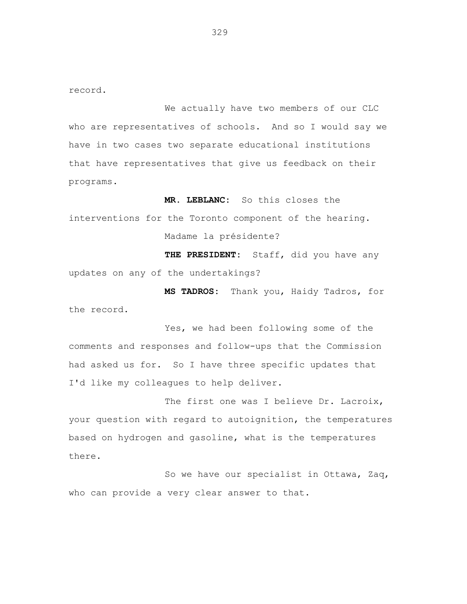record.

We actually have two members of our CLC who are representatives of schools. And so I would say we have in two cases two separate educational institutions that have representatives that give us feedback on their programs.

**MR. LEBLANC:** So this closes the interventions for the Toronto component of the hearing. Madame la présidente? **THE PRESIDENT:** Staff, did you have any

updates on any of the undertakings?

**MS TADROS:** Thank you, Haidy Tadros, for the record.

Yes, we had been following some of the comments and responses and follow-ups that the Commission had asked us for. So I have three specific updates that I'd like my colleagues to help deliver.

The first one was I believe Dr. Lacroix, your question with regard to autoignition, the temperatures based on hydrogen and gasoline, what is the temperatures there.

So we have our specialist in Ottawa, Zaq, who can provide a very clear answer to that.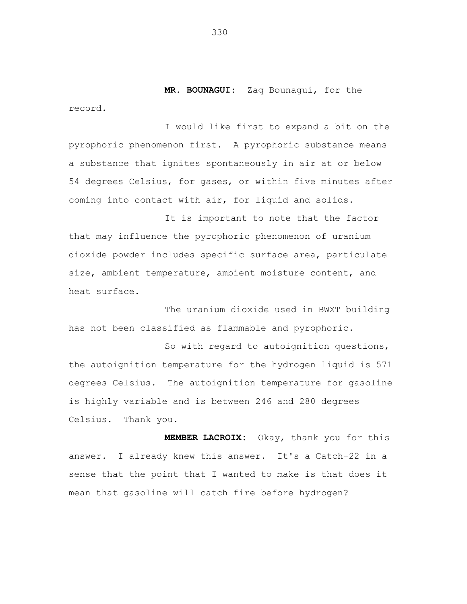**MR. BOUNAGUI:** Zaq Bounagui, for the

I would like first to expand a bit on the pyrophoric phenomenon first. A pyrophoric substance means a substance that ignites spontaneously in air at or below 54 degrees Celsius, for gases, or within five minutes after coming into contact with air, for liquid and solids.

It is important to note that the factor that may influence the pyrophoric phenomenon of uranium dioxide powder includes specific surface area, particulate size, ambient temperature, ambient moisture content, and heat surface.

The uranium dioxide used in BWXT building has not been classified as flammable and pyrophoric.

So with regard to autoignition questions, the autoignition temperature for the hydrogen liquid is 571 degrees Celsius. The autoignition temperature for gasoline is highly variable and is between 246 and 280 degrees Celsius. Thank you.

**MEMBER LACROIX:** Okay, thank you for this answer. I already knew this answer. It's a Catch-22 in a sense that the point that I wanted to make is that does it mean that gasoline will catch fire before hydrogen?

330

record.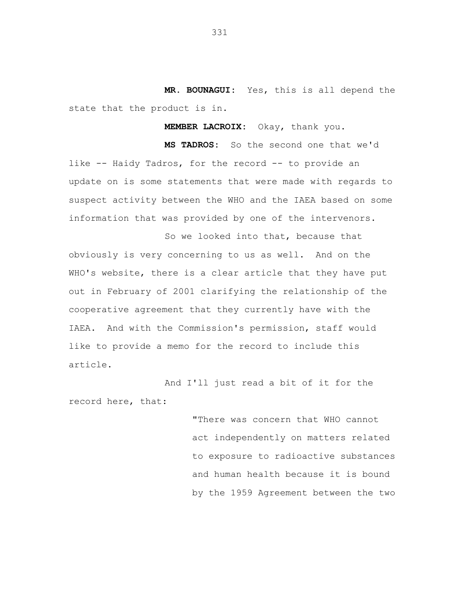**MR. BOUNAGUI:** Yes, this is all depend the state that the product is in.

**MEMBER LACROIX:** Okay, thank you.

**MS TADROS:** So the second one that we'd like -- Haidy Tadros, for the record -- to provide an update on is some statements that were made with regards to suspect activity between the WHO and the IAEA based on some information that was provided by one of the intervenors.

So we looked into that, because that obviously is very concerning to us as well. And on the WHO's website, there is a clear article that they have put out in February of 2001 clarifying the relationship of the cooperative agreement that they currently have with the IAEA. And with the Commission's permission, staff would like to provide a memo for the record to include this article.

And I'll just read a bit of it for the record here, that:

> "There was concern that WHO cannot act independently on matters related to exposure to radioactive substances and human health because it is bound by the 1959 Agreement between the two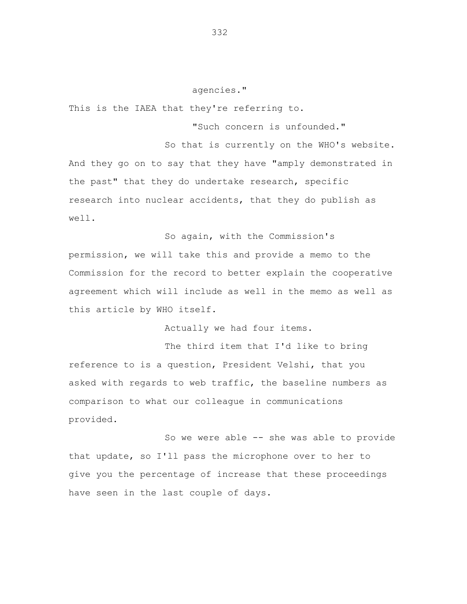## agencies."

This is the IAEA that they're referring to.

"Such concern is unfounded."

So that is currently on the WHO's website. And they go on to say that they have "amply demonstrated in the past" that they do undertake research, specific research into nuclear accidents, that they do publish as well.

So again, with the Commission's

permission, we will take this and provide a memo to the Commission for the record to better explain the cooperative agreement which will include as well in the memo as well as this article by WHO itself.

Actually we had four items.

The third item that I'd like to bring reference to is a question, President Velshi, that you asked with regards to web traffic, the baseline numbers as comparison to what our colleague in communications provided.

So we were able -- she was able to provide that update, so I'll pass the microphone over to her to give you the percentage of increase that these proceedings have seen in the last couple of days.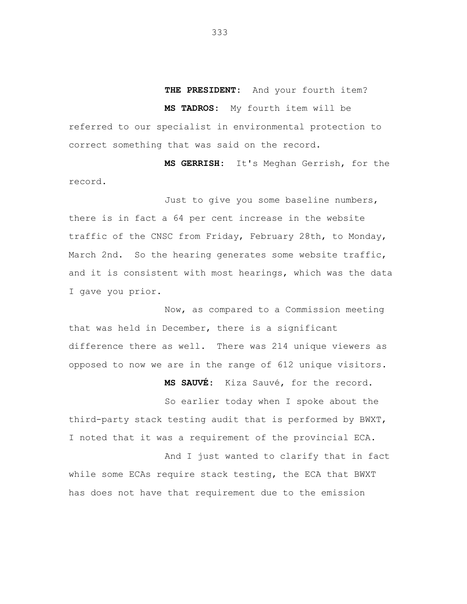## **THE PRESIDENT:** And your fourth item?

**MS TADROS:** My fourth item will be

referred to our specialist in environmental protection to correct something that was said on the record.

**MS GERRISH:** It's Meghan Gerrish, for the record.

Just to give you some baseline numbers, there is in fact a 64 per cent increase in the website traffic of the CNSC from Friday, February 28th, to Monday, March 2nd. So the hearing generates some website traffic, and it is consistent with most hearings, which was the data I gave you prior.

Now, as compared to a Commission meeting that was held in December, there is a significant difference there as well. There was 214 unique viewers as opposed to now we are in the range of 612 unique visitors.

**MS SAUVÉ:** Kiza Sauvé, for the record.

So earlier today when I spoke about the third-party stack testing audit that is performed by BWXT, I noted that it was a requirement of the provincial ECA.

And I just wanted to clarify that in fact while some ECAs require stack testing, the ECA that BWXT has does not have that requirement due to the emission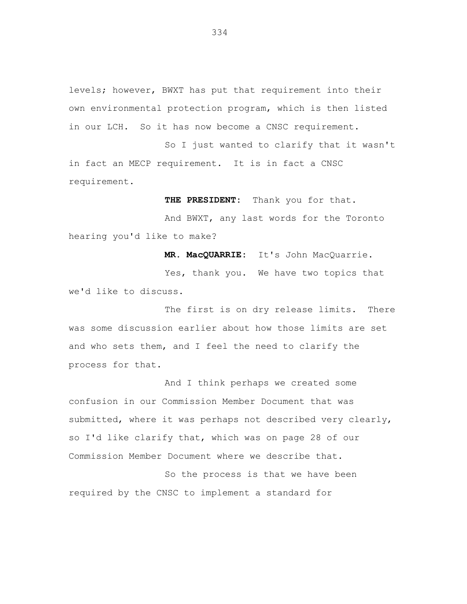levels; however, BWXT has put that requirement into their own environmental protection program, which is then listed in our LCH. So it has now become a CNSC requirement.

So I just wanted to clarify that it wasn't in fact an MECP requirement. It is in fact a CNSC requirement.

**THE PRESIDENT:** Thank you for that.

And BWXT, any last words for the Toronto hearing you'd like to make?

**MR. MacQUARRIE:** It's John MacQuarrie.

Yes, thank you. We have two topics that we'd like to discuss.

The first is on dry release limits. There was some discussion earlier about how those limits are set and who sets them, and I feel the need to clarify the process for that.

And I think perhaps we created some confusion in our Commission Member Document that was submitted, where it was perhaps not described very clearly, so I'd like clarify that, which was on page 28 of our Commission Member Document where we describe that.

So the process is that we have been required by the CNSC to implement a standard for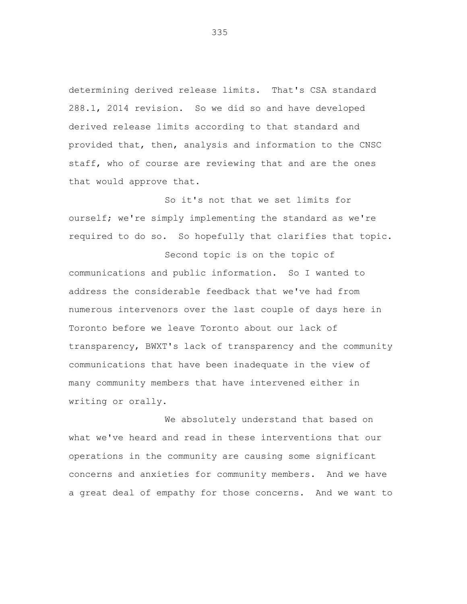determining derived release limits. That's CSA standard 288.1, 2014 revision. So we did so and have developed derived release limits according to that standard and provided that, then, analysis and information to the CNSC staff, who of course are reviewing that and are the ones that would approve that.

So it's not that we set limits for ourself; we're simply implementing the standard as we're required to do so. So hopefully that clarifies that topic.

Second topic is on the topic of communications and public information. So I wanted to address the considerable feedback that we've had from numerous intervenors over the last couple of days here in Toronto before we leave Toronto about our lack of transparency, BWXT's lack of transparency and the community communications that have been inadequate in the view of many community members that have intervened either in writing or orally.

We absolutely understand that based on what we've heard and read in these interventions that our operations in the community are causing some significant concerns and anxieties for community members. And we have a great deal of empathy for those concerns. And we want to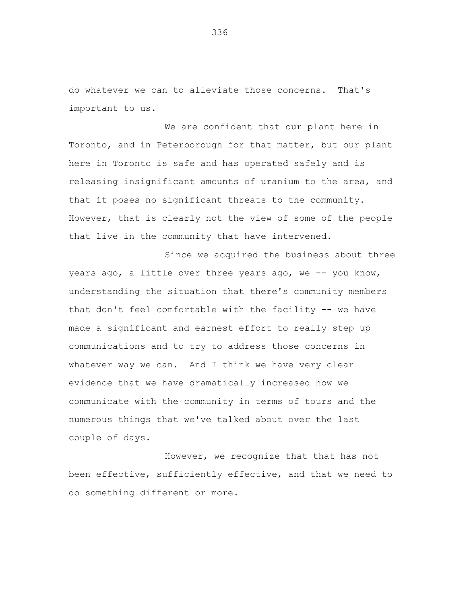do whatever we can to alleviate those concerns. That's important to us.

We are confident that our plant here in Toronto, and in Peterborough for that matter, but our plant here in Toronto is safe and has operated safely and is releasing insignificant amounts of uranium to the area, and that it poses no significant threats to the community. However, that is clearly not the view of some of the people that live in the community that have intervened.

Since we acquired the business about three years ago, a little over three years ago, we -- you know, understanding the situation that there's community members that don't feel comfortable with the facility -- we have made a significant and earnest effort to really step up communications and to try to address those concerns in whatever way we can. And I think we have very clear evidence that we have dramatically increased how we communicate with the community in terms of tours and the numerous things that we've talked about over the last couple of days.

However, we recognize that that has not been effective, sufficiently effective, and that we need to do something different or more.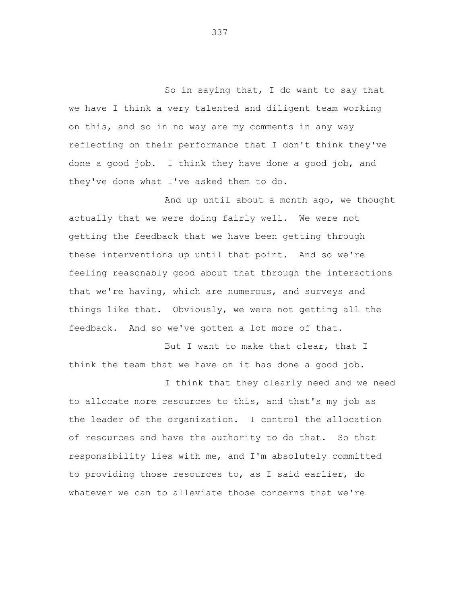So in saying that, I do want to say that we have I think a very talented and diligent team working on this, and so in no way are my comments in any way reflecting on their performance that I don't think they've done a good job. I think they have done a good job, and they've done what I've asked them to do.

And up until about a month ago, we thought actually that we were doing fairly well. We were not getting the feedback that we have been getting through these interventions up until that point. And so we're feeling reasonably good about that through the interactions that we're having, which are numerous, and surveys and things like that. Obviously, we were not getting all the feedback. And so we've gotten a lot more of that.

But I want to make that clear, that I think the team that we have on it has done a good job.

I think that they clearly need and we need to allocate more resources to this, and that's my job as the leader of the organization. I control the allocation of resources and have the authority to do that. So that responsibility lies with me, and I'm absolutely committed to providing those resources to, as I said earlier, do whatever we can to alleviate those concerns that we're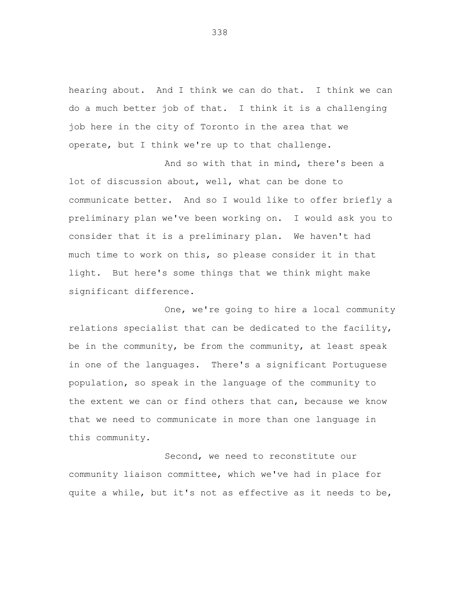hearing about. And I think we can do that. I think we can do a much better job of that. I think it is a challenging job here in the city of Toronto in the area that we operate, but I think we're up to that challenge.

And so with that in mind, there's been a lot of discussion about, well, what can be done to communicate better. And so I would like to offer briefly a preliminary plan we've been working on. I would ask you to consider that it is a preliminary plan. We haven't had much time to work on this, so please consider it in that light. But here's some things that we think might make significant difference.

One, we're going to hire a local community relations specialist that can be dedicated to the facility, be in the community, be from the community, at least speak in one of the languages. There's a significant Portuguese population, so speak in the language of the community to the extent we can or find others that can, because we know that we need to communicate in more than one language in this community.

Second, we need to reconstitute our community liaison committee, which we've had in place for quite a while, but it's not as effective as it needs to be,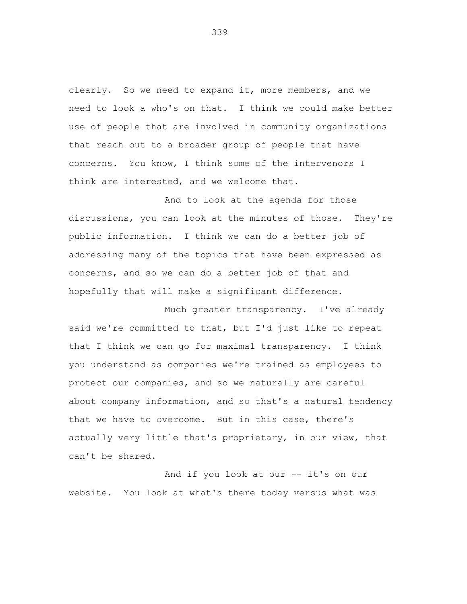clearly. So we need to expand it, more members, and we need to look a who's on that. I think we could make better use of people that are involved in community organizations that reach out to a broader group of people that have concerns. You know, I think some of the intervenors I think are interested, and we welcome that.

And to look at the agenda for those discussions, you can look at the minutes of those. They're public information. I think we can do a better job of addressing many of the topics that have been expressed as concerns, and so we can do a better job of that and hopefully that will make a significant difference.

Much greater transparency. I've already said we're committed to that, but I'd just like to repeat that I think we can go for maximal transparency. I think you understand as companies we're trained as employees to protect our companies, and so we naturally are careful about company information, and so that's a natural tendency that we have to overcome. But in this case, there's actually very little that's proprietary, in our view, that can't be shared.

And if you look at our -- it's on our website. You look at what's there today versus what was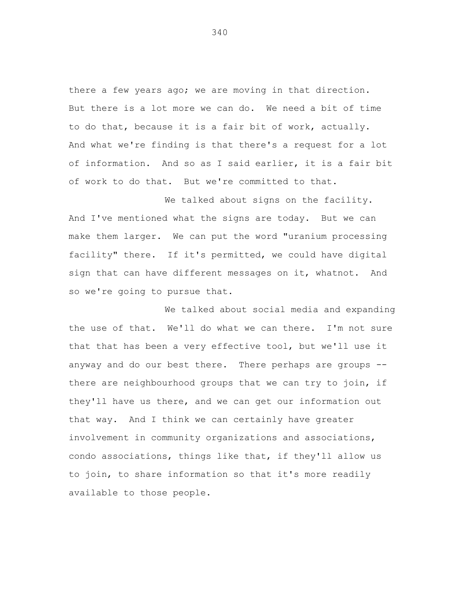there a few years ago; we are moving in that direction. But there is a lot more we can do. We need a bit of time to do that, because it is a fair bit of work, actually. And what we're finding is that there's a request for a lot of information. And so as I said earlier, it is a fair bit of work to do that. But we're committed to that.

We talked about signs on the facility. And I've mentioned what the signs are today. But we can make them larger. We can put the word "uranium processing facility" there. If it's permitted, we could have digital sign that can have different messages on it, whatnot. And so we're going to pursue that.

We talked about social media and expanding the use of that. We'll do what we can there. I'm not sure that that has been a very effective tool, but we'll use it anyway and do our best there. There perhaps are groups - there are neighbourhood groups that we can try to join, if they'll have us there, and we can get our information out that way. And I think we can certainly have greater involvement in community organizations and associations, condo associations, things like that, if they'll allow us to join, to share information so that it's more readily available to those people.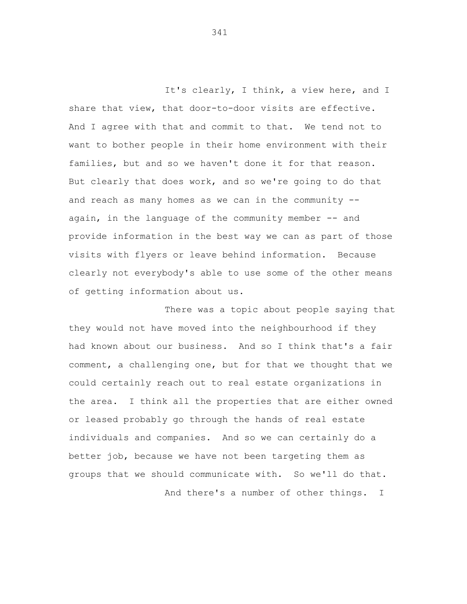It's clearly, I think, a view here, and I share that view, that door-to-door visits are effective. And I agree with that and commit to that. We tend not to want to bother people in their home environment with their families, but and so we haven't done it for that reason. But clearly that does work, and so we're going to do that and reach as many homes as we can in the community  $a$ gain, in the language of the community member  $-$  and provide information in the best way we can as part of those visits with flyers or leave behind information. Because clearly not everybody's able to use some of the other means of getting information about us.

There was a topic about people saying that they would not have moved into the neighbourhood if they had known about our business. And so I think that's a fair comment, a challenging one, but for that we thought that we could certainly reach out to real estate organizations in the area. I think all the properties that are either owned or leased probably go through the hands of real estate individuals and companies. And so we can certainly do a better job, because we have not been targeting them as groups that we should communicate with. So we'll do that. And there's a number of other things. I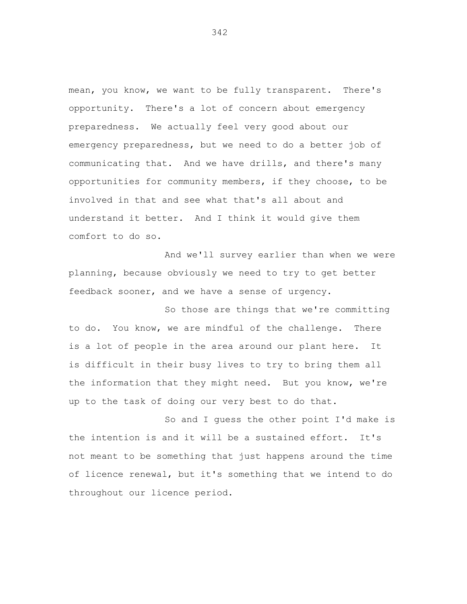mean, you know, we want to be fully transparent. There's opportunity. There's a lot of concern about emergency preparedness. We actually feel very good about our emergency preparedness, but we need to do a better job of communicating that. And we have drills, and there's many opportunities for community members, if they choose, to be involved in that and see what that's all about and understand it better. And I think it would give them comfort to do so.

And we'll survey earlier than when we were planning, because obviously we need to try to get better feedback sooner, and we have a sense of urgency.

So those are things that we're committing to do. You know, we are mindful of the challenge. There is a lot of people in the area around our plant here. It is difficult in their busy lives to try to bring them all the information that they might need. But you know, we're up to the task of doing our very best to do that.

So and I guess the other point I'd make is the intention is and it will be a sustained effort. It's not meant to be something that just happens around the time of licence renewal, but it's something that we intend to do throughout our licence period.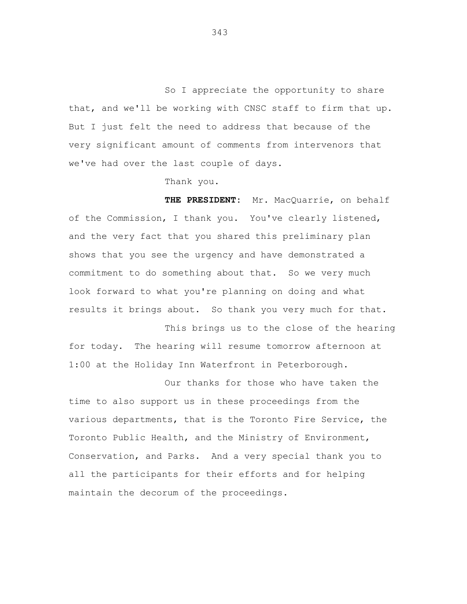So I appreciate the opportunity to share that, and we'll be working with CNSC staff to firm that up. But I just felt the need to address that because of the very significant amount of comments from intervenors that we've had over the last couple of days.

Thank you.

**THE PRESIDENT:** Mr. MacQuarrie, on behalf of the Commission, I thank you. You've clearly listened, and the very fact that you shared this preliminary plan shows that you see the urgency and have demonstrated a commitment to do something about that. So we very much look forward to what you're planning on doing and what results it brings about. So thank you very much for that.

This brings us to the close of the hearing for today. The hearing will resume tomorrow afternoon at 1:00 at the Holiday Inn Waterfront in Peterborough.

Our thanks for those who have taken the time to also support us in these proceedings from the various departments, that is the Toronto Fire Service, the Toronto Public Health, and the Ministry of Environment, Conservation, and Parks. And a very special thank you to all the participants for their efforts and for helping maintain the decorum of the proceedings.